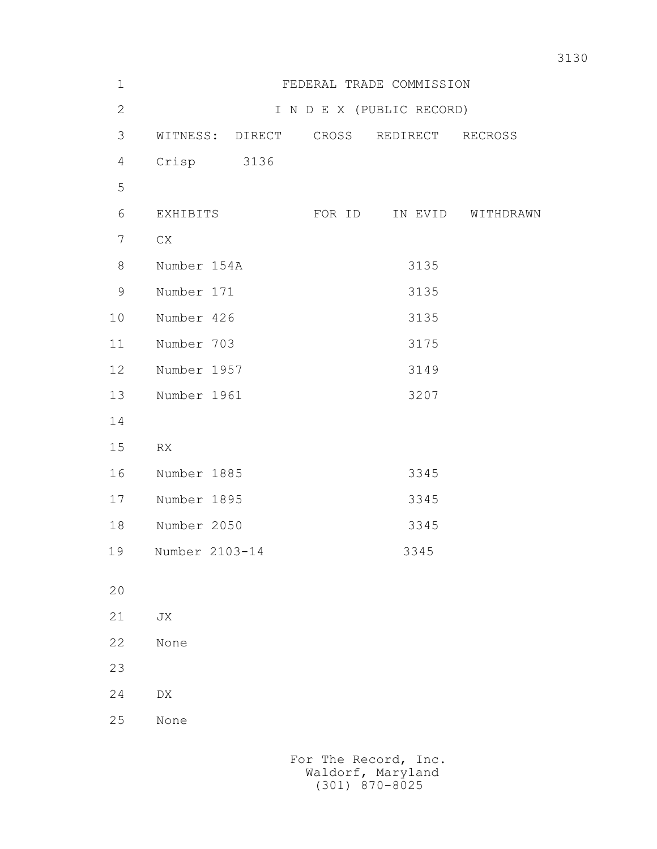| $1\,$          |                  |        | FEDERAL TRADE COMMISSION  |                   |
|----------------|------------------|--------|---------------------------|-------------------|
| $\overline{2}$ |                  |        | I N D E X (PUBLIC RECORD) |                   |
| 3              | WITNESS: DIRECT  | CROSS  | REDIRECT RECROSS          |                   |
| 4              | Crisp<br>3136    |        |                           |                   |
| 5              |                  |        |                           |                   |
| 6              | EXHIBITS         | FOR ID |                           | IN EVID WITHDRAWN |
| $\overline{7}$ | CX               |        |                           |                   |
| 8              | Number 154A      |        | 3135                      |                   |
| $\mathsf 9$    | Number 171       |        | 3135                      |                   |
| 10             | Number 426       |        | 3135                      |                   |
| 11             | Number 703       |        | 3175                      |                   |
| 12             | Number 1957      |        | 3149                      |                   |
| 13             | Number 1961      |        | 3207                      |                   |
| 14             |                  |        |                           |                   |
| 15             | RX               |        |                           |                   |
| 16             | Number 1885      |        | 3345                      |                   |
| 17             | Number 1895      |        | 3345                      |                   |
| 18             | Number 2050      |        | 3345                      |                   |
| 19             | Number 2103-14   |        | 3345                      |                   |
| 20             |                  |        |                           |                   |
| 21             | ${\rm J}{\rm X}$ |        |                           |                   |
| 22             | None             |        |                           |                   |
|                |                  |        |                           |                   |
| 23             |                  |        |                           |                   |
| 24             | ${\rm D}{\rm X}$ |        |                           |                   |
| 25             | None             |        |                           |                   |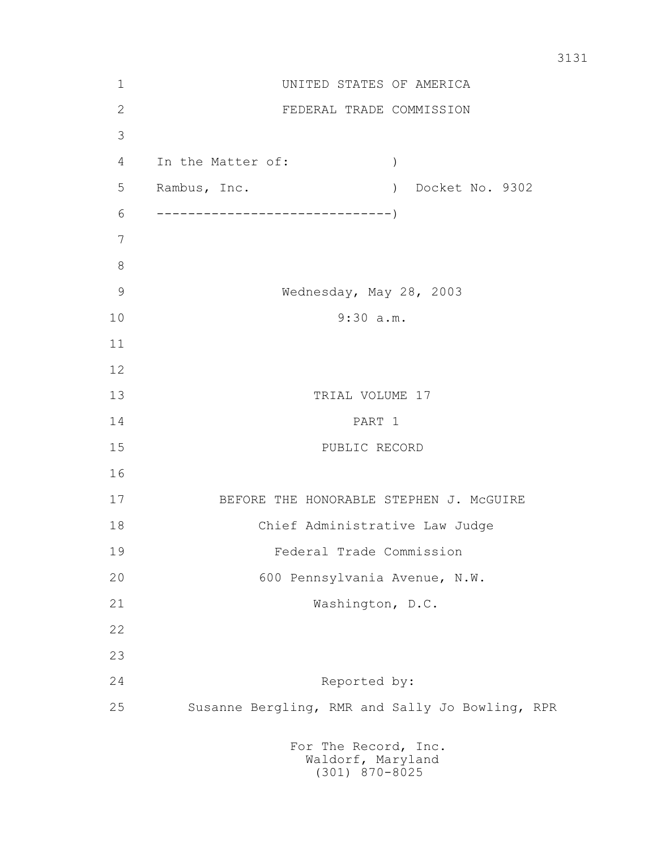| 1            | UNITED STATES OF AMERICA                        |  |  |  |
|--------------|-------------------------------------------------|--|--|--|
| $\mathbf{2}$ | FEDERAL TRADE COMMISSION                        |  |  |  |
| 3            |                                                 |  |  |  |
| 4            | In the Matter of:<br>$\left( \right)$           |  |  |  |
| 5            | Rambus, Inc.<br>) Docket No. 9302               |  |  |  |
| 6            |                                                 |  |  |  |
| 7            |                                                 |  |  |  |
| 8            |                                                 |  |  |  |
| 9            | Wednesday, May 28, 2003                         |  |  |  |
| 10           | 9:30 a.m.                                       |  |  |  |
| 11           |                                                 |  |  |  |
| 12           |                                                 |  |  |  |
| 13           | TRIAL VOLUME 17                                 |  |  |  |
| 14           | PART 1                                          |  |  |  |
| 15           | PUBLIC RECORD                                   |  |  |  |
| 16           |                                                 |  |  |  |
| 17           | BEFORE THE HONORABLE STEPHEN J. MCGUIRE         |  |  |  |
| 18           | Chief Administrative Law Judge                  |  |  |  |
| 19           | Federal Trade Commission                        |  |  |  |
| 20           | 600 Pennsylvania Avenue, N.W.                   |  |  |  |
| 21           | Washington, D.C.                                |  |  |  |
| 22           |                                                 |  |  |  |
| 23           |                                                 |  |  |  |
| 24           | Reported by:                                    |  |  |  |
| 25           | Susanne Bergling, RMR and Sally Jo Bowling, RPR |  |  |  |
|              | For The Record, Inc.                            |  |  |  |

Waldorf, Maryland (301) 870-8025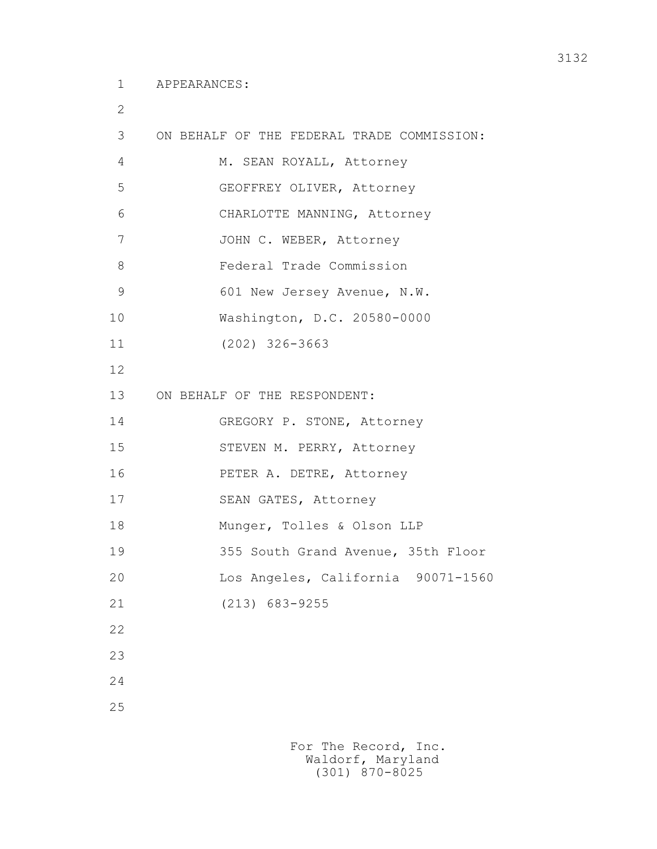2

| ∠             |                                            |  |  |
|---------------|--------------------------------------------|--|--|
| 3             | ON BEHALF OF THE FEDERAL TRADE COMMISSION: |  |  |
| 4             | M. SEAN ROYALL, Attorney                   |  |  |
| 5             | GEOFFREY OLIVER, Attorney                  |  |  |
| 6             | CHARLOTTE MANNING, Attorney                |  |  |
| 7             | JOHN C. WEBER, Attorney                    |  |  |
| 8             | Federal Trade Commission                   |  |  |
| $\mathcal{G}$ | 601 New Jersey Avenue, N.W.                |  |  |
| 10            | Washington, D.C. 20580-0000                |  |  |
| 11            | $(202)$ 326-3663                           |  |  |
| 12            |                                            |  |  |
| 13            | ON BEHALF OF THE RESPONDENT:               |  |  |
| 14            | GREGORY P. STONE, Attorney                 |  |  |
| 15            | STEVEN M. PERRY, Attorney                  |  |  |
| 16            | PETER A. DETRE, Attorney                   |  |  |
| 17            | SEAN GATES, Attorney                       |  |  |
| 18            | Munger, Tolles & Olson LLP                 |  |  |
| 19            | 355 South Grand Avenue, 35th Floor         |  |  |
| 20            | Los Angeles, California 90071-1560         |  |  |
| 21            | $(213)$ 683-9255                           |  |  |
| 22            |                                            |  |  |
| 23            |                                            |  |  |
| 24            |                                            |  |  |

25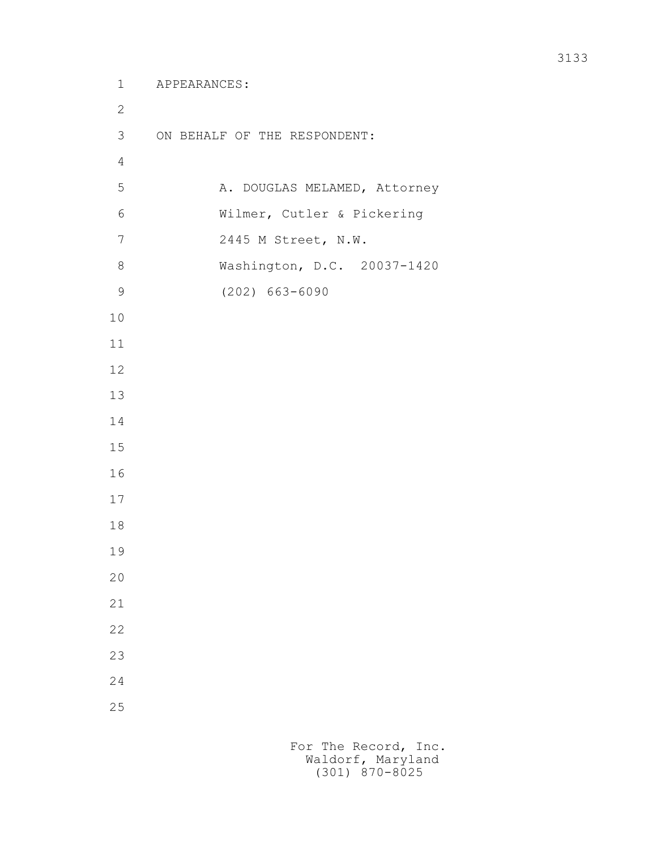```
 1 APPEARANCES:
2
        3 ON BEHALF OF THE RESPONDENT:
4
       5 A. DOUGLAS MELAMED, Attorney
        6 Wilmer, Cutler & Pickering
        7 2445 M Street, N.W.
        8 Washington, D.C. 20037-1420
        9 (202) 663-6090
       10
       11
       12
       13
       14
       15
       16
       17
       18
       19
       20
       21
       22
       23
       24
       25
```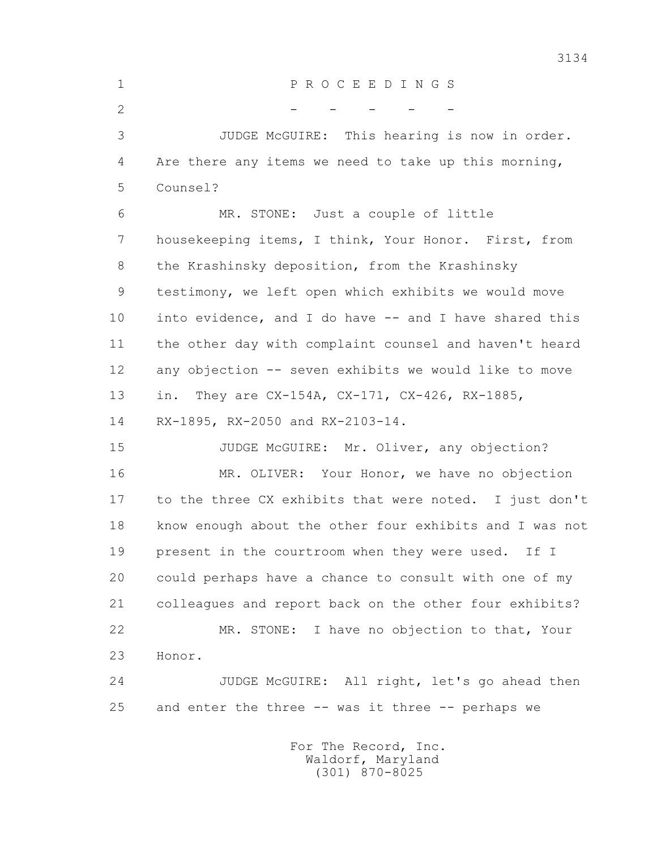1 P R O C E E D I N G S  $2$  - - - - 3 JUDGE McGUIRE: This hearing is now in order. 4 Are there any items we need to take up this morning, 5 Counsel? 6 MR. STONE: Just a couple of little 7 housekeeping items, I think, Your Honor. First, from 8 the Krashinsky deposition, from the Krashinsky 9 testimony, we left open which exhibits we would move 10 into evidence, and I do have -- and I have shared this 11 the other day with complaint counsel and haven't heard 12 any objection -- seven exhibits we would like to move 13 in. They are CX-154A, CX-171, CX-426, RX-1885, 14 RX-1895, RX-2050 and RX-2103-14. 15 JUDGE McGUIRE: Mr. Oliver, any objection? 16 MR. OLIVER: Your Honor, we have no objection 17 to the three CX exhibits that were noted. I just don't 18 know enough about the other four exhibits and I was not 19 present in the courtroom when they were used. If I 20 could perhaps have a chance to consult with one of my 21 colleagues and report back on the other four exhibits? 22 MR. STONE: I have no objection to that, Your 23 Honor.

 24 JUDGE McGUIRE: All right, let's go ahead then 25 and enter the three -- was it three -- perhaps we

> For The Record, Inc. Waldorf, Maryland (301) 870-8025

3134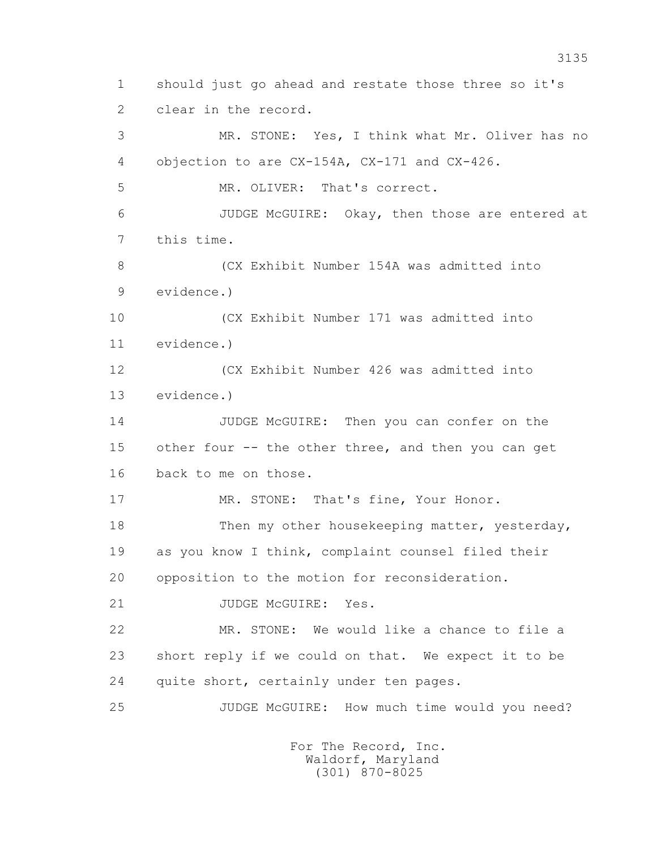1 should just go ahead and restate those three so it's 2 clear in the record. 3 MR. STONE: Yes, I think what Mr. Oliver has no 4 objection to are CX-154A, CX-171 and CX-426. 5 MR. OLIVER: That's correct. 6 JUDGE McGUIRE: Okay, then those are entered at 7 this time. 8 (CX Exhibit Number 154A was admitted into 9 evidence.) 10 (CX Exhibit Number 171 was admitted into 11 evidence.) 12 (CX Exhibit Number 426 was admitted into 13 evidence.) 14 JUDGE McGUIRE: Then you can confer on the 15 other four -- the other three, and then you can get 16 back to me on those. 17 MR. STONE: That's fine, Your Honor. 18 Then my other housekeeping matter, yesterday, 19 as you know I think, complaint counsel filed their 20 opposition to the motion for reconsideration. 21 JUDGE McGUIRE: Yes. 22 MR. STONE: We would like a chance to file a 23 short reply if we could on that. We expect it to be 24 quite short, certainly under ten pages. 25 JUDGE McGUIRE: How much time would you need?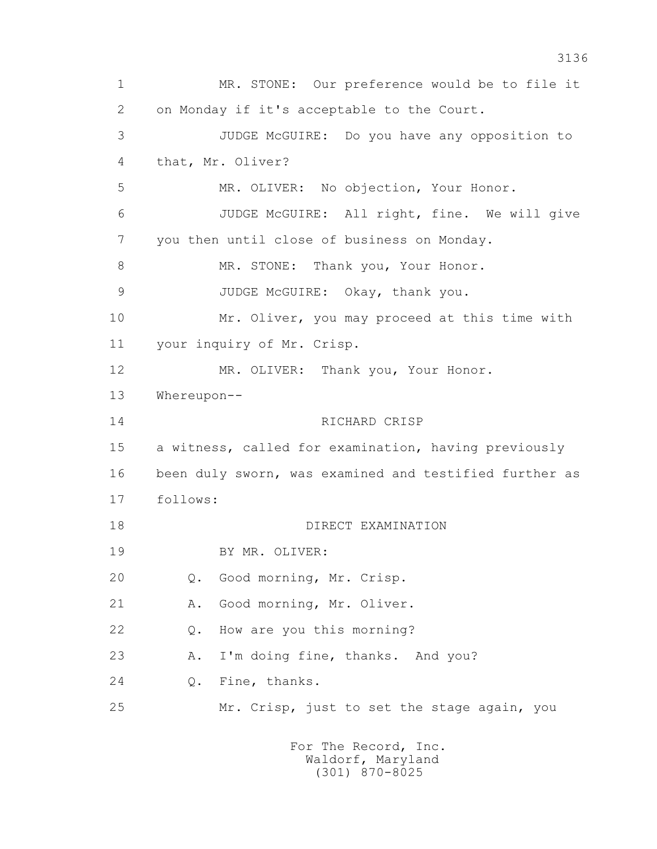1 MR. STONE: Our preference would be to file it 2 on Monday if it's acceptable to the Court. 3 JUDGE McGUIRE: Do you have any opposition to 4 that, Mr. Oliver? 5 MR. OLIVER: No objection, Your Honor. 6 JUDGE McGUIRE: All right, fine. We will give 7 you then until close of business on Monday. 8 MR. STONE: Thank you, Your Honor. 9 JUDGE McGUIRE: Okay, thank you. 10 Mr. Oliver, you may proceed at this time with 11 your inquiry of Mr. Crisp. 12 MR. OLIVER: Thank you, Your Honor. 13 Whereupon-- 14 RICHARD CRISP 15 a witness, called for examination, having previously 16 been duly sworn, was examined and testified further as 17 follows: 18 DIRECT EXAMINATION 19 BY MR. OLIVER: 20 Q. Good morning, Mr. Crisp. 21 A. Good morning, Mr. Oliver. 22 Q. How are you this morning? 23 A. I'm doing fine, thanks. And you? 24 Q. Fine, thanks. 25 Mr. Crisp, just to set the stage again, you For The Record, Inc.

 Waldorf, Maryland (301) 870-8025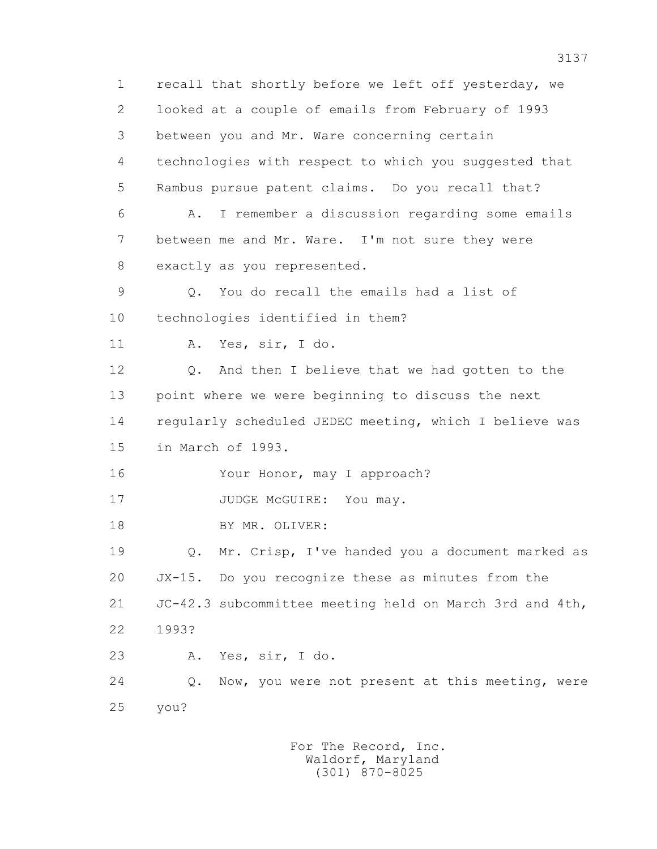1 recall that shortly before we left off yesterday, we 2 looked at a couple of emails from February of 1993 3 between you and Mr. Ware concerning certain 4 technologies with respect to which you suggested that 5 Rambus pursue patent claims. Do you recall that? 6 A. I remember a discussion regarding some emails 7 between me and Mr. Ware. I'm not sure they were 8 exactly as you represented. 9 Q. You do recall the emails had a list of 10 technologies identified in them? 11 A. Yes, sir, I do. 12 Q. And then I believe that we had gotten to the 13 point where we were beginning to discuss the next 14 regularly scheduled JEDEC meeting, which I believe was 15 in March of 1993. 16 Your Honor, may I approach? 17 JUDGE McGUIRE: You may. 18 BY MR. OLIVER: 19 Q. Mr. Crisp, I've handed you a document marked as 20 JX-15. Do you recognize these as minutes from the 21 JC-42.3 subcommittee meeting held on March 3rd and 4th, 22 1993? 23 A. Yes, sir, I do. 24 Q. Now, you were not present at this meeting, were 25 you?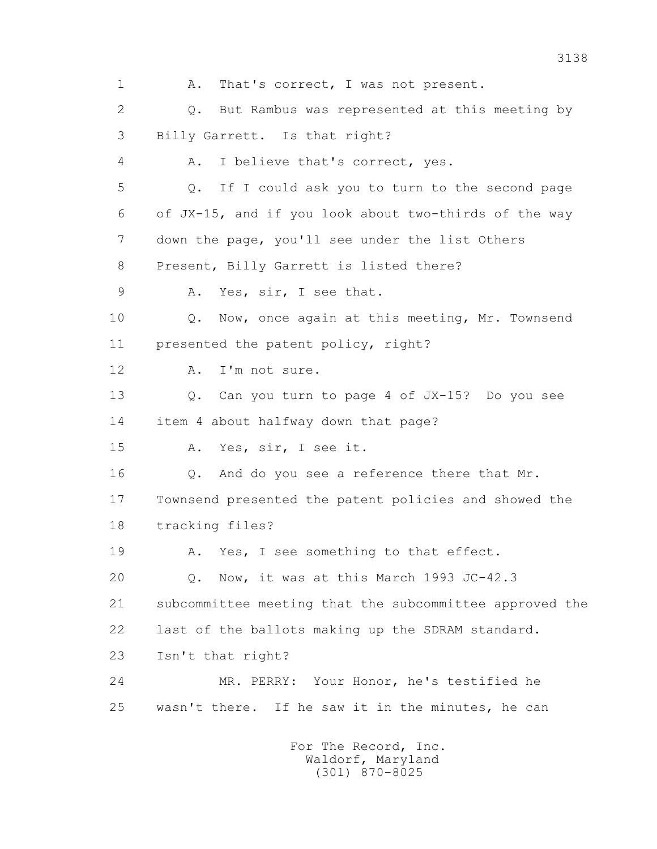1 A. That's correct, I was not present. 2 Q. But Rambus was represented at this meeting by 3 Billy Garrett. Is that right? 4 A. I believe that's correct, yes. 5 Q. If I could ask you to turn to the second page 6 of JX-15, and if you look about two-thirds of the way 7 down the page, you'll see under the list Others 8 Present, Billy Garrett is listed there? 9 A. Yes, sir, I see that. 10 Q. Now, once again at this meeting, Mr. Townsend 11 presented the patent policy, right? 12 A. I'm not sure. 13 Q. Can you turn to page 4 of JX-15? Do you see 14 item 4 about halfway down that page? 15 A. Yes, sir, I see it. 16 Q. And do you see a reference there that Mr. 17 Townsend presented the patent policies and showed the 18 tracking files? 19 A. Yes, I see something to that effect. 20 Q. Now, it was at this March 1993 JC-42.3 21 subcommittee meeting that the subcommittee approved the 22 last of the ballots making up the SDRAM standard. 23 Isn't that right? 24 MR. PERRY: Your Honor, he's testified he 25 wasn't there. If he saw it in the minutes, he can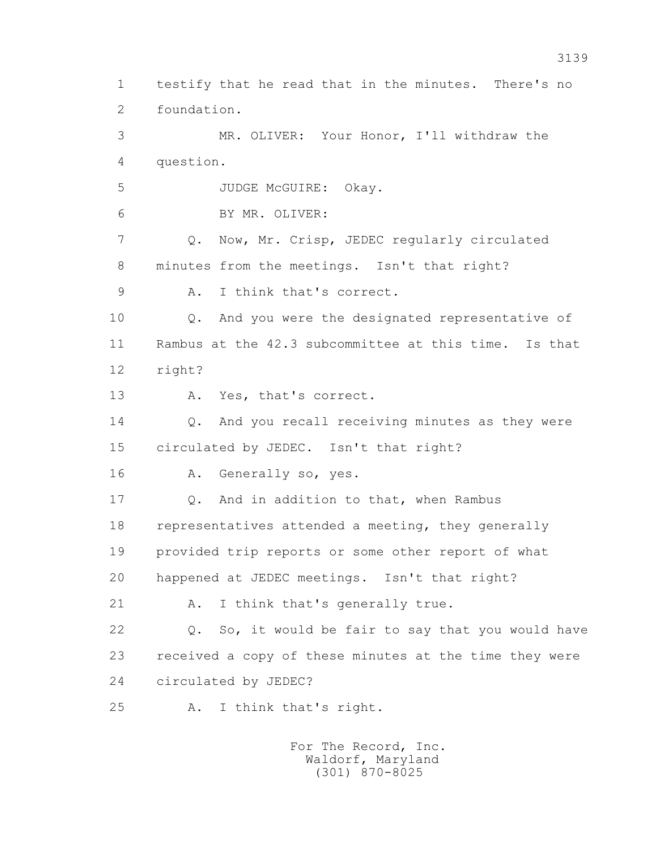1 testify that he read that in the minutes. There's no 2 foundation. 3 MR. OLIVER: Your Honor, I'll withdraw the 4 question. 5 JUDGE McGUIRE: Okay. 6 BY MR. OLIVER: 7 Q. Now, Mr. Crisp, JEDEC regularly circulated 8 minutes from the meetings. Isn't that right? 9 A. I think that's correct. 10 Q. And you were the designated representative of 11 Rambus at the 42.3 subcommittee at this time. Is that 12 right? 13 A. Yes, that's correct. 14 Q. And you recall receiving minutes as they were 15 circulated by JEDEC. Isn't that right? 16 A. Generally so, yes. 17 Q. And in addition to that, when Rambus 18 representatives attended a meeting, they generally 19 provided trip reports or some other report of what 20 happened at JEDEC meetings. Isn't that right? 21 A. I think that's generally true. 22 Q. So, it would be fair to say that you would have 23 received a copy of these minutes at the time they were 24 circulated by JEDEC? 25 A. I think that's right.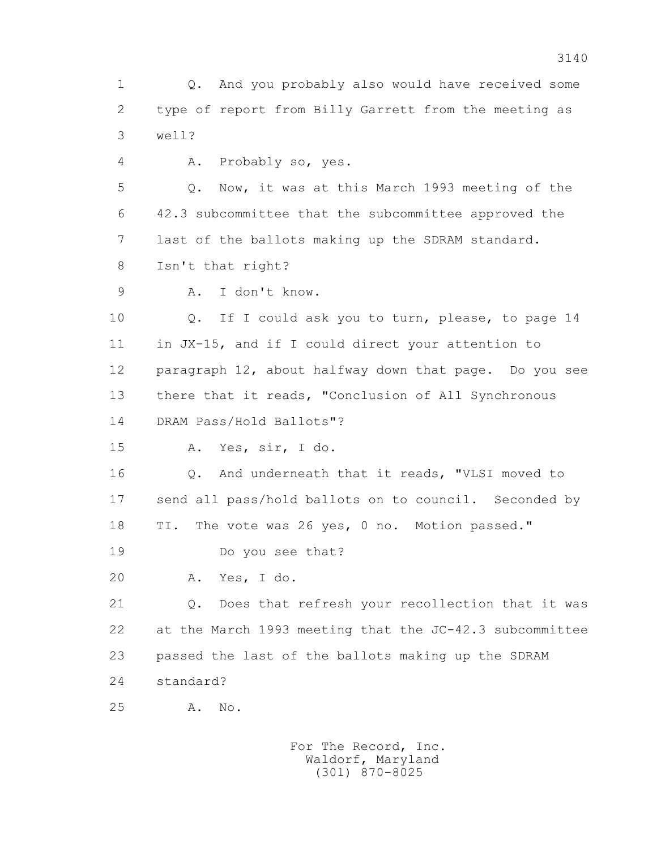1 Q. And you probably also would have received some 2 type of report from Billy Garrett from the meeting as 3 well?

4 A. Probably so, yes.

 5 Q. Now, it was at this March 1993 meeting of the 6 42.3 subcommittee that the subcommittee approved the 7 last of the ballots making up the SDRAM standard.

8 Isn't that right?

9 A. I don't know.

 10 Q. If I could ask you to turn, please, to page 14 11 in JX-15, and if I could direct your attention to 12 paragraph 12, about halfway down that page. Do you see 13 there that it reads, "Conclusion of All Synchronous 14 DRAM Pass/Hold Ballots"?

15 A. Yes, sir, I do.

 16 Q. And underneath that it reads, "VLSI moved to 17 send all pass/hold ballots on to council. Seconded by 18 TI. The vote was 26 yes, 0 no. Motion passed."

19 Do you see that?

20 A. Yes, I do.

 21 Q. Does that refresh your recollection that it was 22 at the March 1993 meeting that the JC-42.3 subcommittee 23 passed the last of the ballots making up the SDRAM 24 standard?

25 A. No.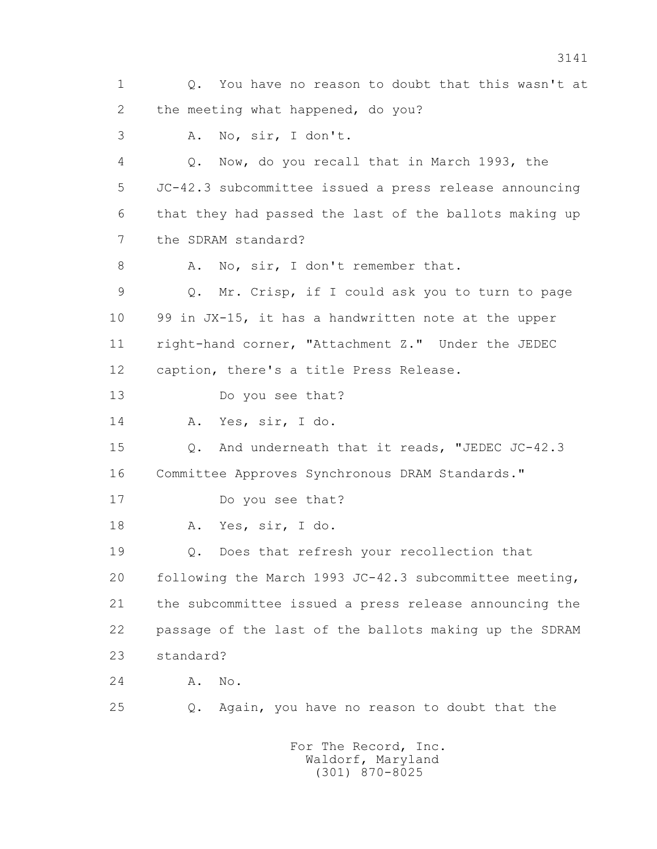1 Q. You have no reason to doubt that this wasn't at 2 the meeting what happened, do you? 3 A. No, sir, I don't. 4 Q. Now, do you recall that in March 1993, the 5 JC-42.3 subcommittee issued a press release announcing 6 that they had passed the last of the ballots making up 7 the SDRAM standard? 8 A. No, sir, I don't remember that. 9 Q. Mr. Crisp, if I could ask you to turn to page 10 99 in JX-15, it has a handwritten note at the upper 11 right-hand corner, "Attachment Z." Under the JEDEC 12 caption, there's a title Press Release. 13 Do you see that? 14 A. Yes, sir, I do. 15 Q. And underneath that it reads, "JEDEC JC-42.3 16 Committee Approves Synchronous DRAM Standards." 17 Do you see that? 18 A. Yes, sir, I do. 19 Q. Does that refresh your recollection that 20 following the March 1993 JC-42.3 subcommittee meeting, 21 the subcommittee issued a press release announcing the 22 passage of the last of the ballots making up the SDRAM 23 standard? 24 A. No. 25 Q. Again, you have no reason to doubt that the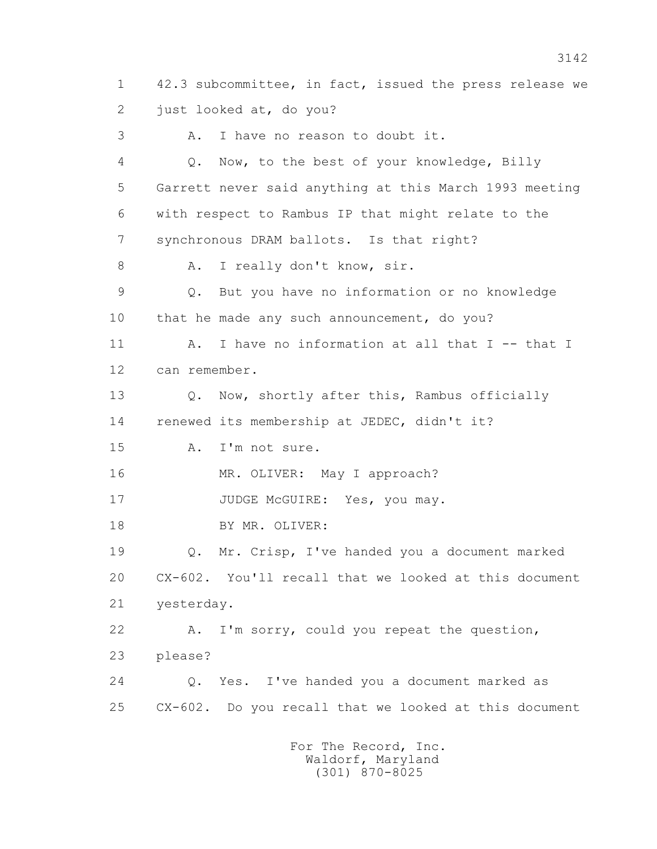1 42.3 subcommittee, in fact, issued the press release we 2 just looked at, do you? 3 A. I have no reason to doubt it. 4 Q. Now, to the best of your knowledge, Billy 5 Garrett never said anything at this March 1993 meeting 6 with respect to Rambus IP that might relate to the 7 synchronous DRAM ballots. Is that right? 8 A. I really don't know, sir. 9 Q. But you have no information or no knowledge 10 that he made any such announcement, do you? 11 A. I have no information at all that I -- that I 12 can remember. 13 0. Now, shortly after this, Rambus officially 14 renewed its membership at JEDEC, didn't it? 15 A. I'm not sure. 16 MR. OLIVER: May I approach? 17 JUDGE McGUIRE: Yes, you may. 18 BY MR. OLIVER: 19 Q. Mr. Crisp, I've handed you a document marked 20 CX-602. You'll recall that we looked at this document 21 yesterday. 22 A. I'm sorry, could you repeat the question, 23 please? 24 Q. Yes. I've handed you a document marked as 25 CX-602. Do you recall that we looked at this document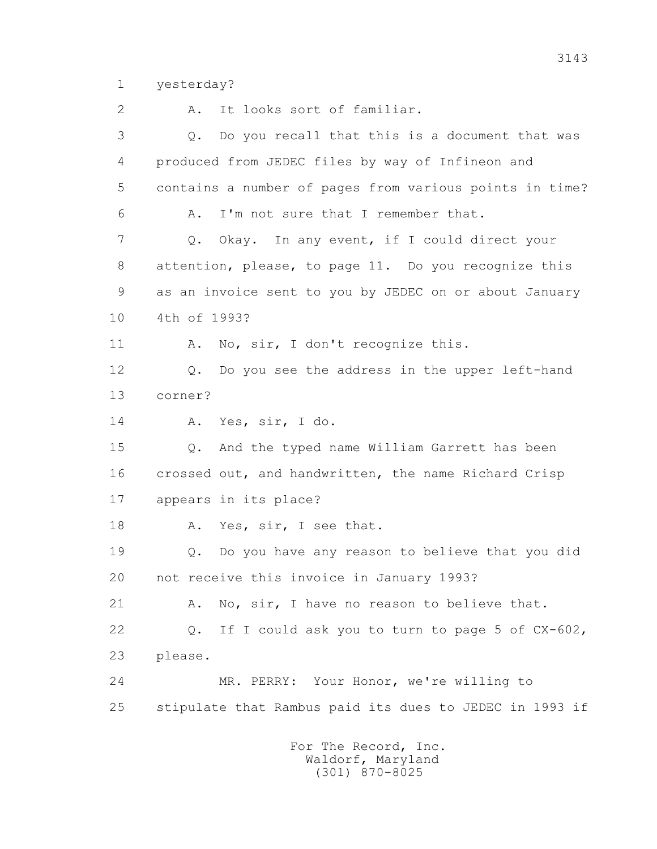1 yesterday?

2 A. It looks sort of familiar.

 3 Q. Do you recall that this is a document that was 4 produced from JEDEC files by way of Infineon and 5 contains a number of pages from various points in time? 6 A. I'm not sure that I remember that. 7 Q. Okay. In any event, if I could direct your 8 attention, please, to page 11. Do you recognize this 9 as an invoice sent to you by JEDEC on or about January 10 4th of 1993? 11 A. No, sir, I don't recognize this. 12 Q. Do you see the address in the upper left-hand 13 corner? 14 A. Yes, sir, I do. 15 Q. And the typed name William Garrett has been 16 crossed out, and handwritten, the name Richard Crisp 17 appears in its place? 18 A. Yes, sir, I see that. 19 Q. Do you have any reason to believe that you did 20 not receive this invoice in January 1993? 21 A. No, sir, I have no reason to believe that. 22 Q. If I could ask you to turn to page 5 of CX-602, 23 please. 24 MR. PERRY: Your Honor, we're willing to 25 stipulate that Rambus paid its dues to JEDEC in 1993 if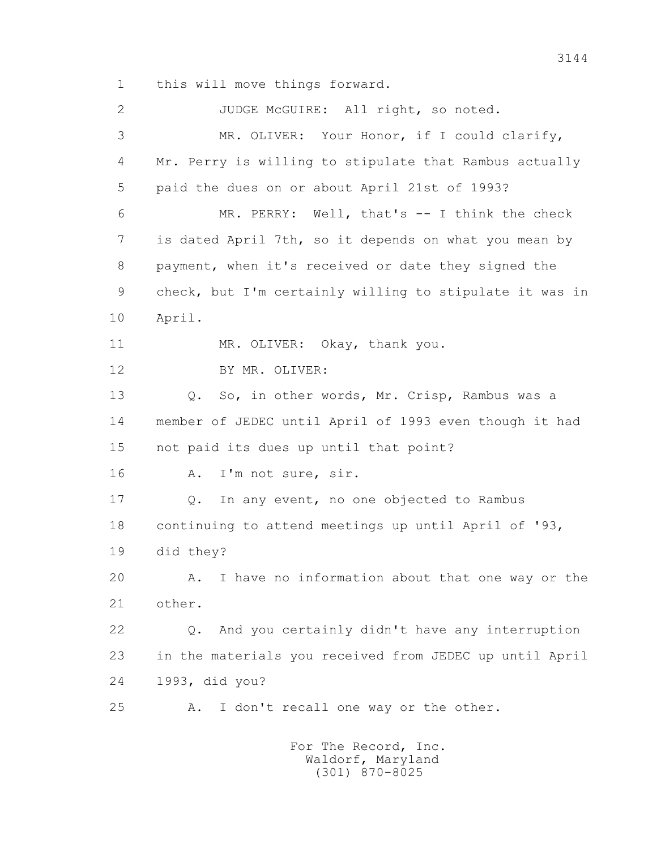1 this will move things forward.

2 JUDGE McGUIRE: All right, so noted. 3 MR. OLIVER: Your Honor, if I could clarify, 4 Mr. Perry is willing to stipulate that Rambus actually 5 paid the dues on or about April 21st of 1993? 6 MR. PERRY: Well, that's -- I think the check 7 is dated April 7th, so it depends on what you mean by 8 payment, when it's received or date they signed the 9 check, but I'm certainly willing to stipulate it was in 10 April. 11 MR. OLIVER: Okay, thank you. 12 BY MR. OLIVER: 13 Q. So, in other words, Mr. Crisp, Rambus was a 14 member of JEDEC until April of 1993 even though it had 15 not paid its dues up until that point? 16 A. I'm not sure, sir. 17 Q. In any event, no one objected to Rambus 18 continuing to attend meetings up until April of '93, 19 did they? 20 A. I have no information about that one way or the 21 other. 22 Q. And you certainly didn't have any interruption 23 in the materials you received from JEDEC up until April 24 1993, did you? 25 A. I don't recall one way or the other.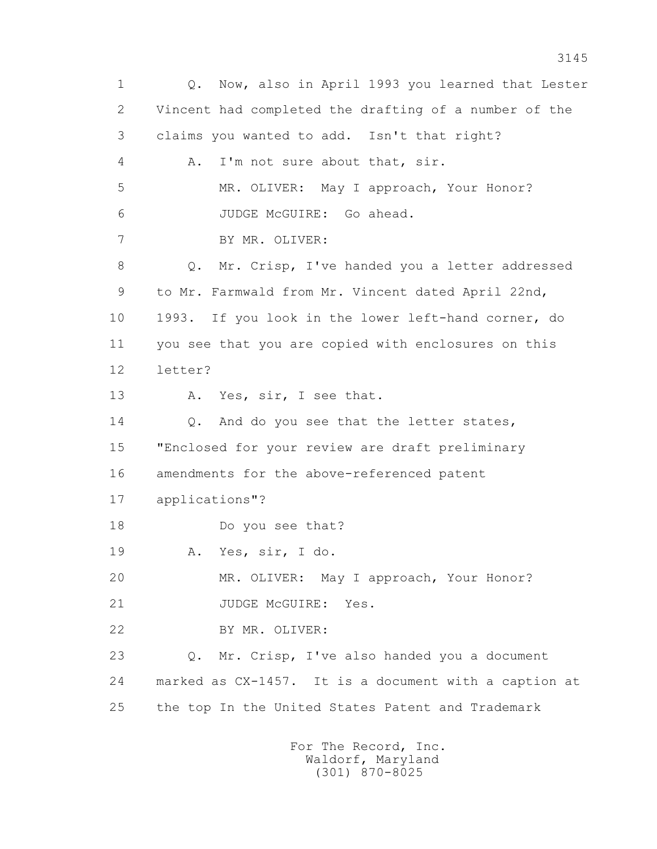1 Q. Now, also in April 1993 you learned that Lester 2 Vincent had completed the drafting of a number of the 3 claims you wanted to add. Isn't that right? 4 A. I'm not sure about that, sir. 5 MR. OLIVER: May I approach, Your Honor? 6 JUDGE McGUIRE: Go ahead. 7 BY MR. OLIVER: 8 Q. Mr. Crisp, I've handed you a letter addressed 9 to Mr. Farmwald from Mr. Vincent dated April 22nd, 10 1993. If you look in the lower left-hand corner, do 11 you see that you are copied with enclosures on this 12 letter? 13 A. Yes, sir, I see that. 14 Q. And do you see that the letter states, 15 "Enclosed for your review are draft preliminary 16 amendments for the above-referenced patent 17 applications"? 18 Do you see that? 19 A. Yes, sir, I do. 20 MR. OLIVER: May I approach, Your Honor? 21 JUDGE McGUIRE: Yes. 22 BY MR. OLIVER: 23 Q. Mr. Crisp, I've also handed you a document 24 marked as CX-1457. It is a document with a caption at 25 the top In the United States Patent and Trademark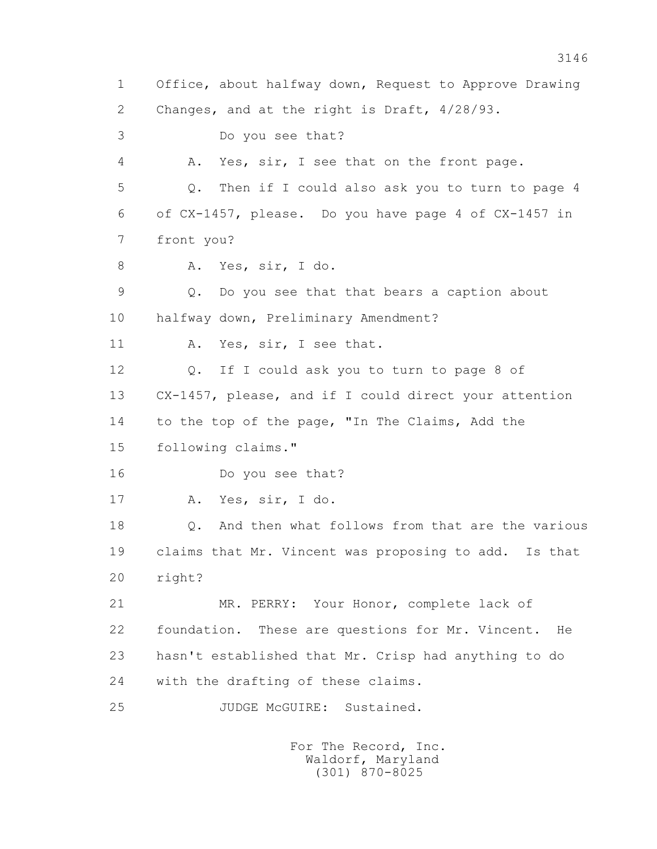1 Office, about halfway down, Request to Approve Drawing 2 Changes, and at the right is Draft, 4/28/93. 3 Do you see that? 4 A. Yes, sir, I see that on the front page. 5 Q. Then if I could also ask you to turn to page 4 6 of CX-1457, please. Do you have page 4 of CX-1457 in 7 front you? 8 A. Yes, sir, I do. 9 Q. Do you see that that bears a caption about 10 halfway down, Preliminary Amendment? 11 A. Yes, sir, I see that. 12 Q. If I could ask you to turn to page 8 of 13 CX-1457, please, and if I could direct your attention 14 to the top of the page, "In The Claims, Add the 15 following claims." 16 Do you see that? 17 A. Yes, sir, I do. 18 Q. And then what follows from that are the various 19 claims that Mr. Vincent was proposing to add. Is that 20 right? 21 MR. PERRY: Your Honor, complete lack of 22 foundation. These are questions for Mr. Vincent. He 23 hasn't established that Mr. Crisp had anything to do 24 with the drafting of these claims. 25 JUDGE McGUIRE: Sustained.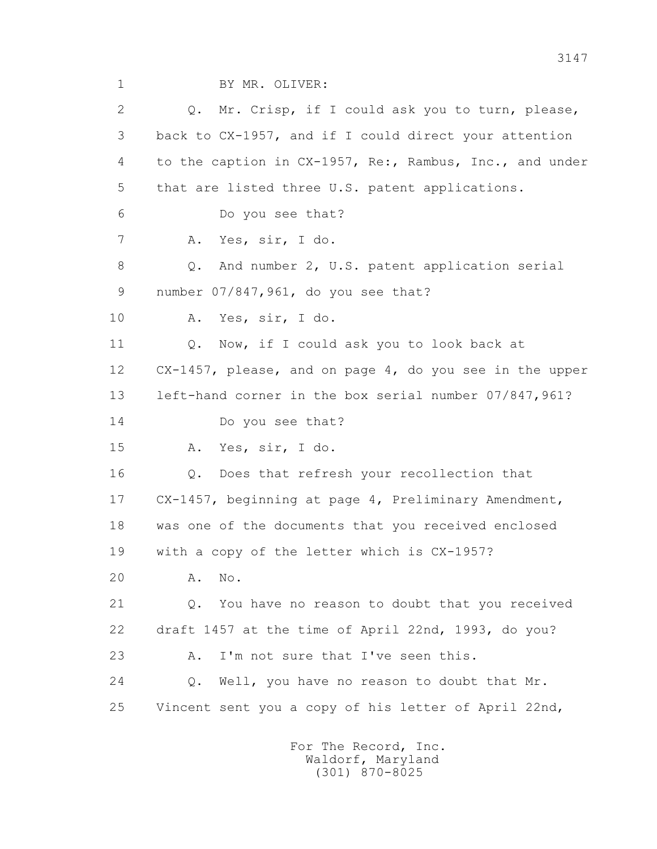1 BY MR. OLIVER:

 2 Q. Mr. Crisp, if I could ask you to turn, please, 3 back to CX-1957, and if I could direct your attention 4 to the caption in CX-1957, Re:, Rambus, Inc., and under 5 that are listed three U.S. patent applications. 6 Do you see that? 7 A. Yes, sir, I do. 8 Q. And number 2, U.S. patent application serial 9 number 07/847,961, do you see that? 10 A. Yes, sir, I do. 11 O. Now, if I could ask you to look back at 12 CX-1457, please, and on page 4, do you see in the upper 13 left-hand corner in the box serial number 07/847,961? 14 Do you see that? 15 A. Yes, sir, I do. 16 Q. Does that refresh your recollection that 17 CX-1457, beginning at page 4, Preliminary Amendment, 18 was one of the documents that you received enclosed 19 with a copy of the letter which is CX-1957? 20 A. No. 21 Q. You have no reason to doubt that you received 22 draft 1457 at the time of April 22nd, 1993, do you? 23 A. I'm not sure that I've seen this. 24 Q. Well, you have no reason to doubt that Mr. 25 Vincent sent you a copy of his letter of April 22nd,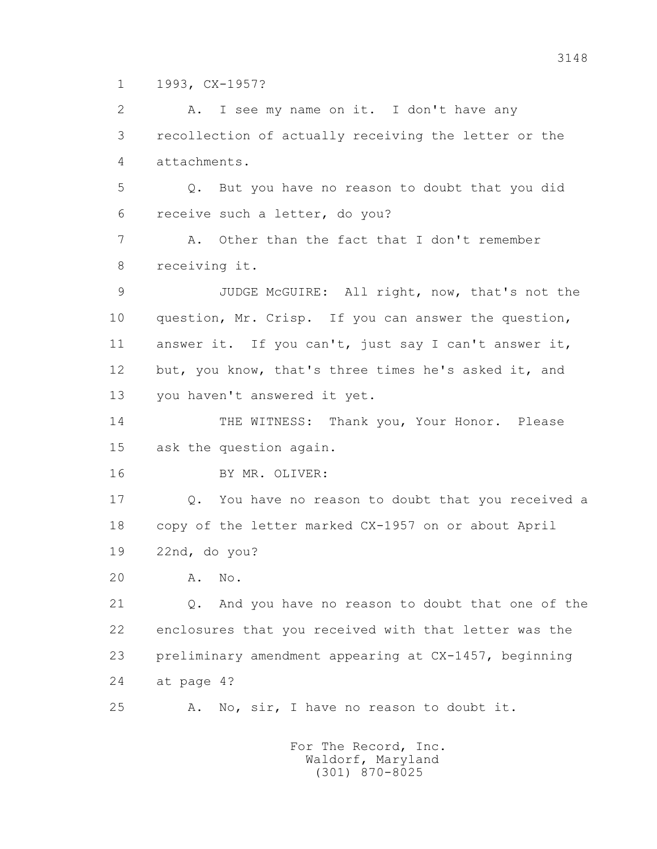1 1993, CX-1957?

 2 A. I see my name on it. I don't have any 3 recollection of actually receiving the letter or the 4 attachments. 5 Q. But you have no reason to doubt that you did 6 receive such a letter, do you? 7 A. Other than the fact that I don't remember 8 receiving it. 9 JUDGE McGUIRE: All right, now, that's not the 10 question, Mr. Crisp. If you can answer the question, 11 answer it. If you can't, just say I can't answer it, 12 but, you know, that's three times he's asked it, and 13 you haven't answered it yet. 14 THE WITNESS: Thank you, Your Honor. Please 15 ask the question again. 16 BY MR. OLIVER: 17 Q. You have no reason to doubt that you received a 18 copy of the letter marked CX-1957 on or about April 19 22nd, do you? 20 A. No. 21 Q. And you have no reason to doubt that one of the 22 enclosures that you received with that letter was the 23 preliminary amendment appearing at CX-1457, beginning 24 at page 4? 25 A. No, sir, I have no reason to doubt it. For The Record, Inc.

 Waldorf, Maryland (301) 870-8025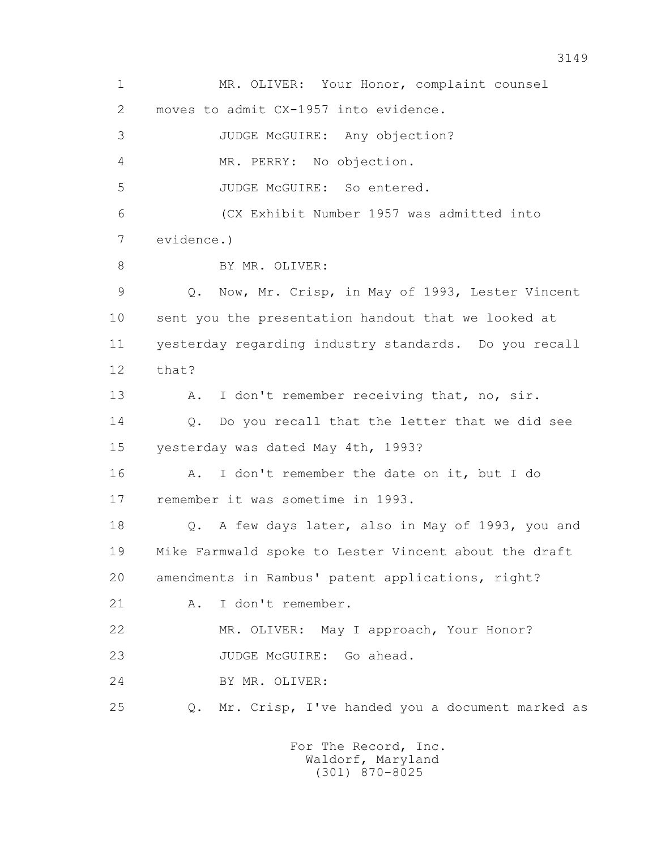1 MR. OLIVER: Your Honor, complaint counsel 2 moves to admit CX-1957 into evidence. 3 JUDGE McGUIRE: Any objection? 4 MR. PERRY: No objection. 5 JUDGE McGUIRE: So entered. 6 (CX Exhibit Number 1957 was admitted into 7 evidence.) 8 BY MR. OLIVER: 9 Q. Now, Mr. Crisp, in May of 1993, Lester Vincent 10 sent you the presentation handout that we looked at 11 yesterday regarding industry standards. Do you recall 12 that? 13 A. I don't remember receiving that, no, sir. 14 0. Do you recall that the letter that we did see 15 yesterday was dated May 4th, 1993? 16 A. I don't remember the date on it, but I do 17 remember it was sometime in 1993. 18 Q. A few days later, also in May of 1993, you and 19 Mike Farmwald spoke to Lester Vincent about the draft 20 amendments in Rambus' patent applications, right? 21 A. I don't remember. 22 MR. OLIVER: May I approach, Your Honor? 23 JUDGE McGUIRE: Go ahead. 24 BY MR. OLIVER: 25 Q. Mr. Crisp, I've handed you a document marked as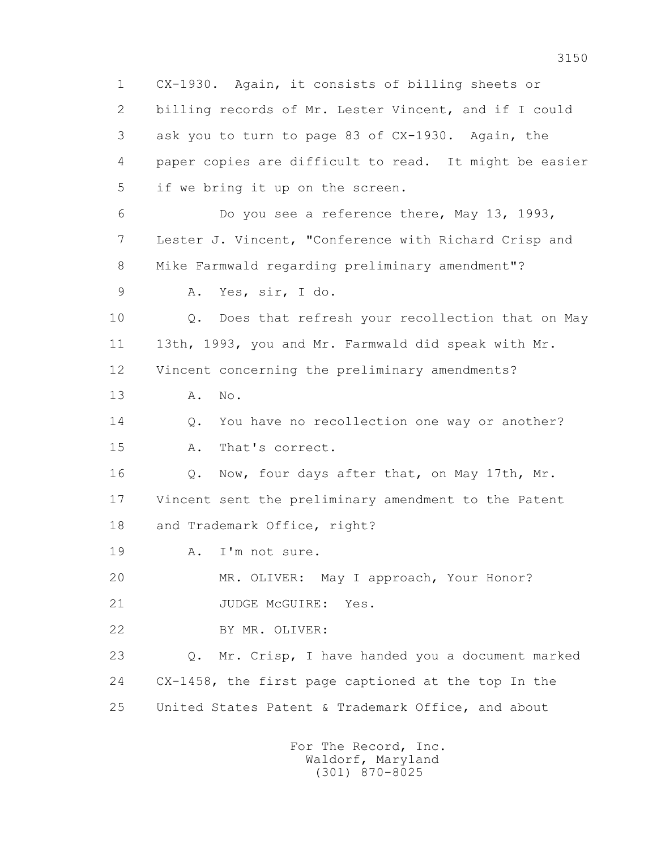1 CX-1930. Again, it consists of billing sheets or 2 billing records of Mr. Lester Vincent, and if I could 3 ask you to turn to page 83 of CX-1930. Again, the 4 paper copies are difficult to read. It might be easier 5 if we bring it up on the screen. 6 Do you see a reference there, May 13, 1993, 7 Lester J. Vincent, "Conference with Richard Crisp and 8 Mike Farmwald regarding preliminary amendment"? 9 A. Yes, sir, I do. 10 Q. Does that refresh your recollection that on May 11 13th, 1993, you and Mr. Farmwald did speak with Mr. 12 Vincent concerning the preliminary amendments? 13 A. No. 14 0. You have no recollection one way or another? 15 A. That's correct. 16 Q. Now, four days after that, on May 17th, Mr. 17 Vincent sent the preliminary amendment to the Patent 18 and Trademark Office, right? 19 A. I'm not sure. 20 MR. OLIVER: May I approach, Your Honor? 21 JUDGE McGUIRE: Yes. 22 BY MR. OLIVER: 23 Q. Mr. Crisp, I have handed you a document marked 24 CX-1458, the first page captioned at the top In the 25 United States Patent & Trademark Office, and about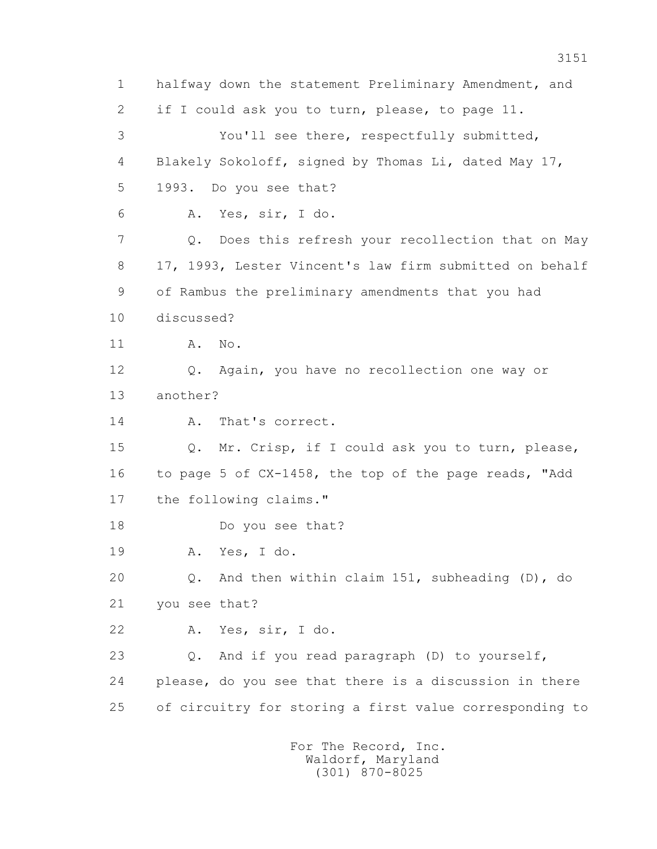1 halfway down the statement Preliminary Amendment, and 2 if I could ask you to turn, please, to page 11. 3 You'll see there, respectfully submitted, 4 Blakely Sokoloff, signed by Thomas Li, dated May 17, 5 1993. Do you see that? 6 A. Yes, sir, I do. 7 Q. Does this refresh your recollection that on May 8 17, 1993, Lester Vincent's law firm submitted on behalf 9 of Rambus the preliminary amendments that you had 10 discussed? 11 A. No. 12 Q. Again, you have no recollection one way or 13 another? 14 A. That's correct. 15 Q. Mr. Crisp, if I could ask you to turn, please, 16 to page 5 of CX-1458, the top of the page reads, "Add 17 the following claims." 18 Do you see that? 19 A. Yes, I do. 20 Q. And then within claim 151, subheading (D), do 21 you see that? 22 A. Yes, sir, I do. 23 Q. And if you read paragraph (D) to yourself, 24 please, do you see that there is a discussion in there 25 of circuitry for storing a first value corresponding to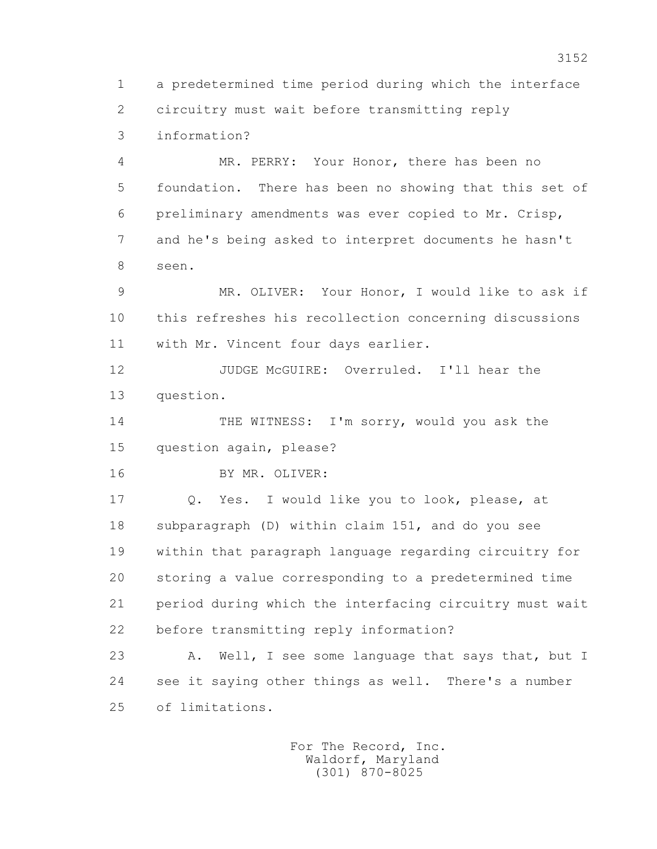1 a predetermined time period during which the interface 2 circuitry must wait before transmitting reply 3 information?

 4 MR. PERRY: Your Honor, there has been no 5 foundation. There has been no showing that this set of 6 preliminary amendments was ever copied to Mr. Crisp, 7 and he's being asked to interpret documents he hasn't 8 seen.

 9 MR. OLIVER: Your Honor, I would like to ask if 10 this refreshes his recollection concerning discussions 11 with Mr. Vincent four days earlier.

 12 JUDGE McGUIRE: Overruled. I'll hear the 13 question.

 14 THE WITNESS: I'm sorry, would you ask the 15 question again, please?

16 BY MR. OLIVER:

 17 Q. Yes. I would like you to look, please, at 18 subparagraph (D) within claim 151, and do you see 19 within that paragraph language regarding circuitry for 20 storing a value corresponding to a predetermined time 21 period during which the interfacing circuitry must wait 22 before transmitting reply information?

23 A. Well, I see some language that says that, but I 24 see it saying other things as well. There's a number 25 of limitations.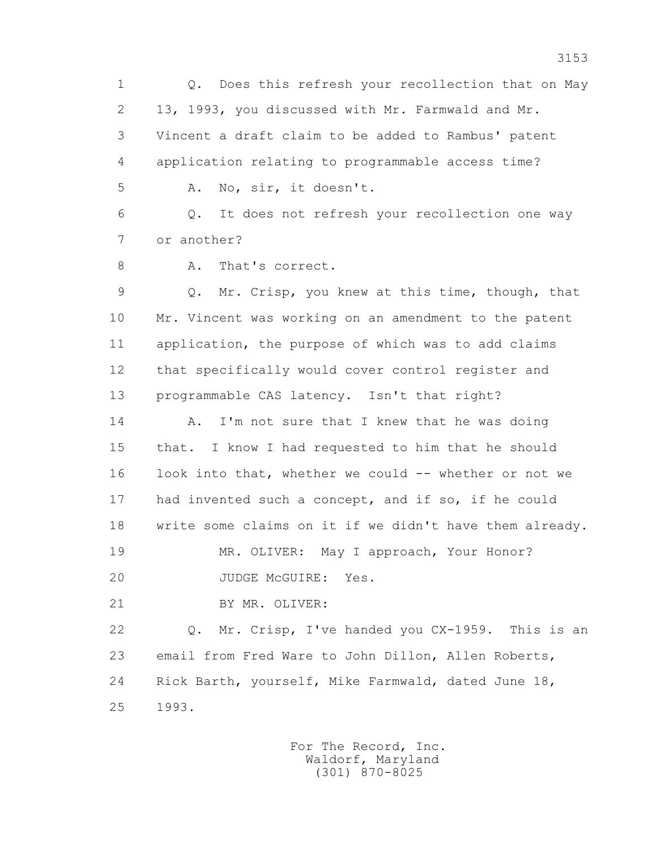1 Q. Does this refresh your recollection that on May 2 13, 1993, you discussed with Mr. Farmwald and Mr. 3 Vincent a draft claim to be added to Rambus' patent 4 application relating to programmable access time? 5 A. No, sir, it doesn't.

 6 Q. It does not refresh your recollection one way 7 or another?

8 A. That's correct.

 9 Q. Mr. Crisp, you knew at this time, though, that 10 Mr. Vincent was working on an amendment to the patent 11 application, the purpose of which was to add claims 12 that specifically would cover control register and 13 programmable CAS latency. Isn't that right?

14 A. I'm not sure that I knew that he was doing 15 that. I know I had requested to him that he should 16 look into that, whether we could -- whether or not we 17 had invented such a concept, and if so, if he could 18 write some claims on it if we didn't have them already.

19 MR. OLIVER: May I approach, Your Honor?

20 JUDGE McGUIRE: Yes.

21 BY MR. OLIVER:

 22 Q. Mr. Crisp, I've handed you CX-1959. This is an 23 email from Fred Ware to John Dillon, Allen Roberts, 24 Rick Barth, yourself, Mike Farmwald, dated June 18, 25 1993.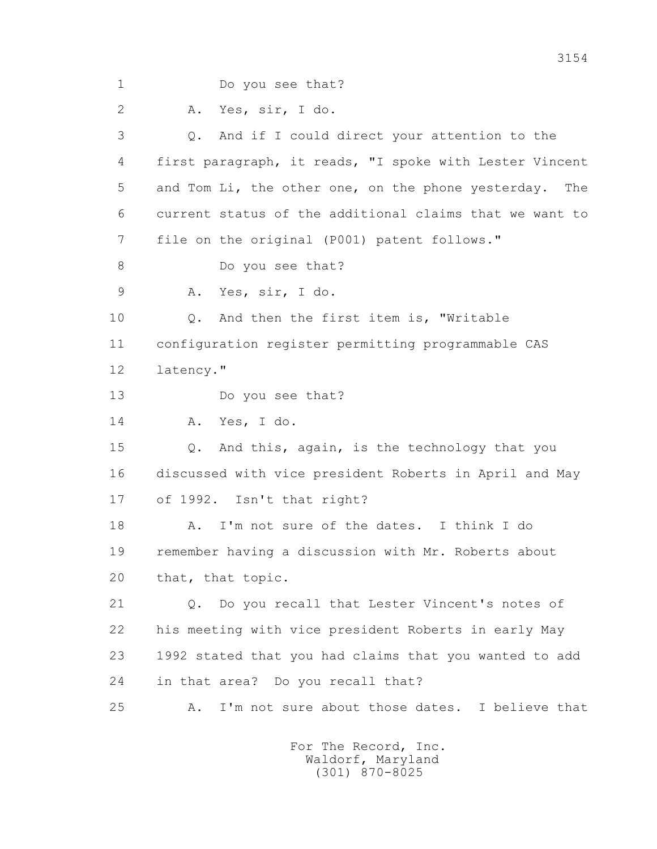1 Do you see that? 2 A. Yes, sir, I do. 3 Q. And if I could direct your attention to the 4 first paragraph, it reads, "I spoke with Lester Vincent 5 and Tom Li, the other one, on the phone yesterday. The 6 current status of the additional claims that we want to 7 file on the original (P001) patent follows." 8 Do you see that? 9 A. Yes, sir, I do. 10 Q. And then the first item is, "Writable 11 configuration register permitting programmable CAS 12 latency." 13 Do you see that? 14 A. Yes, I do. 15 Q. And this, again, is the technology that you 16 discussed with vice president Roberts in April and May 17 of 1992. Isn't that right? 18 A. I'm not sure of the dates. I think I do 19 remember having a discussion with Mr. Roberts about 20 that, that topic. 21 Q. Do you recall that Lester Vincent's notes of 22 his meeting with vice president Roberts in early May 23 1992 stated that you had claims that you wanted to add 24 in that area? Do you recall that? 25 A. I'm not sure about those dates. I believe that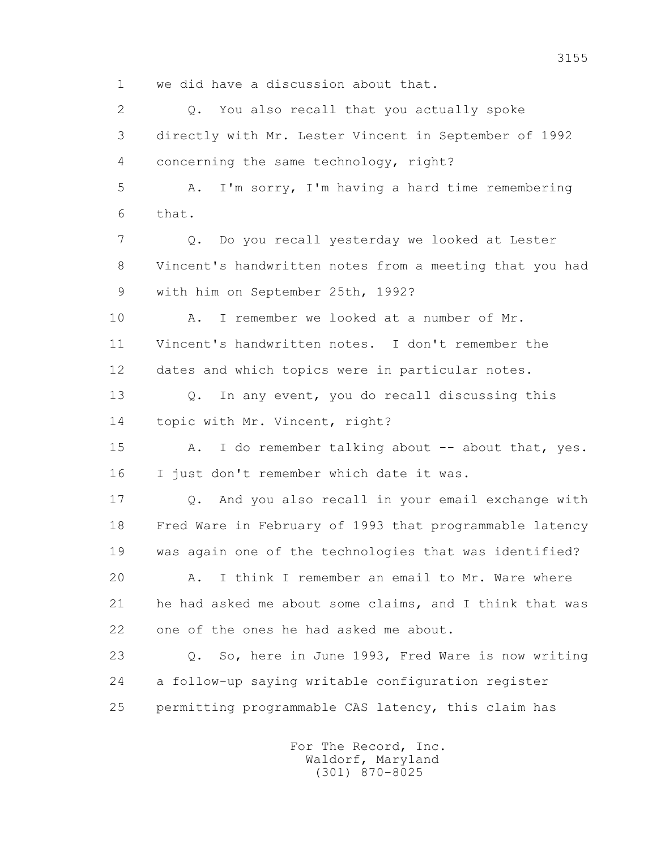1 we did have a discussion about that.

2 0. You also recall that you actually spoke 3 directly with Mr. Lester Vincent in September of 1992 4 concerning the same technology, right? 5 A. I'm sorry, I'm having a hard time remembering 6 that. 7 Q. Do you recall yesterday we looked at Lester 8 Vincent's handwritten notes from a meeting that you had 9 with him on September 25th, 1992? 10 A. I remember we looked at a number of Mr. 11 Vincent's handwritten notes. I don't remember the 12 dates and which topics were in particular notes. 13 Q. In any event, you do recall discussing this 14 topic with Mr. Vincent, right? 15 A. I do remember talking about -- about that, yes. 16 I just don't remember which date it was. 17 Q. And you also recall in your email exchange with 18 Fred Ware in February of 1993 that programmable latency 19 was again one of the technologies that was identified? 20 A. I think I remember an email to Mr. Ware where 21 he had asked me about some claims, and I think that was 22 one of the ones he had asked me about. 23 Q. So, here in June 1993, Fred Ware is now writing 24 a follow-up saying writable configuration register 25 permitting programmable CAS latency, this claim has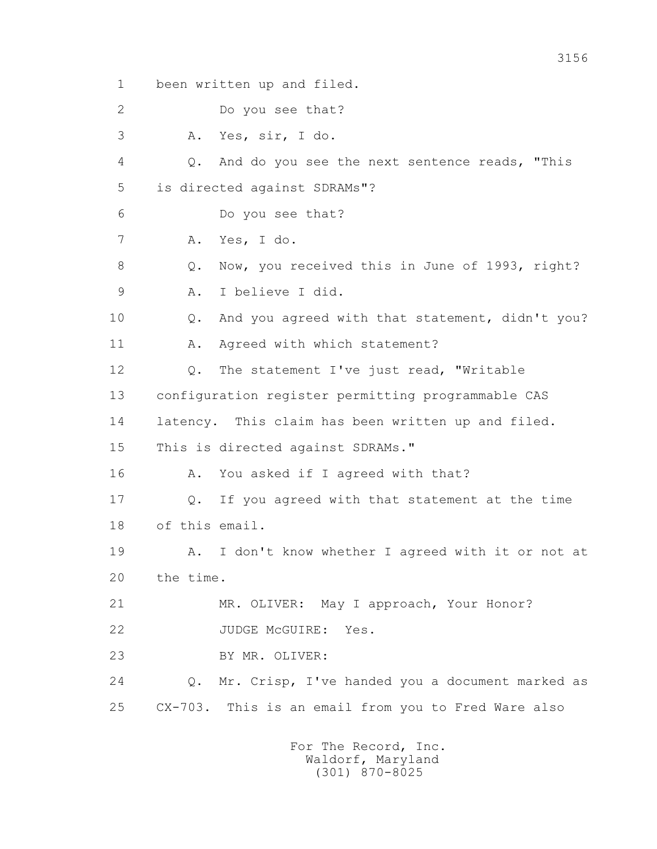1 been written up and filed. 2 Do you see that? 3 A. Yes, sir, I do. 4 Q. And do you see the next sentence reads, "This 5 is directed against SDRAMs"? 6 Do you see that? 7 A. Yes, I do. 8 Q. Now, you received this in June of 1993, right? 9 A. I believe I did. 10 Q. And you agreed with that statement, didn't you? 11 A. Agreed with which statement? 12 Q. The statement I've just read, "Writable 13 configuration register permitting programmable CAS 14 latency. This claim has been written up and filed. 15 This is directed against SDRAMs." 16 A. You asked if I agreed with that? 17 Q. If you agreed with that statement at the time 18 of this email. 19 A. I don't know whether I agreed with it or not at 20 the time. 21 MR. OLIVER: May I approach, Your Honor? 22 JUDGE McGUIRE: Yes. 23 BY MR. OLIVER: 24 Q. Mr. Crisp, I've handed you a document marked as 25 CX-703. This is an email from you to Fred Ware also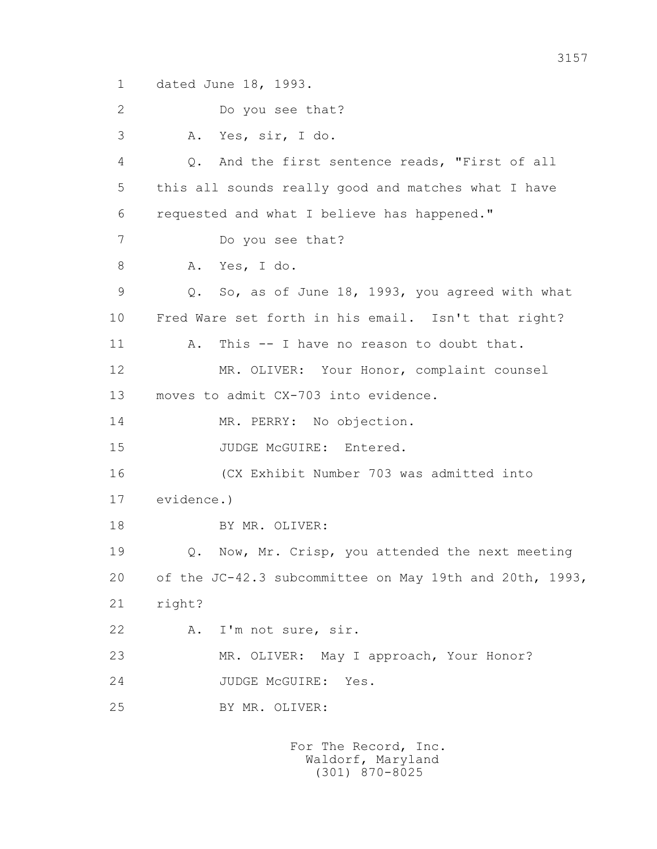1 dated June 18, 1993.

2 Do you see that?

 3 A. Yes, sir, I do. 4 Q. And the first sentence reads, "First of all 5 this all sounds really good and matches what I have 6 requested and what I believe has happened." 7 Do you see that? 8 A. Yes, I do. 9 Q. So, as of June 18, 1993, you agreed with what 10 Fred Ware set forth in his email. Isn't that right? 11 A. This -- I have no reason to doubt that. 12 MR. OLIVER: Your Honor, complaint counsel 13 moves to admit CX-703 into evidence. 14 MR. PERRY: No objection. 15 JUDGE McGUIRE: Entered. 16 (CX Exhibit Number 703 was admitted into 17 evidence.) 18 BY MR. OLIVER: 19 Q. Now, Mr. Crisp, you attended the next meeting 20 of the JC-42.3 subcommittee on May 19th and 20th, 1993, 21 right? 22 A. I'm not sure, sir. 23 MR. OLIVER: May I approach, Your Honor? 24 JUDGE McGUIRE: Yes. 25 BY MR. OLIVER: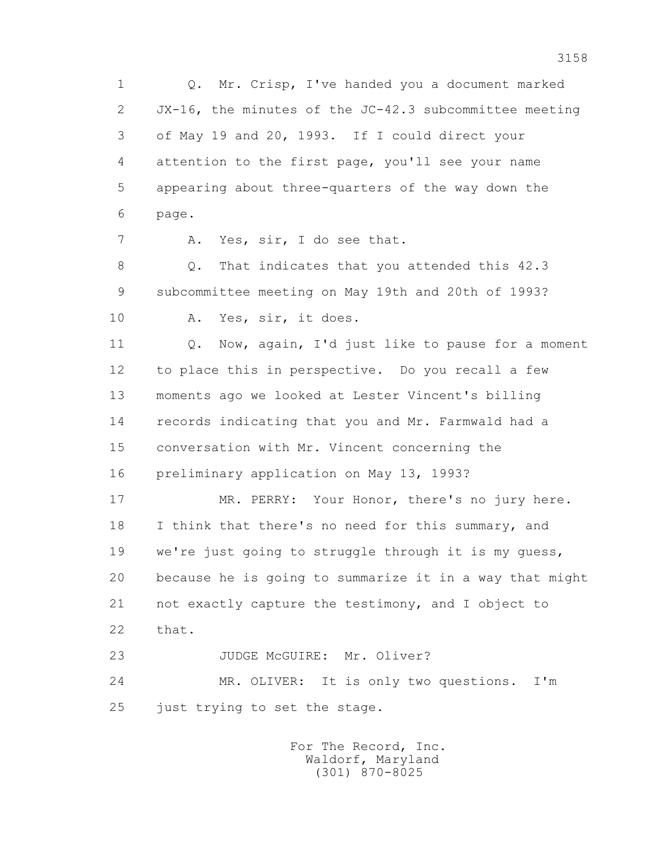1 Q. Mr. Crisp, I've handed you a document marked 2 JX-16, the minutes of the JC-42.3 subcommittee meeting 3 of May 19 and 20, 1993. If I could direct your 4 attention to the first page, you'll see your name 5 appearing about three-quarters of the way down the 6 page.

7 A. Yes, sir, I do see that.

 8 Q. That indicates that you attended this 42.3 9 subcommittee meeting on May 19th and 20th of 1993?

10 A. Yes, sir, it does.

 11 Q. Now, again, I'd just like to pause for a moment 12 to place this in perspective. Do you recall a few 13 moments ago we looked at Lester Vincent's billing 14 records indicating that you and Mr. Farmwald had a 15 conversation with Mr. Vincent concerning the 16 preliminary application on May 13, 1993?

 17 MR. PERRY: Your Honor, there's no jury here. 18 I think that there's no need for this summary, and 19 we're just going to struggle through it is my guess, 20 because he is going to summarize it in a way that might 21 not exactly capture the testimony, and I object to 22 that.

23 JUDGE McGUIRE: Mr. Oliver?

 24 MR. OLIVER: It is only two questions. I'm 25 just trying to set the stage.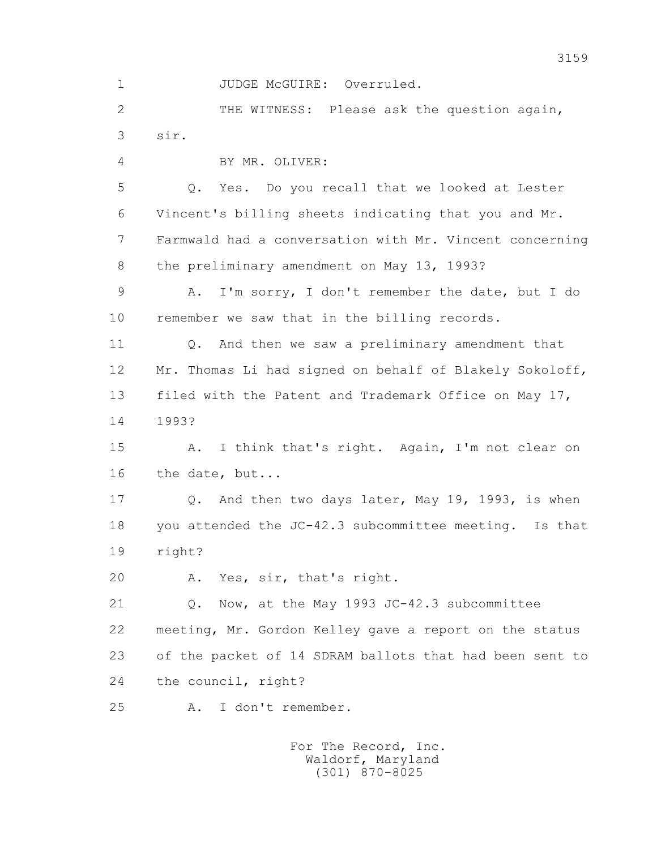1 JUDGE McGUIRE: Overruled.

 2 THE WITNESS: Please ask the question again, 3 sir.

4 BY MR. OLIVER:

 5 Q. Yes. Do you recall that we looked at Lester 6 Vincent's billing sheets indicating that you and Mr. 7 Farmwald had a conversation with Mr. Vincent concerning 8 the preliminary amendment on May 13, 1993?

 9 A. I'm sorry, I don't remember the date, but I do 10 remember we saw that in the billing records.

 11 Q. And then we saw a preliminary amendment that 12 Mr. Thomas Li had signed on behalf of Blakely Sokoloff, 13 filed with the Patent and Trademark Office on May 17, 14 1993?

 15 A. I think that's right. Again, I'm not clear on 16 the date, but...

 17 Q. And then two days later, May 19, 1993, is when 18 you attended the JC-42.3 subcommittee meeting. Is that 19 right?

20 A. Yes, sir, that's right.

 21 Q. Now, at the May 1993 JC-42.3 subcommittee 22 meeting, Mr. Gordon Kelley gave a report on the status 23 of the packet of 14 SDRAM ballots that had been sent to 24 the council, right?

25 A. I don't remember.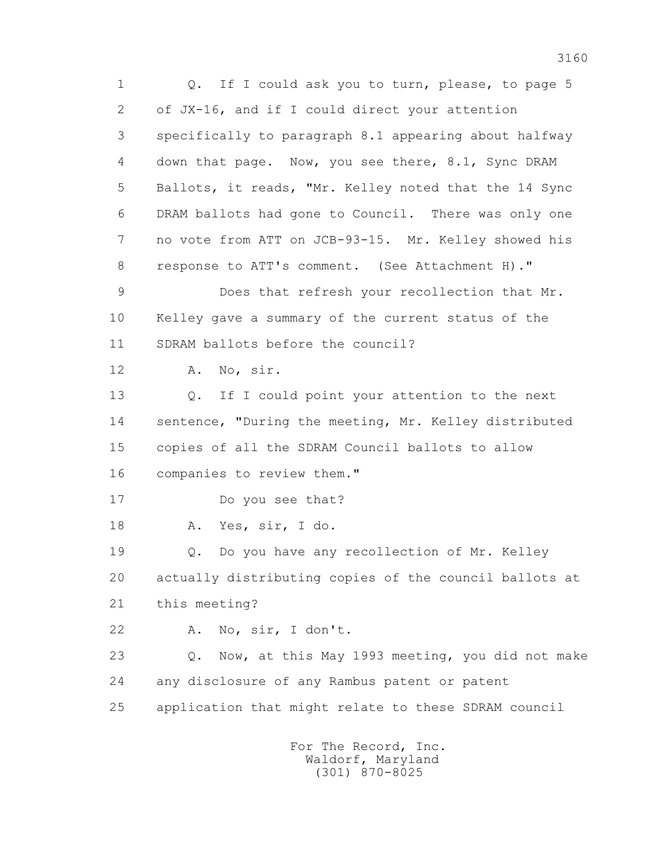3160 1 Q. If I could ask you to turn, please, to page 5 2 of JX-16, and if I could direct your attention 3 specifically to paragraph 8.1 appearing about halfway 4 down that page. Now, you see there, 8.1, Sync DRAM 5 Ballots, it reads, "Mr. Kelley noted that the 14 Sync 6 DRAM ballots had gone to Council. There was only one 7 no vote from ATT on JCB-93-15. Mr. Kelley showed his 8 response to ATT's comment. (See Attachment H)." 9 Does that refresh your recollection that Mr. 10 Kelley gave a summary of the current status of the 11 SDRAM ballots before the council? 12 A. No, sir. 13 Q. If I could point your attention to the next 14 sentence, "During the meeting, Mr. Kelley distributed 15 copies of all the SDRAM Council ballots to allow 16 companies to review them." 17 Do you see that? 18 A. Yes, sir, I do. 19 Q. Do you have any recollection of Mr. Kelley 20 actually distributing copies of the council ballots at 21 this meeting? 22 A. No, sir, I don't.

> 23 Q. Now, at this May 1993 meeting, you did not make 24 any disclosure of any Rambus patent or patent 25 application that might relate to these SDRAM council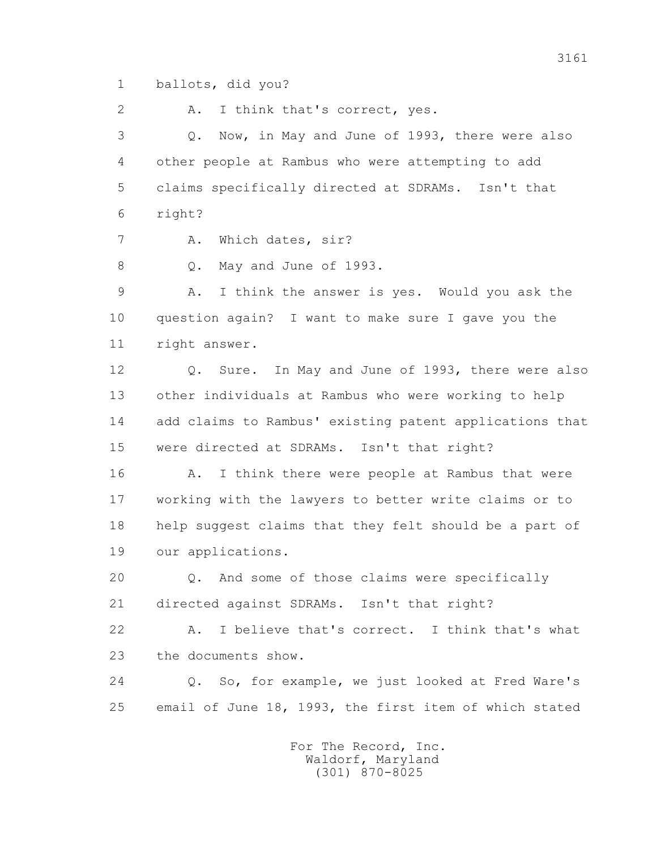1 ballots, did you?

2 A. I think that's correct, yes.

 3 Q. Now, in May and June of 1993, there were also 4 other people at Rambus who were attempting to add 5 claims specifically directed at SDRAMs. Isn't that 6 right?

7 A. Which dates, sir?

8 Q. May and June of 1993.

 9 A. I think the answer is yes. Would you ask the 10 question again? I want to make sure I gave you the 11 right answer.

 12 Q. Sure. In May and June of 1993, there were also 13 other individuals at Rambus who were working to help 14 add claims to Rambus' existing patent applications that 15 were directed at SDRAMs. Isn't that right?

16 A. I think there were people at Rambus that were 17 working with the lawyers to better write claims or to 18 help suggest claims that they felt should be a part of 19 our applications.

 20 Q. And some of those claims were specifically 21 directed against SDRAMs. Isn't that right?

 22 A. I believe that's correct. I think that's what 23 the documents show.

 24 Q. So, for example, we just looked at Fred Ware's 25 email of June 18, 1993, the first item of which stated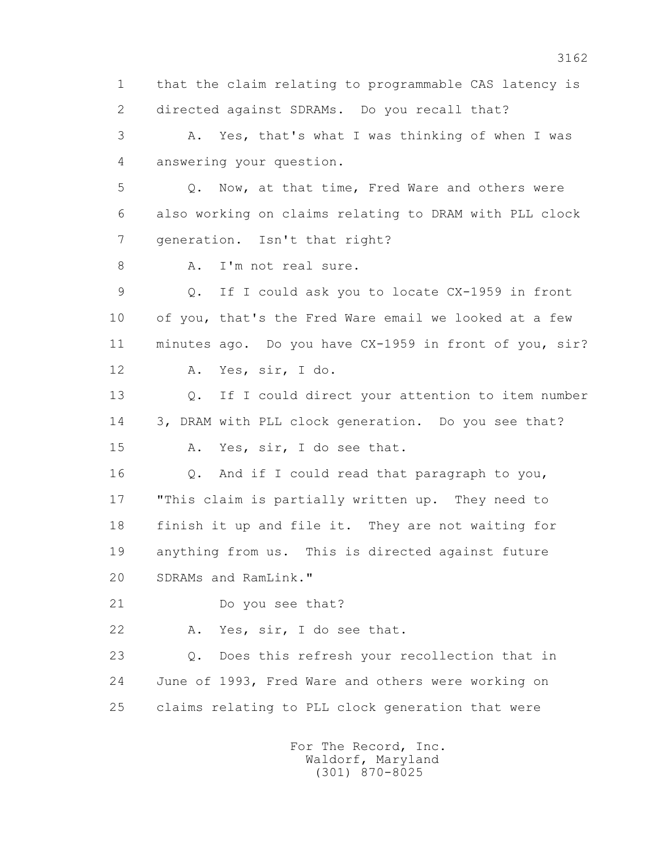1 that the claim relating to programmable CAS latency is 2 directed against SDRAMs. Do you recall that? 3 A. Yes, that's what I was thinking of when I was 4 answering your question. 5 Q. Now, at that time, Fred Ware and others were 6 also working on claims relating to DRAM with PLL clock 7 generation. Isn't that right? 8 A. I'm not real sure. 9 Q. If I could ask you to locate CX-1959 in front 10 of you, that's the Fred Ware email we looked at a few 11 minutes ago. Do you have CX-1959 in front of you, sir? 12 A. Yes, sir, I do. 13 Q. If I could direct your attention to item number 14 3, DRAM with PLL clock generation. Do you see that? 15 A. Yes, sir, I do see that. 16 Q. And if I could read that paragraph to you, 17 "This claim is partially written up. They need to 18 finish it up and file it. They are not waiting for 19 anything from us. This is directed against future 20 SDRAMs and RamLink." 21 Do you see that? 22 A. Yes, sir, I do see that. 23 Q. Does this refresh your recollection that in 24 June of 1993, Fred Ware and others were working on 25 claims relating to PLL clock generation that were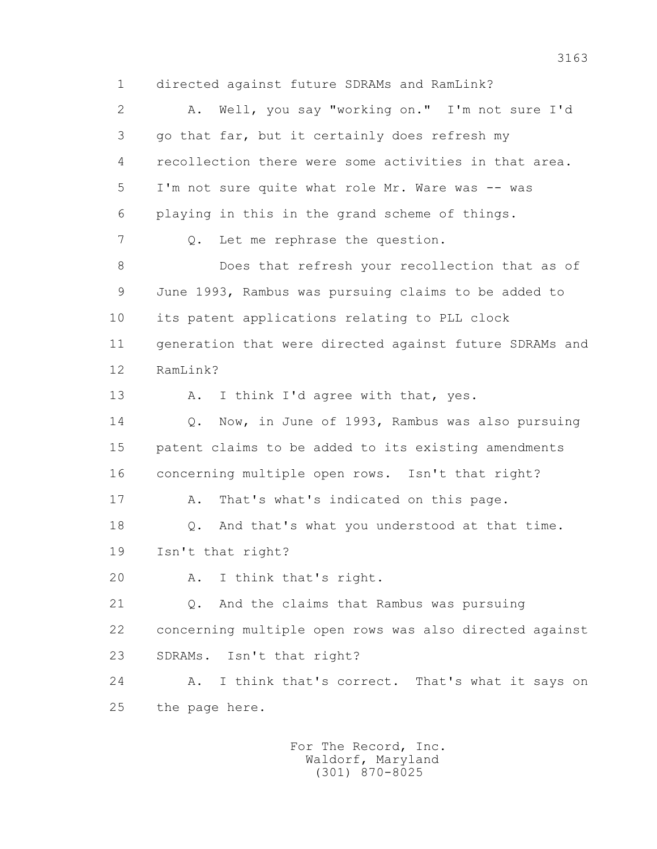1 directed against future SDRAMs and RamLink? 2 A. Well, you say "working on." I'm not sure I'd 3 go that far, but it certainly does refresh my 4 recollection there were some activities in that area. 5 I'm not sure quite what role Mr. Ware was -- was 6 playing in this in the grand scheme of things. 7 Q. Let me rephrase the question. 8 Does that refresh your recollection that as of 9 June 1993, Rambus was pursuing claims to be added to 10 its patent applications relating to PLL clock 11 generation that were directed against future SDRAMs and 12 RamLink? 13 A. I think I'd agree with that, yes. 14 Q. Now, in June of 1993, Rambus was also pursuing 15 patent claims to be added to its existing amendments 16 concerning multiple open rows. Isn't that right? 17 A. That's what's indicated on this page. 18 Q. And that's what you understood at that time. 19 Isn't that right? 20 A. I think that's right. 21 Q. And the claims that Rambus was pursuing 22 concerning multiple open rows was also directed against 23 SDRAMs. Isn't that right? 24 A. I think that's correct. That's what it says on 25 the page here.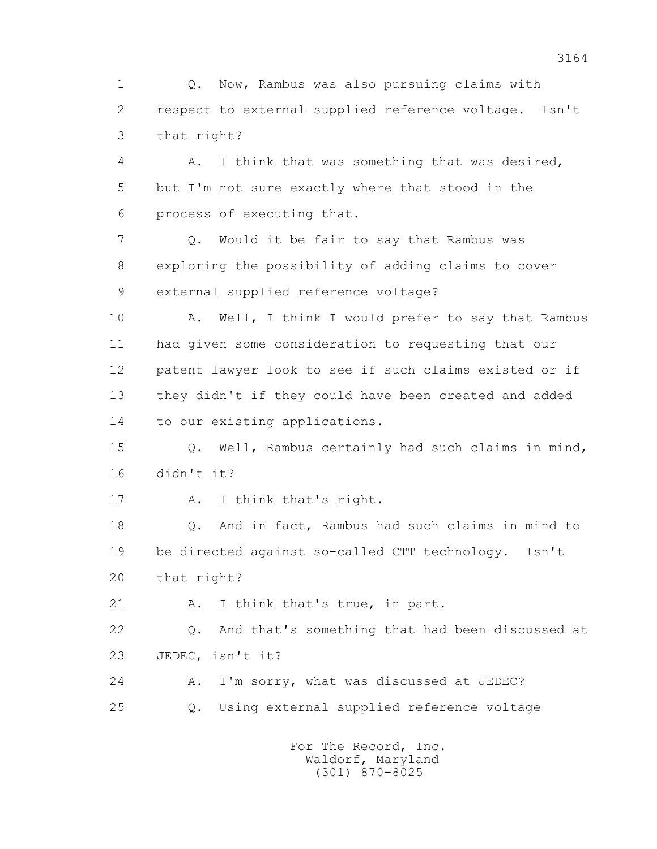1 Q. Now, Rambus was also pursuing claims with 2 respect to external supplied reference voltage. Isn't 3 that right?

 4 A. I think that was something that was desired, 5 but I'm not sure exactly where that stood in the 6 process of executing that.

 7 Q. Would it be fair to say that Rambus was 8 exploring the possibility of adding claims to cover 9 external supplied reference voltage?

10 A. Well, I think I would prefer to say that Rambus 11 had given some consideration to requesting that our 12 patent lawyer look to see if such claims existed or if 13 they didn't if they could have been created and added 14 to our existing applications.

 15 Q. Well, Rambus certainly had such claims in mind, 16 didn't it?

17 A. I think that's right.

 18 Q. And in fact, Rambus had such claims in mind to 19 be directed against so-called CTT technology. Isn't 20 that right?

21 A. I think that's true, in part.

 22 Q. And that's something that had been discussed at 23 JEDEC, isn't it?

 24 A. I'm sorry, what was discussed at JEDEC? 25 Q. Using external supplied reference voltage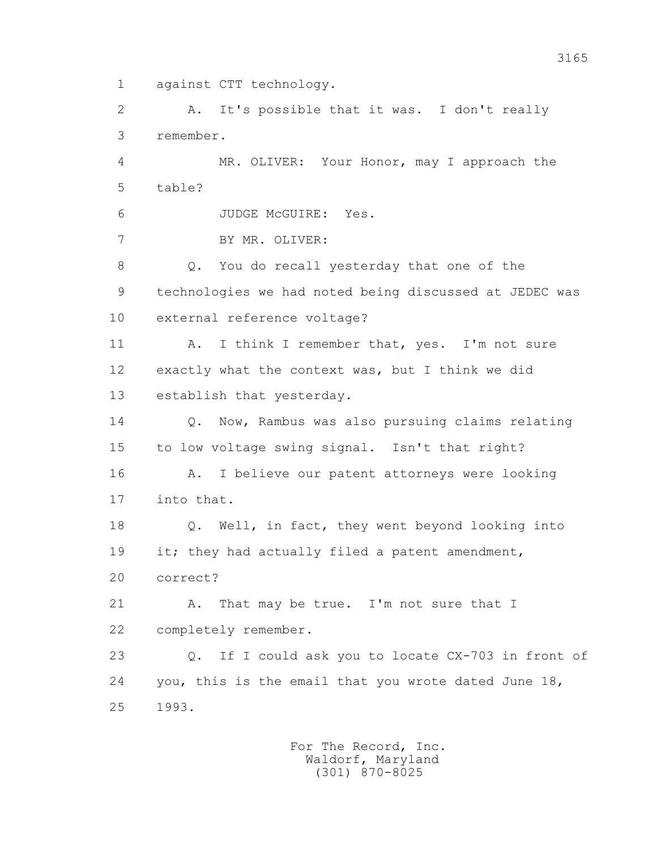1 against CTT technology.

 2 A. It's possible that it was. I don't really 3 remember.

 4 MR. OLIVER: Your Honor, may I approach the 5 table?

6 JUDGE McGUIRE: Yes.

7 BY MR. OLIVER:

 8 Q. You do recall yesterday that one of the 9 technologies we had noted being discussed at JEDEC was 10 external reference voltage?

11 A. I think I remember that, yes. I'm not sure 12 exactly what the context was, but I think we did 13 establish that yesterday.

 14 Q. Now, Rambus was also pursuing claims relating 15 to low voltage swing signal. Isn't that right? 16 A. I believe our patent attorneys were looking

17 into that.

 18 Q. Well, in fact, they went beyond looking into 19 it; they had actually filed a patent amendment, 20 correct?

21 A. That may be true. I'm not sure that I 22 completely remember.

 23 Q. If I could ask you to locate CX-703 in front of 24 you, this is the email that you wrote dated June 18, 25 1993.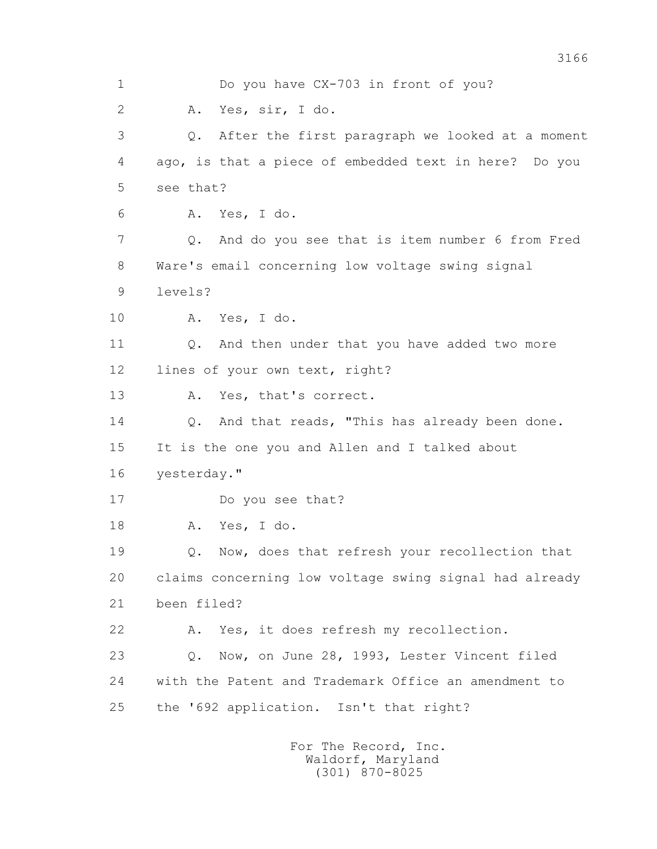1 Do you have CX-703 in front of you? 2 A. Yes, sir, I do. 3 Q. After the first paragraph we looked at a moment 4 ago, is that a piece of embedded text in here? Do you 5 see that? 6 A. Yes, I do. 7 Q. And do you see that is item number 6 from Fred 8 Ware's email concerning low voltage swing signal 9 levels? 10 A. Yes, I do. 11 0. And then under that you have added two more 12 lines of your own text, right? 13 A. Yes, that's correct. 14 Q. And that reads, "This has already been done. 15 It is the one you and Allen and I talked about 16 yesterday." 17 Do you see that? 18 A. Yes, I do. 19 Q. Now, does that refresh your recollection that 20 claims concerning low voltage swing signal had already 21 been filed? 22 A. Yes, it does refresh my recollection. 23 Q. Now, on June 28, 1993, Lester Vincent filed 24 with the Patent and Trademark Office an amendment to 25 the '692 application. Isn't that right?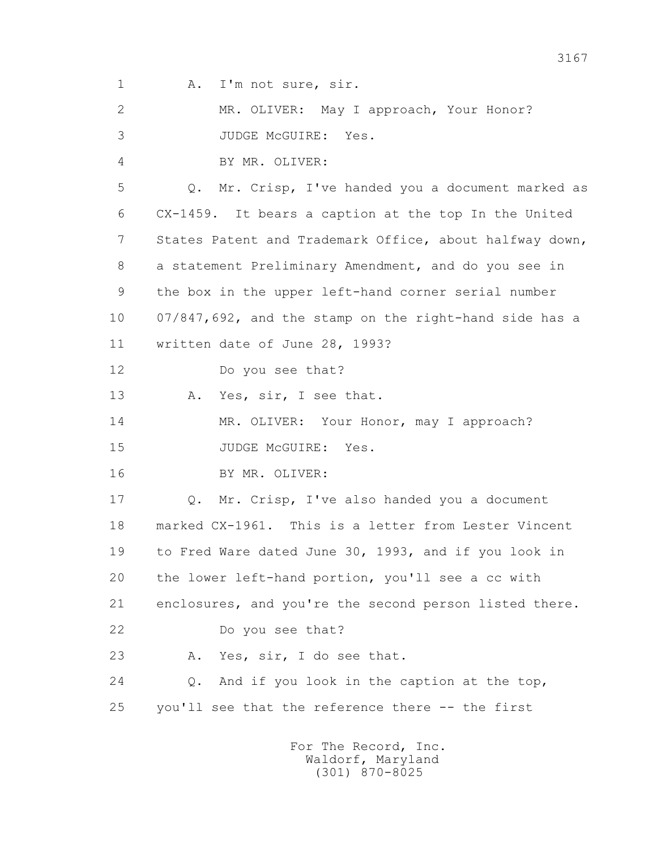1 A. I'm not sure, sir.

 2 MR. OLIVER: May I approach, Your Honor? 3 JUDGE McGUIRE: Yes. 4 BY MR. OLIVER: 5 Q. Mr. Crisp, I've handed you a document marked as 6 CX-1459. It bears a caption at the top In the United 7 States Patent and Trademark Office, about halfway down, 8 a statement Preliminary Amendment, and do you see in 9 the box in the upper left-hand corner serial number 10 07/847,692, and the stamp on the right-hand side has a 11 written date of June 28, 1993? 12 Do you see that? 13 A. Yes, sir, I see that. 14 MR. OLIVER: Your Honor, may I approach? 15 JUDGE McGUIRE: Yes. 16 BY MR. OLIVER: 17 Q. Mr. Crisp, I've also handed you a document 18 marked CX-1961. This is a letter from Lester Vincent 19 to Fred Ware dated June 30, 1993, and if you look in 20 the lower left-hand portion, you'll see a cc with 21 enclosures, and you're the second person listed there. 22 Do you see that? 23 A. Yes, sir, I do see that. 24 Q. And if you look in the caption at the top, 25 you'll see that the reference there -- the first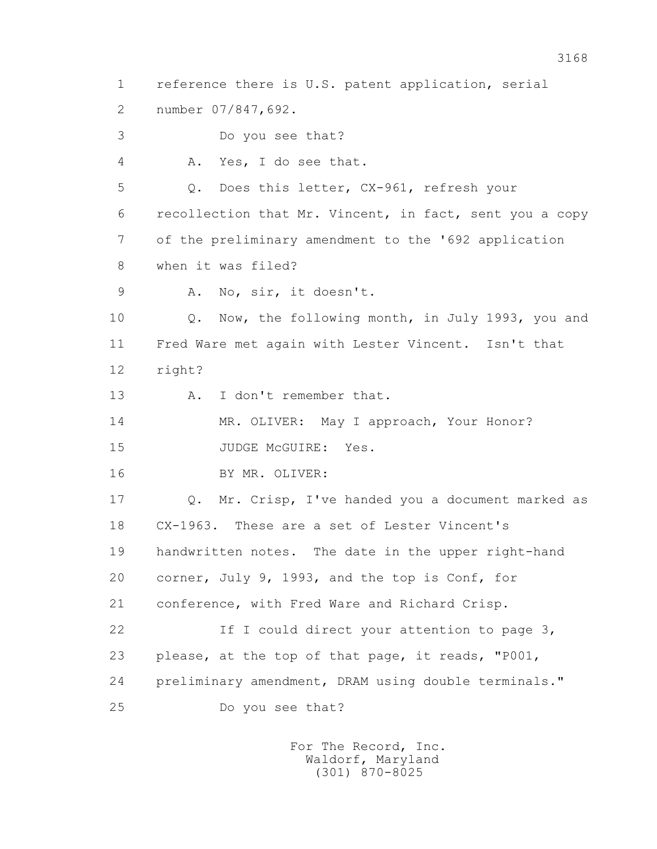1 reference there is U.S. patent application, serial 2 number 07/847,692. 3 Do you see that? 4 A. Yes, I do see that. 5 Q. Does this letter, CX-961, refresh your 6 recollection that Mr. Vincent, in fact, sent you a copy 7 of the preliminary amendment to the '692 application 8 when it was filed? 9 A. No, sir, it doesn't. 10 Q. Now, the following month, in July 1993, you and 11 Fred Ware met again with Lester Vincent. Isn't that 12 right? 13 A. I don't remember that. 14 MR. OLIVER: May I approach, Your Honor? 15 JUDGE McGUIRE: Yes. 16 BY MR. OLIVER: 17 Q. Mr. Crisp, I've handed you a document marked as 18 CX-1963. These are a set of Lester Vincent's 19 handwritten notes. The date in the upper right-hand 20 corner, July 9, 1993, and the top is Conf, for 21 conference, with Fred Ware and Richard Crisp. 22 If I could direct your attention to page 3, 23 please, at the top of that page, it reads, "P001, 24 preliminary amendment, DRAM using double terminals." 25 Do you see that?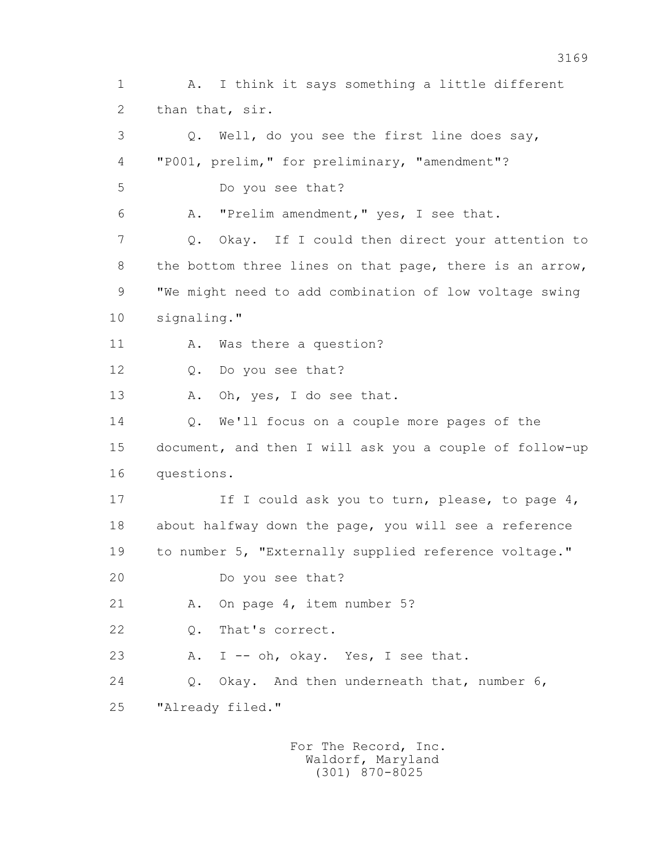1 A. I think it says something a little different 2 than that, sir. 3 Q. Well, do you see the first line does say, 4 "P001, prelim," for preliminary, "amendment"? 5 Do you see that? 6 A. "Prelim amendment," yes, I see that. 7 Q. Okay. If I could then direct your attention to 8 the bottom three lines on that page, there is an arrow, 9 "We might need to add combination of low voltage swing 10 signaling." 11 A. Was there a question? 12 Q. Do you see that? 13 A. Oh, yes, I do see that. 14 Q. We'll focus on a couple more pages of the 15 document, and then I will ask you a couple of follow-up 16 questions. 17 17 If I could ask you to turn, please, to page 4, 18 about halfway down the page, you will see a reference 19 to number 5, "Externally supplied reference voltage." 20 Do you see that? 21 A. On page 4, item number 5? 22 Q. That's correct. 23 A. I -- oh, okay. Yes, I see that. 24 Q. Okay. And then underneath that, number 6, 25 "Already filed."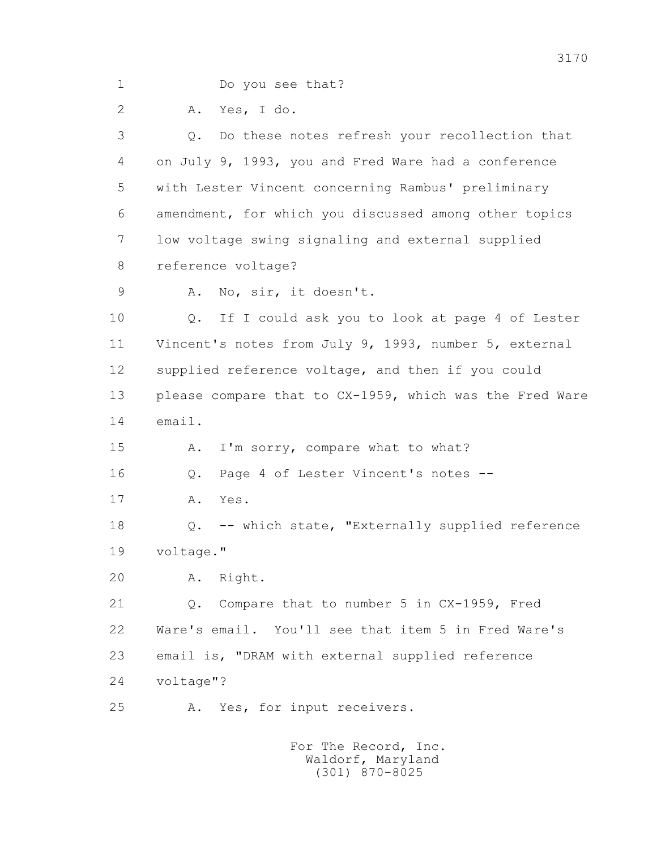1 Do you see that?

2 A. Yes, I do.

 3 Q. Do these notes refresh your recollection that 4 on July 9, 1993, you and Fred Ware had a conference 5 with Lester Vincent concerning Rambus' preliminary 6 amendment, for which you discussed among other topics 7 low voltage swing signaling and external supplied 8 reference voltage?

9 A. No, sir, it doesn't.

 10 Q. If I could ask you to look at page 4 of Lester 11 Vincent's notes from July 9, 1993, number 5, external 12 supplied reference voltage, and then if you could 13 please compare that to CX-1959, which was the Fred Ware 14 email.

15 A. I'm sorry, compare what to what?

16 Q. Page 4 of Lester Vincent's notes --

17 A. Yes.

 18 Q. -- which state, "Externally supplied reference 19 voltage."

20 A. Right.

 21 Q. Compare that to number 5 in CX-1959, Fred 22 Ware's email. You'll see that item 5 in Fred Ware's 23 email is, "DRAM with external supplied reference 24 voltage"?

25 A. Yes, for input receivers.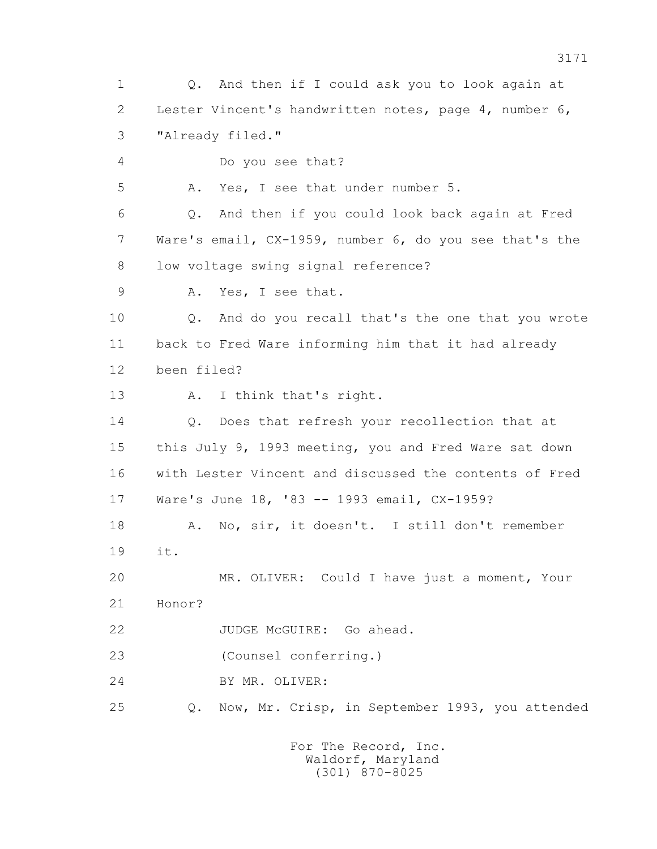1 Q. And then if I could ask you to look again at 2 Lester Vincent's handwritten notes, page 4, number 6, 3 "Already filed." 4 Do you see that? 5 A. Yes, I see that under number 5. 6 Q. And then if you could look back again at Fred 7 Ware's email, CX-1959, number 6, do you see that's the 8 low voltage swing signal reference? 9 A. Yes, I see that. 10 Q. And do you recall that's the one that you wrote 11 back to Fred Ware informing him that it had already 12 been filed? 13 A. I think that's right. 14 Q. Does that refresh your recollection that at 15 this July 9, 1993 meeting, you and Fred Ware sat down 16 with Lester Vincent and discussed the contents of Fred 17 Ware's June 18, '83 -- 1993 email, CX-1959? 18 A. No, sir, it doesn't. I still don't remember 19 it. 20 MR. OLIVER: Could I have just a moment, Your 21 Honor? 22 JUDGE McGUIRE: Go ahead. 23 (Counsel conferring.) 24 BY MR. OLIVER: 25 Q. Now, Mr. Crisp, in September 1993, you attended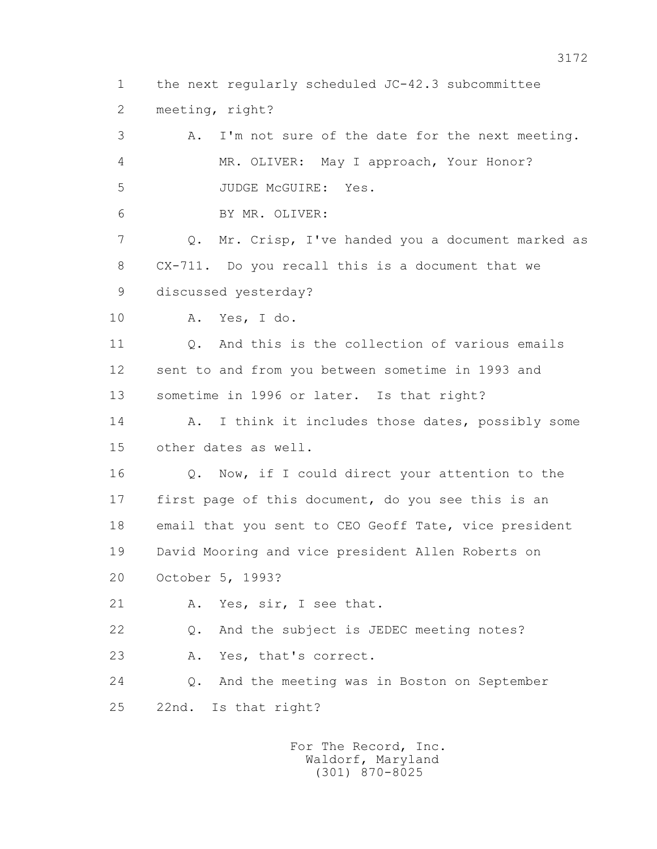1 the next regularly scheduled JC-42.3 subcommittee 2 meeting, right?

 3 A. I'm not sure of the date for the next meeting. 4 MR. OLIVER: May I approach, Your Honor? 5 JUDGE McGUIRE: Yes. 6 BY MR. OLIVER: 7 Q. Mr. Crisp, I've handed you a document marked as 8 CX-711. Do you recall this is a document that we 9 discussed yesterday? 10 A. Yes, I do. 11 Q. And this is the collection of various emails 12 sent to and from you between sometime in 1993 and 13 sometime in 1996 or later. Is that right? 14 A. I think it includes those dates, possibly some 15 other dates as well. 16 Q. Now, if I could direct your attention to the

 17 first page of this document, do you see this is an 18 email that you sent to CEO Geoff Tate, vice president 19 David Mooring and vice president Allen Roberts on 20 October 5, 1993?

21 A. Yes, sir, I see that.

 22 Q. And the subject is JEDEC meeting notes? 23 A. Yes, that's correct.

 24 Q. And the meeting was in Boston on September 25 22nd. Is that right?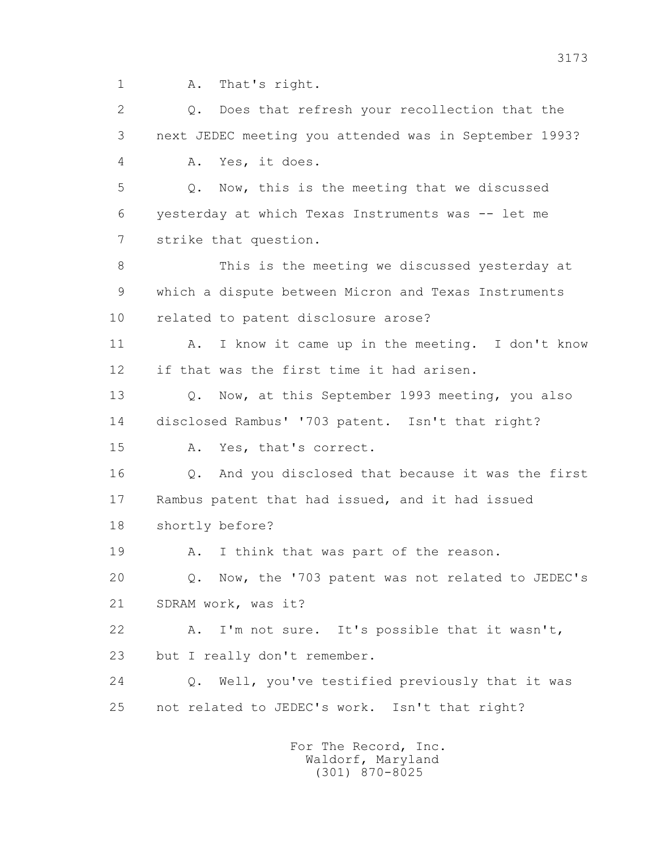1 A. That's right.

 2 Q. Does that refresh your recollection that the 3 next JEDEC meeting you attended was in September 1993? 4 A. Yes, it does. 5 Q. Now, this is the meeting that we discussed 6 yesterday at which Texas Instruments was -- let me 7 strike that question. 8 This is the meeting we discussed yesterday at 9 which a dispute between Micron and Texas Instruments 10 related to patent disclosure arose? 11 A. I know it came up in the meeting. I don't know 12 if that was the first time it had arisen. 13 O. Now, at this September 1993 meeting, you also 14 disclosed Rambus' '703 patent. Isn't that right? 15 A. Yes, that's correct. 16 Q. And you disclosed that because it was the first 17 Rambus patent that had issued, and it had issued 18 shortly before? 19 A. I think that was part of the reason. 20 Q. Now, the '703 patent was not related to JEDEC's 21 SDRAM work, was it? 22 A. I'm not sure. It's possible that it wasn't, 23 but I really don't remember. 24 Q. Well, you've testified previously that it was 25 not related to JEDEC's work. Isn't that right?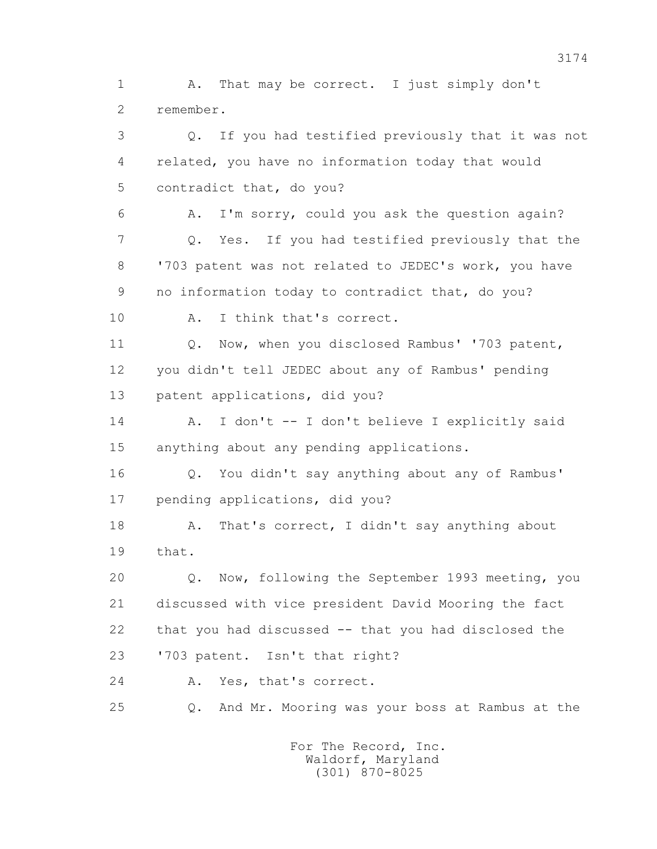1 A. That may be correct. I just simply don't 2 remember.

 3 Q. If you had testified previously that it was not 4 related, you have no information today that would 5 contradict that, do you? 6 A. I'm sorry, could you ask the question again? 7 Q. Yes. If you had testified previously that the 8 '703 patent was not related to JEDEC's work, you have 9 no information today to contradict that, do you? 10 A. I think that's correct. 11 Q. Now, when you disclosed Rambus' '703 patent, 12 you didn't tell JEDEC about any of Rambus' pending 13 patent applications, did you? 14 A. I don't -- I don't believe I explicitly said 15 anything about any pending applications. 16 Q. You didn't say anything about any of Rambus' 17 pending applications, did you? 18 A. That's correct, I didn't say anything about 19 that. 20 Q. Now, following the September 1993 meeting, you

 21 discussed with vice president David Mooring the fact 22 that you had discussed -- that you had disclosed the 23 '703 patent. Isn't that right?

24 A. Yes, that's correct.

25 Q. And Mr. Mooring was your boss at Rambus at the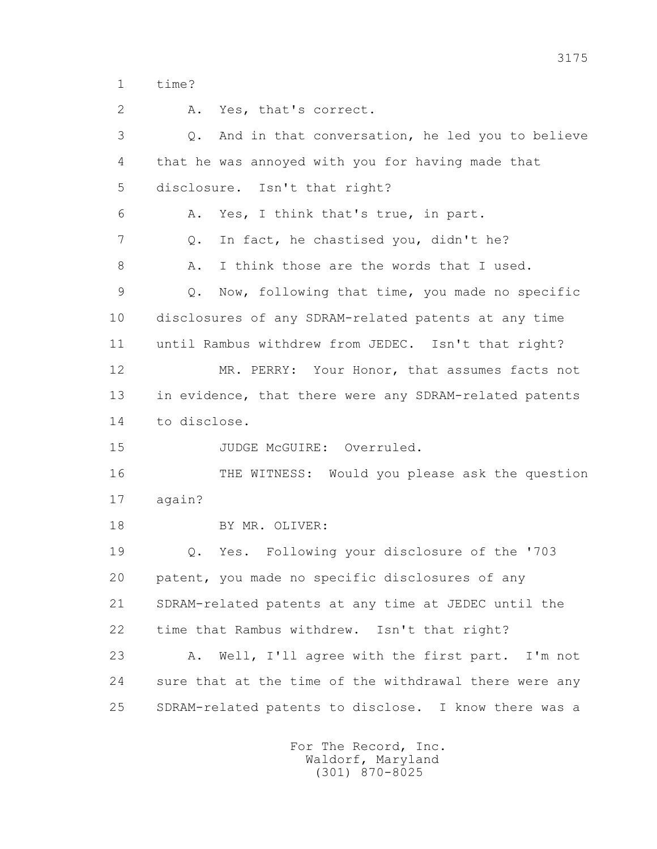1 time?

2 A. Yes, that's correct.

 3 Q. And in that conversation, he led you to believe 4 that he was annoyed with you for having made that 5 disclosure. Isn't that right? 6 A. Yes, I think that's true, in part. 7 Q. In fact, he chastised you, didn't he? 8 A. I think those are the words that I used. 9 Q. Now, following that time, you made no specific 10 disclosures of any SDRAM-related patents at any time 11 until Rambus withdrew from JEDEC. Isn't that right? 12 MR. PERRY: Your Honor, that assumes facts not 13 in evidence, that there were any SDRAM-related patents 14 to disclose. 15 JUDGE McGUIRE: Overruled. 16 THE WITNESS: Would you please ask the question 17 again? 18 BY MR. OLIVER: 19 Q. Yes. Following your disclosure of the '703 20 patent, you made no specific disclosures of any 21 SDRAM-related patents at any time at JEDEC until the 22 time that Rambus withdrew. Isn't that right? 23 A. Well, I'll agree with the first part. I'm not 24 sure that at the time of the withdrawal there were any 25 SDRAM-related patents to disclose. I know there was a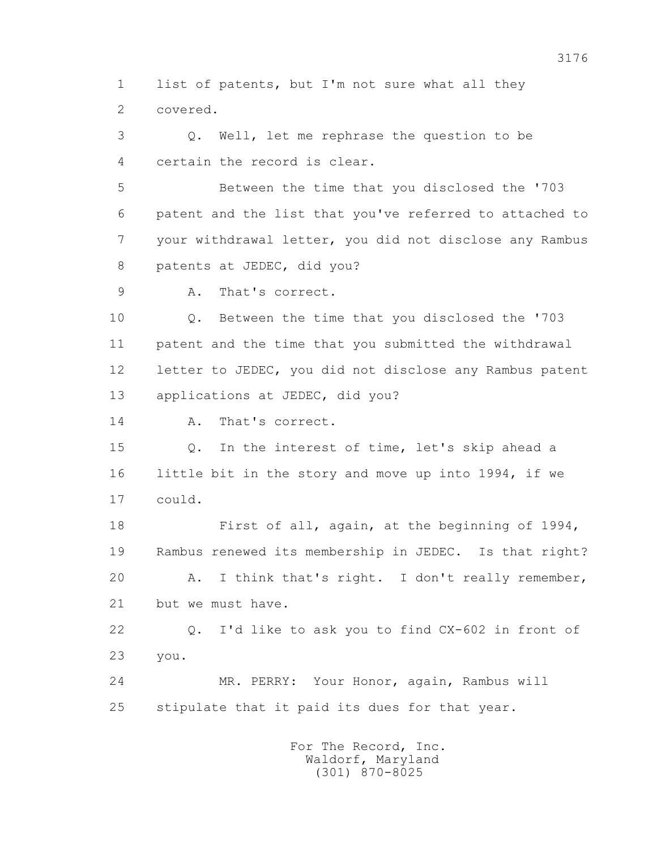1 list of patents, but I'm not sure what all they 2 covered.

 3 Q. Well, let me rephrase the question to be 4 certain the record is clear.

 5 Between the time that you disclosed the '703 6 patent and the list that you've referred to attached to 7 your withdrawal letter, you did not disclose any Rambus 8 patents at JEDEC, did you?

9 A. That's correct.

 10 Q. Between the time that you disclosed the '703 11 patent and the time that you submitted the withdrawal 12 letter to JEDEC, you did not disclose any Rambus patent 13 applications at JEDEC, did you?

14 A. That's correct.

 15 Q. In the interest of time, let's skip ahead a 16 little bit in the story and move up into 1994, if we 17 could.

 18 First of all, again, at the beginning of 1994, 19 Rambus renewed its membership in JEDEC. Is that right? 20 A. I think that's right. I don't really remember, 21 but we must have.

 22 Q. I'd like to ask you to find CX-602 in front of 23 you.

 24 MR. PERRY: Your Honor, again, Rambus will 25 stipulate that it paid its dues for that year.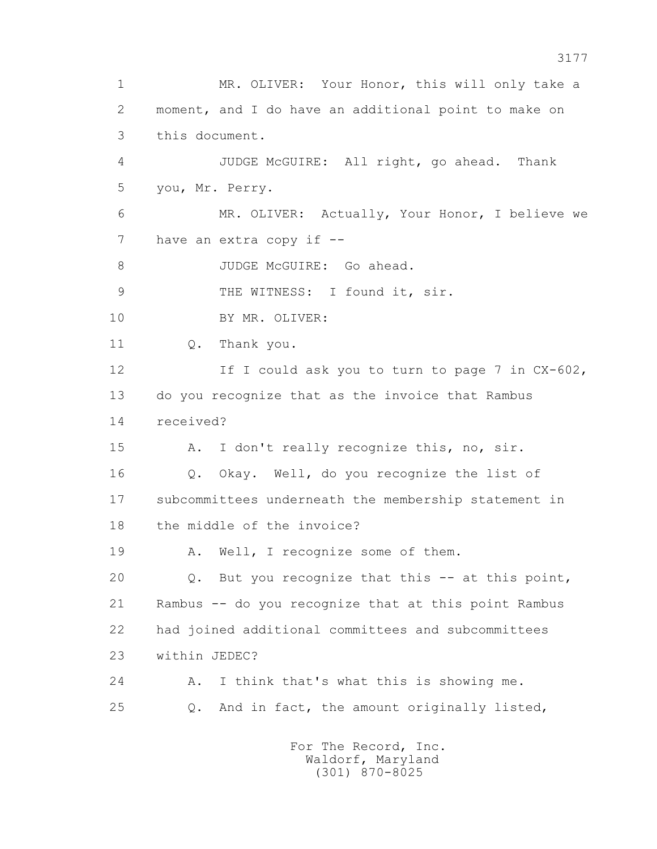1 MR. OLIVER: Your Honor, this will only take a 2 moment, and I do have an additional point to make on 3 this document. 4 JUDGE McGUIRE: All right, go ahead. Thank 5 you, Mr. Perry. 6 MR. OLIVER: Actually, Your Honor, I believe we 7 have an extra copy if --8 JUDGE McGUIRE: Go ahead. 9 THE WITNESS: I found it, sir. 10 BY MR. OLIVER: 11 0. Thank you. 12 If I could ask you to turn to page 7 in CX-602, 13 do you recognize that as the invoice that Rambus 14 received? 15 A. I don't really recognize this, no, sir. 16 Q. Okay. Well, do you recognize the list of 17 subcommittees underneath the membership statement in 18 the middle of the invoice? 19 A. Well, I recognize some of them. 20 Q. But you recognize that this -- at this point, 21 Rambus -- do you recognize that at this point Rambus 22 had joined additional committees and subcommittees 23 within JEDEC? 24 A. I think that's what this is showing me. 25 Q. And in fact, the amount originally listed, For The Record, Inc.

 Waldorf, Maryland (301) 870-8025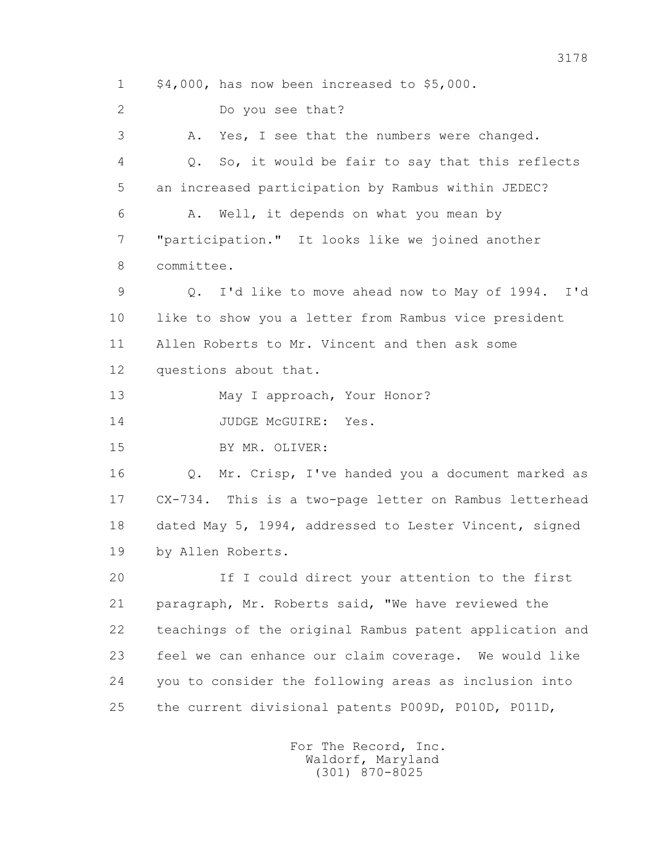1 \$4,000, has now been increased to \$5,000. 2 Do you see that? 3 A. Yes, I see that the numbers were changed. 4 Q. So, it would be fair to say that this reflects 5 an increased participation by Rambus within JEDEC? 6 A. Well, it depends on what you mean by 7 "participation." It looks like we joined another 8 committee. 9 Q. I'd like to move ahead now to May of 1994. I'd 10 like to show you a letter from Rambus vice president 11 Allen Roberts to Mr. Vincent and then ask some 12 questions about that. 13 May I approach, Your Honor? 14 JUDGE McGUIRE: Yes. 15 BY MR. OLIVER: 16 Q. Mr. Crisp, I've handed you a document marked as 17 CX-734. This is a two-page letter on Rambus letterhead 18 dated May 5, 1994, addressed to Lester Vincent, signed 19 by Allen Roberts. 20 If I could direct your attention to the first 21 paragraph, Mr. Roberts said, "We have reviewed the 22 teachings of the original Rambus patent application and 23 feel we can enhance our claim coverage. We would like 24 you to consider the following areas as inclusion into 25 the current divisional patents P009D, P010D, P011D,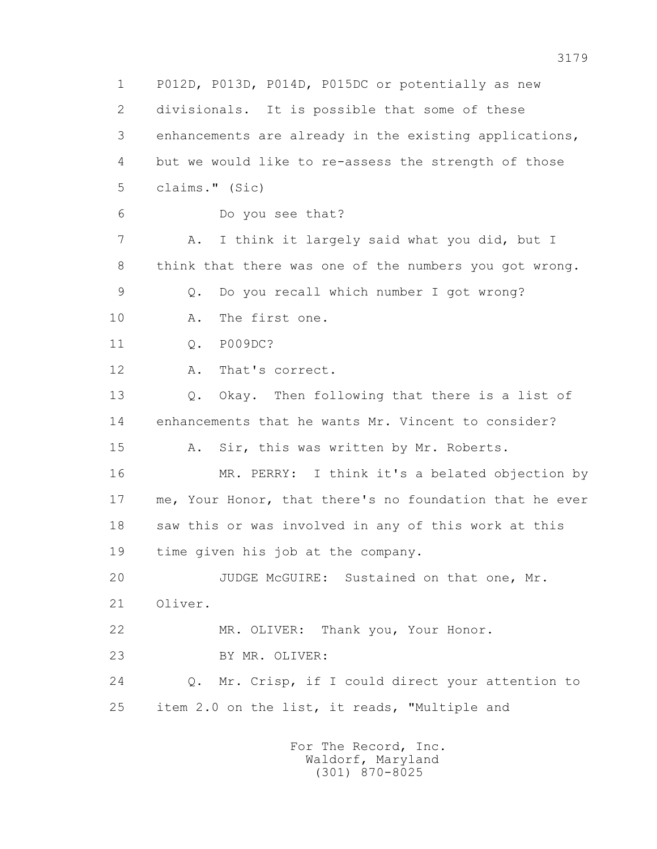1 P012D, P013D, P014D, P015DC or potentially as new 2 divisionals. It is possible that some of these 3 enhancements are already in the existing applications, 4 but we would like to re-assess the strength of those 5 claims." (Sic) 6 Do you see that? 7 A. I think it largely said what you did, but I 8 think that there was one of the numbers you got wrong. 9 Q. Do you recall which number I got wrong? 10 A. The first one. 11 Q. P009DC? 12 A. That's correct. 13 Q. Okay. Then following that there is a list of 14 enhancements that he wants Mr. Vincent to consider? 15 A. Sir, this was written by Mr. Roberts. 16 MR. PERRY: I think it's a belated objection by 17 me, Your Honor, that there's no foundation that he ever 18 saw this or was involved in any of this work at this 19 time given his job at the company. 20 JUDGE McGUIRE: Sustained on that one, Mr. 21 Oliver. 22 MR. OLIVER: Thank you, Your Honor. 23 BY MR. OLIVER: 24 Q. Mr. Crisp, if I could direct your attention to 25 item 2.0 on the list, it reads, "Multiple and For The Record, Inc.

 Waldorf, Maryland (301) 870-8025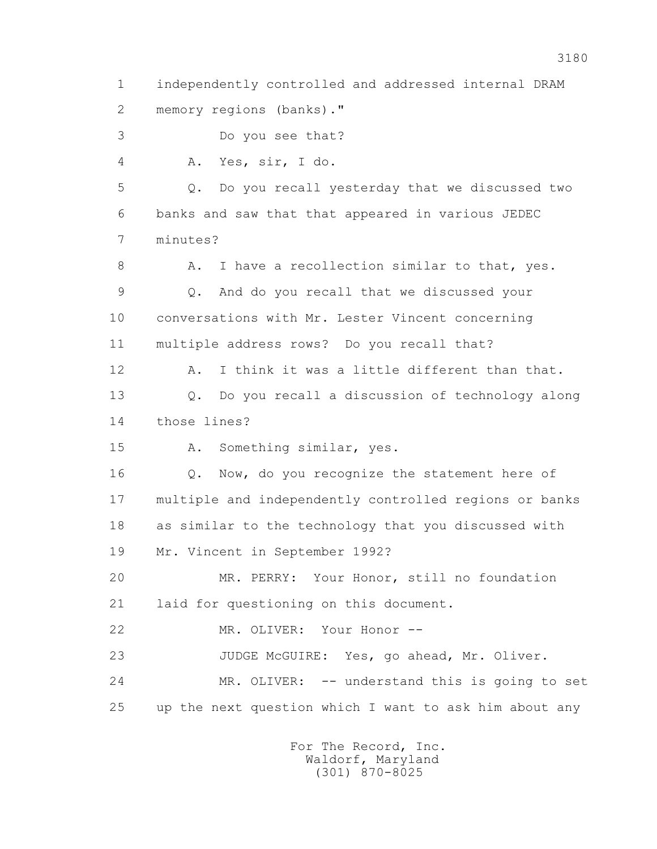1 independently controlled and addressed internal DRAM 2 memory regions (banks)." 3 Do you see that? 4 A. Yes, sir, I do. 5 Q. Do you recall yesterday that we discussed two

 6 banks and saw that that appeared in various JEDEC 7 minutes?

8 A. I have a recollection similar to that, yes. 9 Q. And do you recall that we discussed your 10 conversations with Mr. Lester Vincent concerning 11 multiple address rows? Do you recall that?

 12 A. I think it was a little different than that. 13 Q. Do you recall a discussion of technology along 14 those lines?

15 A. Something similar, yes.

16 Q. Now, do you recognize the statement here of 17 multiple and independently controlled regions or banks 18 as similar to the technology that you discussed with 19 Mr. Vincent in September 1992?

 20 MR. PERRY: Your Honor, still no foundation 21 laid for questioning on this document.

22 MR. OLIVER: Your Honor --

23 JUDGE McGUIRE: Yes, go ahead, Mr. Oliver.

 24 MR. OLIVER: -- understand this is going to set 25 up the next question which I want to ask him about any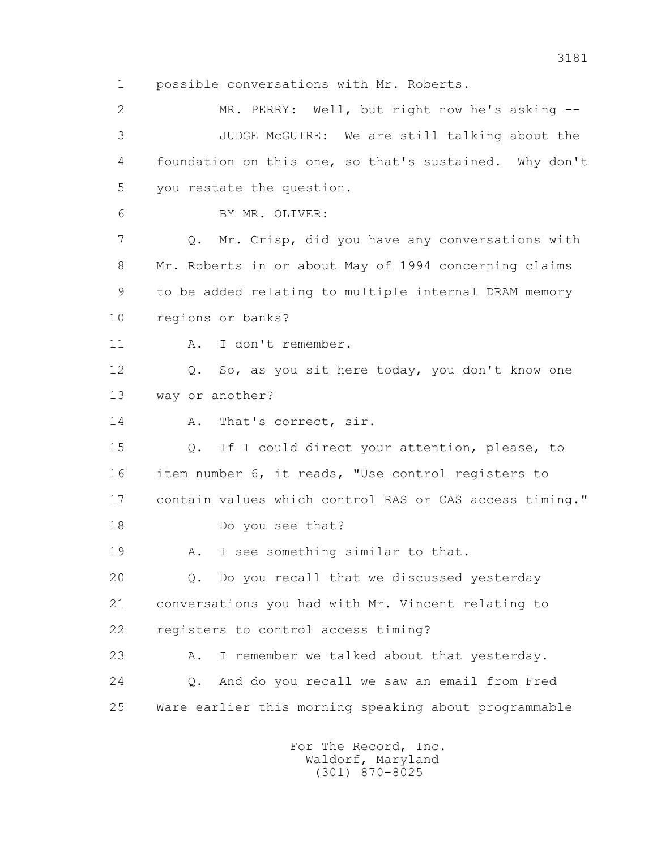1 possible conversations with Mr. Roberts.

 2 MR. PERRY: Well, but right now he's asking -- 3 JUDGE McGUIRE: We are still talking about the 4 foundation on this one, so that's sustained. Why don't 5 you restate the question. 6 BY MR. OLIVER: 7 Q. Mr. Crisp, did you have any conversations with 8 Mr. Roberts in or about May of 1994 concerning claims 9 to be added relating to multiple internal DRAM memory 10 regions or banks? 11 A. I don't remember. 12 Q. So, as you sit here today, you don't know one 13 way or another? 14 A. That's correct, sir. 15 Q. If I could direct your attention, please, to 16 item number 6, it reads, "Use control registers to 17 contain values which control RAS or CAS access timing." 18 Do you see that? 19 A. I see something similar to that. 20 Q. Do you recall that we discussed yesterday 21 conversations you had with Mr. Vincent relating to 22 registers to control access timing? 23 A. I remember we talked about that yesterday. 24 Q. And do you recall we saw an email from Fred 25 Ware earlier this morning speaking about programmable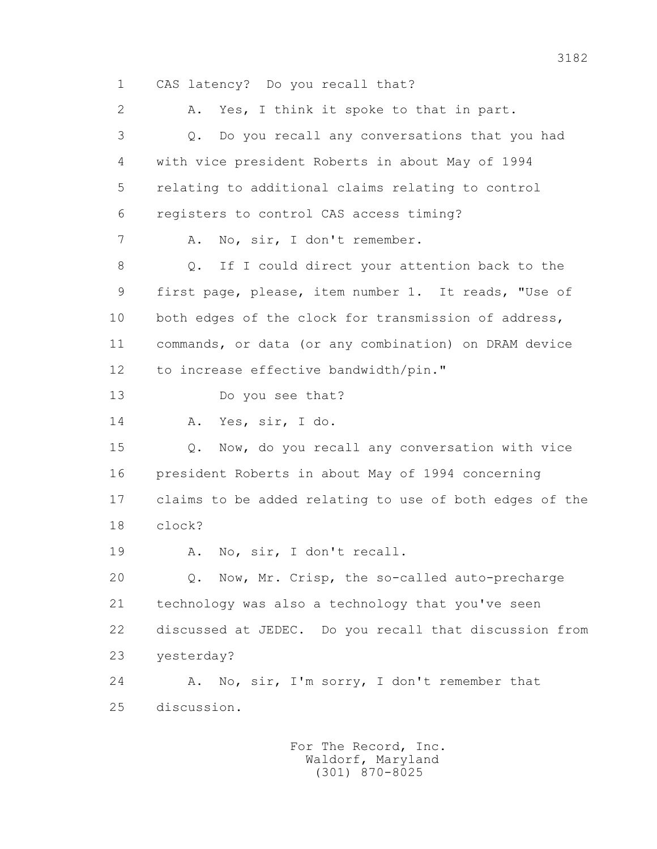1 CAS latency? Do you recall that?

 2 A. Yes, I think it spoke to that in part. 3 Q. Do you recall any conversations that you had 4 with vice president Roberts in about May of 1994 5 relating to additional claims relating to control 6 registers to control CAS access timing? 7 A. No, sir, I don't remember. 8 Q. If I could direct your attention back to the 9 first page, please, item number 1. It reads, "Use of 10 both edges of the clock for transmission of address, 11 commands, or data (or any combination) on DRAM device 12 to increase effective bandwidth/pin." 13 Do you see that? 14 A. Yes, sir, I do. 15 Q. Now, do you recall any conversation with vice 16 president Roberts in about May of 1994 concerning 17 claims to be added relating to use of both edges of the 18 clock? 19 A. No, sir, I don't recall. 20 Q. Now, Mr. Crisp, the so-called auto-precharge 21 technology was also a technology that you've seen 22 discussed at JEDEC. Do you recall that discussion from 23 yesterday? 24 A. No, sir, I'm sorry, I don't remember that 25 discussion.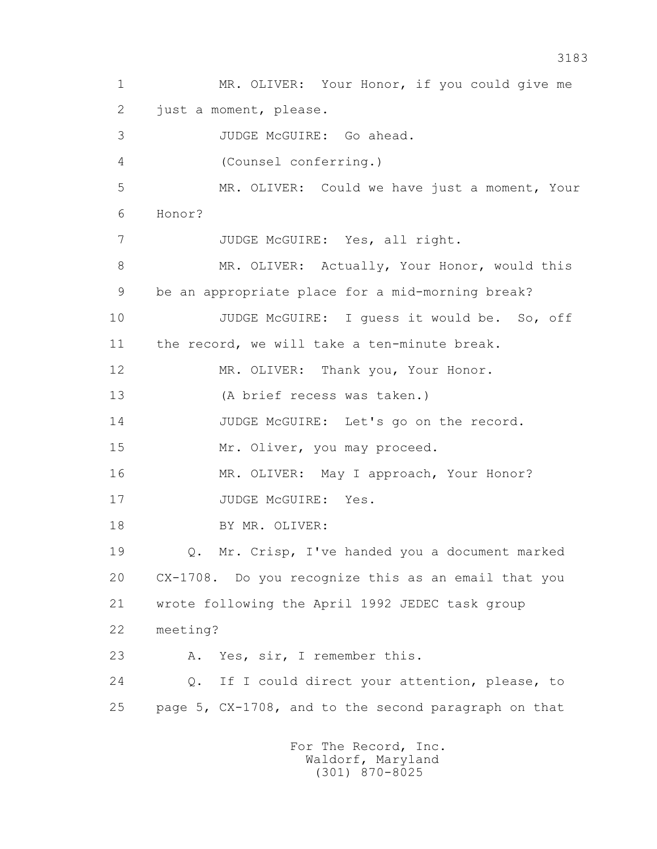1 MR. OLIVER: Your Honor, if you could give me 2 just a moment, please. 3 JUDGE McGUIRE: Go ahead. 4 (Counsel conferring.) 5 MR. OLIVER: Could we have just a moment, Your 6 Honor? 7 JUDGE McGUIRE: Yes, all right. 8 MR. OLIVER: Actually, Your Honor, would this 9 be an appropriate place for a mid-morning break? 10 JUDGE McGUIRE: I guess it would be. So, off 11 the record, we will take a ten-minute break. 12 MR. OLIVER: Thank you, Your Honor. 13 (A brief recess was taken.) 14 JUDGE McGUIRE: Let's go on the record. 15 Mr. Oliver, you may proceed. 16 MR. OLIVER: May I approach, Your Honor? 17 JUDGE McGUIRE: Yes. 18 BY MR. OLIVER: 19 Q. Mr. Crisp, I've handed you a document marked 20 CX-1708. Do you recognize this as an email that you 21 wrote following the April 1992 JEDEC task group 22 meeting? 23 A. Yes, sir, I remember this. 24 Q. If I could direct your attention, please, to 25 page 5, CX-1708, and to the second paragraph on that For The Record, Inc.

 Waldorf, Maryland (301) 870-8025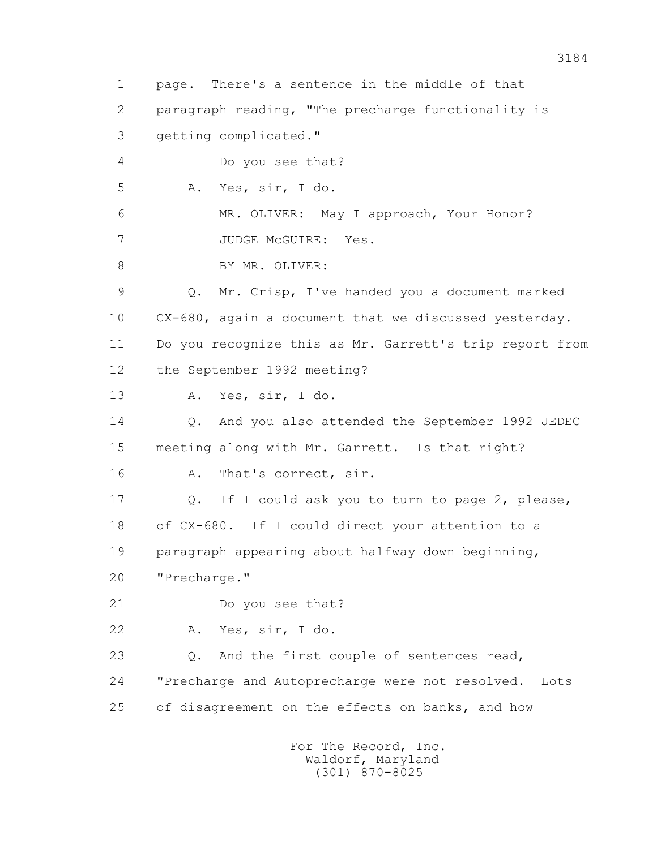1 page. There's a sentence in the middle of that 2 paragraph reading, "The precharge functionality is 3 getting complicated." 4 Do you see that? 5 A. Yes, sir, I do. 6 MR. OLIVER: May I approach, Your Honor? 7 JUDGE McGUIRE: Yes. 8 BY MR. OLIVER: 9 Q. Mr. Crisp, I've handed you a document marked 10 CX-680, again a document that we discussed yesterday. 11 Do you recognize this as Mr. Garrett's trip report from 12 the September 1992 meeting? 13 A. Yes, sir, I do. 14 Q. And you also attended the September 1992 JEDEC 15 meeting along with Mr. Garrett. Is that right? 16 A. That's correct, sir. 17 Q. If I could ask you to turn to page 2, please, 18 of CX-680. If I could direct your attention to a 19 paragraph appearing about halfway down beginning, 20 "Precharge." 21 Do you see that? 22 A. Yes, sir, I do. 23 Q. And the first couple of sentences read, 24 "Precharge and Autoprecharge were not resolved. Lots 25 of disagreement on the effects on banks, and how For The Record, Inc.

 Waldorf, Maryland (301) 870-8025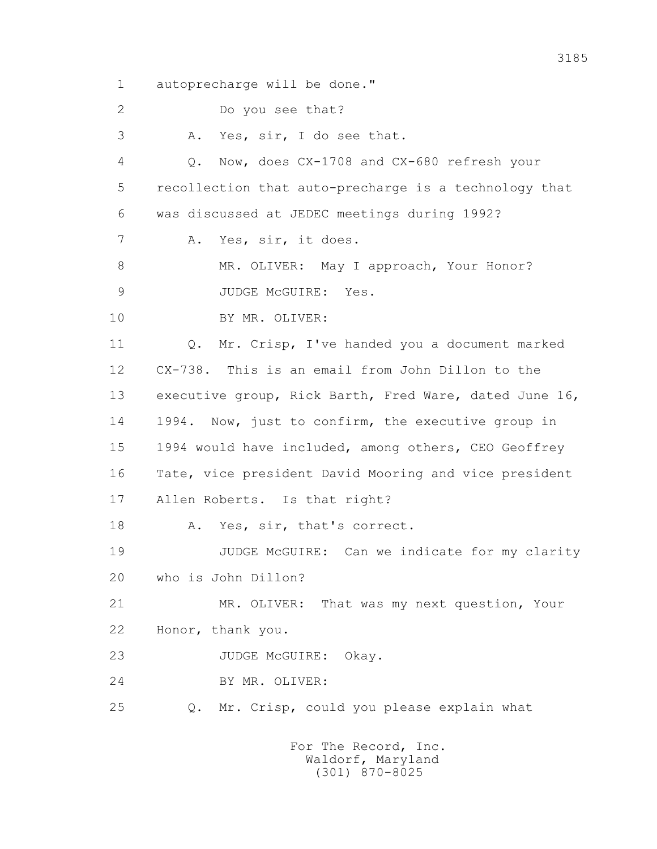1 autoprecharge will be done."

2 Do you see that?

3 A. Yes, sir, I do see that.

 4 Q. Now, does CX-1708 and CX-680 refresh your 5 recollection that auto-precharge is a technology that 6 was discussed at JEDEC meetings during 1992? 7 A. Yes, sir, it does. 8 MR. OLIVER: May I approach, Your Honor? 9 JUDGE McGUIRE: Yes. 10 BY MR. OLIVER: 11 Q. Mr. Crisp, I've handed you a document marked 12 CX-738. This is an email from John Dillon to the 13 executive group, Rick Barth, Fred Ware, dated June 16, 14 1994. Now, just to confirm, the executive group in 15 1994 would have included, among others, CEO Geoffrey 16 Tate, vice president David Mooring and vice president 17 Allen Roberts. Is that right? 18 A. Yes, sir, that's correct. 19 JUDGE McGUIRE: Can we indicate for my clarity 20 who is John Dillon?

 21 MR. OLIVER: That was my next question, Your 22 Honor, thank you.

23 JUDGE McGUIRE: Okay.

24 BY MR. OLIVER:

25 Q. Mr. Crisp, could you please explain what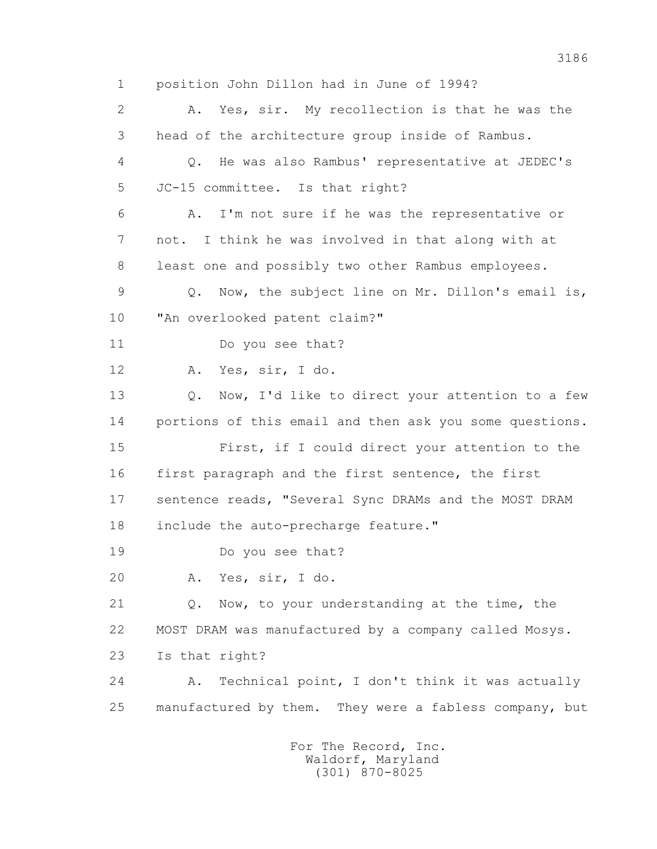1 position John Dillon had in June of 1994? 2 A. Yes, sir. My recollection is that he was the 3 head of the architecture group inside of Rambus. 4 Q. He was also Rambus' representative at JEDEC's 5 JC-15 committee. Is that right? 6 A. I'm not sure if he was the representative or 7 not. I think he was involved in that along with at 8 least one and possibly two other Rambus employees. 9 Q. Now, the subject line on Mr. Dillon's email is, 10 "An overlooked patent claim?" 11 Do you see that? 12 A. Yes, sir, I do. 13 0. Now, I'd like to direct your attention to a few 14 portions of this email and then ask you some questions. 15 First, if I could direct your attention to the 16 first paragraph and the first sentence, the first 17 sentence reads, "Several Sync DRAMs and the MOST DRAM 18 include the auto-precharge feature." 19 Do you see that? 20 A. Yes, sir, I do. 21 Q. Now, to your understanding at the time, the 22 MOST DRAM was manufactured by a company called Mosys. 23 Is that right? 24 A. Technical point, I don't think it was actually 25 manufactured by them. They were a fabless company, but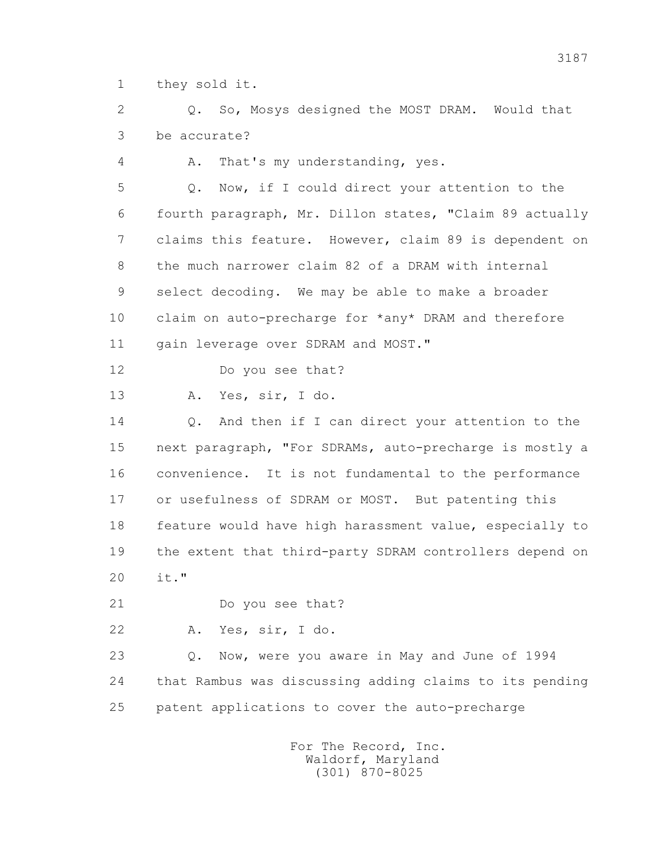1 they sold it.

 2 Q. So, Mosys designed the MOST DRAM. Would that 3 be accurate?

4 A. That's my understanding, yes.

 5 Q. Now, if I could direct your attention to the 6 fourth paragraph, Mr. Dillon states, "Claim 89 actually 7 claims this feature. However, claim 89 is dependent on 8 the much narrower claim 82 of a DRAM with internal 9 select decoding. We may be able to make a broader 10 claim on auto-precharge for \*any\* DRAM and therefore 11 gain leverage over SDRAM and MOST."

12 Do you see that?

13 A. Yes, sir, I do.

14 0. And then if I can direct your attention to the 15 next paragraph, "For SDRAMs, auto-precharge is mostly a 16 convenience. It is not fundamental to the performance 17 or usefulness of SDRAM or MOST. But patenting this 18 feature would have high harassment value, especially to 19 the extent that third-party SDRAM controllers depend on 20 it."

21 Do you see that?

22 A. Yes, sir, I do.

 23 Q. Now, were you aware in May and June of 1994 24 that Rambus was discussing adding claims to its pending 25 patent applications to cover the auto-precharge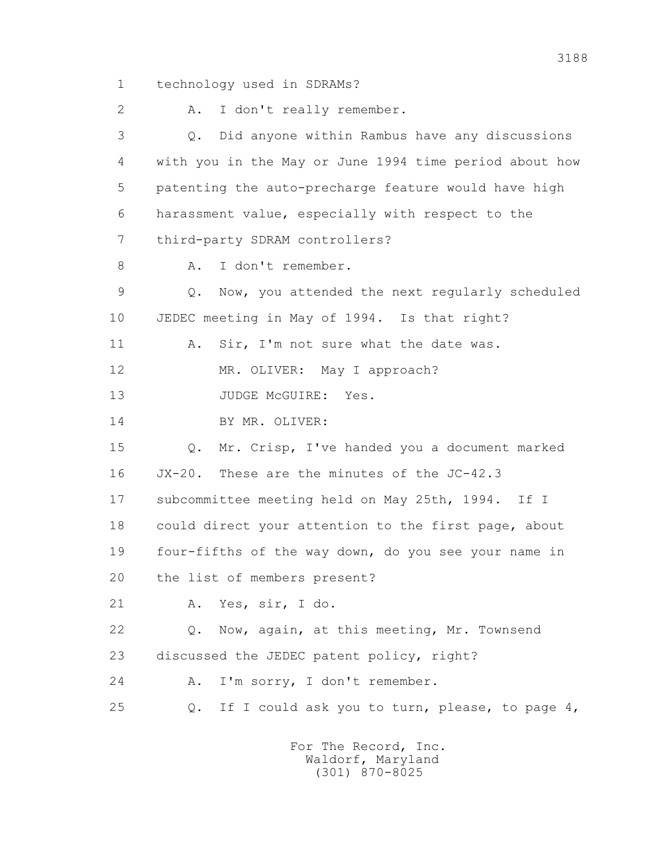1 technology used in SDRAMs?

2 A. I don't really remember.

 3 Q. Did anyone within Rambus have any discussions 4 with you in the May or June 1994 time period about how 5 patenting the auto-precharge feature would have high 6 harassment value, especially with respect to the 7 third-party SDRAM controllers? 8 A. I don't remember. 9 Q. Now, you attended the next regularly scheduled 10 JEDEC meeting in May of 1994. Is that right? 11 A. Sir, I'm not sure what the date was. 12 MR. OLIVER: May I approach? 13 JUDGE McGUIRE: Yes. 14 BY MR. OLIVER: 15 Q. Mr. Crisp, I've handed you a document marked 16 JX-20. These are the minutes of the JC-42.3 17 subcommittee meeting held on May 25th, 1994. If I 18 could direct your attention to the first page, about 19 four-fifths of the way down, do you see your name in 20 the list of members present? 21 A. Yes, sir, I do. 22 Q. Now, again, at this meeting, Mr. Townsend 23 discussed the JEDEC patent policy, right? 24 A. I'm sorry, I don't remember. 25 Q. If I could ask you to turn, please, to page 4,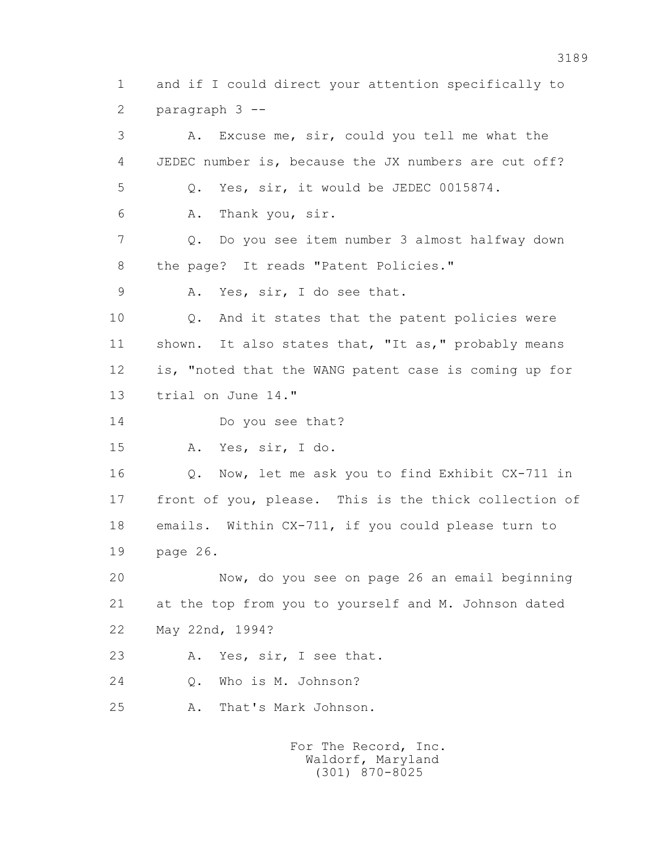1 and if I could direct your attention specifically to 2 paragraph 3 --

 3 A. Excuse me, sir, could you tell me what the 4 JEDEC number is, because the JX numbers are cut off? 5 Q. Yes, sir, it would be JEDEC 0015874. 6 A. Thank you, sir. 7 Q. Do you see item number 3 almost halfway down 8 the page? It reads "Patent Policies." 9 A. Yes, sir, I do see that. 10 Q. And it states that the patent policies were 11 shown. It also states that, "It as," probably means 12 is, "noted that the WANG patent case is coming up for 13 trial on June 14." 14 Do you see that? 15 A. Yes, sir, I do. 16 Q. Now, let me ask you to find Exhibit CX-711 in 17 front of you, please. This is the thick collection of 18 emails. Within CX-711, if you could please turn to 19 page 26. 20 Now, do you see on page 26 an email beginning 21 at the top from you to yourself and M. Johnson dated 22 May 22nd, 1994? 23 A. Yes, sir, I see that. 24 Q. Who is M. Johnson? 25 A. That's Mark Johnson.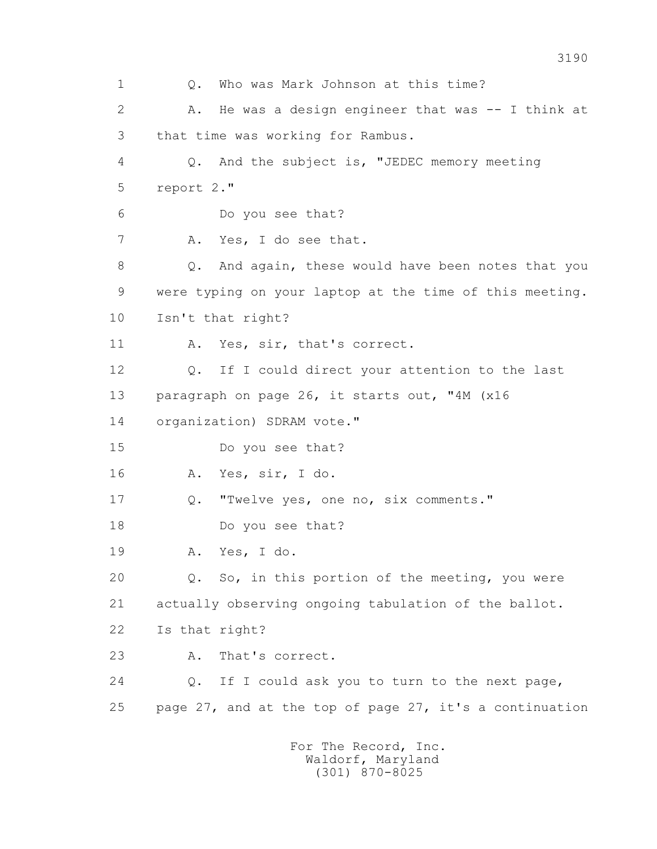1 Q. Who was Mark Johnson at this time? 2 A. He was a design engineer that was -- I think at 3 that time was working for Rambus. 4 Q. And the subject is, "JEDEC memory meeting 5 report 2." 6 Do you see that? 7 A. Yes, I do see that. 8 Q. And again, these would have been notes that you 9 were typing on your laptop at the time of this meeting. 10 Isn't that right? 11 A. Yes, sir, that's correct. 12 Q. If I could direct your attention to the last 13 paragraph on page 26, it starts out, "4M (x16 14 organization) SDRAM vote." 15 Do you see that? 16 A. Yes, sir, I do. 17 Q. "Twelve yes, one no, six comments." 18 Do you see that? 19 A. Yes, I do. 20 Q. So, in this portion of the meeting, you were 21 actually observing ongoing tabulation of the ballot. 22 Is that right? 23 A. That's correct. 24 Q. If I could ask you to turn to the next page, 25 page 27, and at the top of page 27, it's a continuation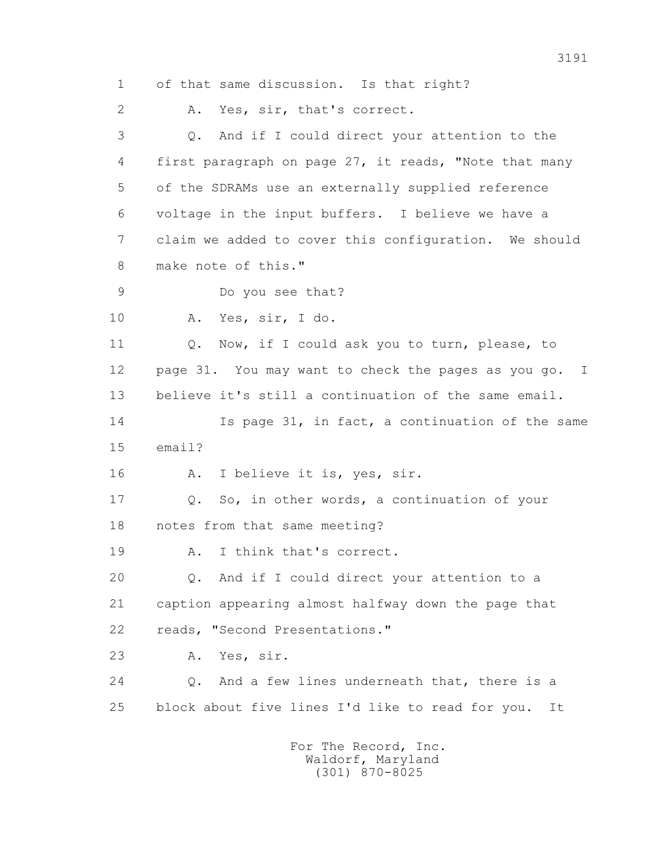1 of that same discussion. Is that right? 2 A. Yes, sir, that's correct. 3 Q. And if I could direct your attention to the 4 first paragraph on page 27, it reads, "Note that many 5 of the SDRAMs use an externally supplied reference 6 voltage in the input buffers. I believe we have a 7 claim we added to cover this configuration. We should 8 make note of this." 9 Do you see that? 10 A. Yes, sir, I do. 11 Q. Now, if I could ask you to turn, please, to 12 page 31. You may want to check the pages as you go. I 13 believe it's still a continuation of the same email. 14 Is page 31, in fact, a continuation of the same 15 email? 16 A. I believe it is, yes, sir. 17 Q. So, in other words, a continuation of your 18 notes from that same meeting? 19 A. I think that's correct. 20 Q. And if I could direct your attention to a 21 caption appearing almost halfway down the page that 22 reads, "Second Presentations." 23 A. Yes, sir. 24 Q. And a few lines underneath that, there is a 25 block about five lines I'd like to read for you. It For The Record, Inc.

 Waldorf, Maryland (301) 870-8025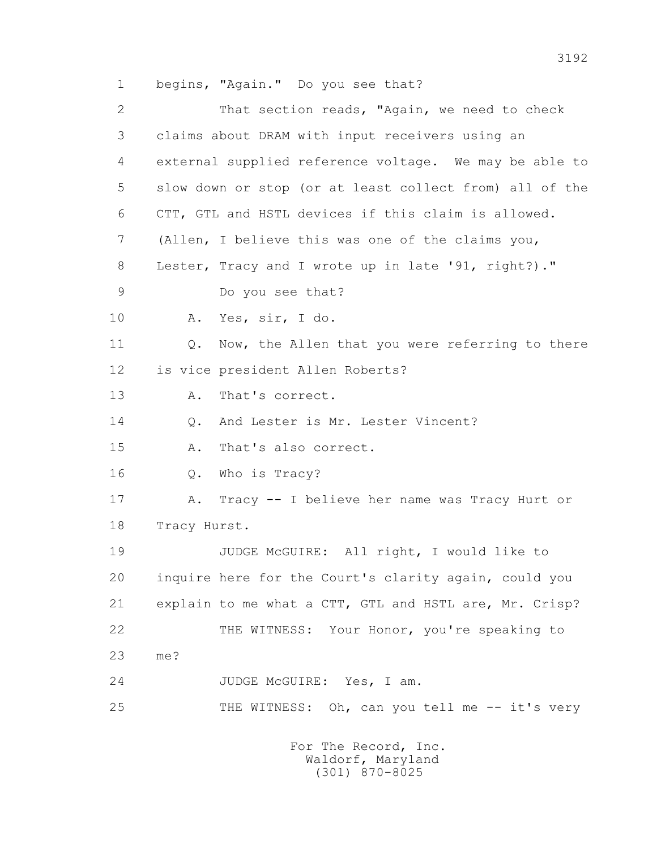1 begins, "Again." Do you see that?

 2 That section reads, "Again, we need to check 3 claims about DRAM with input receivers using an 4 external supplied reference voltage. We may be able to 5 slow down or stop (or at least collect from) all of the 6 CTT, GTL and HSTL devices if this claim is allowed. 7 (Allen, I believe this was one of the claims you, 8 Lester, Tracy and I wrote up in late '91, right?)." 9 Do you see that? 10 A. Yes, sir, I do. 11 0. Now, the Allen that you were referring to there 12 is vice president Allen Roberts? 13 A. That's correct. 14 0. And Lester is Mr. Lester Vincent? 15 A. That's also correct. 16 Q. Who is Tracy? 17 A. Tracy -- I believe her name was Tracy Hurt or 18 Tracy Hurst. 19 JUDGE McGUIRE: All right, I would like to 20 inquire here for the Court's clarity again, could you 21 explain to me what a CTT, GTL and HSTL are, Mr. Crisp? 22 THE WITNESS: Your Honor, you're speaking to 23 me? 24 JUDGE McGUIRE: Yes, I am. 25 THE WITNESS: Oh, can you tell me -- it's very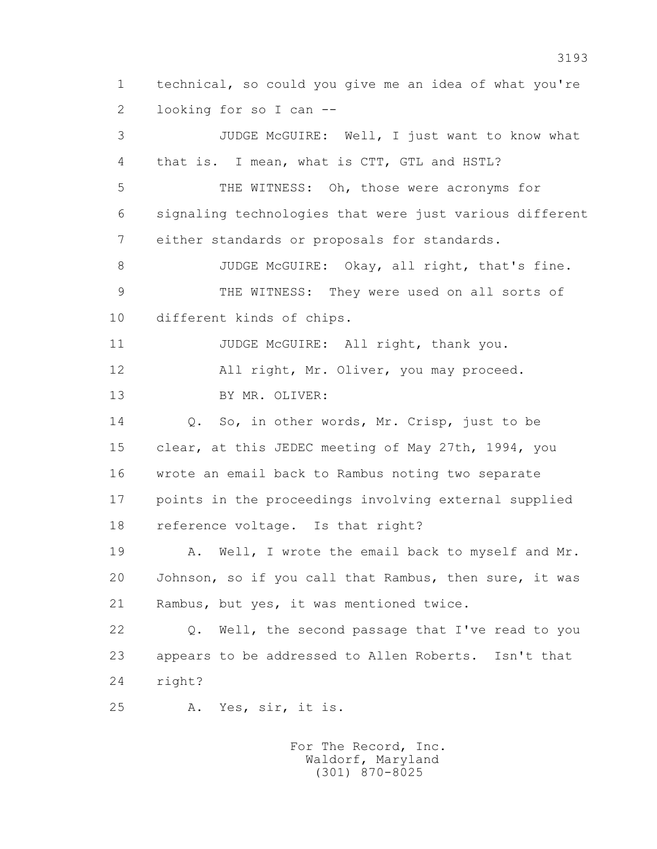1 technical, so could you give me an idea of what you're 2 looking for so I can --

 3 JUDGE McGUIRE: Well, I just want to know what 4 that is. I mean, what is CTT, GTL and HSTL? 5 THE WITNESS: Oh, those were acronyms for 6 signaling technologies that were just various different 7 either standards or proposals for standards. 8 JUDGE McGUIRE: Okay, all right, that's fine. 9 THE WITNESS: They were used on all sorts of 10 different kinds of chips. 11 JUDGE McGUIRE: All right, thank you. 12 All right, Mr. Oliver, you may proceed. 13 BY MR. OLIVER: 14 Q. So, in other words, Mr. Crisp, just to be 15 clear, at this JEDEC meeting of May 27th, 1994, you 16 wrote an email back to Rambus noting two separate 17 points in the proceedings involving external supplied 18 reference voltage. Is that right? 19 A. Well, I wrote the email back to myself and Mr. 20 Johnson, so if you call that Rambus, then sure, it was 21 Rambus, but yes, it was mentioned twice. 22 Q. Well, the second passage that I've read to you 23 appears to be addressed to Allen Roberts. Isn't that 24 right? 25 A. Yes, sir, it is.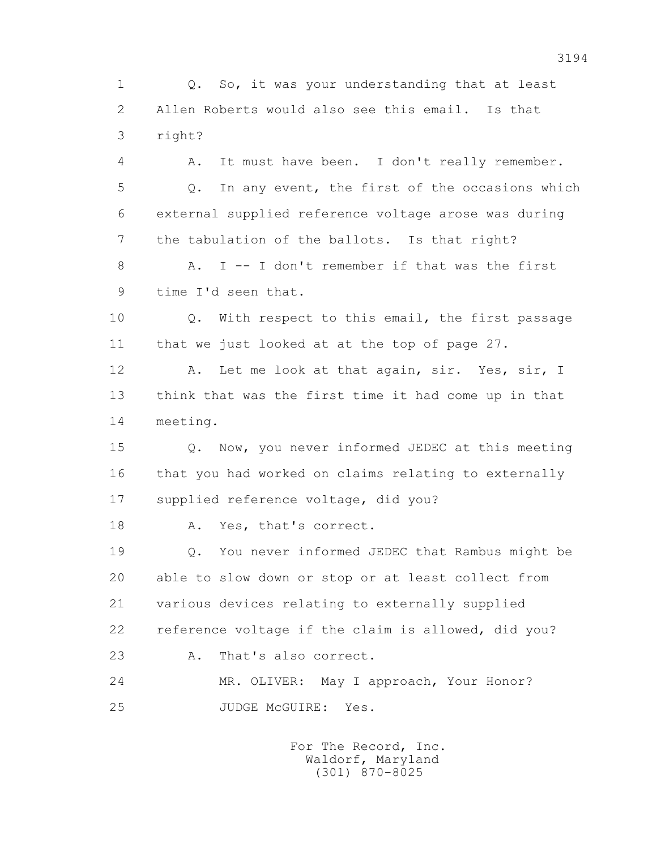1 Q. So, it was your understanding that at least 2 Allen Roberts would also see this email. Is that 3 right?

 4 A. It must have been. I don't really remember. 5 Q. In any event, the first of the occasions which 6 external supplied reference voltage arose was during 7 the tabulation of the ballots. Is that right?

8 A. I -- I don't remember if that was the first 9 time I'd seen that.

 10 Q. With respect to this email, the first passage 11 that we just looked at at the top of page 27.

 12 A. Let me look at that again, sir. Yes, sir, I 13 think that was the first time it had come up in that 14 meeting.

 15 Q. Now, you never informed JEDEC at this meeting 16 that you had worked on claims relating to externally 17 supplied reference voltage, did you?

18 A. Yes, that's correct.

 19 Q. You never informed JEDEC that Rambus might be 20 able to slow down or stop or at least collect from 21 various devices relating to externally supplied 22 reference voltage if the claim is allowed, did you? 23 A. That's also correct.

24 MR. OLIVER: May I approach, Your Honor? 25 JUDGE McGUIRE: Yes.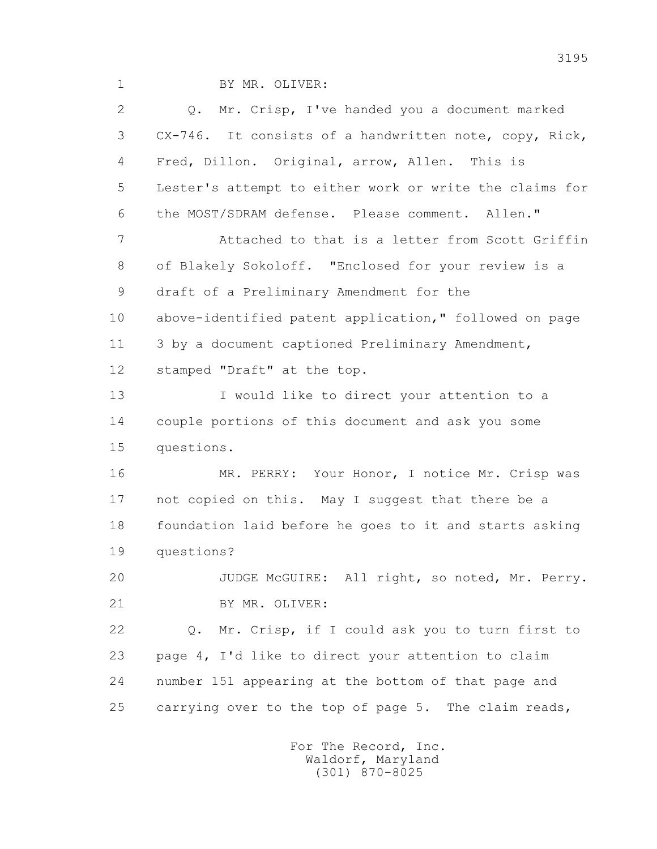1 BY MR. OLIVER:

 2 Q. Mr. Crisp, I've handed you a document marked 3 CX-746. It consists of a handwritten note, copy, Rick, 4 Fred, Dillon. Original, arrow, Allen. This is 5 Lester's attempt to either work or write the claims for 6 the MOST/SDRAM defense. Please comment. Allen." 7 Attached to that is a letter from Scott Griffin 8 of Blakely Sokoloff. "Enclosed for your review is a 9 draft of a Preliminary Amendment for the 10 above-identified patent application," followed on page 11 3 by a document captioned Preliminary Amendment, 12 stamped "Draft" at the top. 13 I would like to direct your attention to a 14 couple portions of this document and ask you some 15 questions. 16 MR. PERRY: Your Honor, I notice Mr. Crisp was 17 not copied on this. May I suggest that there be a 18 foundation laid before he goes to it and starts asking 19 questions? 20 JUDGE McGUIRE: All right, so noted, Mr. Perry. 21 BY MR. OLIVER: 22 Q. Mr. Crisp, if I could ask you to turn first to 23 page 4, I'd like to direct your attention to claim 24 number 151 appearing at the bottom of that page and 25 carrying over to the top of page 5. The claim reads,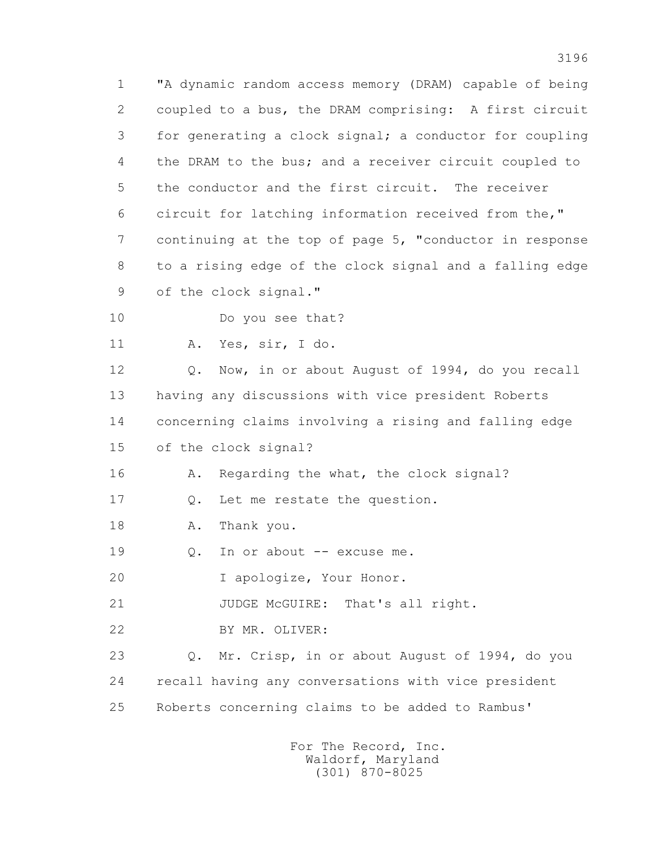1 "A dynamic random access memory (DRAM) capable of being 2 coupled to a bus, the DRAM comprising: A first circuit 3 for generating a clock signal; a conductor for coupling 4 the DRAM to the bus; and a receiver circuit coupled to 5 the conductor and the first circuit. The receiver 6 circuit for latching information received from the," 7 continuing at the top of page 5, "conductor in response 8 to a rising edge of the clock signal and a falling edge 9 of the clock signal."

10 Do you see that?

11 A. Yes, sir, I do.

 12 Q. Now, in or about August of 1994, do you recall 13 having any discussions with vice president Roberts 14 concerning claims involving a rising and falling edge 15 of the clock signal?

16 A. Regarding the what, the clock signal?

17 Q. Let me restate the question.

18 A. Thank you.

19 0. In or about -- excuse me.

20 I apologize, Your Honor.

21 JUDGE McGUIRE: That's all right.

22 BY MR. OLIVER:

 23 Q. Mr. Crisp, in or about August of 1994, do you 24 recall having any conversations with vice president 25 Roberts concerning claims to be added to Rambus'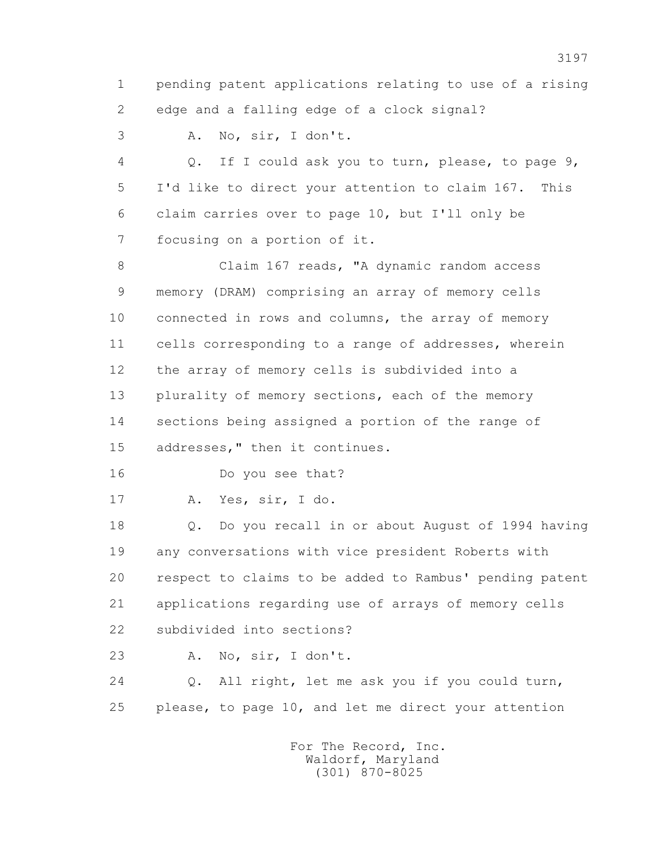1 pending patent applications relating to use of a rising 2 edge and a falling edge of a clock signal?

3 A. No, sir, I don't.

 4 Q. If I could ask you to turn, please, to page 9, 5 I'd like to direct your attention to claim 167. This 6 claim carries over to page 10, but I'll only be 7 focusing on a portion of it.

 8 Claim 167 reads, "A dynamic random access 9 memory (DRAM) comprising an array of memory cells 10 connected in rows and columns, the array of memory 11 cells corresponding to a range of addresses, wherein 12 the array of memory cells is subdivided into a 13 plurality of memory sections, each of the memory 14 sections being assigned a portion of the range of 15 addresses," then it continues.

16 Do you see that?

17 A. Yes, sir, I do.

 18 Q. Do you recall in or about August of 1994 having 19 any conversations with vice president Roberts with 20 respect to claims to be added to Rambus' pending patent 21 applications regarding use of arrays of memory cells 22 subdivided into sections?

23 A. No, sir, I don't.

 24 Q. All right, let me ask you if you could turn, 25 please, to page 10, and let me direct your attention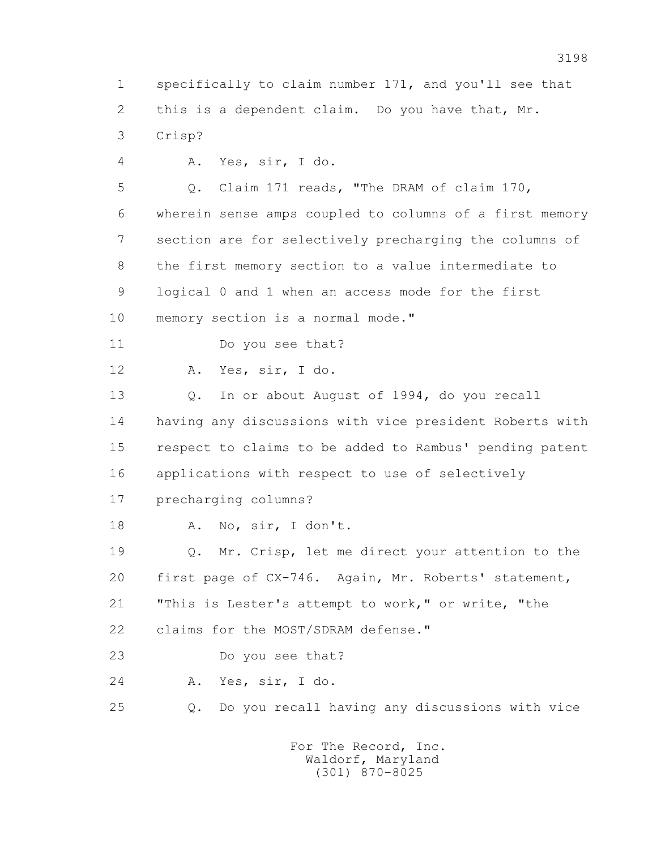2 this is a dependent claim. Do you have that, Mr. 3 Crisp? 4 A. Yes, sir, I do. 5 Q. Claim 171 reads, "The DRAM of claim 170, 6 wherein sense amps coupled to columns of a first memory 7 section are for selectively precharging the columns of 8 the first memory section to a value intermediate to 9 logical 0 and 1 when an access mode for the first 10 memory section is a normal mode." 11 Do you see that? 12 A. Yes, sir, I do. 13 Q. In or about August of 1994, do you recall 14 having any discussions with vice president Roberts with 15 respect to claims to be added to Rambus' pending patent 16 applications with respect to use of selectively 17 precharging columns? 18 A. No, sir, I don't. 19 Q. Mr. Crisp, let me direct your attention to the 20 first page of CX-746. Again, Mr. Roberts' statement, 21 "This is Lester's attempt to work," or write, "the 22 claims for the MOST/SDRAM defense." 23 Do you see that? 24 A. Yes, sir, I do. 25 Q. Do you recall having any discussions with vice For The Record, Inc. Waldorf, Maryland (301) 870-8025

1 specifically to claim number 171, and you'll see that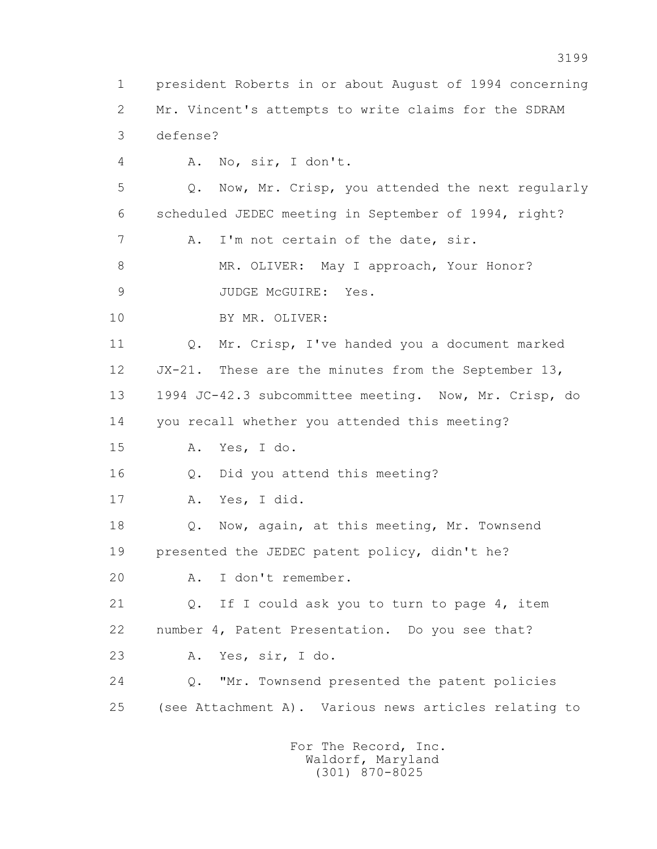1 president Roberts in or about August of 1994 concerning 2 Mr. Vincent's attempts to write claims for the SDRAM 3 defense? 4 A. No, sir, I don't. 5 Q. Now, Mr. Crisp, you attended the next regularly 6 scheduled JEDEC meeting in September of 1994, right? 7 A. I'm not certain of the date, sir. 8 MR. OLIVER: May I approach, Your Honor? 9 JUDGE McGUIRE: Yes. 10 BY MR. OLIVER: 11 Q. Mr. Crisp, I've handed you a document marked 12 JX-21. These are the minutes from the September 13, 13 1994 JC-42.3 subcommittee meeting. Now, Mr. Crisp, do 14 you recall whether you attended this meeting? 15 A. Yes, I do. 16 Q. Did you attend this meeting? 17 A. Yes, I did. 18 Q. Now, again, at this meeting, Mr. Townsend 19 presented the JEDEC patent policy, didn't he? 20 A. I don't remember. 21 Q. If I could ask you to turn to page 4, item 22 number 4, Patent Presentation. Do you see that? 23 A. Yes, sir, I do. 24 Q. "Mr. Townsend presented the patent policies 25 (see Attachment A). Various news articles relating to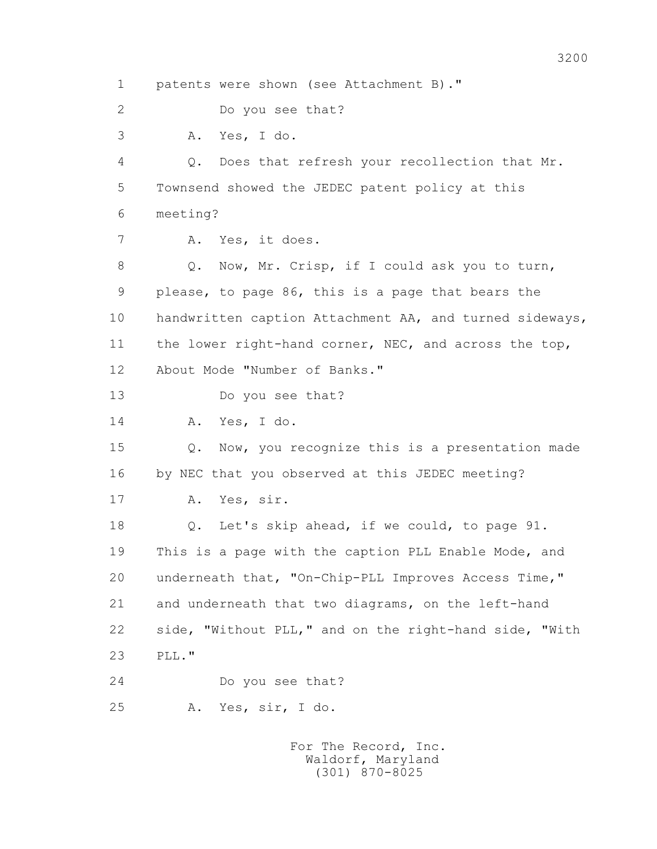1 patents were shown (see Attachment B)." 2 Do you see that? 3 A. Yes, I do. 4 Q. Does that refresh your recollection that Mr. 5 Townsend showed the JEDEC patent policy at this 6 meeting? 7 A. Yes, it does. 8 Q. Now, Mr. Crisp, if I could ask you to turn, 9 please, to page 86, this is a page that bears the 10 handwritten caption Attachment AA, and turned sideways, 11 the lower right-hand corner, NEC, and across the top, 12 About Mode "Number of Banks." 13 Do you see that? 14 A. Yes, I do. 15 Q. Now, you recognize this is a presentation made 16 by NEC that you observed at this JEDEC meeting? 17 A. Yes, sir. 18 Q. Let's skip ahead, if we could, to page 91. 19 This is a page with the caption PLL Enable Mode, and 20 underneath that, "On-Chip-PLL Improves Access Time," 21 and underneath that two diagrams, on the left-hand 22 side, "Without PLL," and on the right-hand side, "With 23 PLL." 24 Do you see that? 25 A. Yes, sir, I do. For The Record, Inc. Waldorf, Maryland

(301) 870-8025

## 3200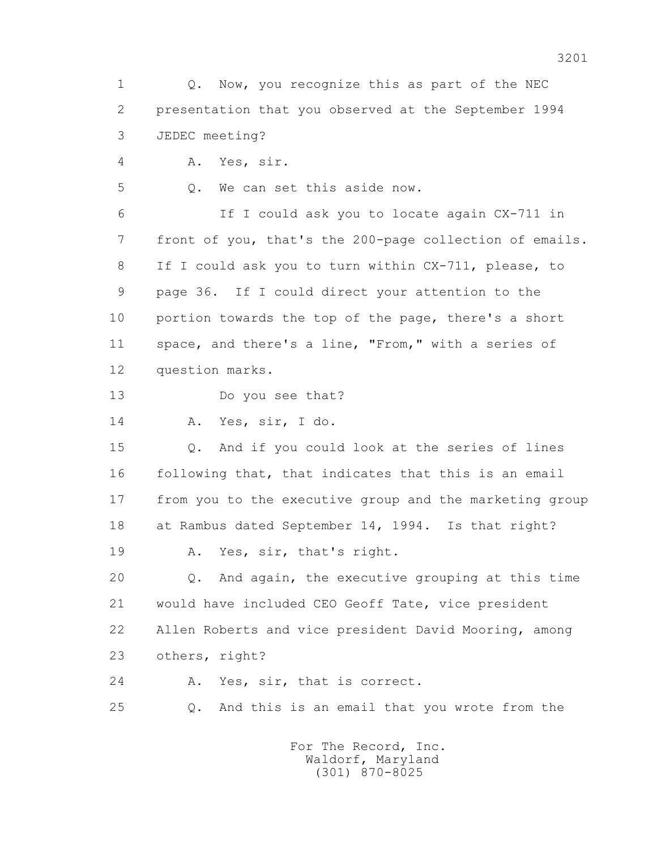1 0. Now, you recognize this as part of the NEC 2 presentation that you observed at the September 1994 3 JEDEC meeting?

4 A. Yes, sir.

5 Q. We can set this aside now.

 6 If I could ask you to locate again CX-711 in 7 front of you, that's the 200-page collection of emails. 8 If I could ask you to turn within CX-711, please, to 9 page 36. If I could direct your attention to the 10 portion towards the top of the page, there's a short 11 space, and there's a line, "From," with a series of 12 question marks.

13 Do you see that?

14 A. Yes, sir, I do.

 15 Q. And if you could look at the series of lines 16 following that, that indicates that this is an email 17 from you to the executive group and the marketing group 18 at Rambus dated September 14, 1994. Is that right?

19 A. Yes, sir, that's right.

 20 Q. And again, the executive grouping at this time 21 would have included CEO Geoff Tate, vice president 22 Allen Roberts and vice president David Mooring, among 23 others, right?

24 A. Yes, sir, that is correct.

25 Q. And this is an email that you wrote from the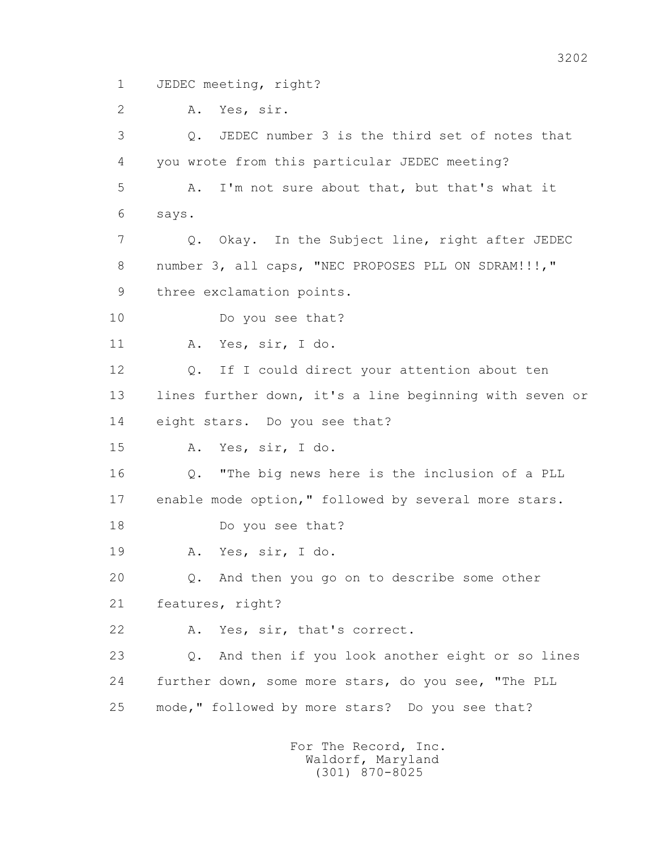1 JEDEC meeting, right?

2 A. Yes, sir.

 3 Q. JEDEC number 3 is the third set of notes that 4 you wrote from this particular JEDEC meeting? 5 A. I'm not sure about that, but that's what it 6 says. 7 Q. Okay. In the Subject line, right after JEDEC 8 number 3, all caps, "NEC PROPOSES PLL ON SDRAM!!!," 9 three exclamation points. 10 Do you see that? 11 A. Yes, sir, I do. 12 Q. If I could direct your attention about ten 13 lines further down, it's a line beginning with seven or 14 eight stars. Do you see that? 15 A. Yes, sir, I do. 16 Q. "The big news here is the inclusion of a PLL 17 enable mode option," followed by several more stars. 18 Do you see that? 19 A. Yes, sir, I do. 20 Q. And then you go on to describe some other 21 features, right? 22 A. Yes, sir, that's correct. 23 Q. And then if you look another eight or so lines 24 further down, some more stars, do you see, "The PLL 25 mode," followed by more stars? Do you see that?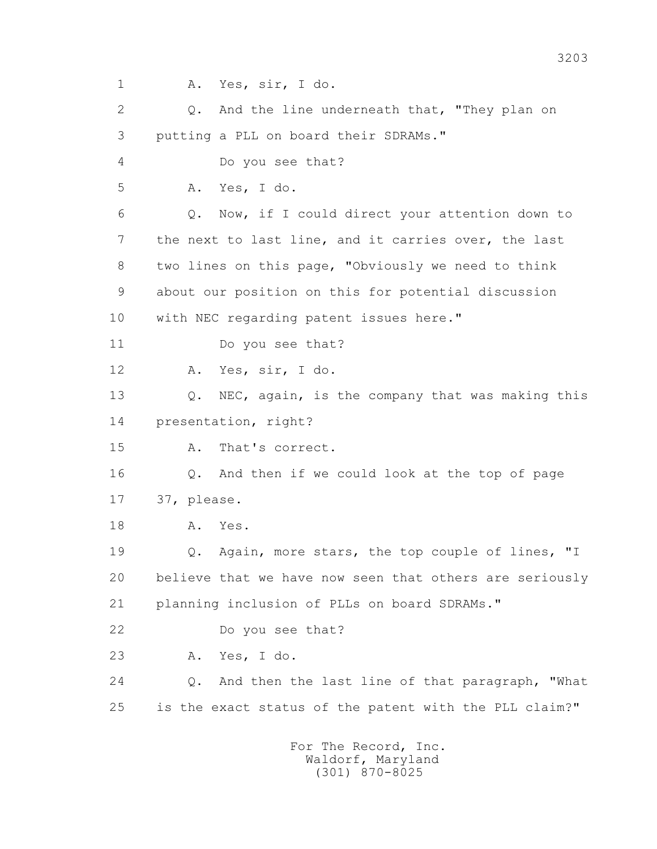1 A. Yes, sir, I do.

2 0. And the line underneath that, "They plan on 3 putting a PLL on board their SDRAMs." 4 Do you see that? 5 A. Yes, I do. 6 Q. Now, if I could direct your attention down to 7 the next to last line, and it carries over, the last 8 two lines on this page, "Obviously we need to think 9 about our position on this for potential discussion 10 with NEC regarding patent issues here." 11 Do you see that? 12 A. Yes, sir, I do. 13 Q. NEC, again, is the company that was making this 14 presentation, right? 15 A. That's correct. 16 Q. And then if we could look at the top of page 17 37, please. 18 A. Yes. 19 0. Again, more stars, the top couple of lines, "I 20 believe that we have now seen that others are seriously 21 planning inclusion of PLLs on board SDRAMs." 22 Do you see that? 23 A. Yes, I do. 24 Q. And then the last line of that paragraph, "What 25 is the exact status of the patent with the PLL claim?"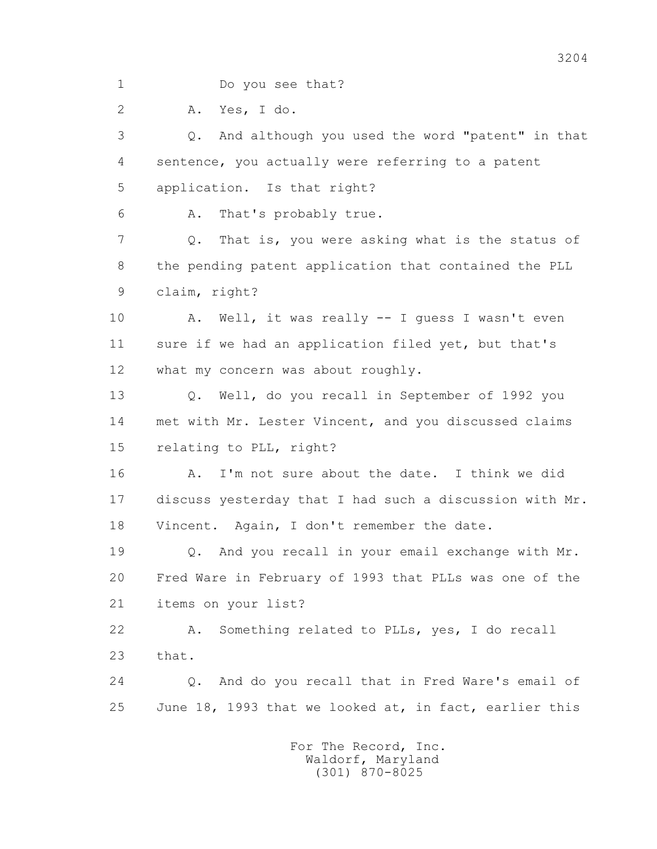1 Do you see that?

2 A. Yes, I do.

 3 Q. And although you used the word "patent" in that 4 sentence, you actually were referring to a patent 5 application. Is that right?

6 A. That's probably true.

 7 Q. That is, you were asking what is the status of 8 the pending patent application that contained the PLL 9 claim, right?

 10 A. Well, it was really -- I guess I wasn't even 11 sure if we had an application filed yet, but that's 12 what my concern was about roughly.

 13 Q. Well, do you recall in September of 1992 you 14 met with Mr. Lester Vincent, and you discussed claims 15 relating to PLL, right?

 16 A. I'm not sure about the date. I think we did 17 discuss yesterday that I had such a discussion with Mr. 18 Vincent. Again, I don't remember the date.

 19 Q. And you recall in your email exchange with Mr. 20 Fred Ware in February of 1993 that PLLs was one of the 21 items on your list?

 22 A. Something related to PLLs, yes, I do recall 23 that.

 24 Q. And do you recall that in Fred Ware's email of 25 June 18, 1993 that we looked at, in fact, earlier this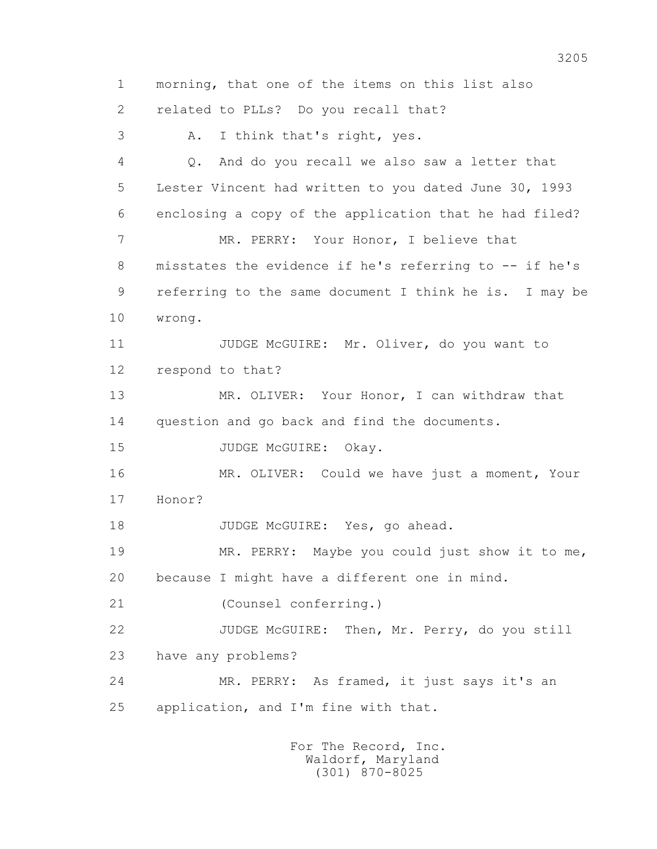1 morning, that one of the items on this list also 2 related to PLLs? Do you recall that? 3 A. I think that's right, yes. 4 Q. And do you recall we also saw a letter that 5 Lester Vincent had written to you dated June 30, 1993 6 enclosing a copy of the application that he had filed? 7 MR. PERRY: Your Honor, I believe that 8 misstates the evidence if he's referring to -- if he's 9 referring to the same document I think he is. I may be 10 wrong. 11 JUDGE McGUIRE: Mr. Oliver, do you want to 12 respond to that? 13 MR. OLIVER: Your Honor, I can withdraw that 14 question and go back and find the documents. 15 JUDGE McGUIRE: Okay. 16 MR. OLIVER: Could we have just a moment, Your 17 Honor? 18 JUDGE McGUIRE: Yes, go ahead. 19 MR. PERRY: Maybe you could just show it to me, 20 because I might have a different one in mind. 21 (Counsel conferring.) 22 JUDGE McGUIRE: Then, Mr. Perry, do you still 23 have any problems? 24 MR. PERRY: As framed, it just says it's an 25 application, and I'm fine with that.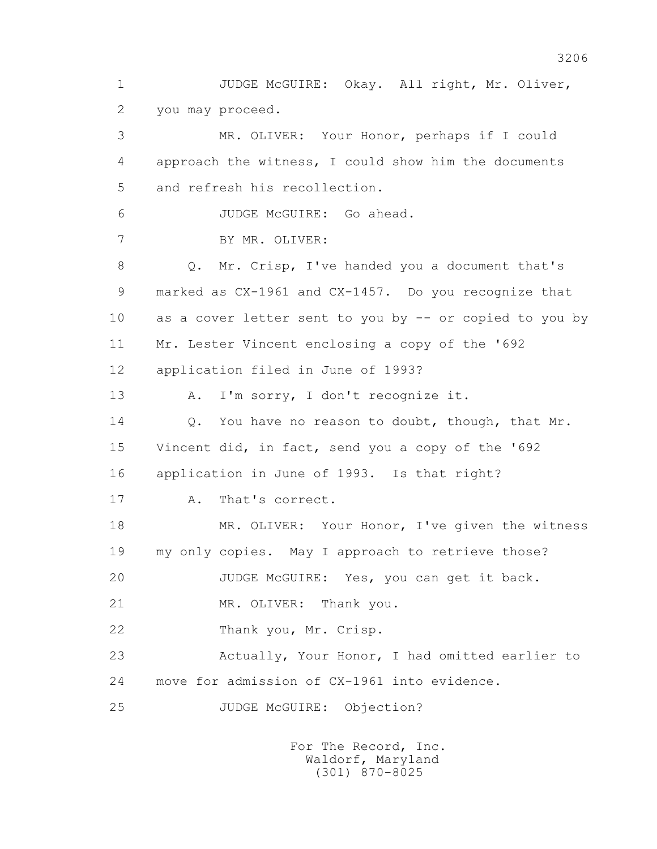1 JUDGE McGUIRE: Okay. All right, Mr. Oliver, 2 you may proceed.

 3 MR. OLIVER: Your Honor, perhaps if I could 4 approach the witness, I could show him the documents 5 and refresh his recollection. 6 JUDGE McGUIRE: Go ahead. 7 BY MR. OLIVER: 8 Q. Mr. Crisp, I've handed you a document that's 9 marked as CX-1961 and CX-1457. Do you recognize that 10 as a cover letter sent to you by -- or copied to you by 11 Mr. Lester Vincent enclosing a copy of the '692 12 application filed in June of 1993? 13 A. I'm sorry, I don't recognize it. 14 0. You have no reason to doubt, though, that Mr. 15 Vincent did, in fact, send you a copy of the '692 16 application in June of 1993. Is that right? 17 A. That's correct. 18 MR. OLIVER: Your Honor, I've given the witness 19 my only copies. May I approach to retrieve those? 20 JUDGE McGUIRE: Yes, you can get it back. 21 MR. OLIVER: Thank you. 22 Thank you, Mr. Crisp. 23 Actually, Your Honor, I had omitted earlier to 24 move for admission of CX-1961 into evidence. 25 JUDGE McGUIRE: Objection?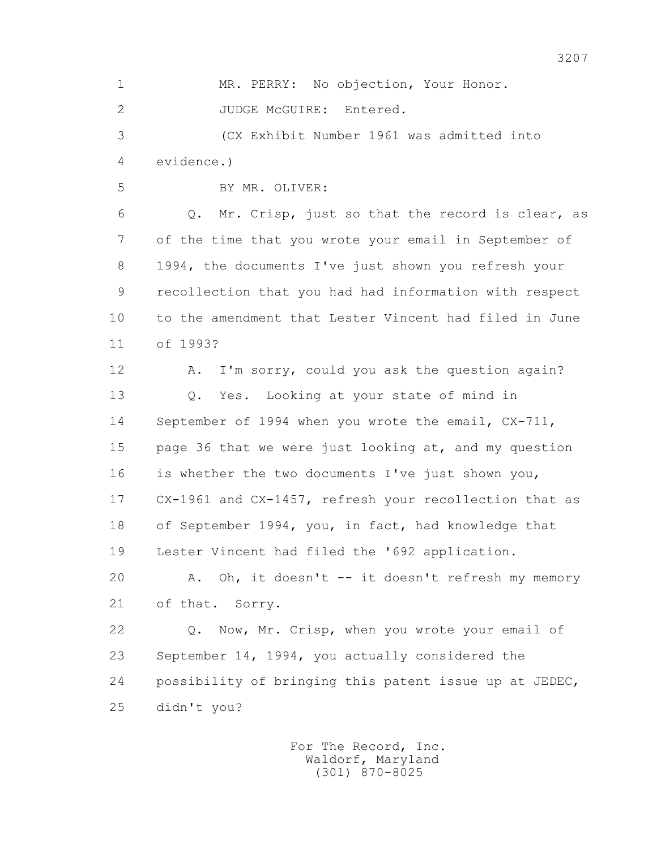1 MR. PERRY: No objection, Your Honor. 2 JUDGE McGUIRE: Entered. 3 (CX Exhibit Number 1961 was admitted into 4 evidence.) 5 BY MR. OLIVER: 6 Q. Mr. Crisp, just so that the record is clear, as 7 of the time that you wrote your email in September of 8 1994, the documents I've just shown you refresh your 9 recollection that you had had information with respect 10 to the amendment that Lester Vincent had filed in June 11 of 1993? 12 A. I'm sorry, could you ask the question again? 13 Q. Yes. Looking at your state of mind in 14 September of 1994 when you wrote the email, CX-711, 15 page 36 that we were just looking at, and my question 16 is whether the two documents I've just shown you, 17 CX-1961 and CX-1457, refresh your recollection that as 18 of September 1994, you, in fact, had knowledge that 19 Lester Vincent had filed the '692 application. 20 A. Oh, it doesn't -- it doesn't refresh my memory 21 of that. Sorry. 22 Q. Now, Mr. Crisp, when you wrote your email of 23 September 14, 1994, you actually considered the 24 possibility of bringing this patent issue up at JEDEC, 25 didn't you? For The Record, Inc.

 Waldorf, Maryland (301) 870-8025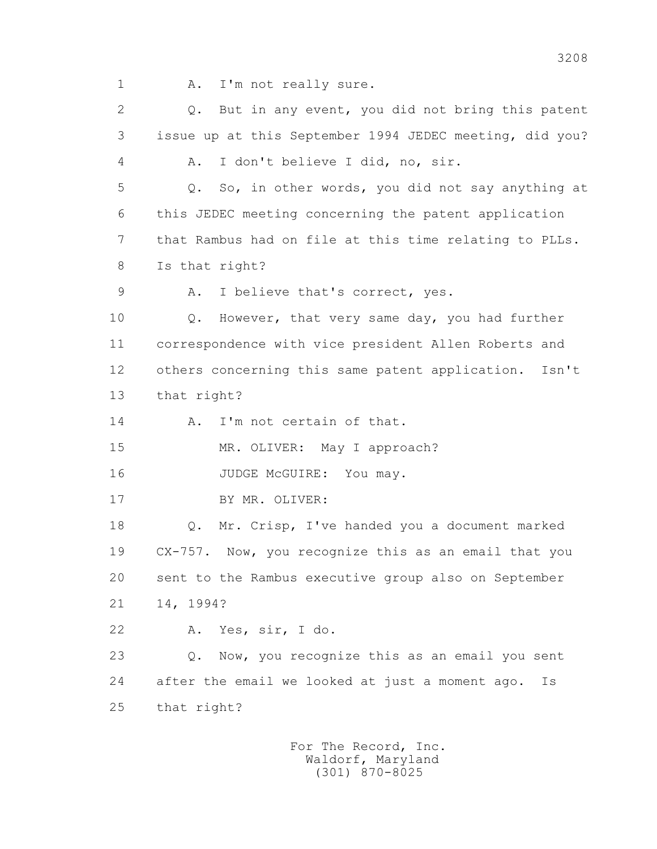1 A. I'm not really sure.

 2 Q. But in any event, you did not bring this patent 3 issue up at this September 1994 JEDEC meeting, did you? 4 A. I don't believe I did, no, sir. 5 Q. So, in other words, you did not say anything at 6 this JEDEC meeting concerning the patent application 7 that Rambus had on file at this time relating to PLLs. 8 Is that right? 9 A. I believe that's correct, yes. 10 Q. However, that very same day, you had further 11 correspondence with vice president Allen Roberts and 12 others concerning this same patent application. Isn't 13 that right? 14 A. I'm not certain of that. 15 MR. OLIVER: May I approach? 16 JUDGE McGUIRE: You may. 17 BY MR. OLIVER: 18 Q. Mr. Crisp, I've handed you a document marked 19 CX-757. Now, you recognize this as an email that you 20 sent to the Rambus executive group also on September 21 14, 1994? 22 A. Yes, sir, I do. 23 Q. Now, you recognize this as an email you sent 24 after the email we looked at just a moment ago. Is 25 that right?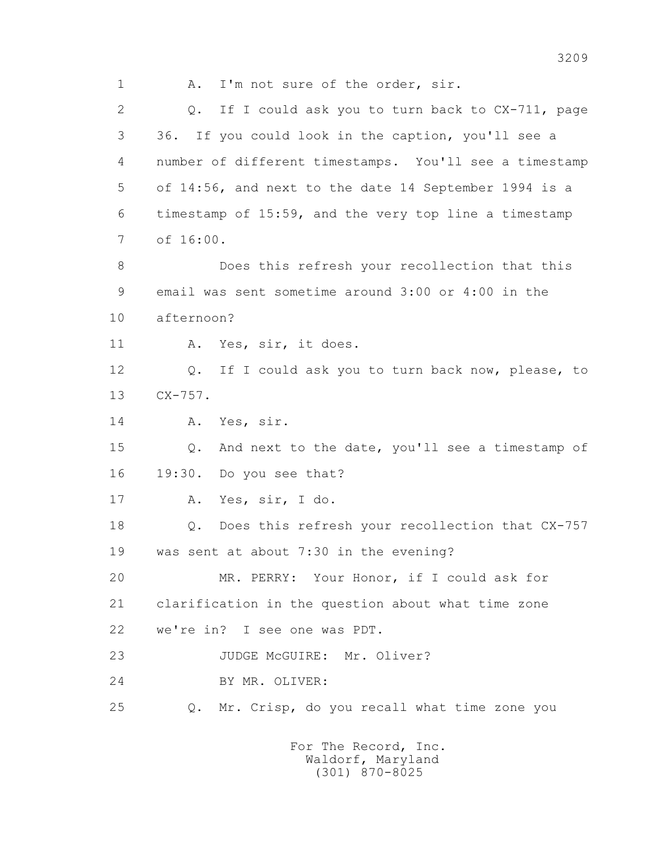1 A. I'm not sure of the order, sir. 2 Q. If I could ask you to turn back to CX-711, page 3 36. If you could look in the caption, you'll see a 4 number of different timestamps. You'll see a timestamp 5 of 14:56, and next to the date 14 September 1994 is a 6 timestamp of 15:59, and the very top line a timestamp 7 of 16:00. 8 Does this refresh your recollection that this 9 email was sent sometime around 3:00 or 4:00 in the 10 afternoon? 11 A. Yes, sir, it does. 12 Q. If I could ask you to turn back now, please, to 13 CX-757. 14 A. Yes, sir. 15 Q. And next to the date, you'll see a timestamp of 16 19:30. Do you see that? 17 A. Yes, sir, I do. 18 Q. Does this refresh your recollection that CX-757 19 was sent at about 7:30 in the evening? 20 MR. PERRY: Your Honor, if I could ask for 21 clarification in the question about what time zone 22 we're in? I see one was PDT. 23 JUDGE McGUIRE: Mr. Oliver? 24 BY MR. OLIVER: 25 Q. Mr. Crisp, do you recall what time zone you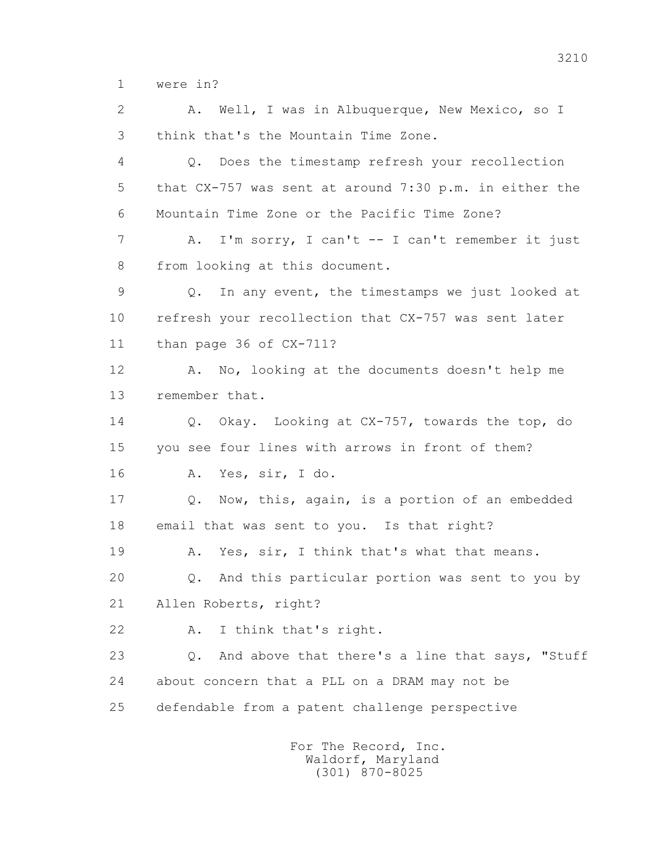1 were in?

 2 A. Well, I was in Albuquerque, New Mexico, so I 3 think that's the Mountain Time Zone. 4 Q. Does the timestamp refresh your recollection 5 that CX-757 was sent at around 7:30 p.m. in either the 6 Mountain Time Zone or the Pacific Time Zone? 7 A. I'm sorry, I can't -- I can't remember it just 8 from looking at this document. 9 Q. In any event, the timestamps we just looked at 10 refresh your recollection that CX-757 was sent later 11 than page 36 of CX-711? 12 A. No, looking at the documents doesn't help me 13 remember that. 14 Q. Okay. Looking at CX-757, towards the top, do 15 you see four lines with arrows in front of them? 16 A. Yes, sir, I do. 17 Q. Now, this, again, is a portion of an embedded 18 email that was sent to you. Is that right? 19 A. Yes, sir, I think that's what that means. 20 Q. And this particular portion was sent to you by 21 Allen Roberts, right? 22 A. I think that's right. 23 Q. And above that there's a line that says, "Stuff 24 about concern that a PLL on a DRAM may not be 25 defendable from a patent challenge perspective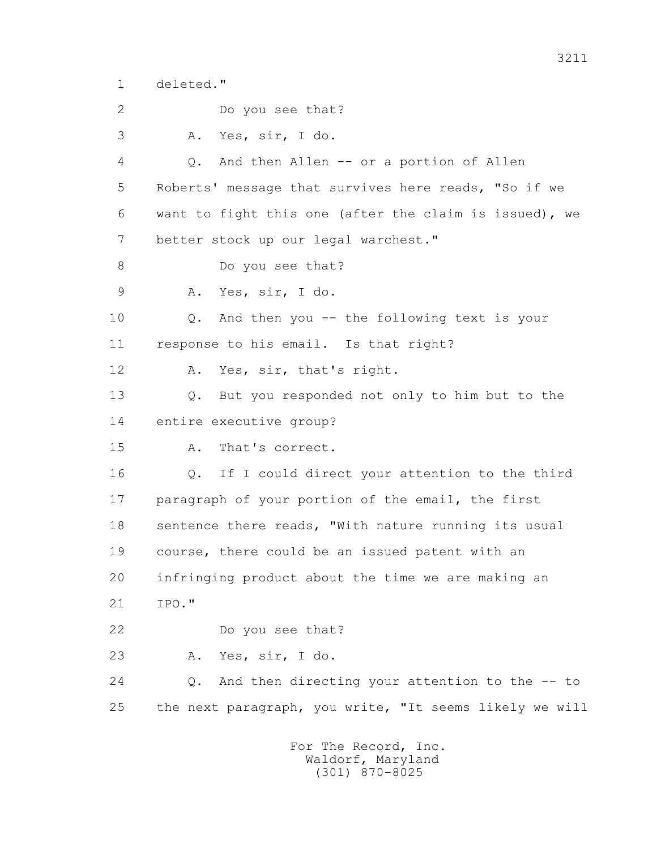1 deleted."

2 Do you see that?

3 A. Yes, sir, I do.

 4 Q. And then Allen -- or a portion of Allen 5 Roberts' message that survives here reads, "So if we 6 want to fight this one (after the claim is issued), we 7 better stock up our legal warchest."

8 Do you see that?

9 A. Yes, sir, I do.

 10 Q. And then you -- the following text is your 11 response to his email. Is that right?

12 A. Yes, sir, that's right.

 13 Q. But you responded not only to him but to the 14 entire executive group?

15 A. That's correct.

 16 Q. If I could direct your attention to the third 17 paragraph of your portion of the email, the first 18 sentence there reads, "With nature running its usual 19 course, there could be an issued patent with an 20 infringing product about the time we are making an 21 IPO."

22 Do you see that?

23 A. Yes, sir, I do.

 24 Q. And then directing your attention to the -- to 25 the next paragraph, you write, "It seems likely we will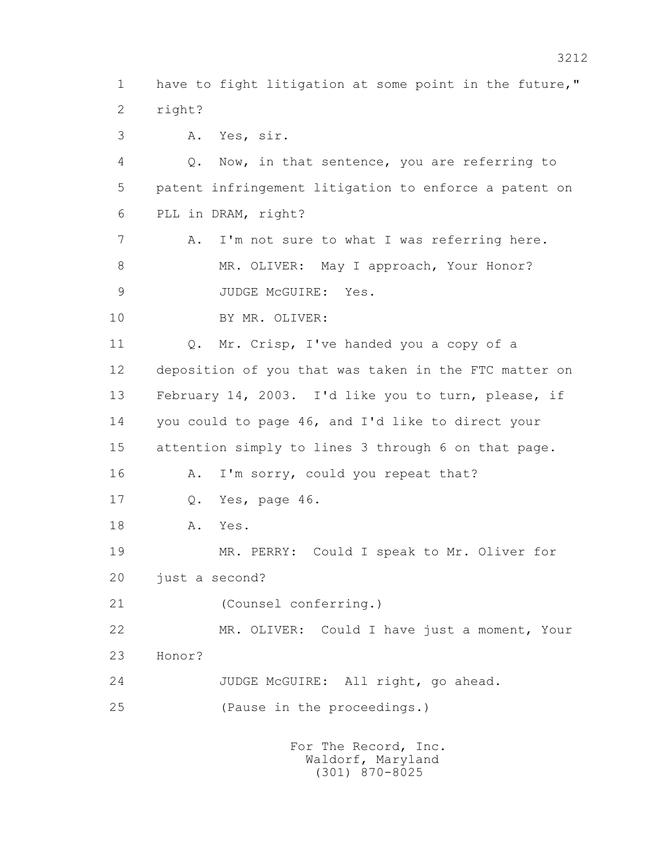1 have to fight litigation at some point in the future," 2 right?

3 A. Yes, sir.

 4 Q. Now, in that sentence, you are referring to 5 patent infringement litigation to enforce a patent on 6 PLL in DRAM, right?

 7 A. I'm not sure to what I was referring here. 8 MR. OLIVER: May I approach, Your Honor? 9 JUDGE McGUIRE: Yes.

10 BY MR. OLIVER:

 11 Q. Mr. Crisp, I've handed you a copy of a 12 deposition of you that was taken in the FTC matter on 13 February 14, 2003. I'd like you to turn, please, if 14 you could to page 46, and I'd like to direct your 15 attention simply to lines 3 through 6 on that page. 16 A. I'm sorry, could you repeat that? 17 Q. Yes, page 46. 18 A. Yes.

 19 MR. PERRY: Could I speak to Mr. Oliver for 20 just a second?

21 (Counsel conferring.)

 22 MR. OLIVER: Could I have just a moment, Your 23 Honor?

24 JUDGE McGUIRE: All right, go ahead.

25 (Pause in the proceedings.)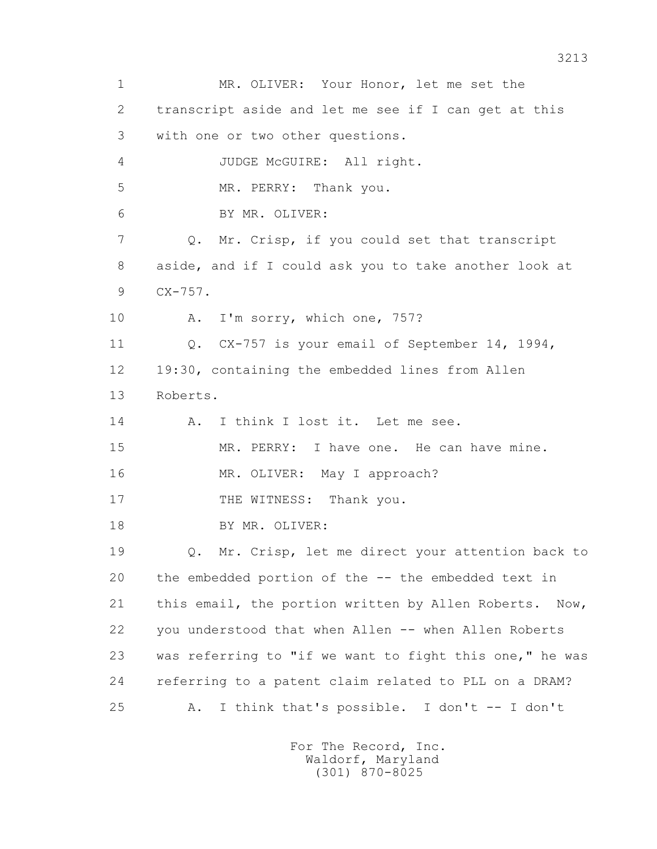1 MR. OLIVER: Your Honor, let me set the 2 transcript aside and let me see if I can get at this 3 with one or two other questions. 4 JUDGE McGUIRE: All right. 5 MR. PERRY: Thank you. 6 BY MR. OLIVER: 7 Q. Mr. Crisp, if you could set that transcript 8 aside, and if I could ask you to take another look at 9 CX-757. 10 A. I'm sorry, which one, 757? 11 Q. CX-757 is your email of September 14, 1994, 12 19:30, containing the embedded lines from Allen 13 Roberts. 14 A. I think I lost it. Let me see. 15 MR. PERRY: I have one. He can have mine. 16 MR. OLIVER: May I approach? 17 THE WITNESS: Thank you. 18 BY MR. OLIVER: 19 Q. Mr. Crisp, let me direct your attention back to 20 the embedded portion of the -- the embedded text in 21 this email, the portion written by Allen Roberts. Now, 22 you understood that when Allen -- when Allen Roberts 23 was referring to "if we want to fight this one," he was 24 referring to a patent claim related to PLL on a DRAM? 25 A. I think that's possible. I don't -- I don't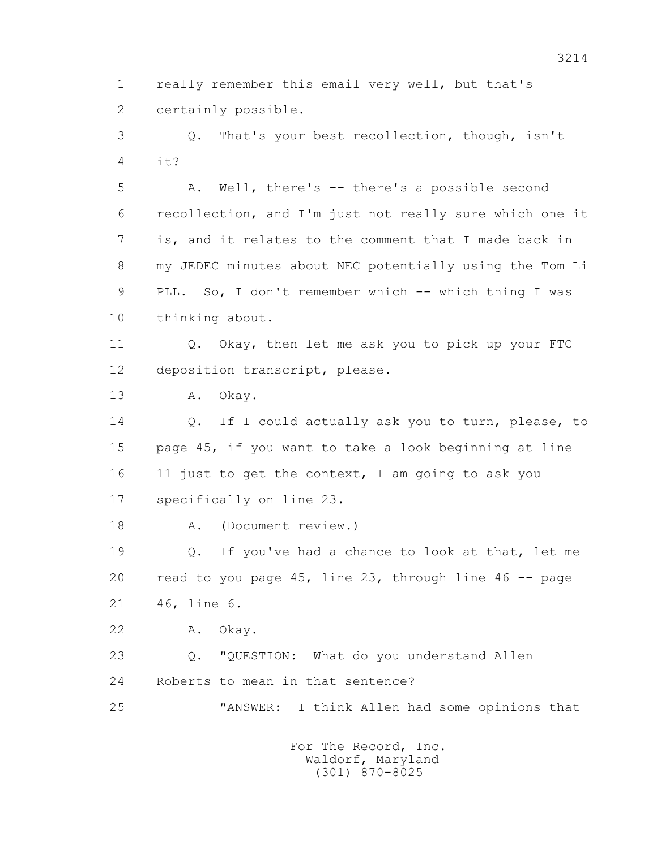1 really remember this email very well, but that's 2 certainly possible.

 3 Q. That's your best recollection, though, isn't 4  $\mathbf{i} + 2$ 

 5 A. Well, there's -- there's a possible second 6 recollection, and I'm just not really sure which one it 7 is, and it relates to the comment that I made back in 8 my JEDEC minutes about NEC potentially using the Tom Li 9 PLL. So, I don't remember which -- which thing I was 10 thinking about.

 11 Q. Okay, then let me ask you to pick up your FTC 12 deposition transcript, please.

13 A. Okay.

 14 Q. If I could actually ask you to turn, please, to 15 page 45, if you want to take a look beginning at line 16 11 just to get the context, I am going to ask you 17 specifically on line 23.

18 A. (Document review.)

 19 Q. If you've had a chance to look at that, let me 20 read to you page 45, line 23, through line 46 -- page 21 46, line 6.

22 A. Okay.

 23 Q. "QUESTION: What do you understand Allen 24 Roberts to mean in that sentence?

25 "ANSWER: I think Allen had some opinions that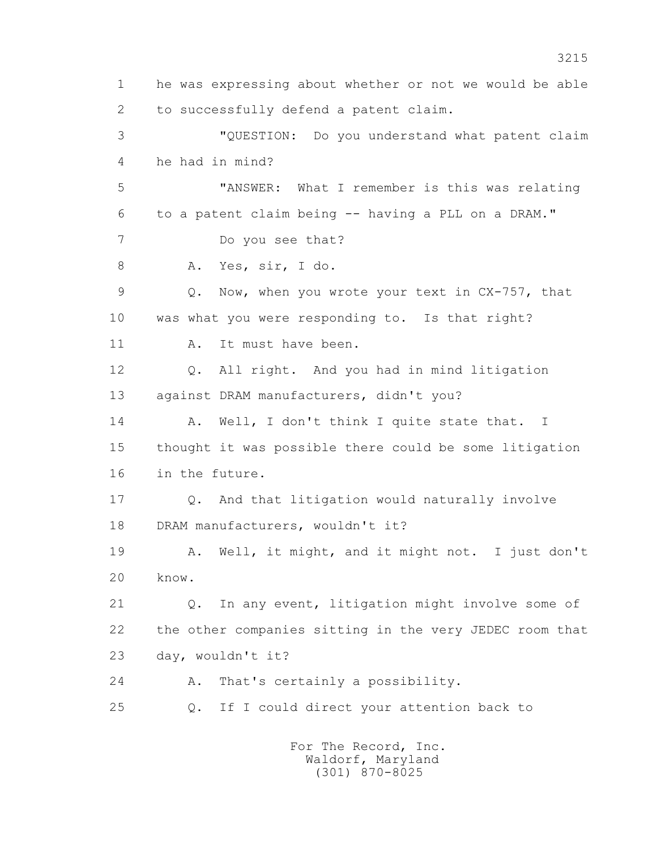1 he was expressing about whether or not we would be able 2 to successfully defend a patent claim. 3 "QUESTION: Do you understand what patent claim 4 he had in mind? 5 "ANSWER: What I remember is this was relating 6 to a patent claim being -- having a PLL on a DRAM." 7 Do you see that? 8 A. Yes, sir, I do. 9 Q. Now, when you wrote your text in CX-757, that 10 was what you were responding to. Is that right? 11 A. It must have been. 12 Q. All right. And you had in mind litigation 13 against DRAM manufacturers, didn't you? 14 A. Well, I don't think I quite state that. I 15 thought it was possible there could be some litigation 16 in the future. 17 Q. And that litigation would naturally involve 18 DRAM manufacturers, wouldn't it? 19 A. Well, it might, and it might not. I just don't 20 know. 21 Q. In any event, litigation might involve some of 22 the other companies sitting in the very JEDEC room that 23 day, wouldn't it? 24 A. That's certainly a possibility. 25 Q. If I could direct your attention back to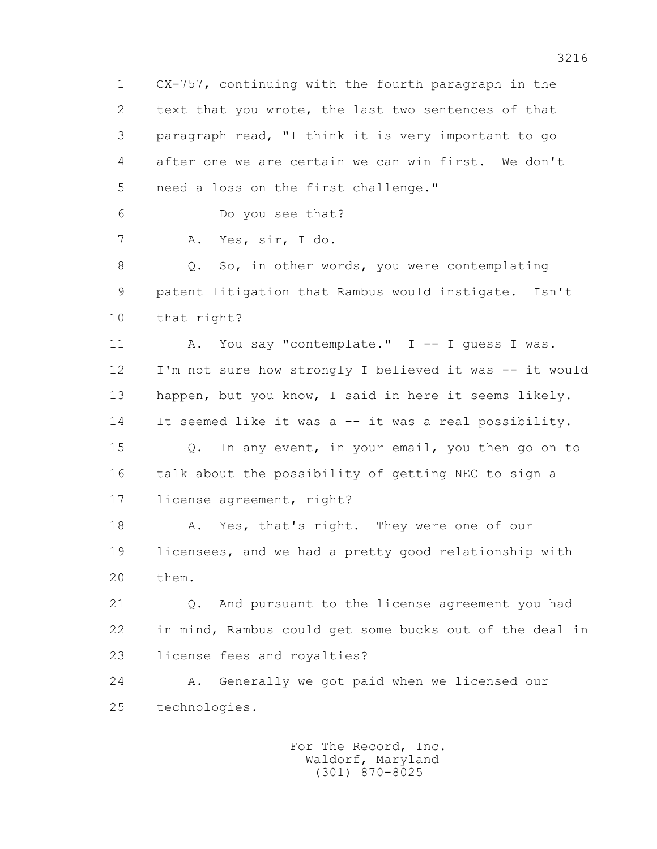1 CX-757, continuing with the fourth paragraph in the 2 text that you wrote, the last two sentences of that 3 paragraph read, "I think it is very important to go 4 after one we are certain we can win first. We don't 5 need a loss on the first challenge."

6 Do you see that?

7 A. Yes, sir, I do.

8 Q. So, in other words, you were contemplating 9 patent litigation that Rambus would instigate. Isn't 10 that right?

11 A. You say "contemplate." I -- I quess I was. 12 I'm not sure how strongly I believed it was -- it would 13 happen, but you know, I said in here it seems likely. 14 It seemed like it was a -- it was a real possibility.

 15 Q. In any event, in your email, you then go on to 16 talk about the possibility of getting NEC to sign a 17 license agreement, right?

18 A. Yes, that's right. They were one of our 19 licensees, and we had a pretty good relationship with 20 them.

 21 Q. And pursuant to the license agreement you had 22 in mind, Rambus could get some bucks out of the deal in 23 license fees and royalties?

 24 A. Generally we got paid when we licensed our 25 technologies.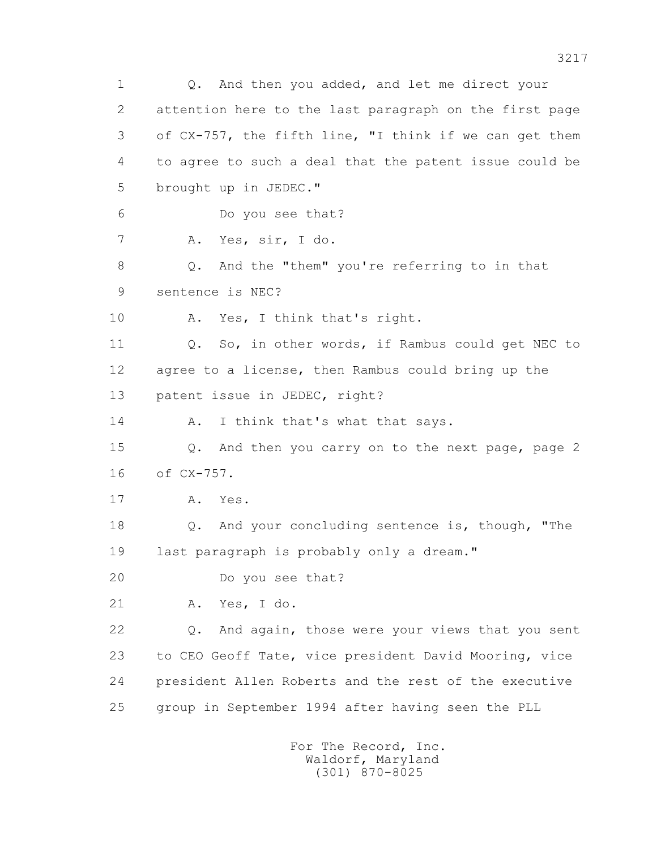1 0. And then you added, and let me direct your 2 attention here to the last paragraph on the first page 3 of CX-757, the fifth line, "I think if we can get them 4 to agree to such a deal that the patent issue could be 5 brought up in JEDEC." 6 Do you see that? 7 A. Yes, sir, I do. 8 Q. And the "them" you're referring to in that 9 sentence is NEC? 10 A. Yes, I think that's right. 11 Q. So, in other words, if Rambus could get NEC to 12 agree to a license, then Rambus could bring up the 13 patent issue in JEDEC, right? 14 A. I think that's what that says. 15 Q. And then you carry on to the next page, page 2 16 of CX-757. 17 A. Yes. 18 Q. And your concluding sentence is, though, "The 19 last paragraph is probably only a dream." 20 Do you see that? 21 A. Yes, I do. 22 Q. And again, those were your views that you sent 23 to CEO Geoff Tate, vice president David Mooring, vice 24 president Allen Roberts and the rest of the executive 25 group in September 1994 after having seen the PLL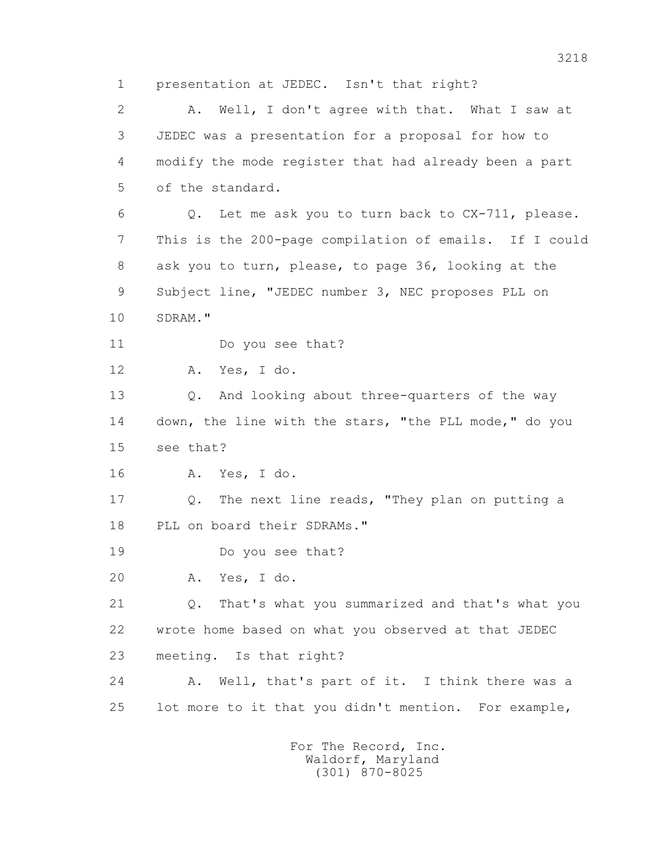1 presentation at JEDEC. Isn't that right? 2 A. Well, I don't agree with that. What I saw at 3 JEDEC was a presentation for a proposal for how to 4 modify the mode register that had already been a part 5 of the standard. 6 Q. Let me ask you to turn back to CX-711, please. 7 This is the 200-page compilation of emails. If I could 8 ask you to turn, please, to page 36, looking at the 9 Subject line, "JEDEC number 3, NEC proposes PLL on 10 SDRAM." 11 Do you see that? 12 A. Yes, I do. 13 Q. And looking about three-quarters of the way 14 down, the line with the stars, "the PLL mode," do you 15 see that? 16 A. Yes, I do. 17 Q. The next line reads, "They plan on putting a 18 PLL on board their SDRAMs." 19 Do you see that? 20 A. Yes, I do. 21 Q. That's what you summarized and that's what you 22 wrote home based on what you observed at that JEDEC 23 meeting. Is that right? 24 A. Well, that's part of it. I think there was a 25 lot more to it that you didn't mention. For example,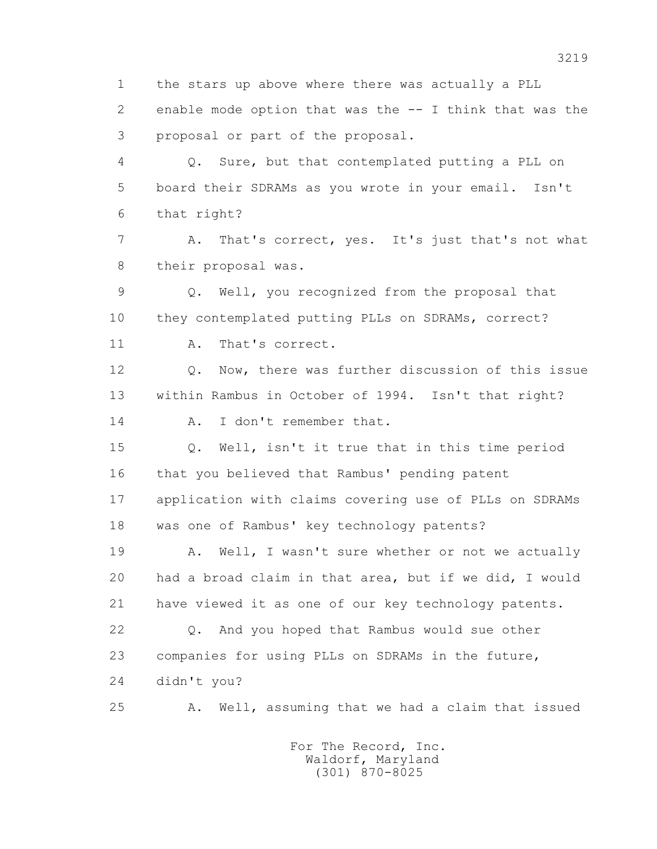2 enable mode option that was the -- I think that was the 3 proposal or part of the proposal. 4 Q. Sure, but that contemplated putting a PLL on 5 board their SDRAMs as you wrote in your email. Isn't 6 that right? 7 A. That's correct, yes. It's just that's not what 8 their proposal was. 9 Q. Well, you recognized from the proposal that 10 they contemplated putting PLLs on SDRAMs, correct? 11 A. That's correct. 12 Q. Now, there was further discussion of this issue 13 within Rambus in October of 1994. Isn't that right? 14 A. I don't remember that. 15 Q. Well, isn't it true that in this time period 16 that you believed that Rambus' pending patent

1 the stars up above where there was actually a PLL

 17 application with claims covering use of PLLs on SDRAMs 18 was one of Rambus' key technology patents?

19 A. Well, I wasn't sure whether or not we actually 20 had a broad claim in that area, but if we did, I would 21 have viewed it as one of our key technology patents.

 22 Q. And you hoped that Rambus would sue other 23 companies for using PLLs on SDRAMs in the future, 24 didn't you?

25 A. Well, assuming that we had a claim that issued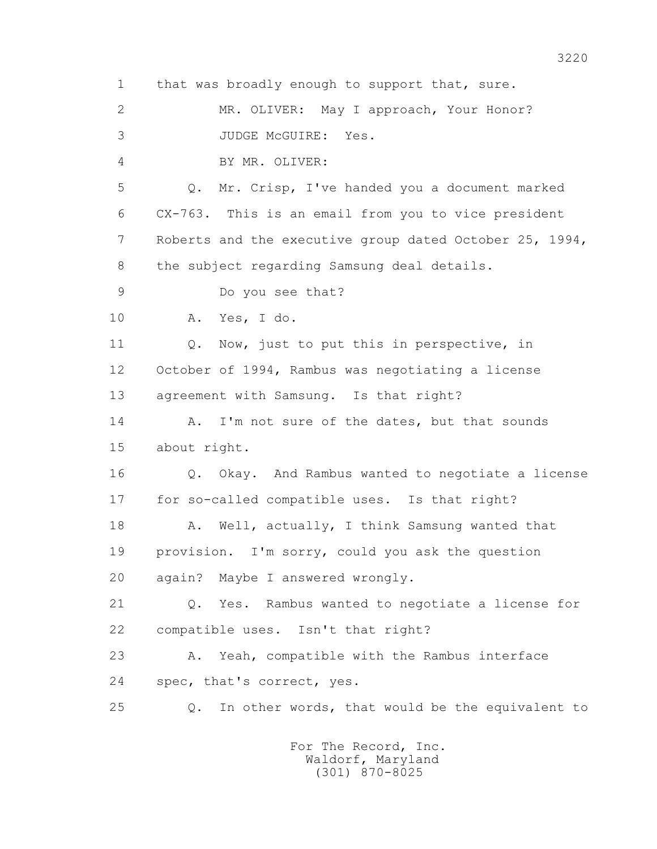1 that was broadly enough to support that, sure. 2 MR. OLIVER: May I approach, Your Honor? 3 JUDGE McGUIRE: Yes. 4 BY MR. OLIVER: 5 Q. Mr. Crisp, I've handed you a document marked 6 CX-763. This is an email from you to vice president 7 Roberts and the executive group dated October 25, 1994, 8 the subject regarding Samsung deal details. 9 Do you see that? 10 A. Yes, I do. 11 Q. Now, just to put this in perspective, in 12 October of 1994, Rambus was negotiating a license 13 agreement with Samsung. Is that right? 14 A. I'm not sure of the dates, but that sounds 15 about right. 16 Q. Okay. And Rambus wanted to negotiate a license 17 for so-called compatible uses. Is that right? 18 A. Well, actually, I think Samsung wanted that 19 provision. I'm sorry, could you ask the question 20 again? Maybe I answered wrongly. 21 Q. Yes. Rambus wanted to negotiate a license for 22 compatible uses. Isn't that right? 23 A. Yeah, compatible with the Rambus interface 24 spec, that's correct, yes. 25 Q. In other words, that would be the equivalent to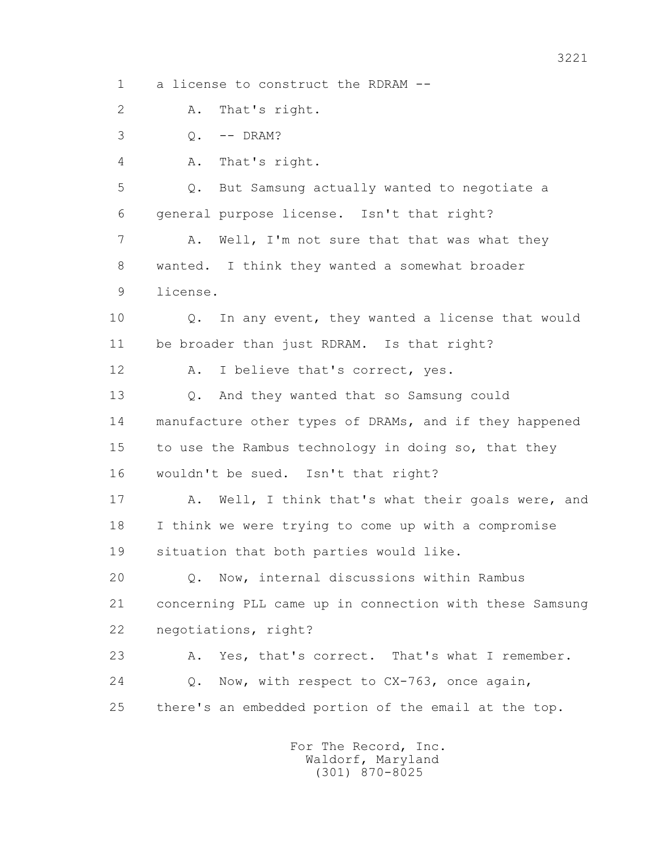1 a license to construct the RDRAM --

2 A. That's right.

3 Q. -- DRAM?

4 A. That's right.

 5 Q. But Samsung actually wanted to negotiate a 6 general purpose license. Isn't that right?

7 A. Well, I'm not sure that that was what they 8 wanted. I think they wanted a somewhat broader 9 license.

 10 Q. In any event, they wanted a license that would 11 be broader than just RDRAM. Is that right?

12 A. I believe that's correct, yes.

 13 Q. And they wanted that so Samsung could 14 manufacture other types of DRAMs, and if they happened 15 to use the Rambus technology in doing so, that they 16 wouldn't be sued. Isn't that right?

17 A. Well, I think that's what their goals were, and 18 I think we were trying to come up with a compromise 19 situation that both parties would like.

 20 Q. Now, internal discussions within Rambus 21 concerning PLL came up in connection with these Samsung 22 negotiations, right?

 23 A. Yes, that's correct. That's what I remember. 24 Q. Now, with respect to CX-763, once again, 25 there's an embedded portion of the email at the top.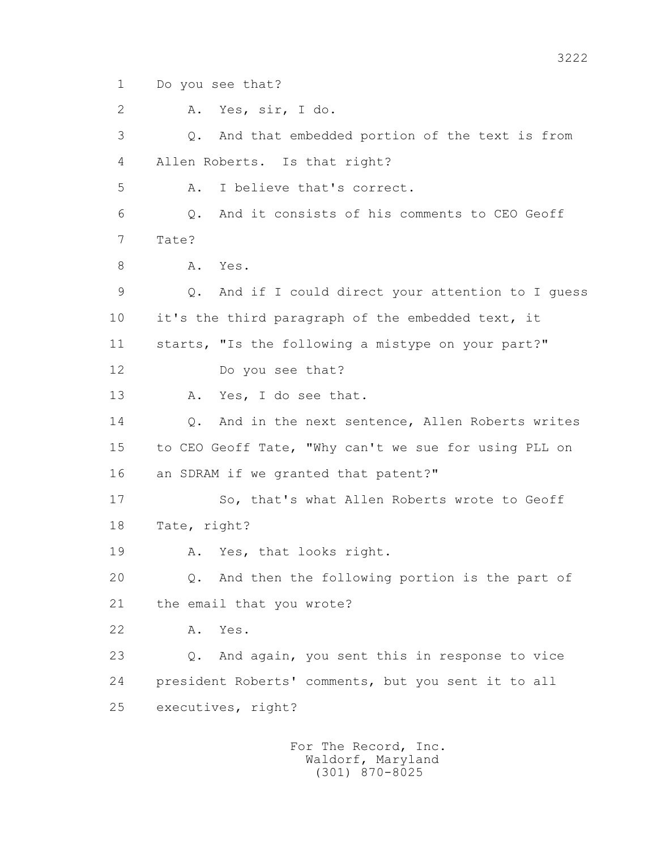1 Do you see that?

2 A. Yes, sir, I do.

 3 Q. And that embedded portion of the text is from 4 Allen Roberts. Is that right? 5 A. I believe that's correct. 6 Q. And it consists of his comments to CEO Geoff 7 Tate? 8 A. Yes. 9 Q. And if I could direct your attention to I guess 10 it's the third paragraph of the embedded text, it 11 starts, "Is the following a mistype on your part?" 12 Do you see that? 13 A. Yes, I do see that. 14 0. And in the next sentence, Allen Roberts writes 15 to CEO Geoff Tate, "Why can't we sue for using PLL on 16 an SDRAM if we granted that patent?" 17 So, that's what Allen Roberts wrote to Geoff 18 Tate, right? 19 A. Yes, that looks right. 20 Q. And then the following portion is the part of 21 the email that you wrote? 22 A. Yes. 23 Q. And again, you sent this in response to vice 24 president Roberts' comments, but you sent it to all 25 executives, right?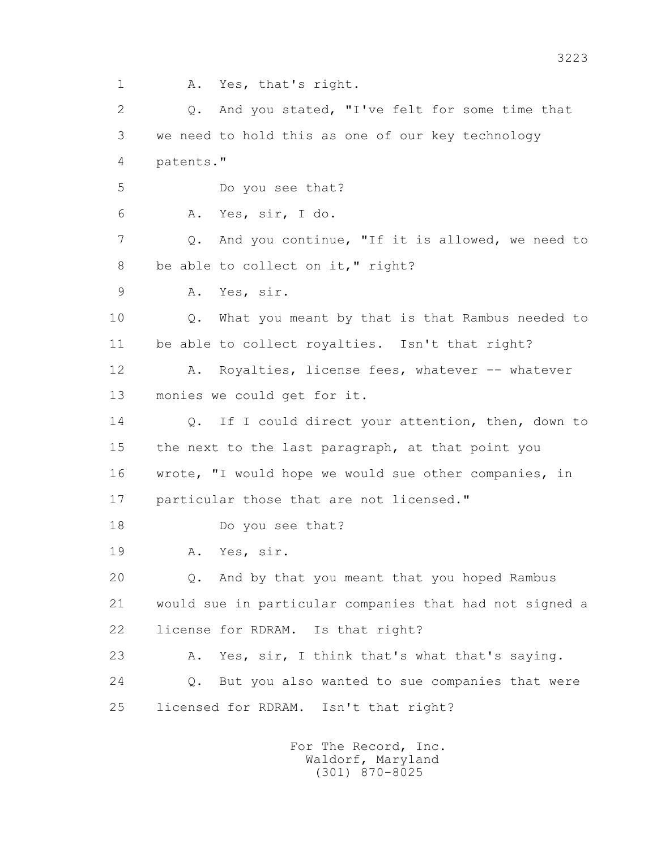1 A. Yes, that's right. 2 0. And you stated, "I've felt for some time that 3 we need to hold this as one of our key technology 4 patents." 5 Do you see that? 6 A. Yes, sir, I do. 7 Q. And you continue, "If it is allowed, we need to 8 be able to collect on it," right? 9 A. Yes, sir. 10 Q. What you meant by that is that Rambus needed to 11 be able to collect royalties. Isn't that right? 12 A. Royalties, license fees, whatever -- whatever 13 monies we could get for it. 14 0. If I could direct your attention, then, down to 15 the next to the last paragraph, at that point you 16 wrote, "I would hope we would sue other companies, in 17 particular those that are not licensed." 18 Do you see that? 19 A. Yes, sir. 20 Q. And by that you meant that you hoped Rambus 21 would sue in particular companies that had not signed a 22 license for RDRAM. Is that right? 23 A. Yes, sir, I think that's what that's saying. 24 Q. But you also wanted to sue companies that were 25 licensed for RDRAM. Isn't that right?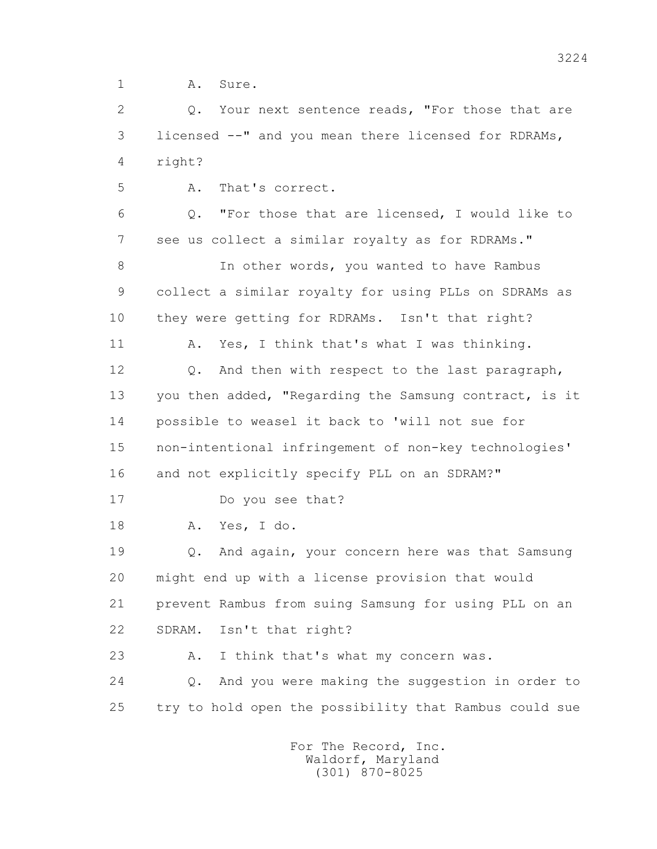1 A. Sure.

2 0. Your next sentence reads, "For those that are 3 licensed --" and you mean there licensed for RDRAMs, 4 right?

5 A. That's correct.

 6 Q. "For those that are licensed, I would like to 7 see us collect a similar royalty as for RDRAMs."

8 In other words, you wanted to have Rambus 9 collect a similar royalty for using PLLs on SDRAMs as 10 they were getting for RDRAMs. Isn't that right?

11 A. Yes, I think that's what I was thinking.

12 Q. And then with respect to the last paragraph, 13 you then added, "Regarding the Samsung contract, is it 14 possible to weasel it back to 'will not sue for 15 non-intentional infringement of non-key technologies'

16 and not explicitly specify PLL on an SDRAM?"

17 Do you see that?

18 A. Yes, I do.

 19 Q. And again, your concern here was that Samsung 20 might end up with a license provision that would 21 prevent Rambus from suing Samsung for using PLL on an 22 SDRAM. Isn't that right?

23 A. I think that's what my concern was.

 24 Q. And you were making the suggestion in order to 25 try to hold open the possibility that Rambus could sue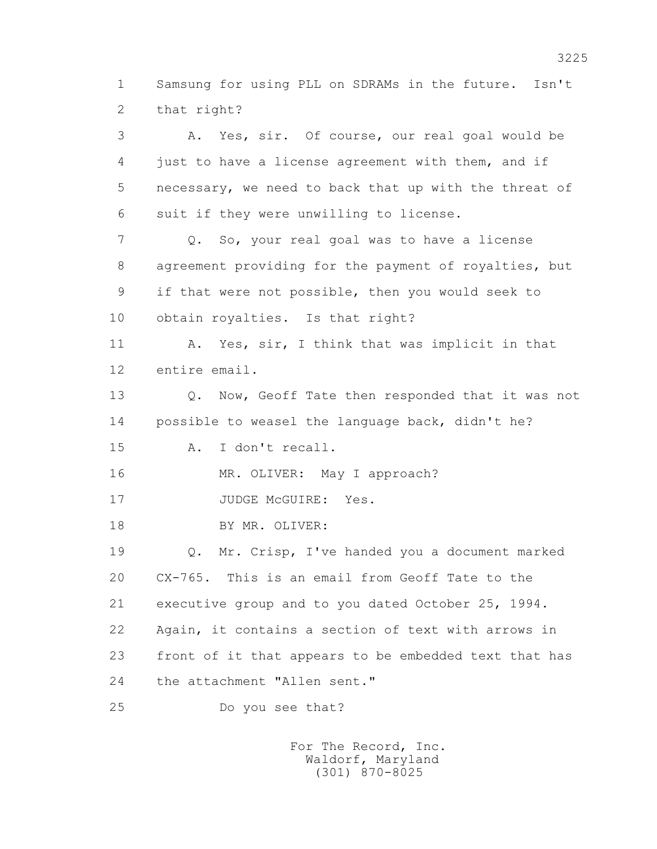1 Samsung for using PLL on SDRAMs in the future. Isn't 2 that right?

 3 A. Yes, sir. Of course, our real goal would be 4 just to have a license agreement with them, and if 5 necessary, we need to back that up with the threat of 6 suit if they were unwilling to license. 7 Q. So, your real goal was to have a license 8 agreement providing for the payment of royalties, but 9 if that were not possible, then you would seek to 10 obtain royalties. Is that right? 11 A. Yes, sir, I think that was implicit in that 12 entire email. 13 Q. Now, Geoff Tate then responded that it was not 14 possible to weasel the language back, didn't he? 15 A. I don't recall. 16 MR. OLIVER: May I approach? 17 JUDGE McGUIRE: Yes. 18 BY MR. OLIVER: 19 Q. Mr. Crisp, I've handed you a document marked 20 CX-765. This is an email from Geoff Tate to the 21 executive group and to you dated October 25, 1994. 22 Again, it contains a section of text with arrows in 23 front of it that appears to be embedded text that has 24 the attachment "Allen sent."

25 Do you see that?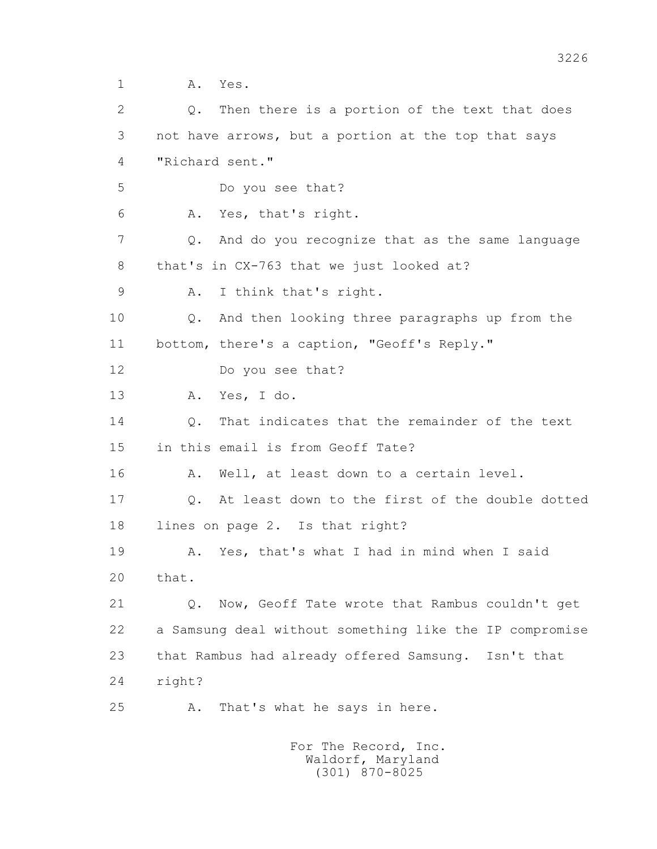1 **A.** Yes.

2 0. Then there is a portion of the text that does 3 not have arrows, but a portion at the top that says 4 "Richard sent." 5 Do you see that? 6 A. Yes, that's right. 7 Q. And do you recognize that as the same language 8 that's in CX-763 that we just looked at? 9 A. I think that's right. 10 Q. And then looking three paragraphs up from the 11 bottom, there's a caption, "Geoff's Reply." 12 Do you see that? 13 A. Yes, I do. 14 Q. That indicates that the remainder of the text 15 in this email is from Geoff Tate? 16 A. Well, at least down to a certain level. 17 Q. At least down to the first of the double dotted 18 lines on page 2. Is that right? 19 A. Yes, that's what I had in mind when I said 20 that. 21 Q. Now, Geoff Tate wrote that Rambus couldn't get 22 a Samsung deal without something like the IP compromise 23 that Rambus had already offered Samsung. Isn't that 24 right? 25 A. That's what he says in here.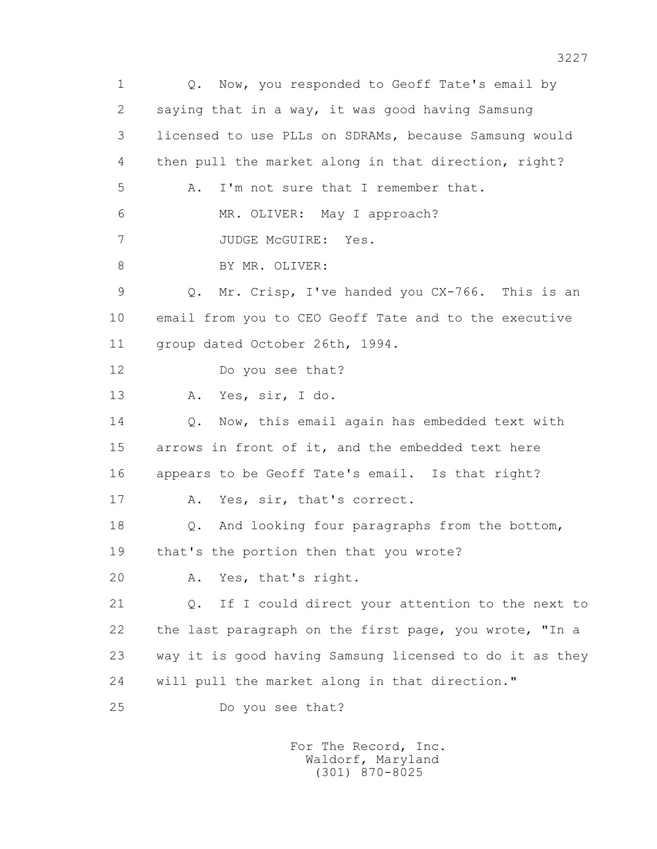1 Q. Now, you responded to Geoff Tate's email by 2 saying that in a way, it was good having Samsung 3 licensed to use PLLs on SDRAMs, because Samsung would 4 then pull the market along in that direction, right? 5 A. I'm not sure that I remember that. 6 MR. OLIVER: May I approach? 7 JUDGE McGUIRE: Yes. 8 BY MR. OLIVER: 9 Q. Mr. Crisp, I've handed you CX-766. This is an 10 email from you to CEO Geoff Tate and to the executive 11 group dated October 26th, 1994. 12 Do you see that? 13 A. Yes, sir, I do. 14 0. Now, this email again has embedded text with 15 arrows in front of it, and the embedded text here 16 appears to be Geoff Tate's email. Is that right? 17 A. Yes, sir, that's correct. 18 Q. And looking four paragraphs from the bottom, 19 that's the portion then that you wrote? 20 A. Yes, that's right. 21 Q. If I could direct your attention to the next to 22 the last paragraph on the first page, you wrote, "In a 23 way it is good having Samsung licensed to do it as they 24 will pull the market along in that direction." 25 Do you see that?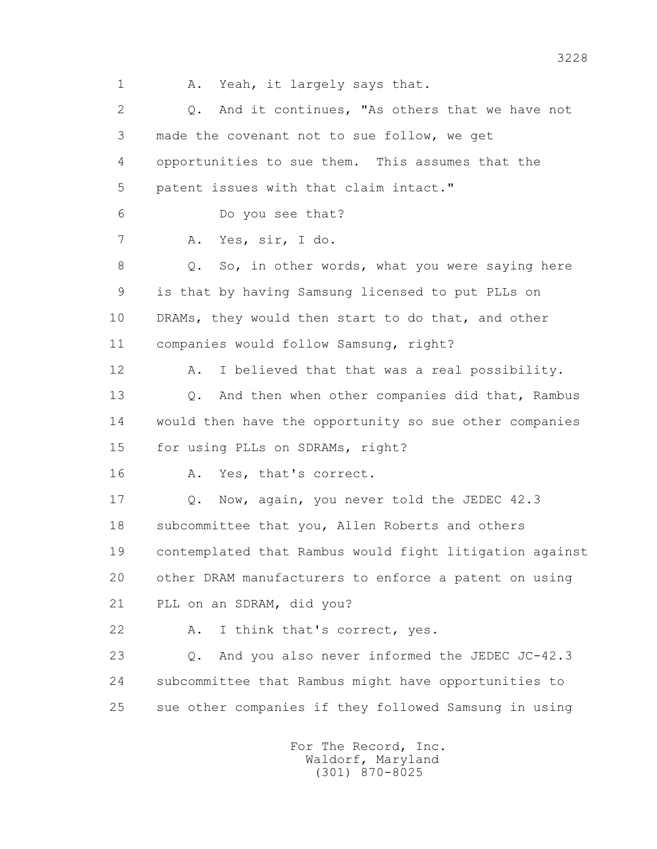1 A. Yeah, it largely says that. 2 0. And it continues, "As others that we have not 3 made the covenant not to sue follow, we get 4 opportunities to sue them. This assumes that the 5 patent issues with that claim intact." 6 Do you see that? 7 A. Yes, sir, I do. 8 Q. So, in other words, what you were saying here 9 is that by having Samsung licensed to put PLLs on 10 DRAMs, they would then start to do that, and other 11 companies would follow Samsung, right? 12 A. I believed that that was a real possibility. 13 Q. And then when other companies did that, Rambus 14 would then have the opportunity so sue other companies 15 for using PLLs on SDRAMs, right? 16 A. Yes, that's correct. 17 Q. Now, again, you never told the JEDEC 42.3 18 subcommittee that you, Allen Roberts and others 19 contemplated that Rambus would fight litigation against 20 other DRAM manufacturers to enforce a patent on using 21 PLL on an SDRAM, did you? 22 A. I think that's correct, yes. 23 Q. And you also never informed the JEDEC JC-42.3 24 subcommittee that Rambus might have opportunities to 25 sue other companies if they followed Samsung in using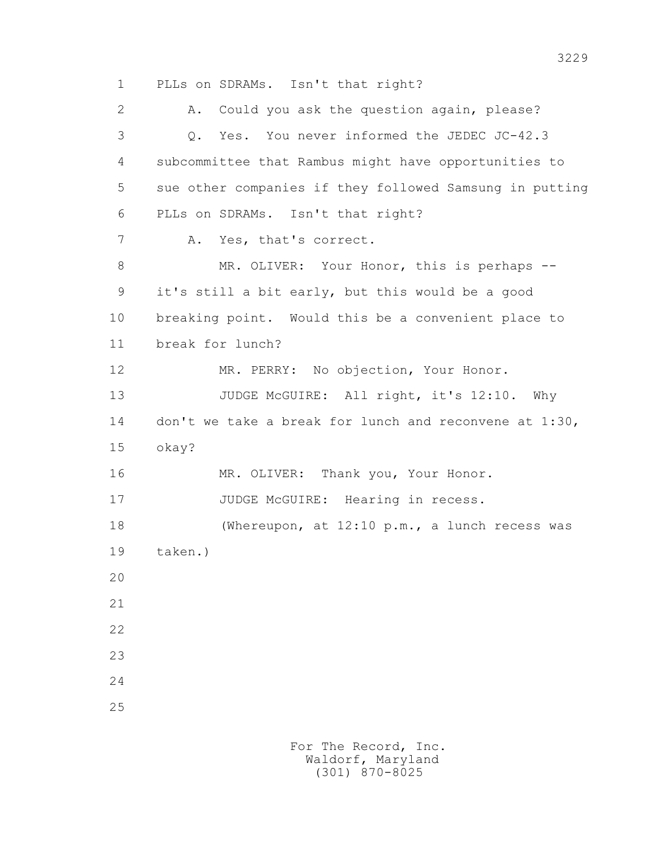1 PLLs on SDRAMs. Isn't that right? 2 A. Could you ask the question again, please? 3 Q. Yes. You never informed the JEDEC JC-42.3 4 subcommittee that Rambus might have opportunities to 5 sue other companies if they followed Samsung in putting 6 PLLs on SDRAMs. Isn't that right? 7 A. Yes, that's correct. 8 MR. OLIVER: Your Honor, this is perhaps -- 9 it's still a bit early, but this would be a good 10 breaking point. Would this be a convenient place to 11 break for lunch? 12 MR. PERRY: No objection, Your Honor. 13 JUDGE McGUIRE: All right, it's 12:10. Why 14 don't we take a break for lunch and reconvene at 1:30, 15 okay? 16 MR. OLIVER: Thank you, Your Honor. 17 JUDGE McGUIRE: Hearing in recess. 18 (Whereupon, at 12:10 p.m., a lunch recess was 19 taken.) 20 21 22 23 24 25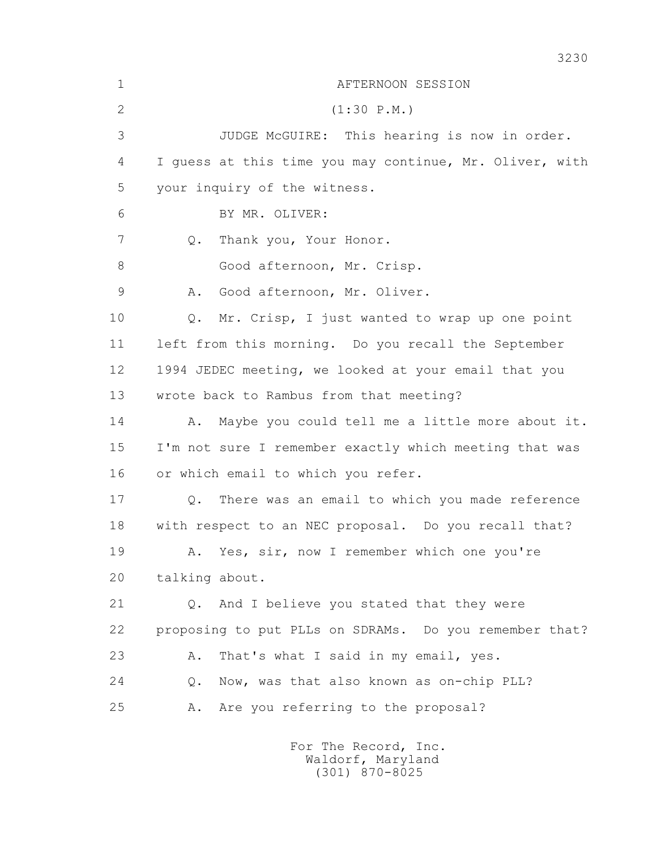| $\mathbf 1$  | AFTERNOON SESSION                                       |
|--------------|---------------------------------------------------------|
| $\mathbf{2}$ | (1:30 P.M.)                                             |
| 3            | JUDGE McGUIRE: This hearing is now in order.            |
| 4            | I quess at this time you may continue, Mr. Oliver, with |
| 5            | your inquiry of the witness.                            |
| 6            | BY MR. OLIVER:                                          |
| 7            | Thank you, Your Honor.<br>Q.                            |
| 8            | Good afternoon, Mr. Crisp.                              |
| 9            | Good afternoon, Mr. Oliver.<br>Α.                       |
| 10           | Mr. Crisp, I just wanted to wrap up one point<br>Q.     |
| 11           | left from this morning. Do you recall the September     |
| 12           | 1994 JEDEC meeting, we looked at your email that you    |
| 13           | wrote back to Rambus from that meeting?                 |
| 14           | Maybe you could tell me a little more about it.<br>Α.   |
| 15           | I'm not sure I remember exactly which meeting that was  |
| 16           | or which email to which you refer.                      |
| 17           | There was an email to which you made reference<br>Q.    |
| 18           | with respect to an NEC proposal. Do you recall that?    |
| 19           | A. Yes, sir, now I remember which one you're            |
| 20           | talking about.                                          |
| 21           | Q. And I believe you stated that they were              |
| 22           | proposing to put PLLs on SDRAMs. Do you remember that?  |
| 23           | That's what I said in my email, yes.<br>Α.              |
| 24           | Now, was that also known as on-chip PLL?<br>$Q$ .       |
| 25           | Are you referring to the proposal?<br>Α.                |
|              |                                                         |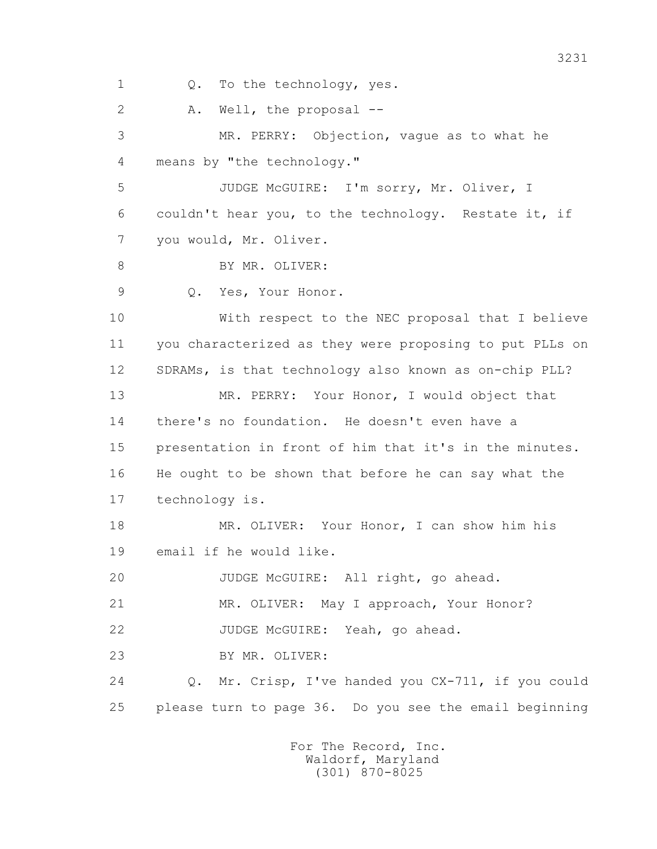1 Q. To the technology, yes. 2 A. Well, the proposal -- 3 MR. PERRY: Objection, vague as to what he 4 means by "the technology." 5 JUDGE McGUIRE: I'm sorry, Mr. Oliver, I 6 couldn't hear you, to the technology. Restate it, if 7 you would, Mr. Oliver. 8 BY MR. OLIVER: 9 Q. Yes, Your Honor. 10 With respect to the NEC proposal that I believe 11 you characterized as they were proposing to put PLLs on 12 SDRAMs, is that technology also known as on-chip PLL? 13 MR. PERRY: Your Honor, I would object that 14 there's no foundation. He doesn't even have a 15 presentation in front of him that it's in the minutes. 16 He ought to be shown that before he can say what the 17 technology is. 18 MR. OLIVER: Your Honor, I can show him his 19 email if he would like. 20 JUDGE McGUIRE: All right, go ahead. 21 MR. OLIVER: May I approach, Your Honor? 22 JUDGE McGUIRE: Yeah, go ahead. 23 BY MR. OLIVER: 24 Q. Mr. Crisp, I've handed you CX-711, if you could 25 please turn to page 36. Do you see the email beginning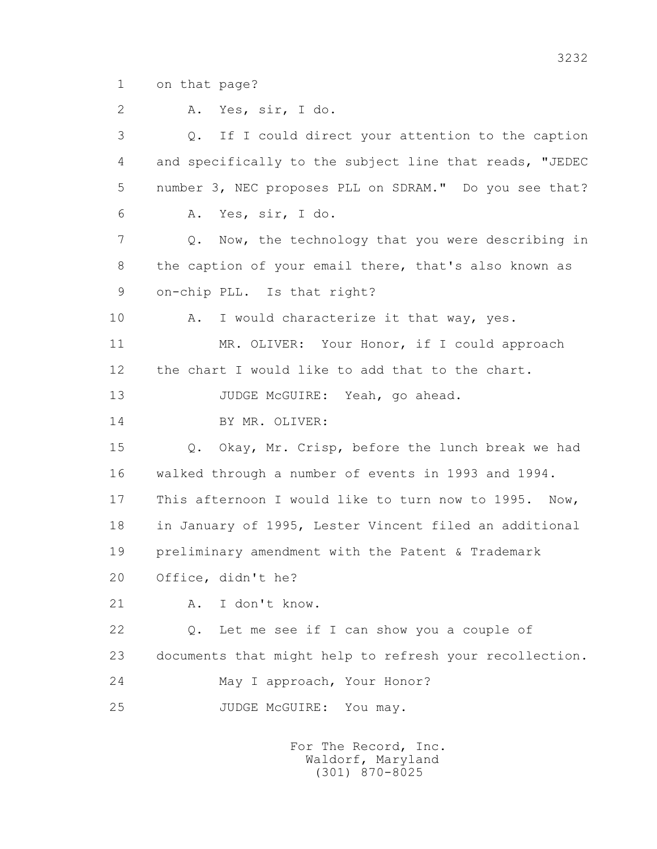1 on that page?

 2 A. Yes, sir, I do. 3 Q. If I could direct your attention to the caption 4 and specifically to the subject line that reads, "JEDEC 5 number 3, NEC proposes PLL on SDRAM." Do you see that? 6 A. Yes, sir, I do. 7 Q. Now, the technology that you were describing in 8 the caption of your email there, that's also known as 9 on-chip PLL. Is that right? 10 A. I would characterize it that way, yes. 11 MR. OLIVER: Your Honor, if I could approach 12 the chart I would like to add that to the chart. 13 JUDGE McGUIRE: Yeah, go ahead. 14 BY MR. OLIVER: 15 Q. Okay, Mr. Crisp, before the lunch break we had 16 walked through a number of events in 1993 and 1994. 17 This afternoon I would like to turn now to 1995. Now, 18 in January of 1995, Lester Vincent filed an additional 19 preliminary amendment with the Patent & Trademark 20 Office, didn't he? 21 A. I don't know. 22 Q. Let me see if I can show you a couple of 23 documents that might help to refresh your recollection. 24 May I approach, Your Honor? 25 JUDGE McGUIRE: You may.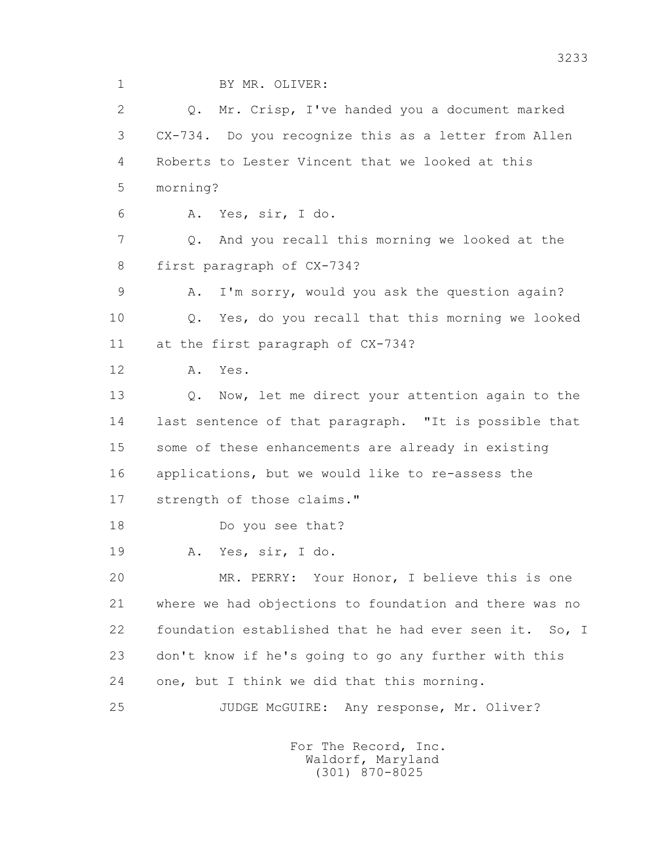1 BY MR. OLIVER:

 2 Q. Mr. Crisp, I've handed you a document marked 3 CX-734. Do you recognize this as a letter from Allen 4 Roberts to Lester Vincent that we looked at this 5 morning? 6 A. Yes, sir, I do. 7 Q. And you recall this morning we looked at the 8 first paragraph of CX-734? 9 A. I'm sorry, would you ask the question again? 10 Q. Yes, do you recall that this morning we looked 11 at the first paragraph of CX-734? 12 A. Yes. 13 Q. Now, let me direct your attention again to the 14 last sentence of that paragraph. "It is possible that 15 some of these enhancements are already in existing 16 applications, but we would like to re-assess the 17 strength of those claims." 18 Do you see that? 19 A. Yes, sir, I do. 20 MR. PERRY: Your Honor, I believe this is one 21 where we had objections to foundation and there was no 22 foundation established that he had ever seen it. So, I 23 don't know if he's going to go any further with this 24 one, but I think we did that this morning. 25 JUDGE McGUIRE: Any response, Mr. Oliver?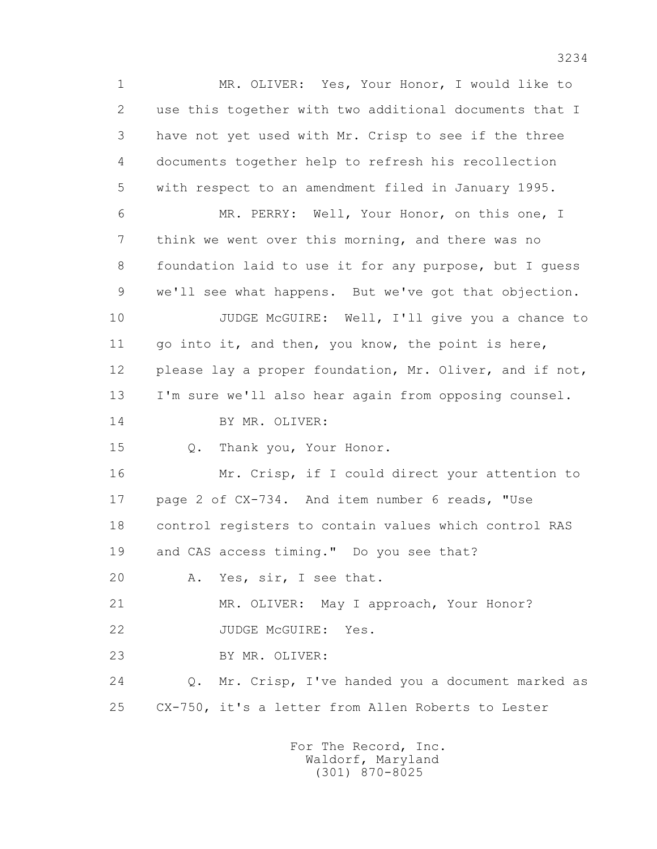1 MR. OLIVER: Yes, Your Honor, I would like to 2 use this together with two additional documents that I 3 have not yet used with Mr. Crisp to see if the three 4 documents together help to refresh his recollection 5 with respect to an amendment filed in January 1995. 6 MR. PERRY: Well, Your Honor, on this one, I 7 think we went over this morning, and there was no 8 foundation laid to use it for any purpose, but I guess 9 we'll see what happens. But we've got that objection. 10 JUDGE McGUIRE: Well, I'll give you a chance to 11 go into it, and then, you know, the point is here, 12 please lay a proper foundation, Mr. Oliver, and if not, 13 I'm sure we'll also hear again from opposing counsel. 14 BY MR. OLIVER: 15 Q. Thank you, Your Honor. 16 Mr. Crisp, if I could direct your attention to 17 page 2 of CX-734. And item number 6 reads, "Use 18 control registers to contain values which control RAS 19 and CAS access timing." Do you see that? 20 A. Yes, sir, I see that. 21 MR. OLIVER: May I approach, Your Honor? 22 JUDGE McGUIRE: Yes. 23 BY MR. OLIVER: 24 Q. Mr. Crisp, I've handed you a document marked as 25 CX-750, it's a letter from Allen Roberts to Lester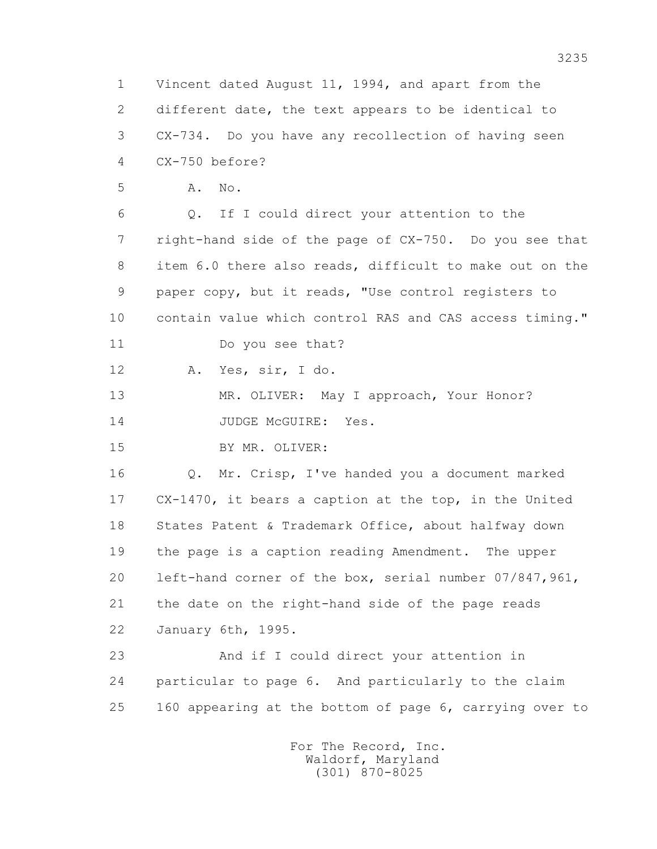1 Vincent dated August 11, 1994, and apart from the 2 different date, the text appears to be identical to 3 CX-734. Do you have any recollection of having seen 4 CX-750 before? 5 A. No. 6 Q. If I could direct your attention to the 7 right-hand side of the page of CX-750. Do you see that 8 item 6.0 there also reads, difficult to make out on the 9 paper copy, but it reads, "Use control registers to 10 contain value which control RAS and CAS access timing." 11 Do you see that? 12 A. Yes, sir, I do. 13 MR. OLIVER: May I approach, Your Honor? 14 JUDGE McGUIRE: Yes. 15 BY MR. OLIVER: 16 Q. Mr. Crisp, I've handed you a document marked 17 CX-1470, it bears a caption at the top, in the United 18 States Patent & Trademark Office, about halfway down 19 the page is a caption reading Amendment. The upper 20 left-hand corner of the box, serial number 07/847,961, 21 the date on the right-hand side of the page reads 22 January 6th, 1995. 23 And if I could direct your attention in 24 particular to page 6. And particularly to the claim 25 160 appearing at the bottom of page 6, carrying over to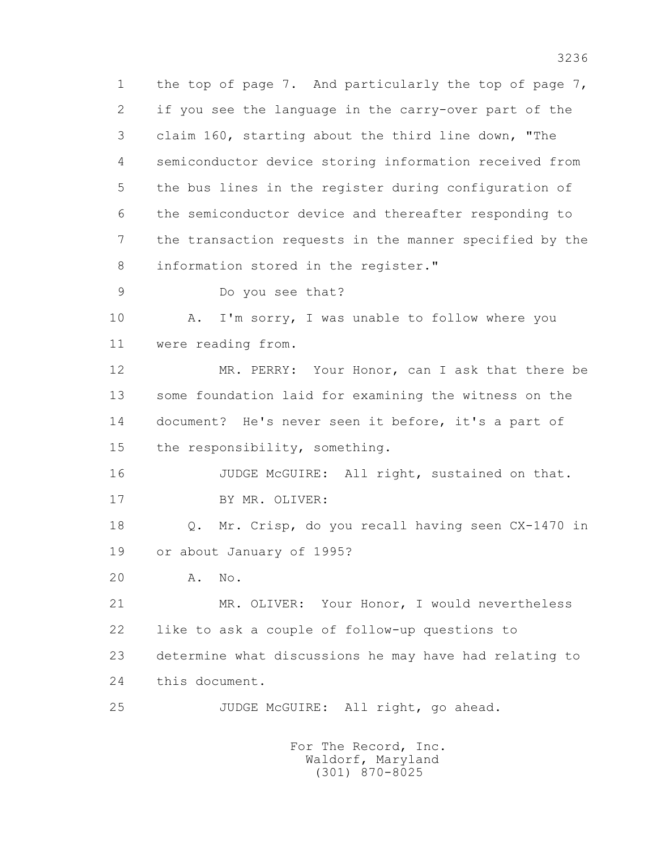1 the top of page 7. And particularly the top of page 7, 2 if you see the language in the carry-over part of the 3 claim 160, starting about the third line down, "The 4 semiconductor device storing information received from 5 the bus lines in the register during configuration of 6 the semiconductor device and thereafter responding to 7 the transaction requests in the manner specified by the 8 information stored in the register."

9 Do you see that?

10 A. I'm sorry, I was unable to follow where you 11 were reading from.

 12 MR. PERRY: Your Honor, can I ask that there be 13 some foundation laid for examining the witness on the 14 document? He's never seen it before, it's a part of 15 the responsibility, something.

 16 JUDGE McGUIRE: All right, sustained on that. 17 BY MR. OLIVER:

 18 Q. Mr. Crisp, do you recall having seen CX-1470 in 19 or about January of 1995?

20 A. No.

 21 MR. OLIVER: Your Honor, I would nevertheless 22 like to ask a couple of follow-up questions to 23 determine what discussions he may have had relating to 24 this document.

25 JUDGE McGUIRE: All right, go ahead.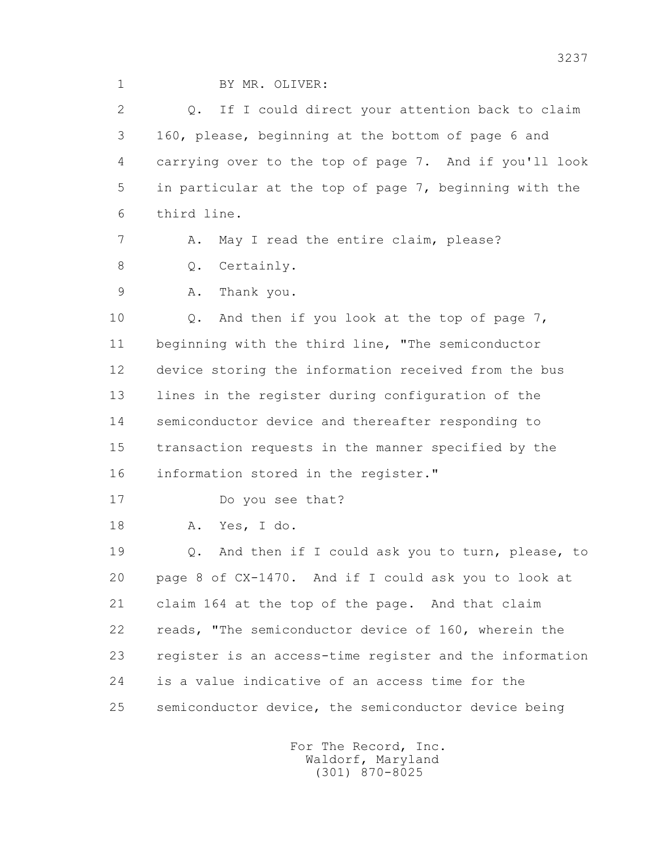1 BY MR. OLIVER:

 2 Q. If I could direct your attention back to claim 3 160, please, beginning at the bottom of page 6 and 4 carrying over to the top of page 7. And if you'll look 5 in particular at the top of page 7, beginning with the 6 third line. 7 A. May I read the entire claim, please?

8 Q. Certainly.

9 A. Thank you.

 10 Q. And then if you look at the top of page 7, 11 beginning with the third line, "The semiconductor 12 device storing the information received from the bus 13 lines in the register during configuration of the 14 semiconductor device and thereafter responding to 15 transaction requests in the manner specified by the 16 information stored in the register."

17 Do you see that?

18 A. Yes, I do.

 19 Q. And then if I could ask you to turn, please, to 20 page 8 of CX-1470. And if I could ask you to look at 21 claim 164 at the top of the page. And that claim 22 reads, "The semiconductor device of 160, wherein the 23 register is an access-time register and the information 24 is a value indicative of an access time for the 25 semiconductor device, the semiconductor device being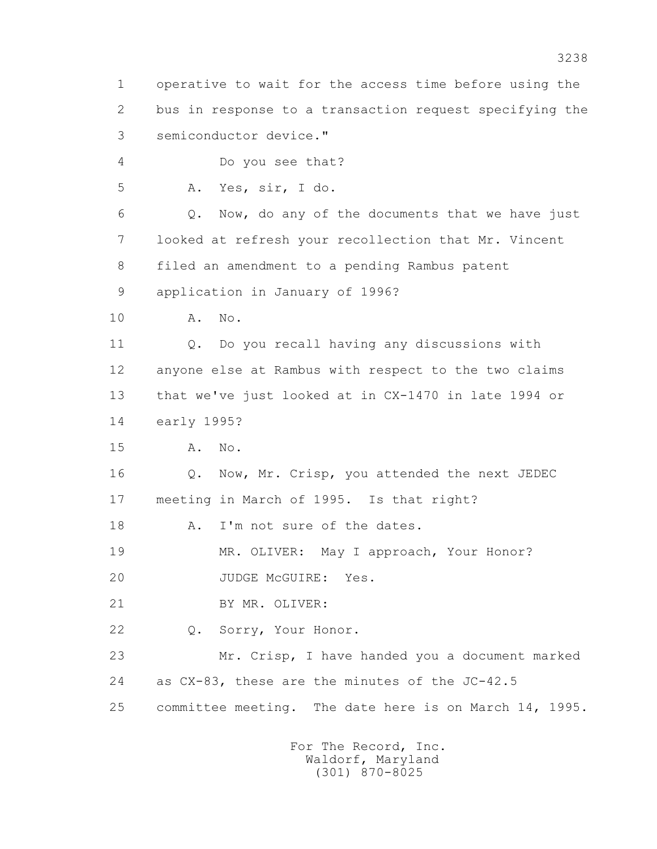1 operative to wait for the access time before using the 2 bus in response to a transaction request specifying the 3 semiconductor device." 4 Do you see that? 5 A. Yes, sir, I do. 6 Q. Now, do any of the documents that we have just 7 looked at refresh your recollection that Mr. Vincent 8 filed an amendment to a pending Rambus patent 9 application in January of 1996? 10 A. No. 11 Q. Do you recall having any discussions with 12 anyone else at Rambus with respect to the two claims 13 that we've just looked at in CX-1470 in late 1994 or 14 early 1995? 15 A. No. 16 Q. Now, Mr. Crisp, you attended the next JEDEC 17 meeting in March of 1995. Is that right? 18 A. I'm not sure of the dates. 19 MR. OLIVER: May I approach, Your Honor? 20 JUDGE McGUIRE: Yes. 21 BY MR. OLIVER: 22 Q. Sorry, Your Honor. 23 Mr. Crisp, I have handed you a document marked 24 as CX-83, these are the minutes of the JC-42.5 25 committee meeting. The date here is on March 14, 1995.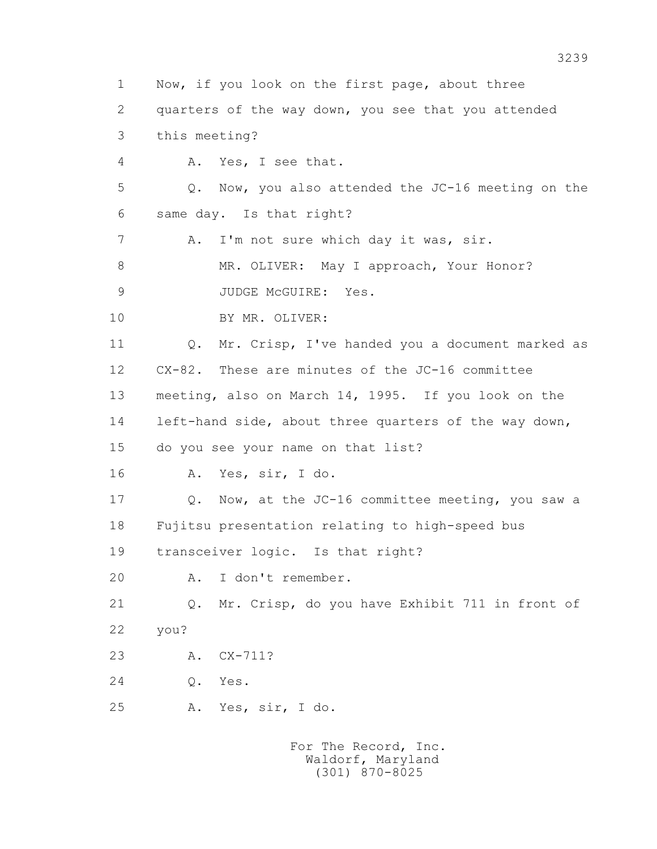1 Now, if you look on the first page, about three 2 quarters of the way down, you see that you attended 3 this meeting? 4 A. Yes, I see that. 5 Q. Now, you also attended the JC-16 meeting on the 6 same day. Is that right? 7 A. I'm not sure which day it was, sir. 8 MR. OLIVER: May I approach, Your Honor? 9 JUDGE McGUIRE: Yes. 10 BY MR. OLIVER: 11 0. Mr. Crisp, I've handed you a document marked as 12 CX-82. These are minutes of the JC-16 committee 13 meeting, also on March 14, 1995. If you look on the 14 left-hand side, about three quarters of the way down, 15 do you see your name on that list? 16 A. Yes, sir, I do. 17 Q. Now, at the JC-16 committee meeting, you saw a 18 Fujitsu presentation relating to high-speed bus 19 transceiver logic. Is that right? 20 A. I don't remember. 21 Q. Mr. Crisp, do you have Exhibit 711 in front of 22 you? 23 A. CX-711? 24 Q. Yes. 25 A. Yes, sir, I do.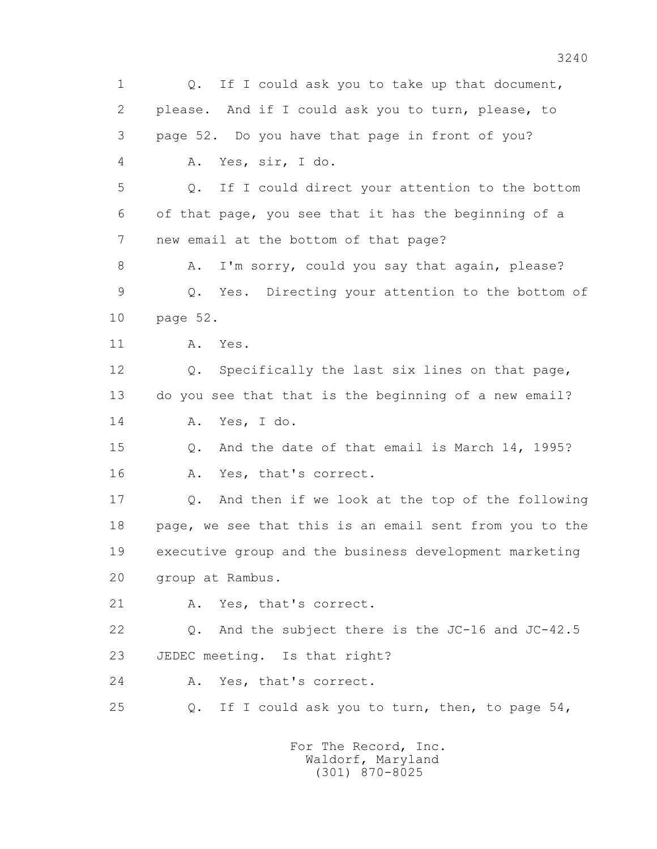1 0. If I could ask you to take up that document, 2 please. And if I could ask you to turn, please, to 3 page 52. Do you have that page in front of you? 4 A. Yes, sir, I do. 5 Q. If I could direct your attention to the bottom 6 of that page, you see that it has the beginning of a 7 new email at the bottom of that page? 8 A. I'm sorry, could you say that again, please? 9 Q. Yes. Directing your attention to the bottom of 10 page 52. 11 A. Yes. 12 Q. Specifically the last six lines on that page, 13 do you see that that is the beginning of a new email? 14 A. Yes, I do. 15 Q. And the date of that email is March 14, 1995? 16 A. Yes, that's correct. 17 Q. And then if we look at the top of the following 18 page, we see that this is an email sent from you to the 19 executive group and the business development marketing 20 group at Rambus. 21 A. Yes, that's correct. 22 Q. And the subject there is the JC-16 and JC-42.5 23 JEDEC meeting. Is that right? 24 A. Yes, that's correct. 25 Q. If I could ask you to turn, then, to page 54, For The Record, Inc.

 Waldorf, Maryland (301) 870-8025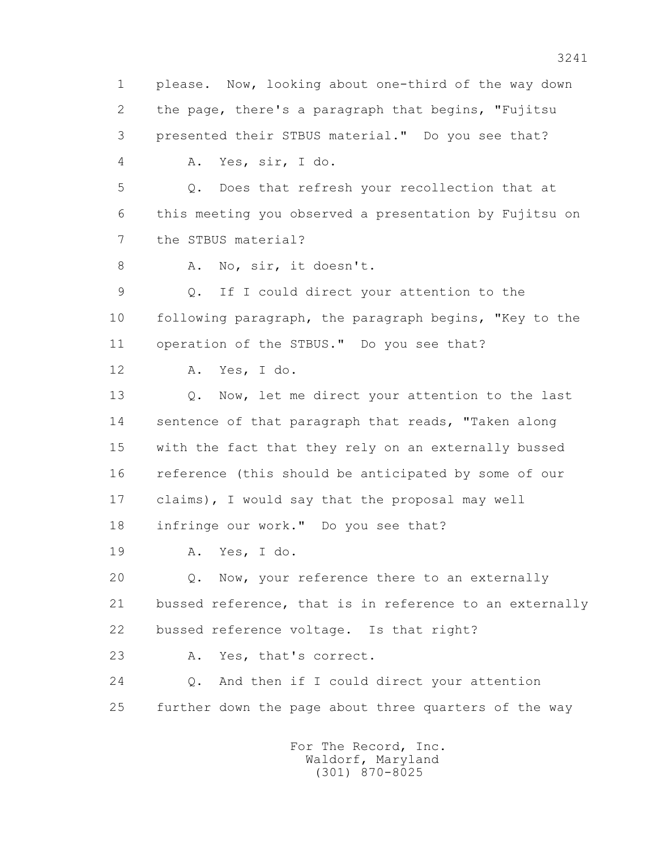1 please. Now, looking about one-third of the way down 2 the page, there's a paragraph that begins, "Fujitsu 3 presented their STBUS material." Do you see that? 4 A. Yes, sir, I do. 5 Q. Does that refresh your recollection that at 6 this meeting you observed a presentation by Fujitsu on 7 the STBUS material? 8 A. No, sir, it doesn't. 9 Q. If I could direct your attention to the 10 following paragraph, the paragraph begins, "Key to the 11 operation of the STBUS." Do you see that? 12 A. Yes, I do. 13 Q. Now, let me direct your attention to the last 14 sentence of that paragraph that reads, "Taken along 15 with the fact that they rely on an externally bussed 16 reference (this should be anticipated by some of our 17 claims), I would say that the proposal may well 18 infringe our work." Do you see that? 19 A. Yes, I do. 20 Q. Now, your reference there to an externally 21 bussed reference, that is in reference to an externally 22 bussed reference voltage. Is that right? 23 A. Yes, that's correct. 24 Q. And then if I could direct your attention 25 further down the page about three quarters of the way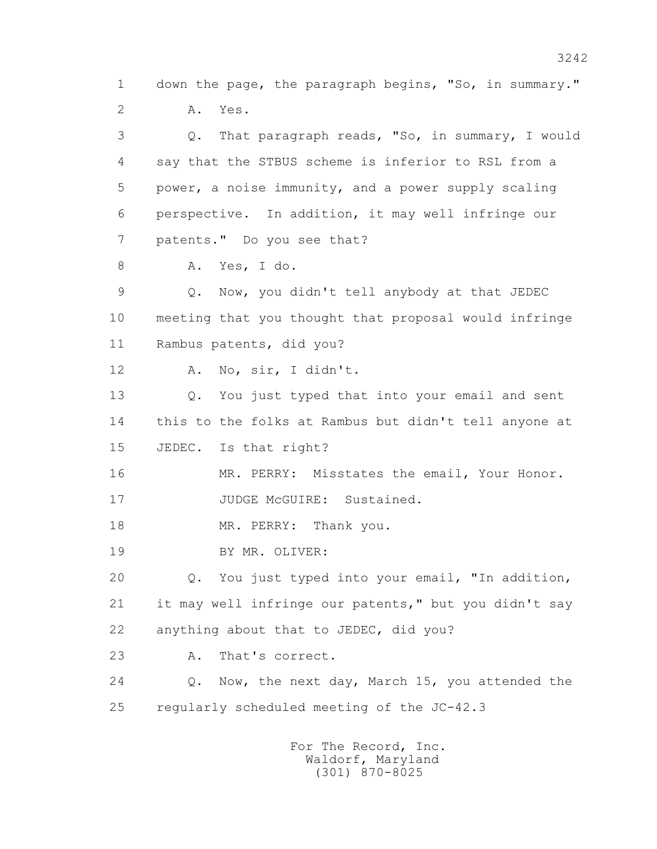1 down the page, the paragraph begins, "So, in summary." 2 A. Yes. 3 Q. That paragraph reads, "So, in summary, I would 4 say that the STBUS scheme is inferior to RSL from a 5 power, a noise immunity, and a power supply scaling 6 perspective. In addition, it may well infringe our 7 patents." Do you see that? 8 A. Yes, I do. 9 Q. Now, you didn't tell anybody at that JEDEC 10 meeting that you thought that proposal would infringe 11 Rambus patents, did you? 12 A. No, sir, I didn't. 13 Q. You just typed that into your email and sent 14 this to the folks at Rambus but didn't tell anyone at 15 JEDEC. Is that right? 16 MR. PERRY: Misstates the email, Your Honor. 17 JUDGE McGUIRE: Sustained. 18 MR. PERRY: Thank you. 19 BY MR. OLIVER: 20 Q. You just typed into your email, "In addition, 21 it may well infringe our patents," but you didn't say 22 anything about that to JEDEC, did you? 23 A. That's correct. 24 Q. Now, the next day, March 15, you attended the 25 regularly scheduled meeting of the JC-42.3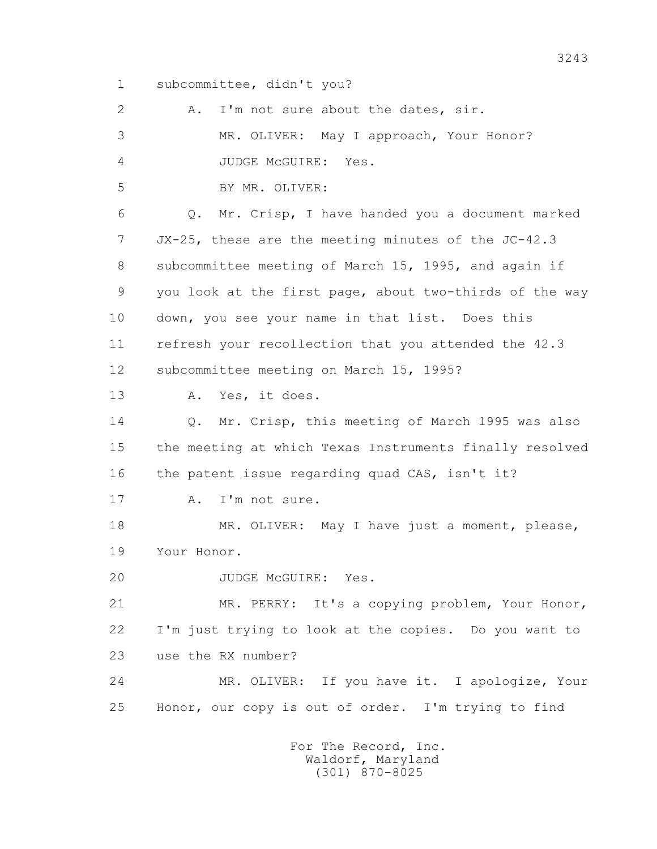1 subcommittee, didn't you?

| 2  | I'm not sure about the dates, sir.<br>A.                |
|----|---------------------------------------------------------|
| 3  | MR. OLIVER: May I approach, Your Honor?                 |
| 4  | JUDGE MCGUIRE:<br>Yes.                                  |
| 5  | BY MR. OLIVER:                                          |
| 6  | Mr. Crisp, I have handed you a document marked<br>Q.    |
| 7  | JX-25, these are the meeting minutes of the JC-42.3     |
| 8  | subcommittee meeting of March 15, 1995, and again if    |
| 9  | you look at the first page, about two-thirds of the way |
| 10 | down, you see your name in that list. Does this         |
| 11 | refresh your recollection that you attended the 42.3    |
| 12 | subcommittee meeting on March 15, 1995?                 |
| 13 | Yes, it does.<br>Α.                                     |
| 14 | Q. Mr. Crisp, this meeting of March 1995 was also       |
| 15 | the meeting at which Texas Instruments finally resolved |
| 16 | the patent issue regarding quad CAS, isn't it?          |
| 17 | I'm not sure.<br>Α.                                     |
| 18 | MR. OLIVER: May I have just a moment, please,           |
| 19 | Your Honor.                                             |
| 20 | JUDGE McGUIRE:<br>Yes.                                  |
| 21 | MR. PERRY: It's a copying problem, Your Honor,          |
| 22 | I'm just trying to look at the copies. Do you want to   |
| 23 | use the RX number?                                      |
| 24 | MR. OLIVER: If you have it. I apologize, Your           |
| 25 | Honor, our copy is out of order. I'm trying to find     |
|    | For The Record, Inc.                                    |

Waldorf, Maryland (301) 870-8025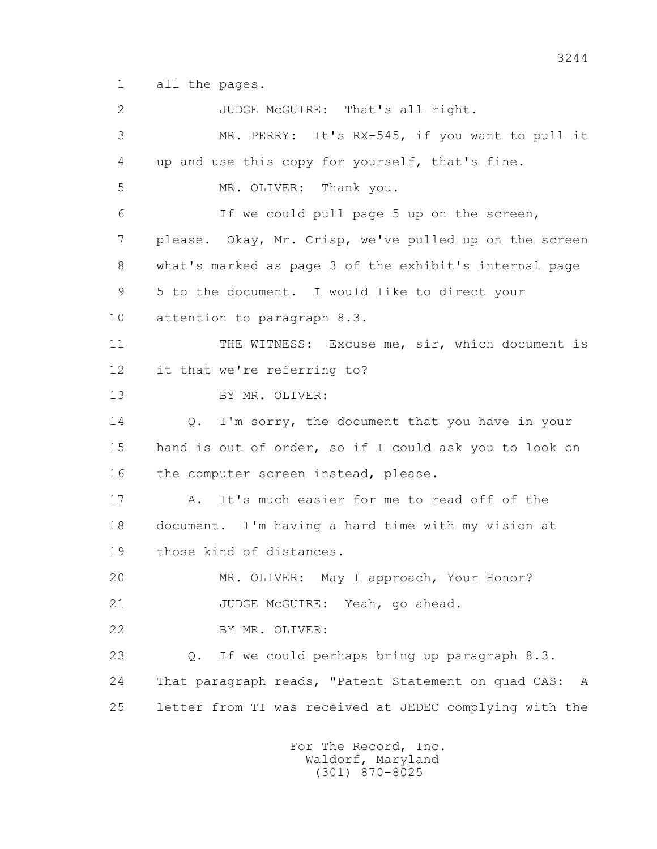1 all the pages.

 2 JUDGE McGUIRE: That's all right. 3 MR. PERRY: It's RX-545, if you want to pull it 4 up and use this copy for yourself, that's fine. 5 MR. OLIVER: Thank you. 6 If we could pull page 5 up on the screen, 7 please. Okay, Mr. Crisp, we've pulled up on the screen 8 what's marked as page 3 of the exhibit's internal page 9 5 to the document. I would like to direct your 10 attention to paragraph 8.3. 11 THE WITNESS: Excuse me, sir, which document is 12 it that we're referring to? 13 BY MR. OLIVER: 14 Q. I'm sorry, the document that you have in your 15 hand is out of order, so if I could ask you to look on 16 the computer screen instead, please. 17 A. It's much easier for me to read off of the 18 document. I'm having a hard time with my vision at 19 those kind of distances. 20 MR. OLIVER: May I approach, Your Honor? 21 JUDGE McGUIRE: Yeah, go ahead. 22 BY MR. OLIVER: 23 Q. If we could perhaps bring up paragraph 8.3. 24 That paragraph reads, "Patent Statement on quad CAS: A 25 letter from TI was received at JEDEC complying with the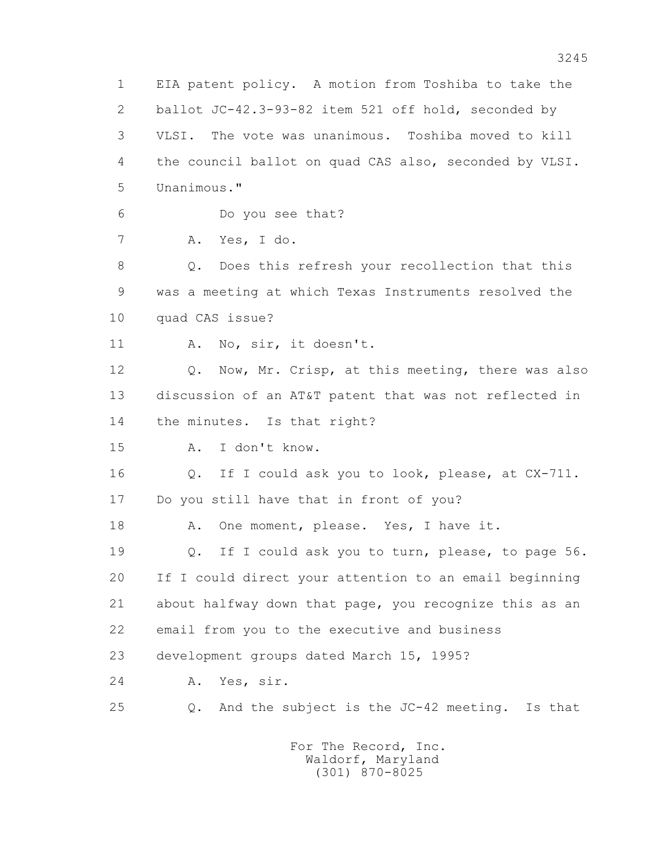1 EIA patent policy. A motion from Toshiba to take the 2 ballot JC-42.3-93-82 item 521 off hold, seconded by 3 VLSI. The vote was unanimous. Toshiba moved to kill 4 the council ballot on quad CAS also, seconded by VLSI. 5 Unanimous." 6 Do you see that? 7 A. Yes, I do. 8 Q. Does this refresh your recollection that this 9 was a meeting at which Texas Instruments resolved the 10 quad CAS issue? 11 A. No, sir, it doesn't. 12 Q. Now, Mr. Crisp, at this meeting, there was also 13 discussion of an AT&T patent that was not reflected in 14 the minutes. Is that right? 15 A. I don't know. 16 Q. If I could ask you to look, please, at CX-711. 17 Do you still have that in front of you? 18 A. One moment, please. Yes, I have it. 19 Q. If I could ask you to turn, please, to page 56. 20 If I could direct your attention to an email beginning 21 about halfway down that page, you recognize this as an 22 email from you to the executive and business 23 development groups dated March 15, 1995? 24 A. Yes, sir. 25 Q. And the subject is the JC-42 meeting. Is that For The Record, Inc.

 Waldorf, Maryland (301) 870-8025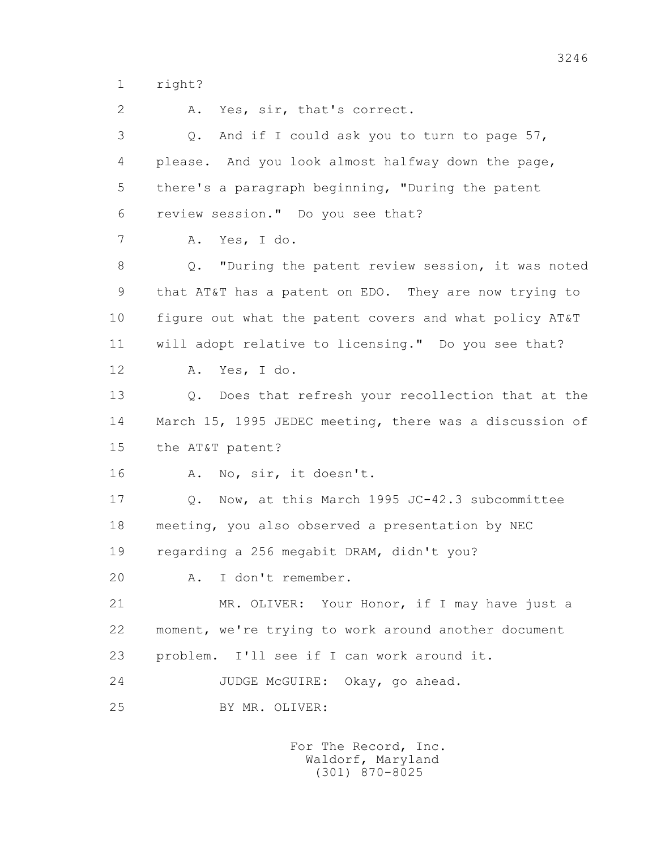1 right?

 2 A. Yes, sir, that's correct. 3 Q. And if I could ask you to turn to page 57, 4 please. And you look almost halfway down the page, 5 there's a paragraph beginning, "During the patent 6 review session." Do you see that? 7 A. Yes, I do. 8 Q. "During the patent review session, it was noted 9 that AT&T has a patent on EDO. They are now trying to 10 figure out what the patent covers and what policy AT&T 11 will adopt relative to licensing." Do you see that? 12 A. Yes, I do. 13 Q. Does that refresh your recollection that at the 14 March 15, 1995 JEDEC meeting, there was a discussion of 15 the AT&T patent? 16 A. No, sir, it doesn't. 17 Q. Now, at this March 1995 JC-42.3 subcommittee 18 meeting, you also observed a presentation by NEC 19 regarding a 256 megabit DRAM, didn't you? 20 A. I don't remember. 21 MR. OLIVER: Your Honor, if I may have just a 22 moment, we're trying to work around another document 23 problem. I'll see if I can work around it. 24 JUDGE McGUIRE: Okay, go ahead. 25 BY MR. OLIVER: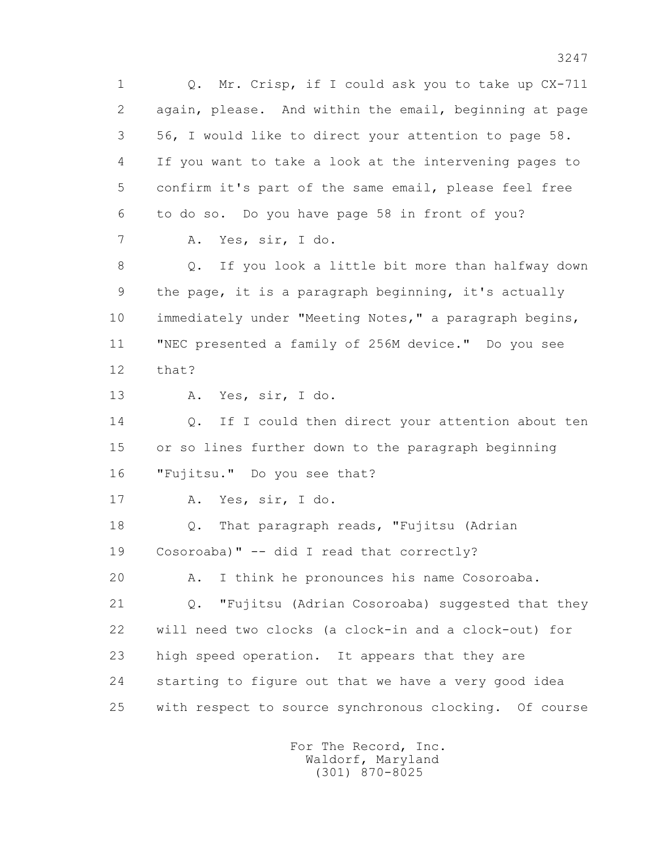1 Q. Mr. Crisp, if I could ask you to take up CX-711 2 again, please. And within the email, beginning at page 3 56, I would like to direct your attention to page 58. 4 If you want to take a look at the intervening pages to 5 confirm it's part of the same email, please feel free 6 to do so. Do you have page 58 in front of you? 7 A. Yes, sir, I do. 8 Q. If you look a little bit more than halfway down 9 the page, it is a paragraph beginning, it's actually 10 immediately under "Meeting Notes," a paragraph begins, 11 "NEC presented a family of 256M device." Do you see 12 that? 13 A. Yes, sir, I do. 14 0. If I could then direct your attention about ten 15 or so lines further down to the paragraph beginning 16 "Fujitsu." Do you see that? 17 A. Yes, sir, I do. 18 Q. That paragraph reads, "Fujitsu (Adrian 19 Cosoroaba)" -- did I read that correctly? 20 A. I think he pronounces his name Cosoroaba. 21 Q. "Fujitsu (Adrian Cosoroaba) suggested that they 22 will need two clocks (a clock-in and a clock-out) for 23 high speed operation. It appears that they are 24 starting to figure out that we have a very good idea 25 with respect to source synchronous clocking. Of course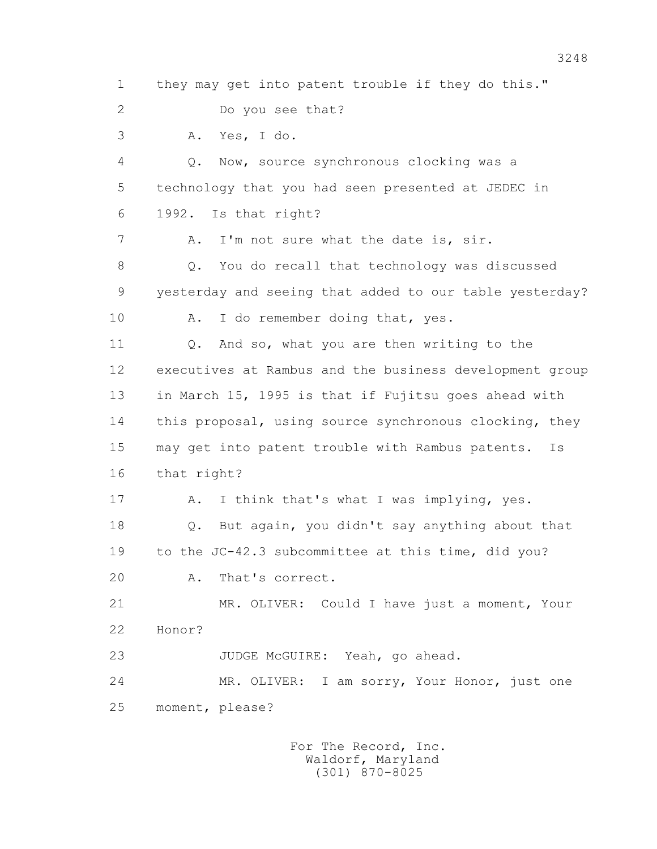1 they may get into patent trouble if they do this." 2 Do you see that? 3 A. Yes, I do. 4 Q. Now, source synchronous clocking was a 5 technology that you had seen presented at JEDEC in 6 1992. Is that right? 7 A. I'm not sure what the date is, sir. 8 Q. You do recall that technology was discussed 9 yesterday and seeing that added to our table yesterday? 10 A. I do remember doing that, yes. 11 Q. And so, what you are then writing to the 12 executives at Rambus and the business development group 13 in March 15, 1995 is that if Fujitsu goes ahead with 14 this proposal, using source synchronous clocking, they 15 may get into patent trouble with Rambus patents. Is 16 that right? 17 A. I think that's what I was implying, yes. 18 Q. But again, you didn't say anything about that 19 to the JC-42.3 subcommittee at this time, did you? 20 A. That's correct. 21 MR. OLIVER: Could I have just a moment, Your 22 Honor? 23 JUDGE McGUIRE: Yeah, go ahead. 24 MR. OLIVER: I am sorry, Your Honor, just one 25 moment, please?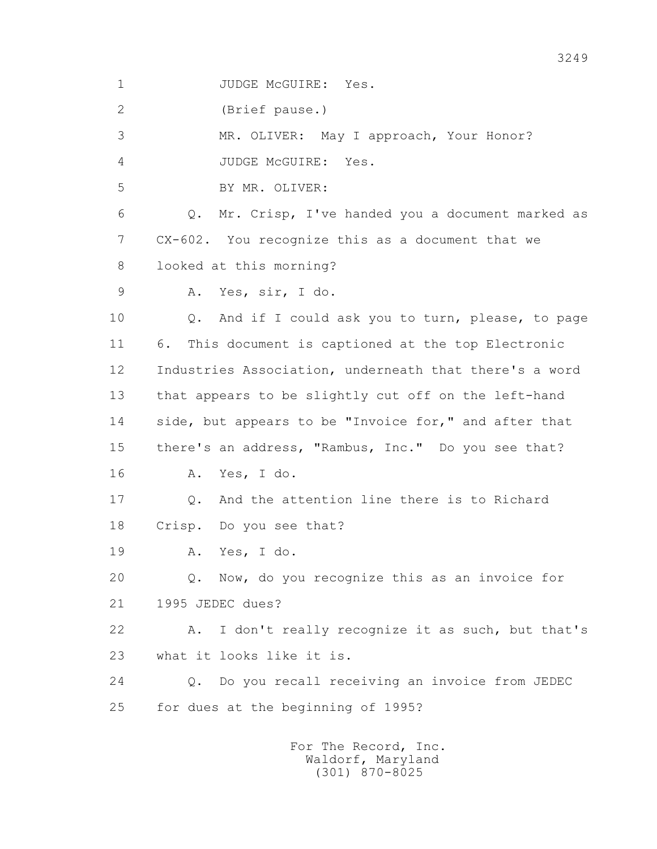1 JUDGE McGUIRE: Yes.

2 (Brief pause.)

3 MR. OLIVER: May I approach, Your Honor?

4 JUDGE McGUIRE: Yes.

5 BY MR. OLIVER:

 6 Q. Mr. Crisp, I've handed you a document marked as 7 CX-602. You recognize this as a document that we 8 looked at this morning?

9 A. Yes, sir, I do.

 10 Q. And if I could ask you to turn, please, to page 11 6. This document is captioned at the top Electronic 12 Industries Association, underneath that there's a word 13 that appears to be slightly cut off on the left-hand 14 side, but appears to be "Invoice for," and after that 15 there's an address, "Rambus, Inc." Do you see that? 16 A. Yes, I do. 17 Q. And the attention line there is to Richard

18 Crisp. Do you see that?

19 A. Yes, I do.

 20 Q. Now, do you recognize this as an invoice for 21 1995 JEDEC dues?

 22 A. I don't really recognize it as such, but that's 23 what it looks like it is.

 24 Q. Do you recall receiving an invoice from JEDEC 25 for dues at the beginning of 1995?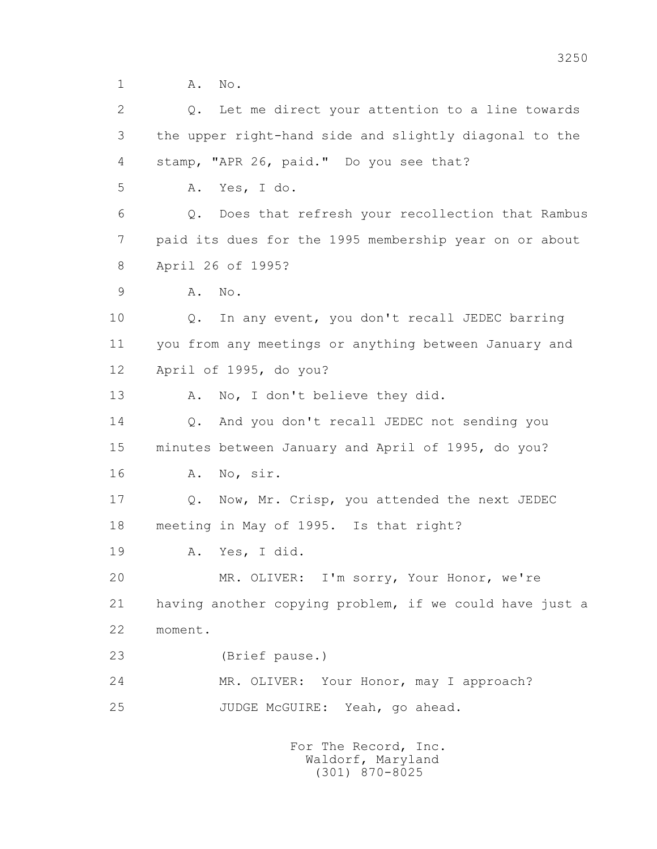1 **A.** No.

 2 Q. Let me direct your attention to a line towards 3 the upper right-hand side and slightly diagonal to the 4 stamp, "APR 26, paid." Do you see that? 5 A. Yes, I do. 6 Q. Does that refresh your recollection that Rambus 7 paid its dues for the 1995 membership year on or about 8 April 26 of 1995? 9 A. No. 10 Q. In any event, you don't recall JEDEC barring 11 you from any meetings or anything between January and 12 April of 1995, do you? 13 A. No, I don't believe they did. 14 0. And you don't recall JEDEC not sending you 15 minutes between January and April of 1995, do you? 16 A. No, sir. 17 Q. Now, Mr. Crisp, you attended the next JEDEC 18 meeting in May of 1995. Is that right? 19 A. Yes, I did. 20 MR. OLIVER: I'm sorry, Your Honor, we're 21 having another copying problem, if we could have just a 22 moment. 23 (Brief pause.) 24 MR. OLIVER: Your Honor, may I approach? 25 JUDGE McGUIRE: Yeah, go ahead.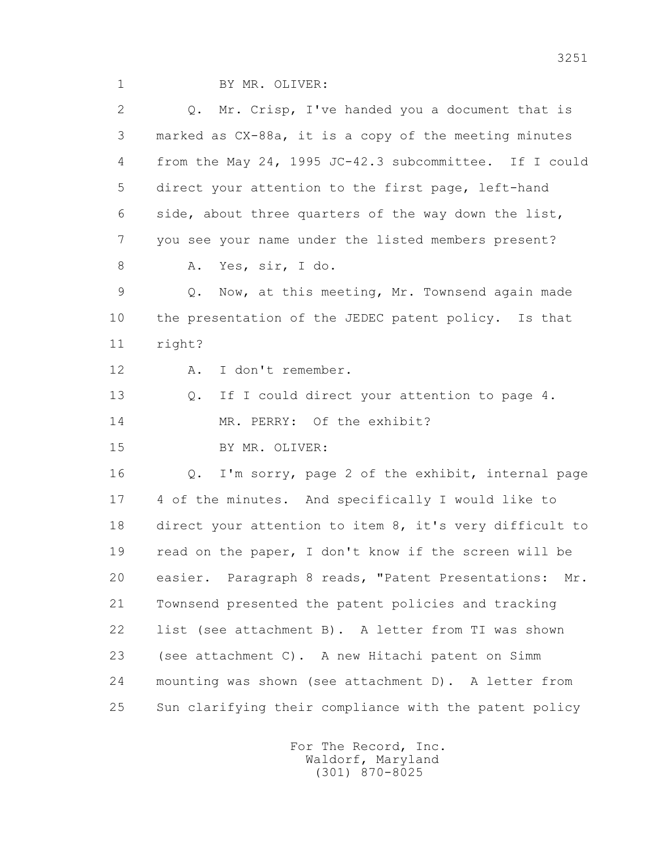| 2  | Q. Mr. Crisp, I've handed you a document that is        |
|----|---------------------------------------------------------|
| 3  | marked as CX-88a, it is a copy of the meeting minutes   |
| 4  | from the May 24, 1995 JC-42.3 subcommittee. If I could  |
| 5  | direct your attention to the first page, left-hand      |
| 6  | side, about three quarters of the way down the list,    |
| 7  | you see your name under the listed members present?     |
| 8  | Yes, sir, I do.<br>Α.                                   |
| 9  | Now, at this meeting, Mr. Townsend again made<br>Q.     |
| 10 | the presentation of the JEDEC patent policy. Is that    |
| 11 | right?                                                  |
| 12 | I don't remember.<br>Α.                                 |
| 13 | If I could direct your attention to page 4.<br>$Q$ .    |
| 14 | MR. PERRY: Of the exhibit?                              |
| 15 | BY MR. OLIVER:                                          |
| 16 | Q. I'm sorry, page 2 of the exhibit, internal page      |
| 17 | 4 of the minutes. And specifically I would like to      |
| 18 | direct your attention to item 8, it's very difficult to |
| 19 | read on the paper, I don't know if the screen will be   |
| 20 | easier. Paragraph 8 reads, "Patent Presentations: Mr.   |
| 21 | Townsend presented the patent policies and tracking     |
| 22 | list (see attachment B). A letter from TI was shown     |
| 23 | (see attachment C). A new Hitachi patent on Simm        |
| 24 | mounting was shown (see attachment D). A letter from    |
| 25 | Sun clarifying their compliance with the patent policy  |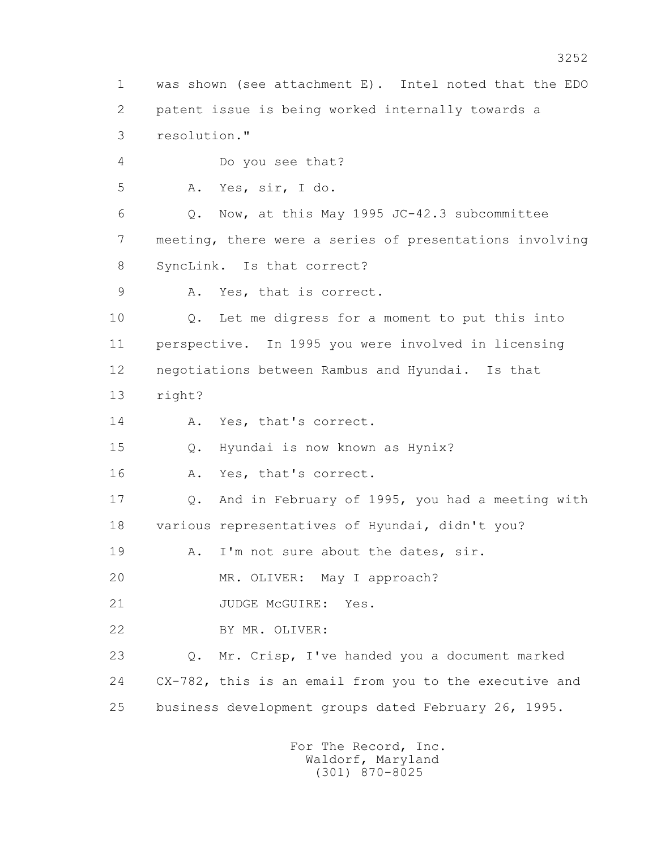1 was shown (see attachment E). Intel noted that the EDO 2 patent issue is being worked internally towards a 3 resolution." 4 Do you see that? 5 A. Yes, sir, I do. 6 Q. Now, at this May 1995 JC-42.3 subcommittee 7 meeting, there were a series of presentations involving 8 SyncLink. Is that correct? 9 A. Yes, that is correct. 10 Q. Let me digress for a moment to put this into 11 perspective. In 1995 you were involved in licensing 12 negotiations between Rambus and Hyundai. Is that 13 right? 14 A. Yes, that's correct. 15 Q. Hyundai is now known as Hynix? 16 A. Yes, that's correct. 17 Q. And in February of 1995, you had a meeting with 18 various representatives of Hyundai, didn't you? 19 A. I'm not sure about the dates, sir. 20 MR. OLIVER: May I approach? 21 JUDGE McGUIRE: Yes. 22 BY MR. OLIVER: 23 Q. Mr. Crisp, I've handed you a document marked 24 CX-782, this is an email from you to the executive and 25 business development groups dated February 26, 1995.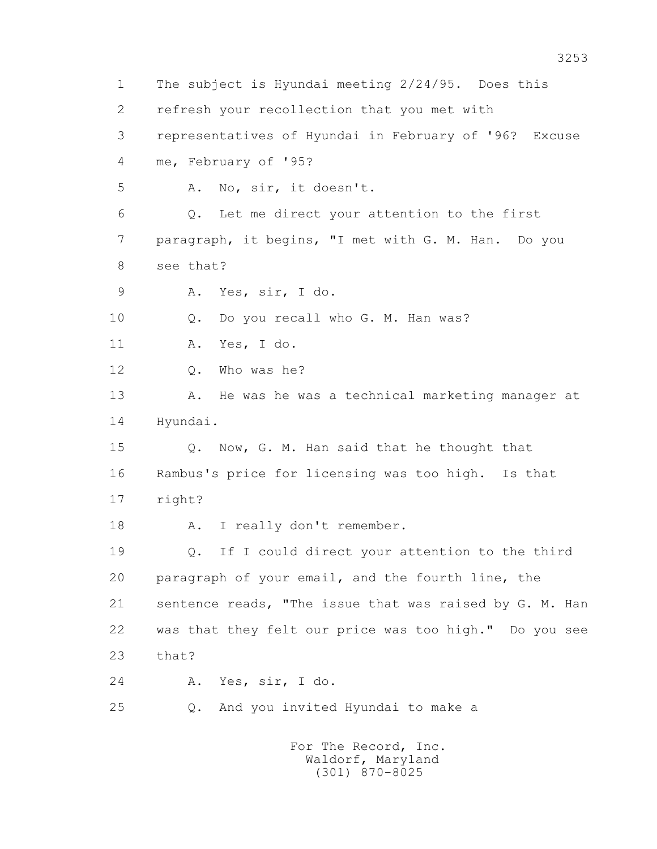1 The subject is Hyundai meeting 2/24/95. Does this 2 refresh your recollection that you met with 3 representatives of Hyundai in February of '96? Excuse 4 me, February of '95? 5 A. No, sir, it doesn't. 6 Q. Let me direct your attention to the first 7 paragraph, it begins, "I met with G. M. Han. Do you 8 see that? 9 A. Yes, sir, I do. 10 Q. Do you recall who G. M. Han was? 11 A. Yes, I do. 12 Q. Who was he? 13 A. He was he was a technical marketing manager at 14 Hyundai. 15 Q. Now, G. M. Han said that he thought that 16 Rambus's price for licensing was too high. Is that 17 right? 18 A. I really don't remember. 19 Q. If I could direct your attention to the third 20 paragraph of your email, and the fourth line, the 21 sentence reads, "The issue that was raised by G. M. Han 22 was that they felt our price was too high." Do you see 23 that? 24 A. Yes, sir, I do. 25 Q. And you invited Hyundai to make a For The Record, Inc. Waldorf, Maryland

(301) 870-8025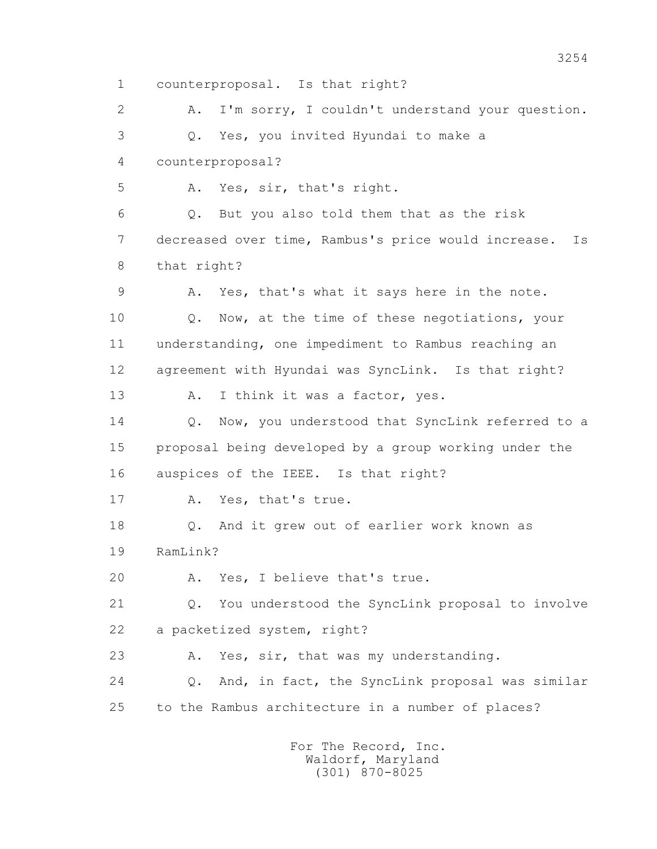1 counterproposal. Is that right? 2 A. I'm sorry, I couldn't understand your question. 3 Q. Yes, you invited Hyundai to make a 4 counterproposal? 5 A. Yes, sir, that's right. 6 Q. But you also told them that as the risk 7 decreased over time, Rambus's price would increase. Is 8 that right? 9 A. Yes, that's what it says here in the note. 10 Q. Now, at the time of these negotiations, your 11 understanding, one impediment to Rambus reaching an 12 agreement with Hyundai was SyncLink. Is that right? 13 A. I think it was a factor, yes. 14 0. Now, you understood that SyncLink referred to a 15 proposal being developed by a group working under the 16 auspices of the IEEE. Is that right? 17 A. Yes, that's true. 18 Q. And it grew out of earlier work known as 19 RamLink? 20 A. Yes, I believe that's true. 21 Q. You understood the SyncLink proposal to involve 22 a packetized system, right? 23 A. Yes, sir, that was my understanding. 24 Q. And, in fact, the SyncLink proposal was similar 25 to the Rambus architecture in a number of places?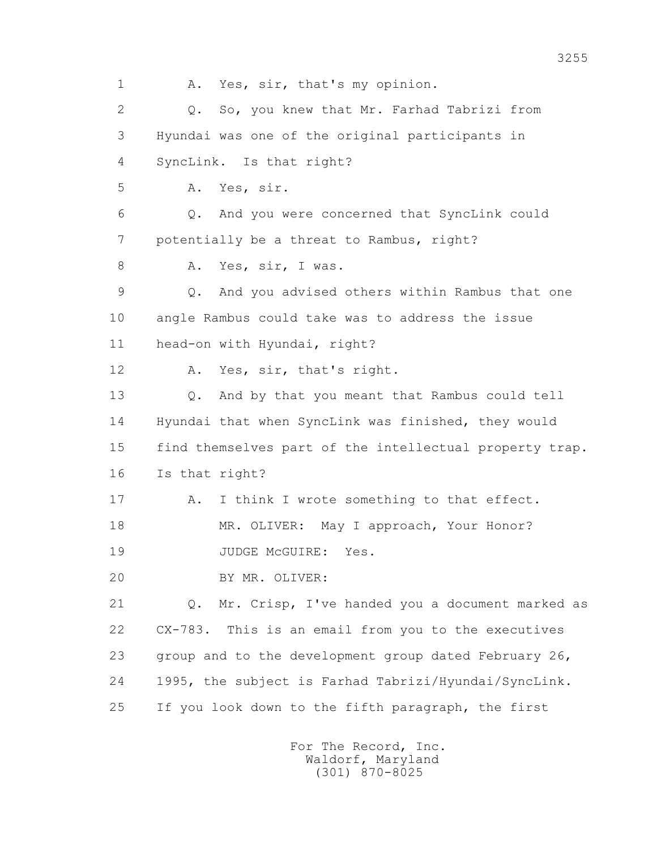1 A. Yes, sir, that's my opinion. 2 Q. So, you knew that Mr. Farhad Tabrizi from 3 Hyundai was one of the original participants in 4 SyncLink. Is that right? 5 A. Yes, sir. 6 Q. And you were concerned that SyncLink could 7 potentially be a threat to Rambus, right? 8 A. Yes, sir, I was. 9 Q. And you advised others within Rambus that one 10 angle Rambus could take was to address the issue 11 head-on with Hyundai, right? 12 A. Yes, sir, that's right. 13 Q. And by that you meant that Rambus could tell 14 Hyundai that when SyncLink was finished, they would 15 find themselves part of the intellectual property trap. 16 Is that right? 17 A. I think I wrote something to that effect. 18 MR. OLIVER: May I approach, Your Honor? 19 JUDGE McGUIRE: Yes. 20 BY MR. OLIVER: 21 Q. Mr. Crisp, I've handed you a document marked as 22 CX-783. This is an email from you to the executives 23 group and to the development group dated February 26, 24 1995, the subject is Farhad Tabrizi/Hyundai/SyncLink. 25 If you look down to the fifth paragraph, the first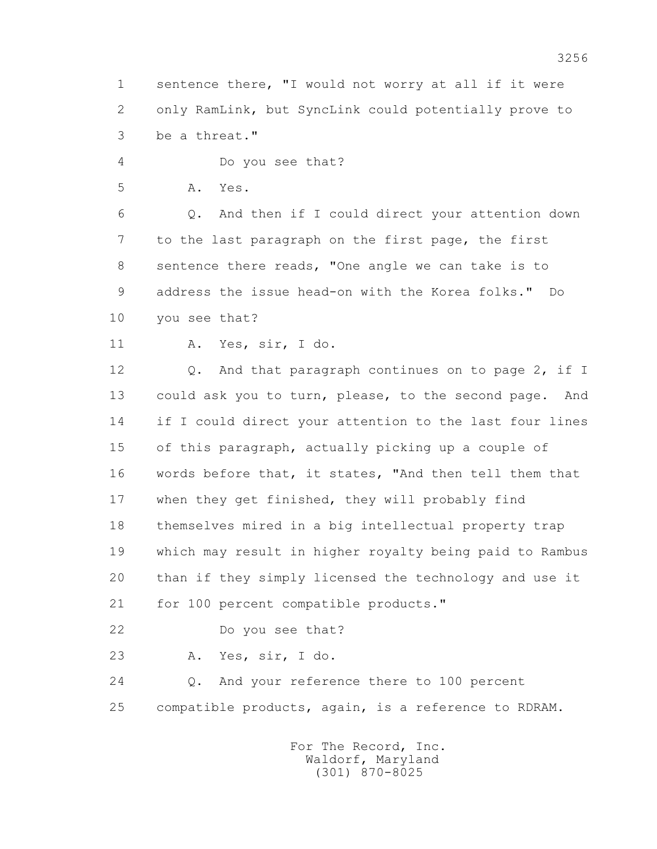1 sentence there, "I would not worry at all if it were 2 only RamLink, but SyncLink could potentially prove to 3 be a threat."

4 Do you see that?

5 A. Yes.

 6 Q. And then if I could direct your attention down 7 to the last paragraph on the first page, the first 8 sentence there reads, "One angle we can take is to 9 address the issue head-on with the Korea folks." Do 10 you see that?

11 A. Yes, sir, I do.

12 Q. And that paragraph continues on to page 2, if I 13 could ask you to turn, please, to the second page. And 14 if I could direct your attention to the last four lines 15 of this paragraph, actually picking up a couple of 16 words before that, it states, "And then tell them that 17 when they get finished, they will probably find 18 themselves mired in a big intellectual property trap 19 which may result in higher royalty being paid to Rambus 20 than if they simply licensed the technology and use it 21 for 100 percent compatible products."

22 Do you see that?

23 A. Yes, sir, I do.

 24 Q. And your reference there to 100 percent 25 compatible products, again, is a reference to RDRAM.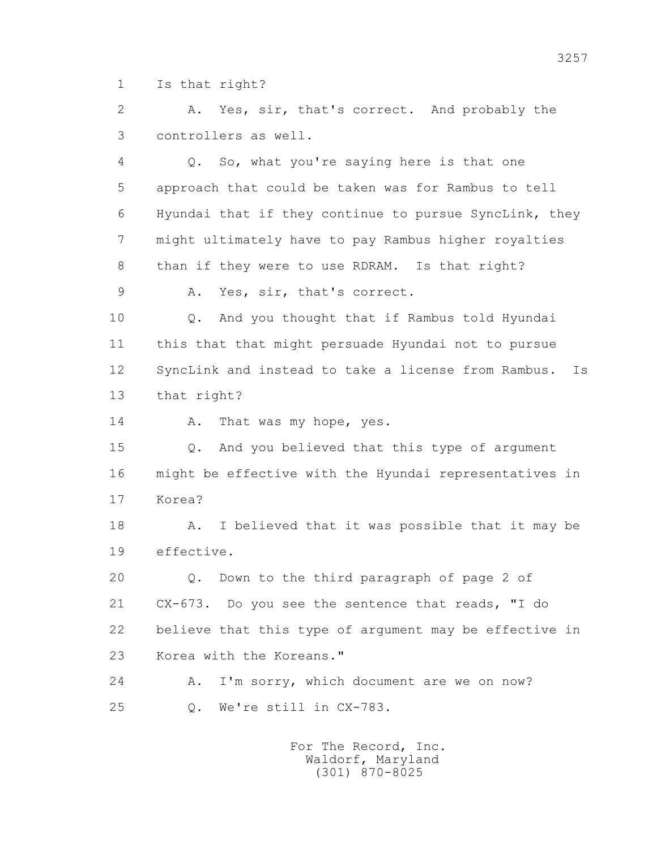1 Is that right?

 2 A. Yes, sir, that's correct. And probably the 3 controllers as well.

 4 Q. So, what you're saying here is that one 5 approach that could be taken was for Rambus to tell 6 Hyundai that if they continue to pursue SyncLink, they 7 might ultimately have to pay Rambus higher royalties 8 than if they were to use RDRAM. Is that right?

9 A. Yes, sir, that's correct.

 10 Q. And you thought that if Rambus told Hyundai 11 this that that might persuade Hyundai not to pursue 12 SyncLink and instead to take a license from Rambus. Is 13 that right?

14 A. That was my hope, yes.

 15 Q. And you believed that this type of argument 16 might be effective with the Hyundai representatives in 17 Korea?

 18 A. I believed that it was possible that it may be 19 effective.

 20 Q. Down to the third paragraph of page 2 of 21 CX-673. Do you see the sentence that reads, "I do 22 believe that this type of argument may be effective in 23 Korea with the Koreans."

 24 A. I'm sorry, which document are we on now? 25 Q. We're still in CX-783.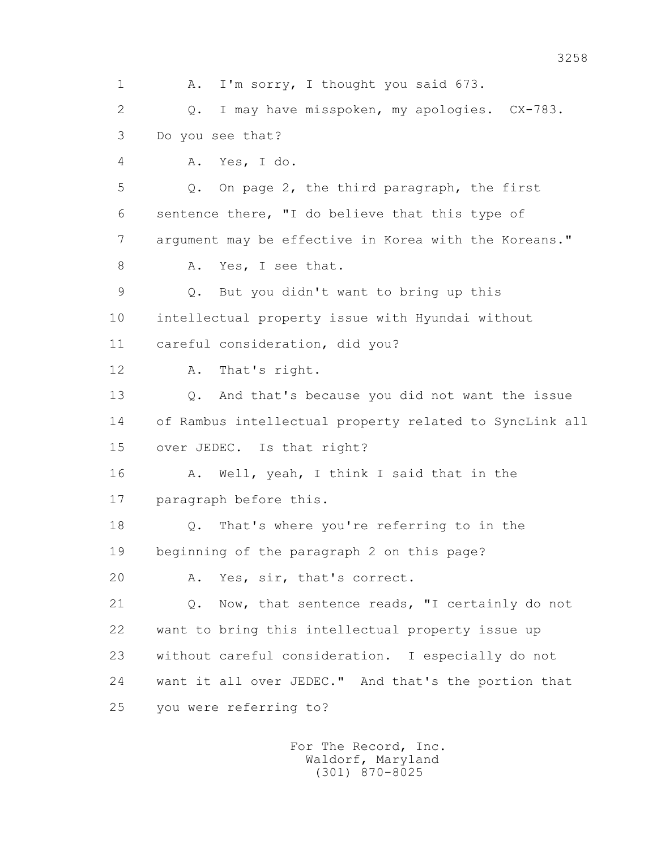1 A. I'm sorry, I thought you said 673. 2 Q. I may have misspoken, my apologies. CX-783. 3 Do you see that? 4 A. Yes, I do. 5 Q. On page 2, the third paragraph, the first 6 sentence there, "I do believe that this type of 7 argument may be effective in Korea with the Koreans." 8 A. Yes, I see that. 9 Q. But you didn't want to bring up this 10 intellectual property issue with Hyundai without 11 careful consideration, did you? 12 A. That's right. 13 Q. And that's because you did not want the issue 14 of Rambus intellectual property related to SyncLink all 15 over JEDEC. Is that right? 16 A. Well, yeah, I think I said that in the 17 paragraph before this. 18 Q. That's where you're referring to in the 19 beginning of the paragraph 2 on this page? 20 A. Yes, sir, that's correct. 21 Q. Now, that sentence reads, "I certainly do not 22 want to bring this intellectual property issue up 23 without careful consideration. I especially do not 24 want it all over JEDEC." And that's the portion that 25 you were referring to?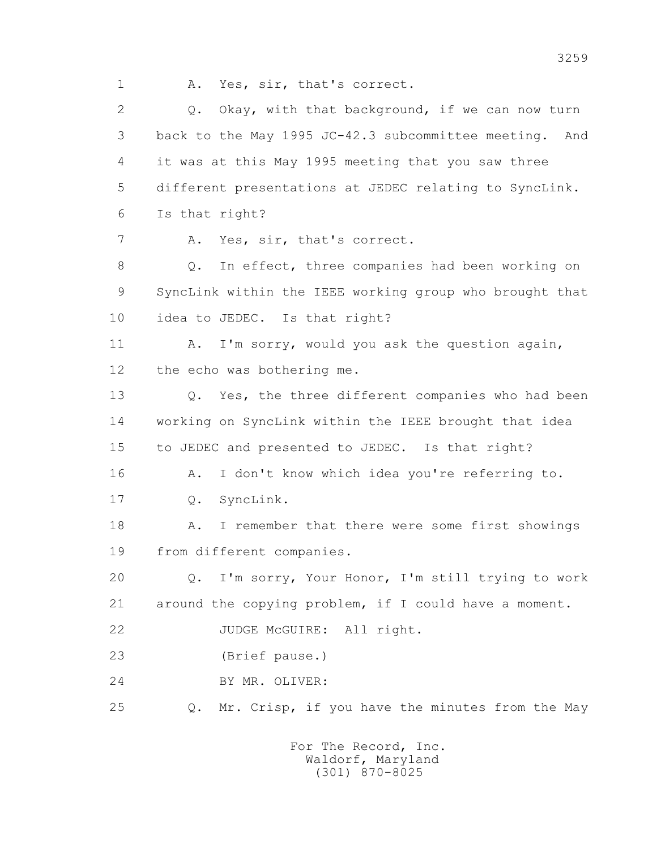1 A. Yes, sir, that's correct.

2 0. Okay, with that background, if we can now turn 3 back to the May 1995 JC-42.3 subcommittee meeting. And 4 it was at this May 1995 meeting that you saw three 5 different presentations at JEDEC relating to SyncLink. 6 Is that right? 7 A. Yes, sir, that's correct. 8 Q. In effect, three companies had been working on 9 SyncLink within the IEEE working group who brought that 10 idea to JEDEC. Is that right? 11 A. I'm sorry, would you ask the question again, 12 the echo was bothering me. 13 Q. Yes, the three different companies who had been 14 working on SyncLink within the IEEE brought that idea 15 to JEDEC and presented to JEDEC. Is that right? 16 A. I don't know which idea you're referring to. 17 Q. SyncLink. 18 A. I remember that there were some first showings 19 from different companies. 20 Q. I'm sorry, Your Honor, I'm still trying to work 21 around the copying problem, if I could have a moment. 22 JUDGE McGUIRE: All right. 23 (Brief pause.) 24 BY MR. OLIVER: 25 Q. Mr. Crisp, if you have the minutes from the May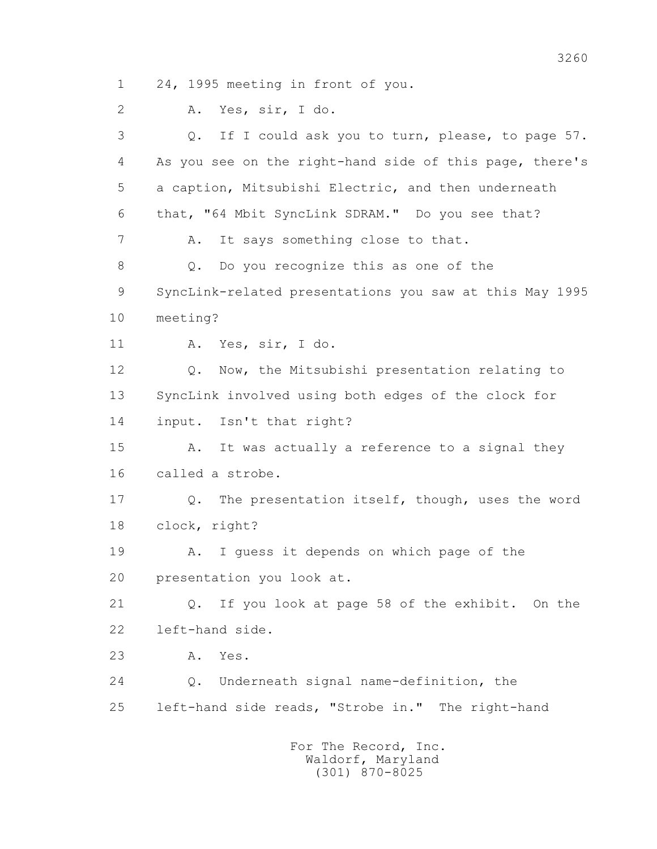1 24, 1995 meeting in front of you.

2 A. Yes, sir, I do.

 3 Q. If I could ask you to turn, please, to page 57. 4 As you see on the right-hand side of this page, there's 5 a caption, Mitsubishi Electric, and then underneath 6 that, "64 Mbit SyncLink SDRAM." Do you see that? 7 A. It says something close to that. 8 Q. Do you recognize this as one of the 9 SyncLink-related presentations you saw at this May 1995 10 meeting? 11 A. Yes, sir, I do. 12 Q. Now, the Mitsubishi presentation relating to 13 SyncLink involved using both edges of the clock for 14 input. Isn't that right? 15 A. It was actually a reference to a signal they 16 called a strobe. 17 Q. The presentation itself, though, uses the word 18 clock, right? 19 A. I guess it depends on which page of the 20 presentation you look at. 21 Q. If you look at page 58 of the exhibit. On the 22 left-hand side. 23 A. Yes. 24 Q. Underneath signal name-definition, the 25 left-hand side reads, "Strobe in." The right-hand For The Record, Inc.

 Waldorf, Maryland (301) 870-8025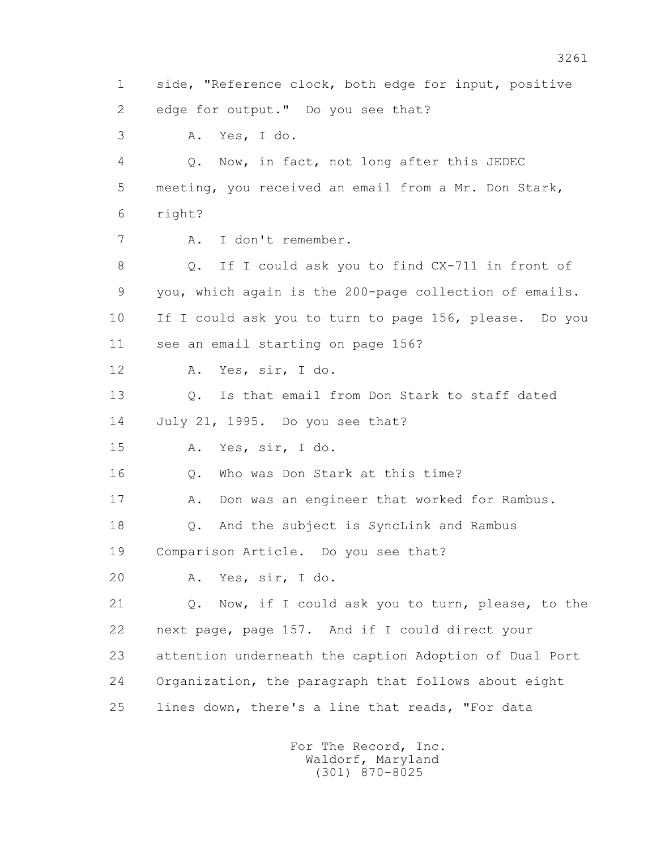1 side, "Reference clock, both edge for input, positive 2 edge for output." Do you see that? 3 A. Yes, I do. 4 Q. Now, in fact, not long after this JEDEC 5 meeting, you received an email from a Mr. Don Stark, 6 right? 7 A. I don't remember. 8 Q. If I could ask you to find CX-711 in front of 9 you, which again is the 200-page collection of emails. 10 If I could ask you to turn to page 156, please. Do you 11 see an email starting on page 156? 12 A. Yes, sir, I do. 13 Q. Is that email from Don Stark to staff dated 14 July 21, 1995. Do you see that? 15 A. Yes, sir, I do. 16 0. Who was Don Stark at this time? 17 A. Don was an engineer that worked for Rambus. 18 Q. And the subject is SyncLink and Rambus 19 Comparison Article. Do you see that? 20 A. Yes, sir, I do. 21 Q. Now, if I could ask you to turn, please, to the 22 next page, page 157. And if I could direct your 23 attention underneath the caption Adoption of Dual Port 24 Organization, the paragraph that follows about eight 25 lines down, there's a line that reads, "For data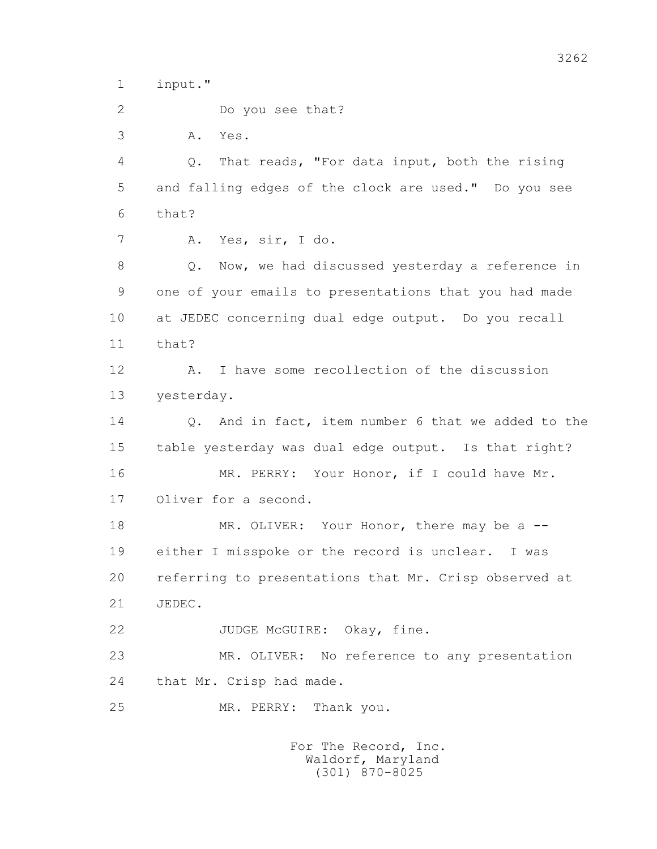1 input."

2 Do you see that?

3 A. Yes.

 4 Q. That reads, "For data input, both the rising 5 and falling edges of the clock are used." Do you see 6 that?

7 A. Yes, sir, I do.

 8 Q. Now, we had discussed yesterday a reference in 9 one of your emails to presentations that you had made 10 at JEDEC concerning dual edge output. Do you recall 11 that?

 12 A. I have some recollection of the discussion 13 yesterday.

 14 Q. And in fact, item number 6 that we added to the 15 table yesterday was dual edge output. Is that right? 16 MR. PERRY: Your Honor, if I could have Mr.

17 Oliver for a second.

18 MR. OLIVER: Your Honor, there may be a -- 19 either I misspoke or the record is unclear. I was 20 referring to presentations that Mr. Crisp observed at 21 JEDEC.

22 JUDGE McGUIRE: Okay, fine.

 23 MR. OLIVER: No reference to any presentation 24 that Mr. Crisp had made.

25 MR. PERRY: Thank you.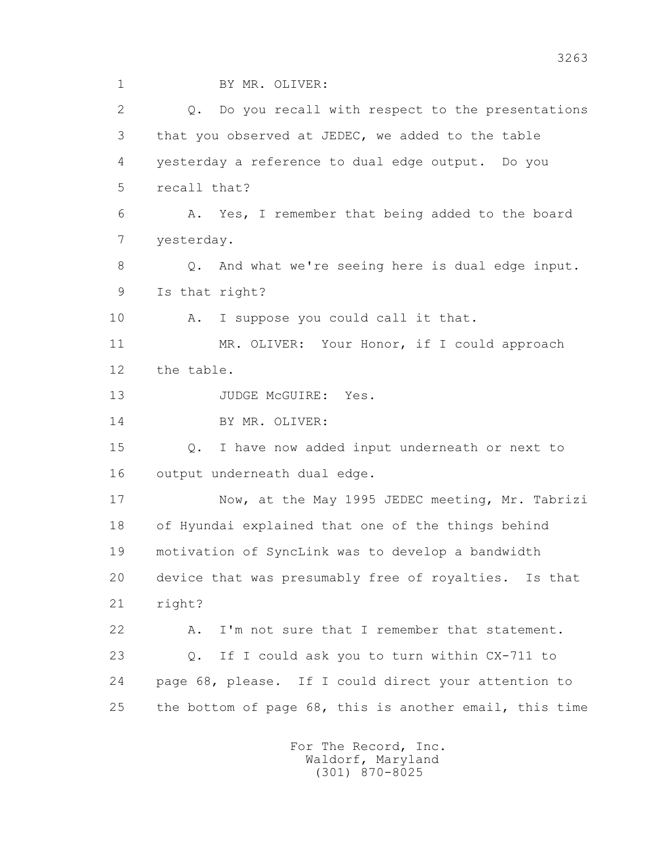1 BY MR. OLIVER:

2 0. Do you recall with respect to the presentations 3 that you observed at JEDEC, we added to the table 4 yesterday a reference to dual edge output. Do you 5 recall that? 6 A. Yes, I remember that being added to the board 7 yesterday. 8 Q. And what we're seeing here is dual edge input. 9 Is that right? 10 A. I suppose you could call it that. 11 MR. OLIVER: Your Honor, if I could approach 12 the table. 13 JUDGE McGUIRE: Yes. 14 BY MR. OLIVER: 15 Q. I have now added input underneath or next to 16 output underneath dual edge. 17 Now, at the May 1995 JEDEC meeting, Mr. Tabrizi 18 of Hyundai explained that one of the things behind 19 motivation of SyncLink was to develop a bandwidth 20 device that was presumably free of royalties. Is that 21 right? 22 A. I'm not sure that I remember that statement. 23 Q. If I could ask you to turn within CX-711 to 24 page 68, please. If I could direct your attention to 25 the bottom of page 68, this is another email, this time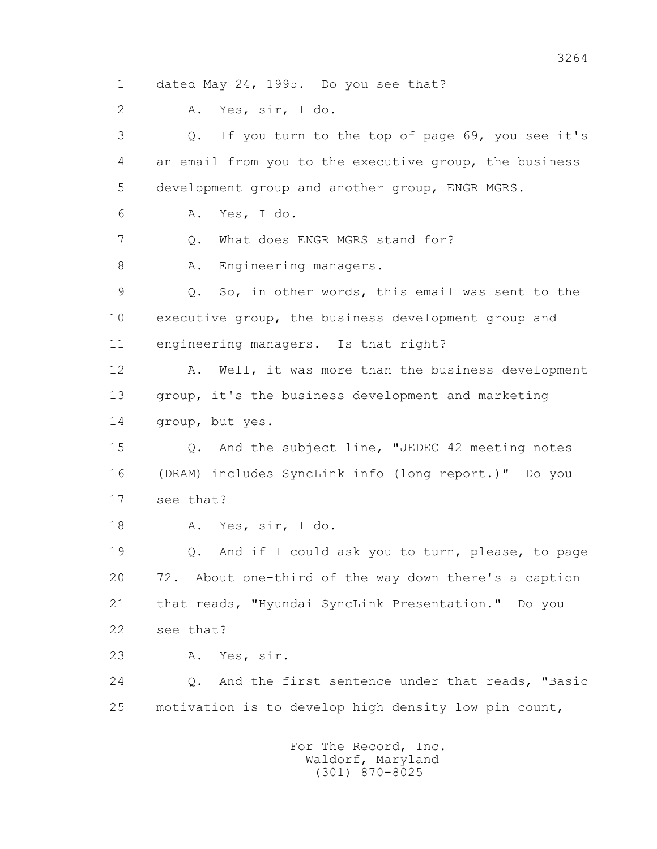1 dated May 24, 1995. Do you see that?

2 A. Yes, sir, I do.

 3 Q. If you turn to the top of page 69, you see it's 4 an email from you to the executive group, the business 5 development group and another group, ENGR MGRS. 6 A. Yes, I do. 7 0. What does ENGR MGRS stand for? 8 A. Engineering managers. 9 Q. So, in other words, this email was sent to the 10 executive group, the business development group and 11 engineering managers. Is that right? 12 A. Well, it was more than the business development 13 group, it's the business development and marketing 14 group, but yes. 15 Q. And the subject line, "JEDEC 42 meeting notes 16 (DRAM) includes SyncLink info (long report.)" Do you 17 see that? 18 A. Yes, sir, I do. 19 Q. And if I could ask you to turn, please, to page

 20 72. About one-third of the way down there's a caption 21 that reads, "Hyundai SyncLink Presentation." Do you 22 see that?

23 A. Yes, sir.

 24 Q. And the first sentence under that reads, "Basic 25 motivation is to develop high density low pin count,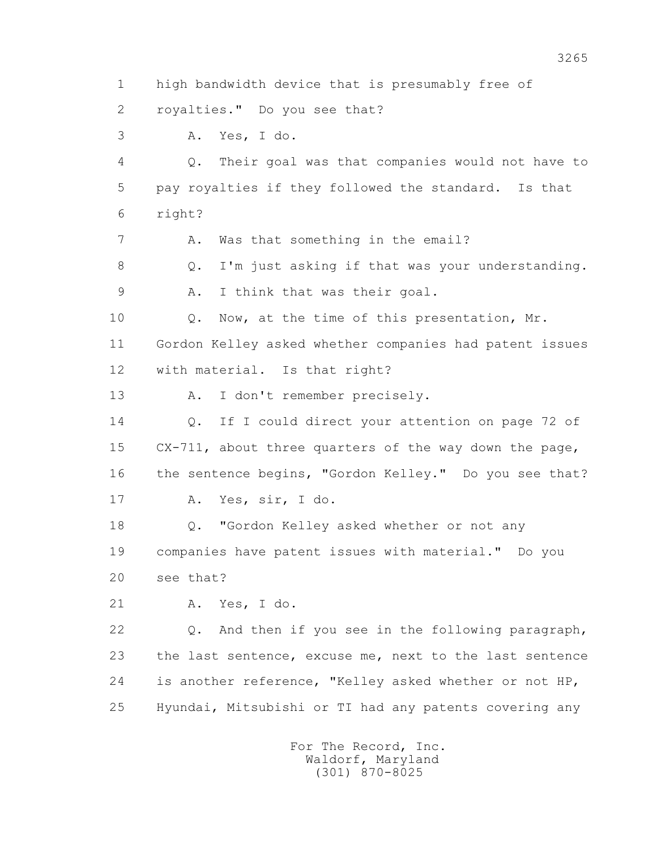1 high bandwidth device that is presumably free of 2 royalties." Do you see that? 3 A. Yes, I do. 4 Q. Their goal was that companies would not have to 5 pay royalties if they followed the standard. Is that 6 right? 7 A. Was that something in the email? 8 Q. I'm just asking if that was your understanding. 9 A. I think that was their goal. 10 Q. Now, at the time of this presentation, Mr. 11 Gordon Kelley asked whether companies had patent issues 12 with material. Is that right? 13 A. I don't remember precisely. 14 Q. If I could direct your attention on page 72 of 15 CX-711, about three quarters of the way down the page, 16 the sentence begins, "Gordon Kelley." Do you see that? 17 A. Yes, sir, I do. 18 Q. "Gordon Kelley asked whether or not any 19 companies have patent issues with material." Do you 20 see that? 21 A. Yes, I do. 22 Q. And then if you see in the following paragraph, 23 the last sentence, excuse me, next to the last sentence 24 is another reference, "Kelley asked whether or not HP, 25 Hyundai, Mitsubishi or TI had any patents covering any For The Record, Inc.

 Waldorf, Maryland (301) 870-8025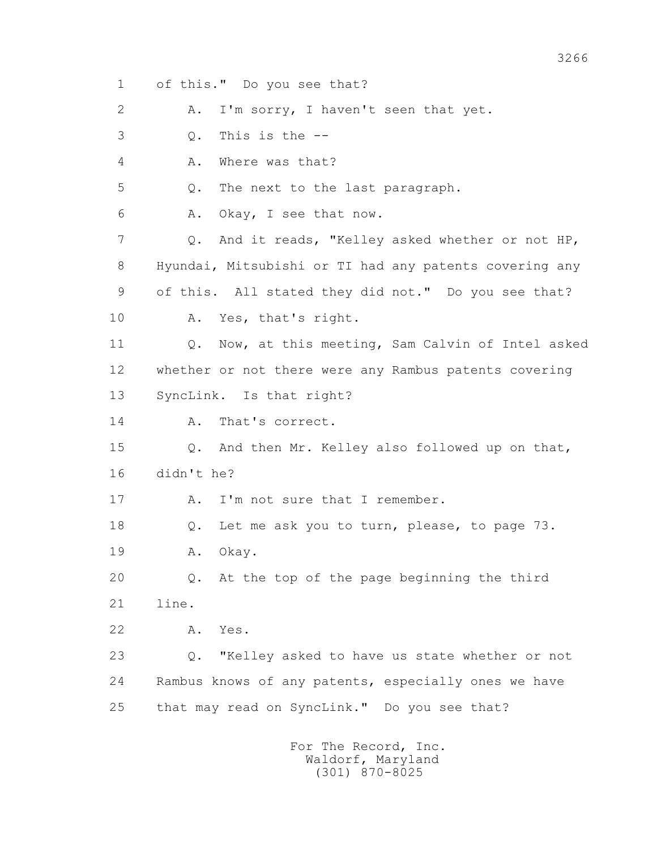1 of this." Do you see that? 2 A. I'm sorry, I haven't seen that yet. 3 Q. This is the -- 4 A. Where was that? 5 Q. The next to the last paragraph. 6 A. Okay, I see that now. 7 Q. And it reads, "Kelley asked whether or not HP, 8 Hyundai, Mitsubishi or TI had any patents covering any 9 of this. All stated they did not." Do you see that? 10 A. Yes, that's right. 11 0. Now, at this meeting, Sam Calvin of Intel asked 12 whether or not there were any Rambus patents covering 13 SyncLink. Is that right? 14 A. That's correct. 15 Q. And then Mr. Kelley also followed up on that, 16 didn't he? 17 A. I'm not sure that I remember. 18 Q. Let me ask you to turn, please, to page 73. 19 A. Okay. 20 Q. At the top of the page beginning the third 21 line. 22 A. Yes. 23 Q. "Kelley asked to have us state whether or not 24 Rambus knows of any patents, especially ones we have 25 that may read on SyncLink." Do you see that?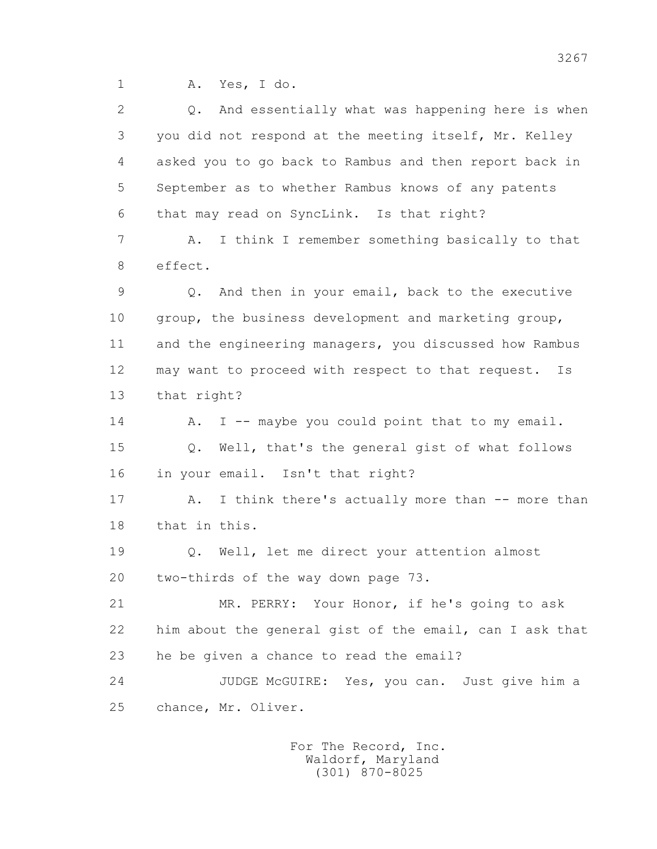1 A. Yes, I do.

| $\mathbf{2}$ | And essentially what was happening here is when<br>$\circ$ . |
|--------------|--------------------------------------------------------------|
| 3            | you did not respond at the meeting itself, Mr. Kelley        |
| 4            | asked you to go back to Rambus and then report back in       |
| 5            | September as to whether Rambus knows of any patents          |
| 6            | that may read on SyncLink. Is that right?                    |
| 7            | I think I remember something basically to that<br>Α.         |
| 8            | effect.                                                      |
| 9            | And then in your email, back to the executive<br>Q.          |
| 10           | group, the business development and marketing group,         |
| 11           | and the engineering managers, you discussed how Rambus       |
| 12           | may want to proceed with respect to that request.<br>Is      |
| 13           | that right?                                                  |
| 14           | I -- maybe you could point that to my email.<br>Α.           |
| 15           | Well, that's the general gist of what follows<br>Q.          |
| 16           | in your email. Isn't that right?                             |
| 17           | I think there's actually more than -- more than<br>Α.        |
| 18           | that in this.                                                |
| 19           | Q. Well, let me direct your attention almost                 |
| 20           | two-thirds of the way down page 73.                          |
| 21           | MR. PERRY: Your Honor, if he's going to ask                  |
| 22           | him about the general gist of the email, can I ask that      |
| 23           | he be given a chance to read the email?                      |
| 24           | JUDGE McGUIRE: Yes, you can. Just give him a                 |
| 25           | chance, Mr. Oliver.                                          |
|              |                                                              |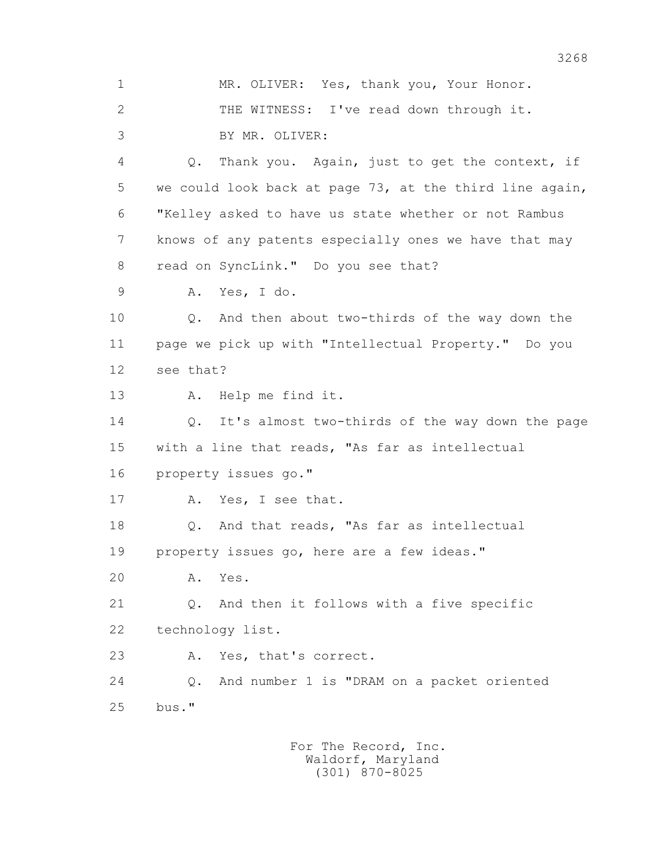1 MR. OLIVER: Yes, thank you, Your Honor. 2 THE WITNESS: I've read down through it. 3 BY MR. OLIVER: 4 Q. Thank you. Again, just to get the context, if 5 we could look back at page 73, at the third line again, 6 "Kelley asked to have us state whether or not Rambus 7 knows of any patents especially ones we have that may 8 read on SyncLink." Do you see that? 9 A. Yes, I do. 10 Q. And then about two-thirds of the way down the 11 page we pick up with "Intellectual Property." Do you

12 see that?

13 A. Help me find it.

14 0. It's almost two-thirds of the way down the page 15 with a line that reads, "As far as intellectual 16 property issues go."

17 A. Yes, I see that.

 18 Q. And that reads, "As far as intellectual 19 property issues go, here are a few ideas."

20 A. Yes.

 21 Q. And then it follows with a five specific 22 technology list.

23 A. Yes, that's correct.

 24 Q. And number 1 is "DRAM on a packet oriented 25 bus."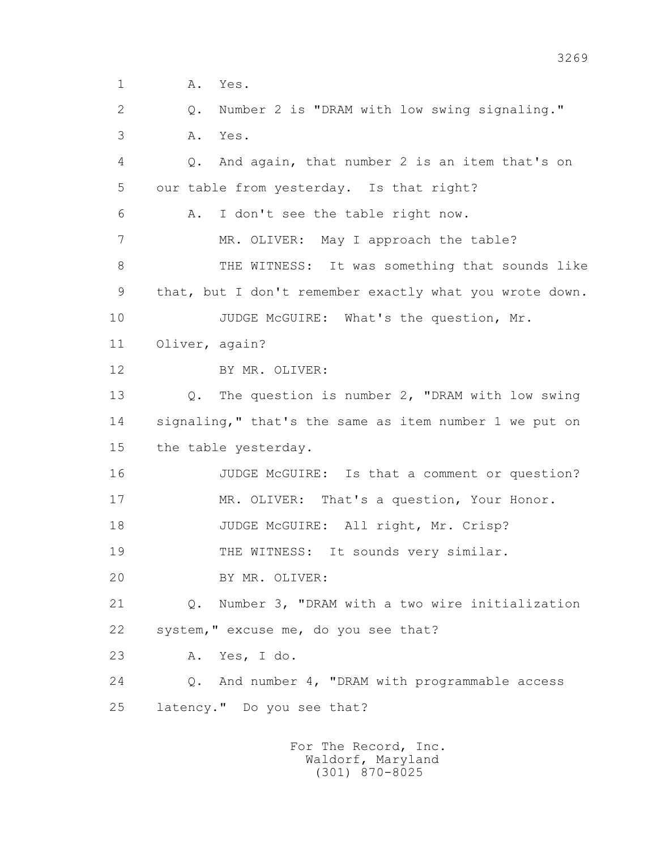1 **A.** Yes. 2 Q. Number 2 is "DRAM with low swing signaling." 3 A. Yes. 4 Q. And again, that number 2 is an item that's on 5 our table from yesterday. Is that right? 6 A. I don't see the table right now. 7 MR. OLIVER: May I approach the table? 8 THE WITNESS: It was something that sounds like 9 that, but I don't remember exactly what you wrote down. 10 JUDGE McGUIRE: What's the question, Mr. 11 Oliver, again? 12 BY MR. OLIVER: 13 Q. The question is number 2, "DRAM with low swing 14 signaling," that's the same as item number 1 we put on 15 the table yesterday. 16 JUDGE McGUIRE: Is that a comment or question? 17 MR. OLIVER: That's a question, Your Honor. 18 JUDGE McGUIRE: All right, Mr. Crisp? 19 THE WITNESS: It sounds very similar. 20 BY MR. OLIVER: 21 Q. Number 3, "DRAM with a two wire initialization 22 system," excuse me, do you see that? 23 A. Yes, I do. 24 Q. And number 4, "DRAM with programmable access 25 latency." Do you see that?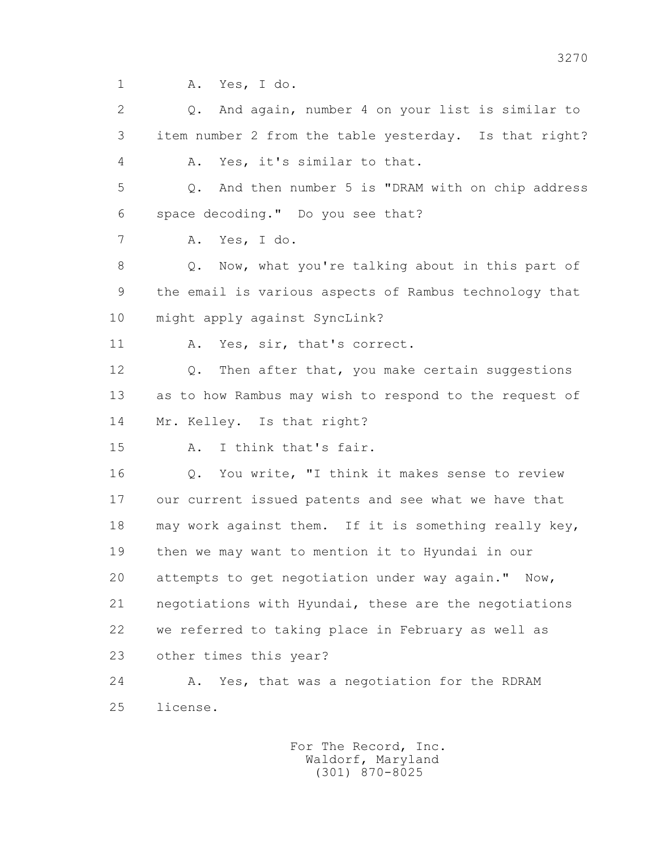1 A. Yes, I do.

 2 Q. And again, number 4 on your list is similar to 3 item number 2 from the table yesterday. Is that right? 4 A. Yes, it's similar to that. 5 Q. And then number 5 is "DRAM with on chip address 6 space decoding." Do you see that? 7 A. Yes, I do. 8 Q. Now, what you're talking about in this part of 9 the email is various aspects of Rambus technology that 10 might apply against SyncLink? 11 A. Yes, sir, that's correct. 12 Q. Then after that, you make certain suggestions 13 as to how Rambus may wish to respond to the request of 14 Mr. Kelley. Is that right? 15 A. I think that's fair. 16 Q. You write, "I think it makes sense to review 17 our current issued patents and see what we have that 18 may work against them. If it is something really key, 19 then we may want to mention it to Hyundai in our 20 attempts to get negotiation under way again." Now, 21 negotiations with Hyundai, these are the negotiations 22 we referred to taking place in February as well as 23 other times this year? 24 A. Yes, that was a negotiation for the RDRAM 25 license.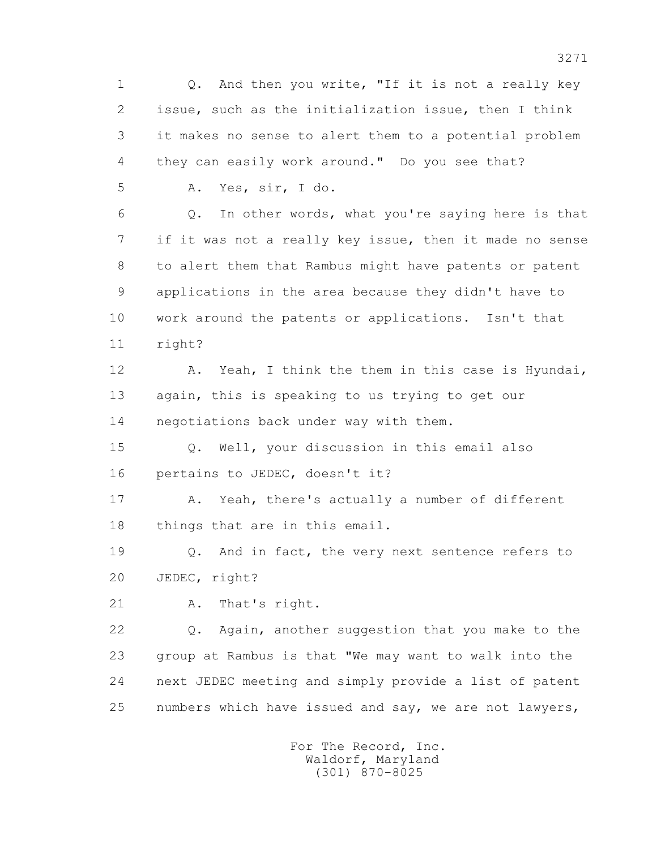1 Q. And then you write, "If it is not a really key 2 issue, such as the initialization issue, then I think 3 it makes no sense to alert them to a potential problem 4 they can easily work around." Do you see that? 5 A. Yes, sir, I do. 6 Q. In other words, what you're saying here is that 7 if it was not a really key issue, then it made no sense 8 to alert them that Rambus might have patents or patent 9 applications in the area because they didn't have to 10 work around the patents or applications. Isn't that 11 right? 12 A. Yeah, I think the them in this case is Hyundai, 13 again, this is speaking to us trying to get our 14 negotiations back under way with them. 15 Q. Well, your discussion in this email also 16 pertains to JEDEC, doesn't it? 17 A. Yeah, there's actually a number of different 18 things that are in this email. 19 Q. And in fact, the very next sentence refers to 20 JEDEC, right? 21 A. That's right. 22 Q. Again, another suggestion that you make to the 23 group at Rambus is that "We may want to walk into the 24 next JEDEC meeting and simply provide a list of patent 25 numbers which have issued and say, we are not lawyers, For The Record, Inc.

 Waldorf, Maryland (301) 870-8025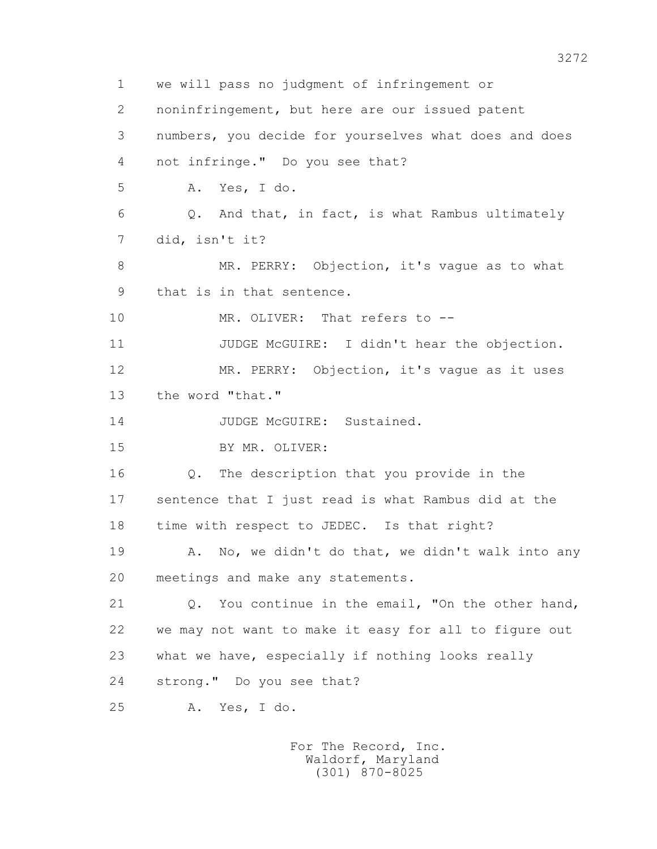1 we will pass no judgment of infringement or 2 noninfringement, but here are our issued patent 3 numbers, you decide for yourselves what does and does 4 not infringe." Do you see that? 5 A. Yes, I do. 6 Q. And that, in fact, is what Rambus ultimately 7 did, isn't it? 8 MR. PERRY: Objection, it's vaque as to what 9 that is in that sentence. 10 MR. OLIVER: That refers to --11 JUDGE McGUIRE: I didn't hear the objection. 12 MR. PERRY: Objection, it's vague as it uses 13 the word "that." 14 JUDGE McGUIRE: Sustained. 15 BY MR. OLIVER: 16 Q. The description that you provide in the 17 sentence that I just read is what Rambus did at the 18 time with respect to JEDEC. Is that right? 19 A. No, we didn't do that, we didn't walk into any 20 meetings and make any statements. 21 Q. You continue in the email, "On the other hand, 22 we may not want to make it easy for all to figure out 23 what we have, especially if nothing looks really 24 strong." Do you see that? 25 A. Yes, I do.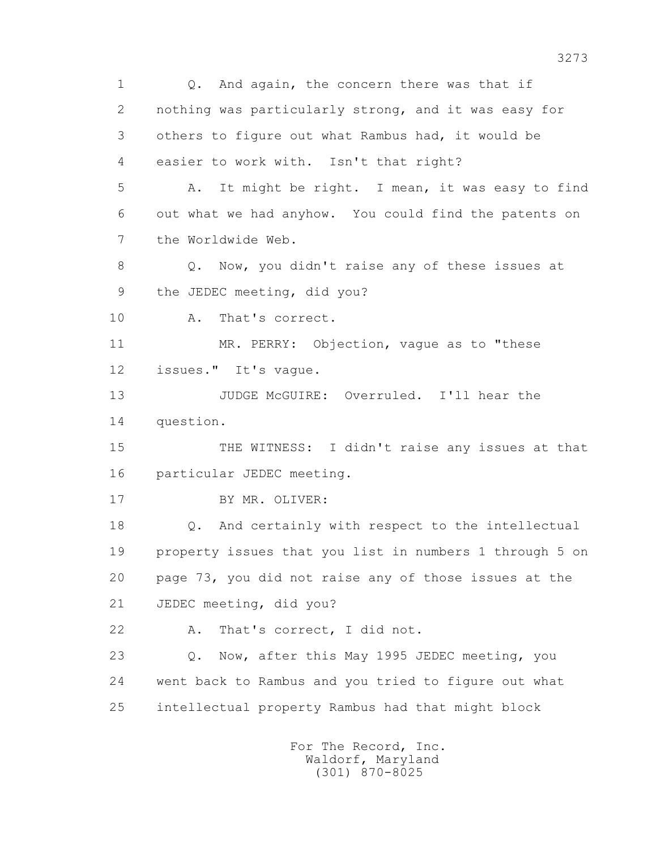1 0. And again, the concern there was that if 2 nothing was particularly strong, and it was easy for 3 others to figure out what Rambus had, it would be 4 easier to work with. Isn't that right? 5 A. It might be right. I mean, it was easy to find 6 out what we had anyhow. You could find the patents on 7 the Worldwide Web. 8 Q. Now, you didn't raise any of these issues at 9 the JEDEC meeting, did you? 10 A. That's correct. 11 MR. PERRY: Objection, vaque as to "these 12 issues." It's vague. 13 JUDGE McGUIRE: Overruled. I'll hear the 14 question. 15 THE WITNESS: I didn't raise any issues at that 16 particular JEDEC meeting. 17 BY MR. OLIVER: 18 Q. And certainly with respect to the intellectual 19 property issues that you list in numbers 1 through 5 on 20 page 73, you did not raise any of those issues at the 21 JEDEC meeting, did you? 22 A. That's correct, I did not. 23 Q. Now, after this May 1995 JEDEC meeting, you 24 went back to Rambus and you tried to figure out what 25 intellectual property Rambus had that might block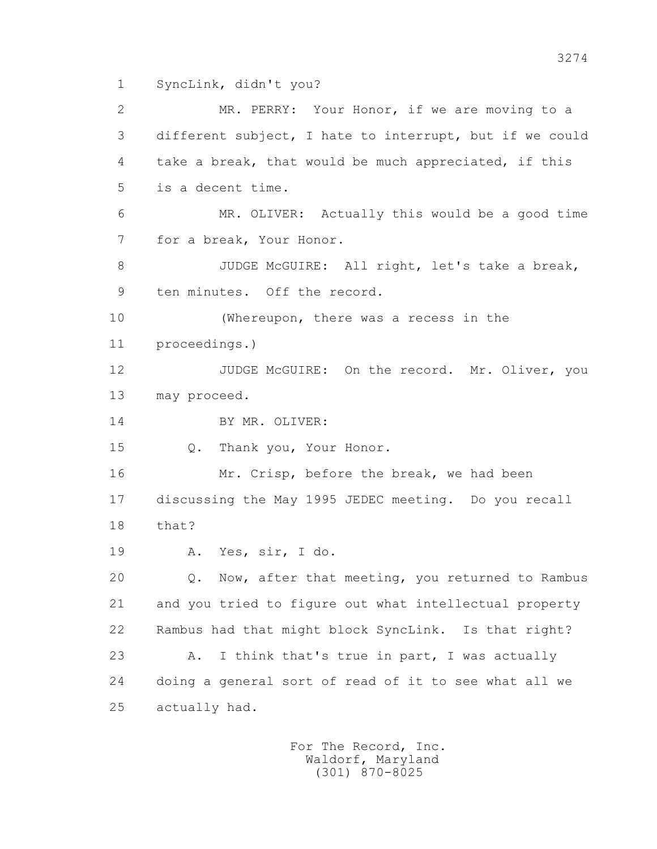1 SyncLink, didn't you?

 2 MR. PERRY: Your Honor, if we are moving to a 3 different subject, I hate to interrupt, but if we could 4 take a break, that would be much appreciated, if this 5 is a decent time. 6 MR. OLIVER: Actually this would be a good time 7 for a break, Your Honor. 8 JUDGE McGUIRE: All right, let's take a break, 9 ten minutes. Off the record. 10 (Whereupon, there was a recess in the 11 proceedings.) 12 JUDGE McGUIRE: On the record. Mr. Oliver, you 13 may proceed. 14 BY MR. OLIVER: 15 Q. Thank you, Your Honor. 16 Mr. Crisp, before the break, we had been 17 discussing the May 1995 JEDEC meeting. Do you recall 18 that? 19 A. Yes, sir, I do. 20 Q. Now, after that meeting, you returned to Rambus 21 and you tried to figure out what intellectual property 22 Rambus had that might block SyncLink. Is that right? 23 A. I think that's true in part, I was actually 24 doing a general sort of read of it to see what all we 25 actually had.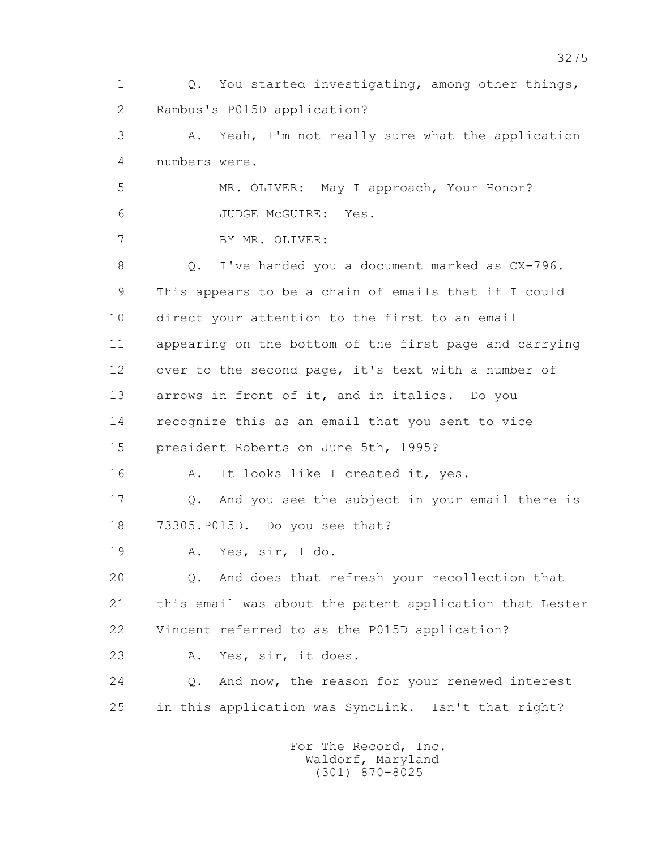1 Q. You started investigating, among other things, 2 Rambus's P015D application? 3 A. Yeah, I'm not really sure what the application 4 numbers were. 5 MR. OLIVER: May I approach, Your Honor? 6 JUDGE McGUIRE: Yes. 7 BY MR. OLIVER: 8 O. I've handed you a document marked as  $CX-796$ . 9 This appears to be a chain of emails that if I could 10 direct your attention to the first to an email 11 appearing on the bottom of the first page and carrying 12 over to the second page, it's text with a number of 13 arrows in front of it, and in italics. Do you 14 recognize this as an email that you sent to vice 15 president Roberts on June 5th, 1995? 16 A. It looks like I created it, yes. 17 Q. And you see the subject in your email there is 18 73305.P015D. Do you see that? 19 A. Yes, sir, I do. 20 Q. And does that refresh your recollection that 21 this email was about the patent application that Lester 22 Vincent referred to as the P015D application? 23 A. Yes, sir, it does. 24 Q. And now, the reason for your renewed interest 25 in this application was SyncLink. Isn't that right?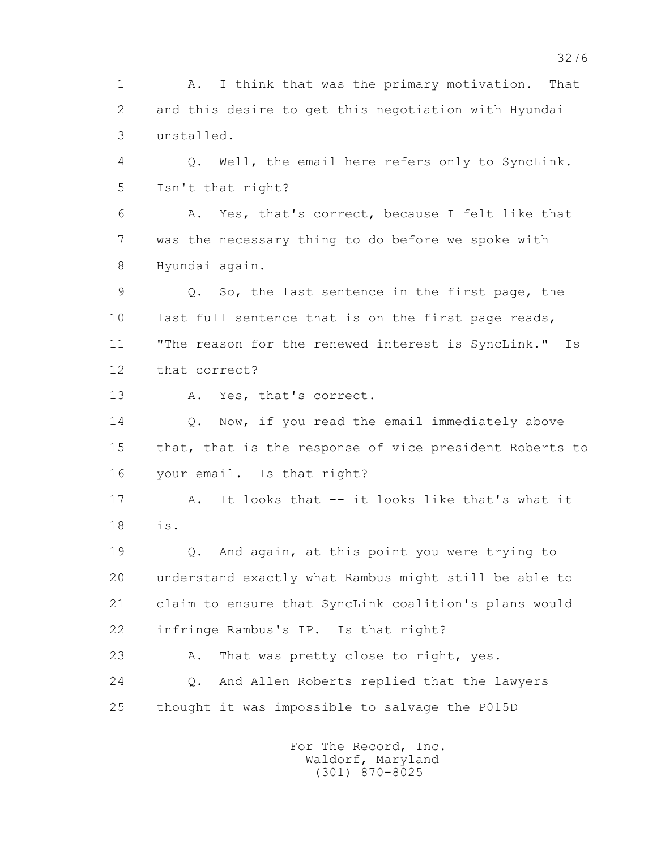1 A. I think that was the primary motivation. That 2 and this desire to get this negotiation with Hyundai 3 unstalled.

 4 Q. Well, the email here refers only to SyncLink. 5 Isn't that right?

 6 A. Yes, that's correct, because I felt like that 7 was the necessary thing to do before we spoke with 8 Hyundai again.

 9 Q. So, the last sentence in the first page, the 10 last full sentence that is on the first page reads, 11 "The reason for the renewed interest is SyncLink." Is 12 that correct?

13 A. Yes, that's correct.

14 0. Now, if you read the email immediately above 15 that, that is the response of vice president Roberts to 16 your email. Is that right?

 17 A. It looks that -- it looks like that's what it 18 is.

 19 Q. And again, at this point you were trying to 20 understand exactly what Rambus might still be able to 21 claim to ensure that SyncLink coalition's plans would 22 infringe Rambus's IP. Is that right?

23 A. That was pretty close to right, yes. 24 Q. And Allen Roberts replied that the lawyers 25 thought it was impossible to salvage the P015D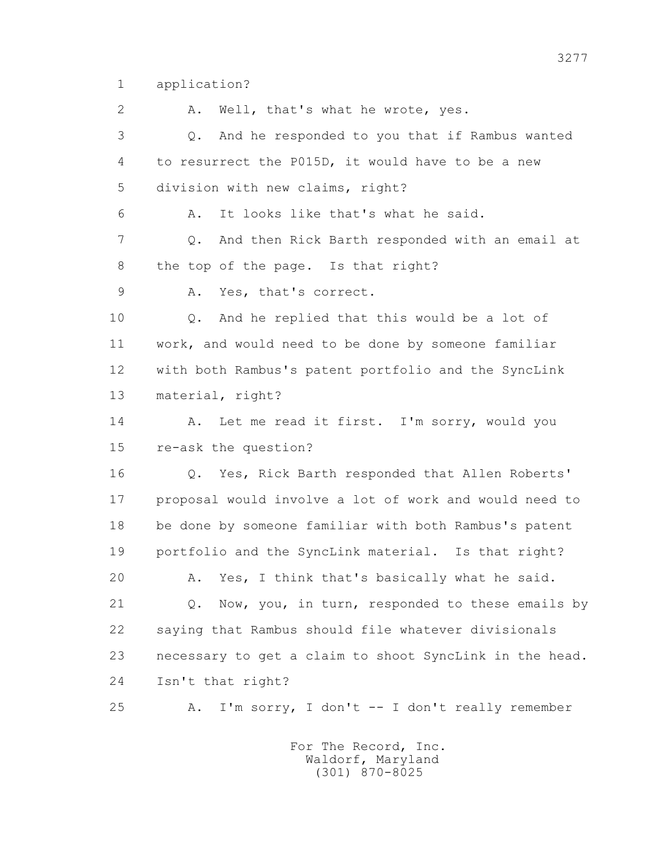1 application?

2 A. Well, that's what he wrote, yes.

 3 Q. And he responded to you that if Rambus wanted 4 to resurrect the P015D, it would have to be a new 5 division with new claims, right?

6 A. It looks like that's what he said.

 7 Q. And then Rick Barth responded with an email at 8 the top of the page. Is that right?

9 A. Yes, that's correct.

 10 Q. And he replied that this would be a lot of 11 work, and would need to be done by someone familiar 12 with both Rambus's patent portfolio and the SyncLink 13 material, right?

14 A. Let me read it first. I'm sorry, would you 15 re-ask the question?

 16 Q. Yes, Rick Barth responded that Allen Roberts' 17 proposal would involve a lot of work and would need to 18 be done by someone familiar with both Rambus's patent 19 portfolio and the SyncLink material. Is that right?

20 A. Yes, I think that's basically what he said.

21 Q. Now, you, in turn, responded to these emails by 22 saying that Rambus should file whatever divisionals 23 necessary to get a claim to shoot SyncLink in the head. 24 Isn't that right?

25 A. I'm sorry, I don't -- I don't really remember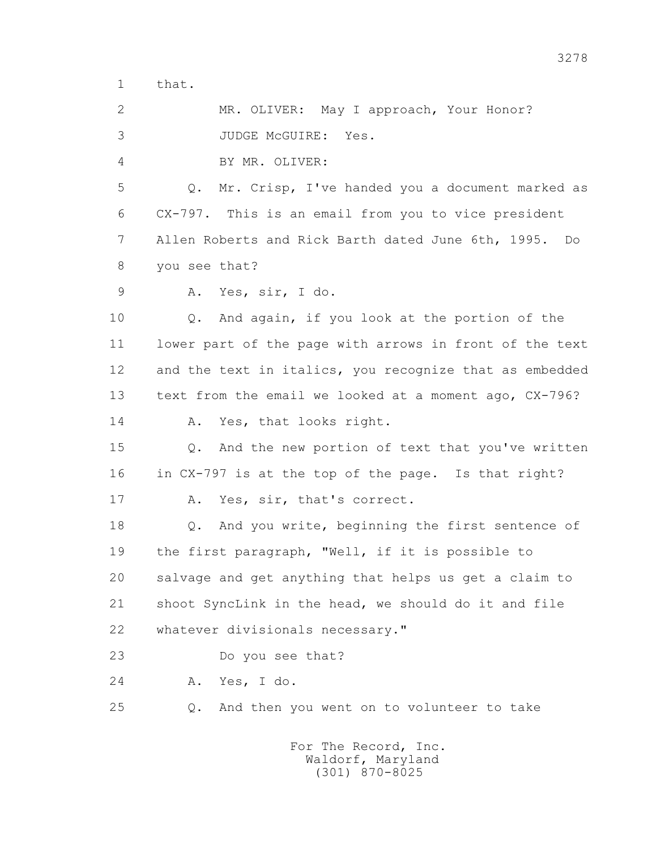1 that.

 2 MR. OLIVER: May I approach, Your Honor? 3 JUDGE McGUIRE: Yes.

4 BY MR. OLIVER:

 5 Q. Mr. Crisp, I've handed you a document marked as 6 CX-797. This is an email from you to vice president 7 Allen Roberts and Rick Barth dated June 6th, 1995. Do 8 you see that?

9 A. Yes, sir, I do.

 10 Q. And again, if you look at the portion of the 11 lower part of the page with arrows in front of the text 12 and the text in italics, you recognize that as embedded 13 text from the email we looked at a moment ago, CX-796? 14 A. Yes, that looks right.

 15 Q. And the new portion of text that you've written 16 in CX-797 is at the top of the page. Is that right?

17 A. Yes, sir, that's correct.

 18 Q. And you write, beginning the first sentence of 19 the first paragraph, "Well, if it is possible to 20 salvage and get anything that helps us get a claim to 21 shoot SyncLink in the head, we should do it and file 22 whatever divisionals necessary."

23 Do you see that?

24 A. Yes, I do.

25 Q. And then you went on to volunteer to take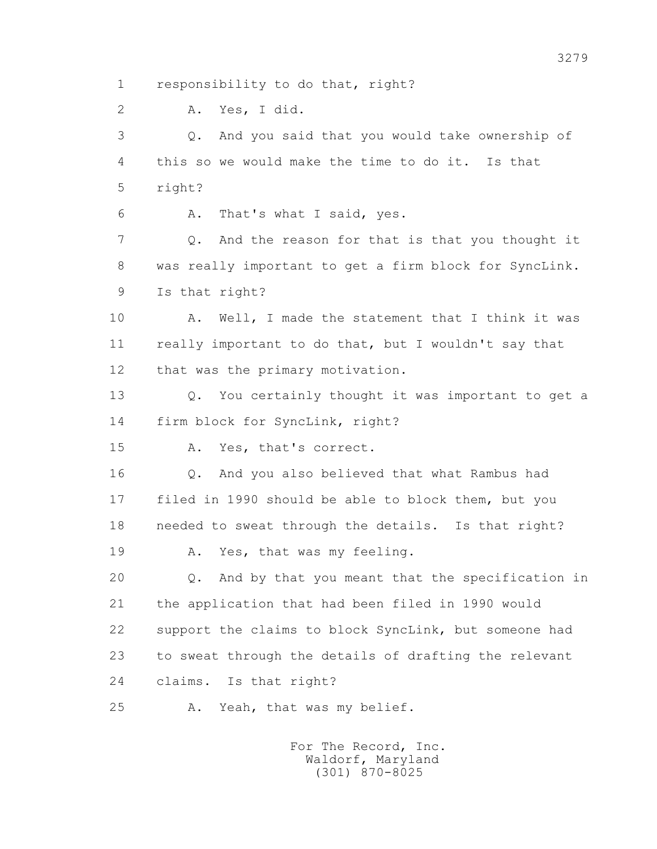1 responsibility to do that, right?

2 A. Yes, I did.

 3 Q. And you said that you would take ownership of 4 this so we would make the time to do it. Is that 5 right?

6 A. That's what I said, yes.

 7 Q. And the reason for that is that you thought it 8 was really important to get a firm block for SyncLink. 9 Is that right?

10 A. Well, I made the statement that I think it was 11 really important to do that, but I wouldn't say that 12 that was the primary motivation.

 13 Q. You certainly thought it was important to get a 14 firm block for SyncLink, right?

15 A. Yes, that's correct.

 16 Q. And you also believed that what Rambus had 17 filed in 1990 should be able to block them, but you 18 needed to sweat through the details. Is that right?

19 A. Yes, that was my feeling.

 20 Q. And by that you meant that the specification in 21 the application that had been filed in 1990 would 22 support the claims to block SyncLink, but someone had 23 to sweat through the details of drafting the relevant 24 claims. Is that right?

25 A. Yeah, that was my belief.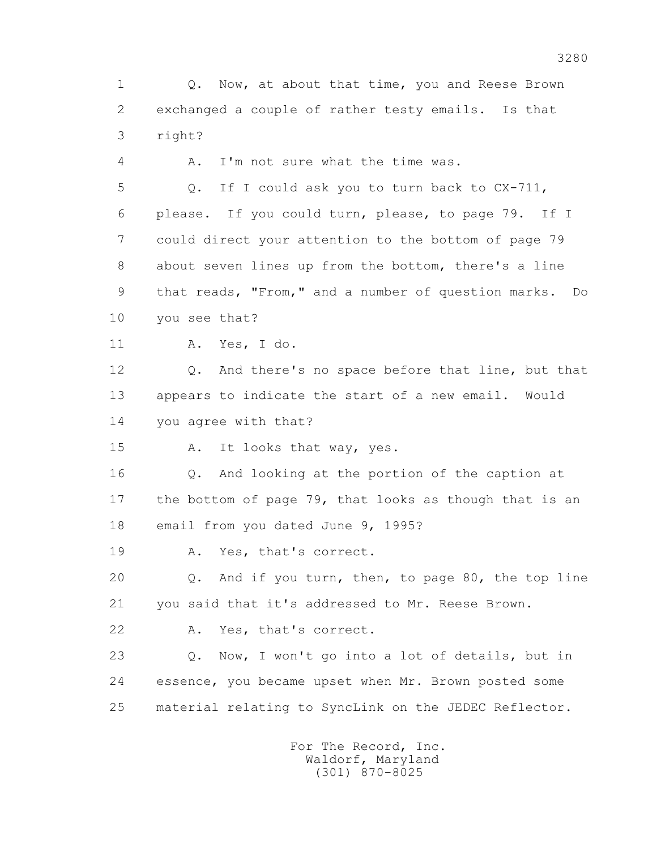1 Q. Now, at about that time, you and Reese Brown 2 exchanged a couple of rather testy emails. Is that 3 right?

4 A. I'm not sure what the time was.

 5 Q. If I could ask you to turn back to CX-711, 6 please. If you could turn, please, to page 79. If I 7 could direct your attention to the bottom of page 79 8 about seven lines up from the bottom, there's a line 9 that reads, "From," and a number of question marks. Do 10 you see that?

11 A. Yes, I do.

 12 Q. And there's no space before that line, but that 13 appears to indicate the start of a new email. Would 14 you agree with that?

15 A. It looks that way, yes.

 16 Q. And looking at the portion of the caption at 17 the bottom of page 79, that looks as though that is an 18 email from you dated June 9, 1995?

19 A. Yes, that's correct.

 20 Q. And if you turn, then, to page 80, the top line 21 you said that it's addressed to Mr. Reese Brown.

22 A. Yes, that's correct.

 23 Q. Now, I won't go into a lot of details, but in 24 essence, you became upset when Mr. Brown posted some 25 material relating to SyncLink on the JEDEC Reflector.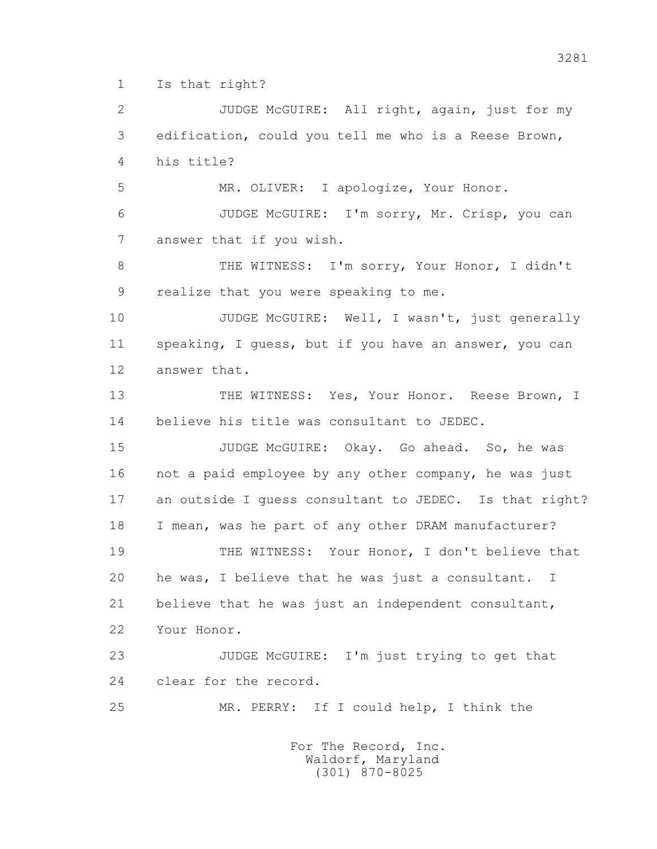1 Is that right?

 2 JUDGE McGUIRE: All right, again, just for my 3 edification, could you tell me who is a Reese Brown, 4 his title? 5 MR. OLIVER: I apologize, Your Honor. 6 JUDGE McGUIRE: I'm sorry, Mr. Crisp, you can 7 answer that if you wish. 8 THE WITNESS: I'm sorry, Your Honor, I didn't 9 realize that you were speaking to me. 10 JUDGE McGUIRE: Well, I wasn't, just generally 11 speaking, I guess, but if you have an answer, you can 12 answer that. 13 THE WITNESS: Yes, Your Honor. Reese Brown, I 14 believe his title was consultant to JEDEC. 15 JUDGE McGUIRE: Okay. Go ahead. So, he was 16 not a paid employee by any other company, he was just 17 an outside I guess consultant to JEDEC. Is that right? 18 I mean, was he part of any other DRAM manufacturer? 19 THE WITNESS: Your Honor, I don't believe that 20 he was, I believe that he was just a consultant. I 21 believe that he was just an independent consultant, 22 Your Honor. 23 JUDGE McGUIRE: I'm just trying to get that 24 clear for the record. 25 MR. PERRY: If I could help, I think the For The Record, Inc. Waldorf, Maryland

(301) 870-8025

3281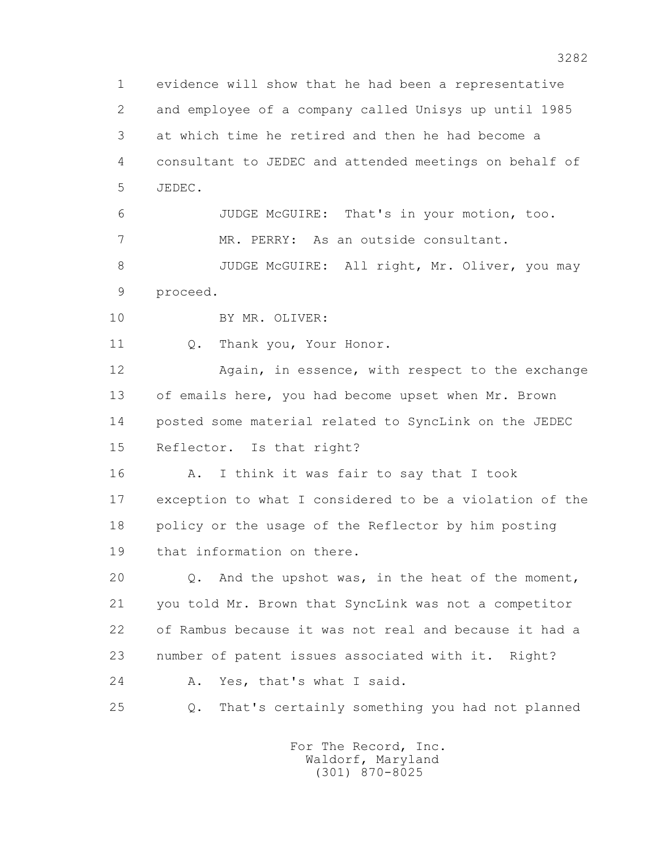1 evidence will show that he had been a representative 2 and employee of a company called Unisys up until 1985 3 at which time he retired and then he had become a 4 consultant to JEDEC and attended meetings on behalf of 5 JEDEC. 6 JUDGE McGUIRE: That's in your motion, too. 7 MR. PERRY: As an outside consultant. 8 JUDGE McGUIRE: All right, Mr. Oliver, you may 9 proceed. 10 BY MR. OLIVER: 11 0. Thank you, Your Honor. 12 Again, in essence, with respect to the exchange 13 of emails here, you had become upset when Mr. Brown 14 posted some material related to SyncLink on the JEDEC 15 Reflector. Is that right? 16 A. I think it was fair to say that I took 17 exception to what I considered to be a violation of the 18 policy or the usage of the Reflector by him posting 19 that information on there. 20 Q. And the upshot was, in the heat of the moment, 21 you told Mr. Brown that SyncLink was not a competitor 22 of Rambus because it was not real and because it had a 23 number of patent issues associated with it. Right? 24 A. Yes, that's what I said. 25 Q. That's certainly something you had not planned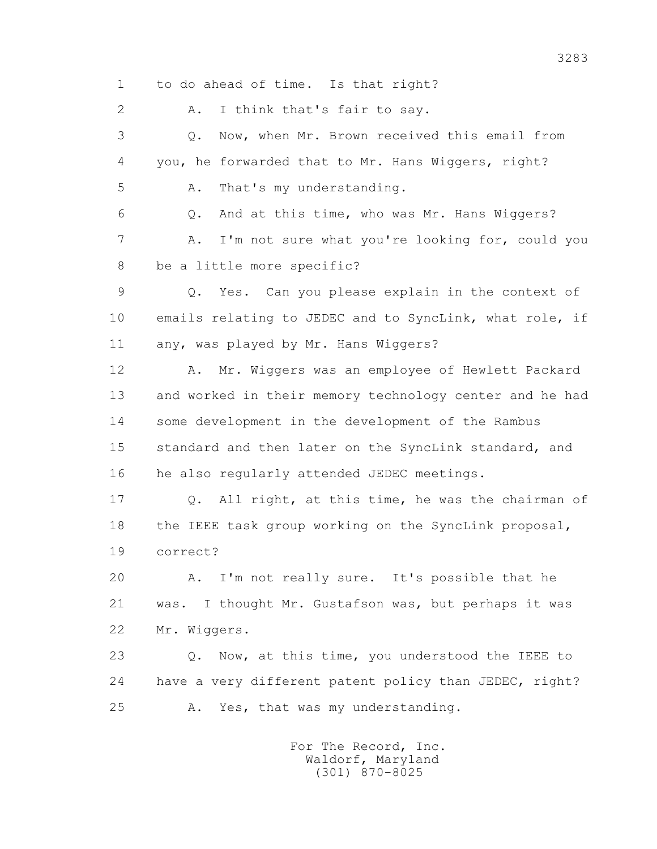1 to do ahead of time. Is that right?

2 A. I think that's fair to say.

 3 Q. Now, when Mr. Brown received this email from 4 you, he forwarded that to Mr. Hans Wiggers, right? 5 A. That's my understanding.

 6 Q. And at this time, who was Mr. Hans Wiggers? 7 A. I'm not sure what you're looking for, could you 8 be a little more specific?

 9 Q. Yes. Can you please explain in the context of 10 emails relating to JEDEC and to SyncLink, what role, if 11 any, was played by Mr. Hans Wiggers?

 12 A. Mr. Wiggers was an employee of Hewlett Packard 13 and worked in their memory technology center and he had 14 some development in the development of the Rambus 15 standard and then later on the SyncLink standard, and 16 he also regularly attended JEDEC meetings.

 17 Q. All right, at this time, he was the chairman of 18 the IEEE task group working on the SyncLink proposal, 19 correct?

 20 A. I'm not really sure. It's possible that he 21 was. I thought Mr. Gustafson was, but perhaps it was 22 Mr. Wiggers.

23 0. Now, at this time, you understood the IEEE to 24 have a very different patent policy than JEDEC, right? 25 A. Yes, that was my understanding.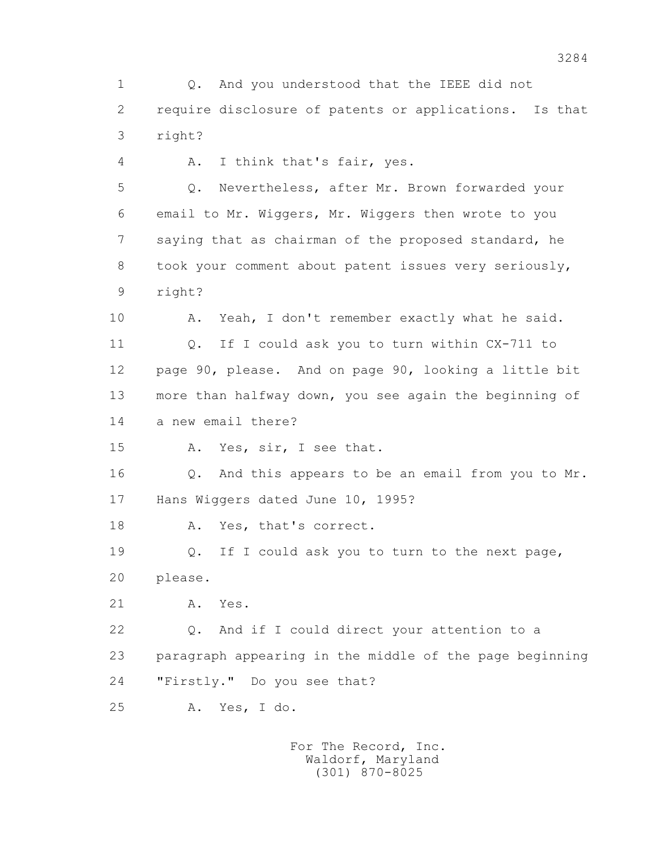1 Q. And you understood that the IEEE did not 2 require disclosure of patents or applications. Is that 3 right?

4 A. I think that's fair, yes.

 5 Q. Nevertheless, after Mr. Brown forwarded your 6 email to Mr. Wiggers, Mr. Wiggers then wrote to you 7 saying that as chairman of the proposed standard, he 8 took your comment about patent issues very seriously, 9 right?

10 A. Yeah, I don't remember exactly what he said. 11 Q. If I could ask you to turn within CX-711 to 12 page 90, please. And on page 90, looking a little bit 13 more than halfway down, you see again the beginning of 14 a new email there?

15 A. Yes, sir, I see that.

 16 Q. And this appears to be an email from you to Mr. 17 Hans Wiggers dated June 10, 1995?

18 A. Yes, that's correct.

 19 Q. If I could ask you to turn to the next page, 20 please.

21 A. Yes.

 22 Q. And if I could direct your attention to a 23 paragraph appearing in the middle of the page beginning 24 "Firstly." Do you see that?

25 A. Yes, I do.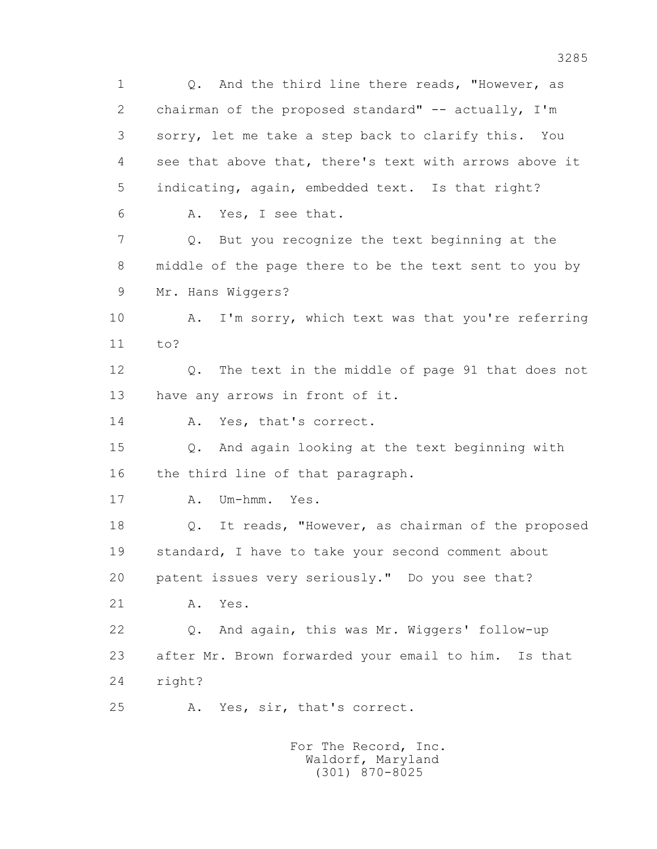1 Q. And the third line there reads, "However, as 2 chairman of the proposed standard" -- actually, I'm 3 sorry, let me take a step back to clarify this. You 4 see that above that, there's text with arrows above it 5 indicating, again, embedded text. Is that right? 6 A. Yes, I see that. 7 Q. But you recognize the text beginning at the 8 middle of the page there to be the text sent to you by 9 Mr. Hans Wiggers? 10 A. I'm sorry, which text was that you're referring 11 to? 12 Q. The text in the middle of page 91 that does not 13 have any arrows in front of it. 14 A. Yes, that's correct. 15 Q. And again looking at the text beginning with 16 the third line of that paragraph. 17 A. Um-hmm. Yes. 18 Q. It reads, "However, as chairman of the proposed 19 standard, I have to take your second comment about 20 patent issues very seriously." Do you see that? 21 A. Yes. 22 Q. And again, this was Mr. Wiggers' follow-up 23 after Mr. Brown forwarded your email to him. Is that 24 right? 25 A. Yes, sir, that's correct. For The Record, Inc.

 Waldorf, Maryland (301) 870-8025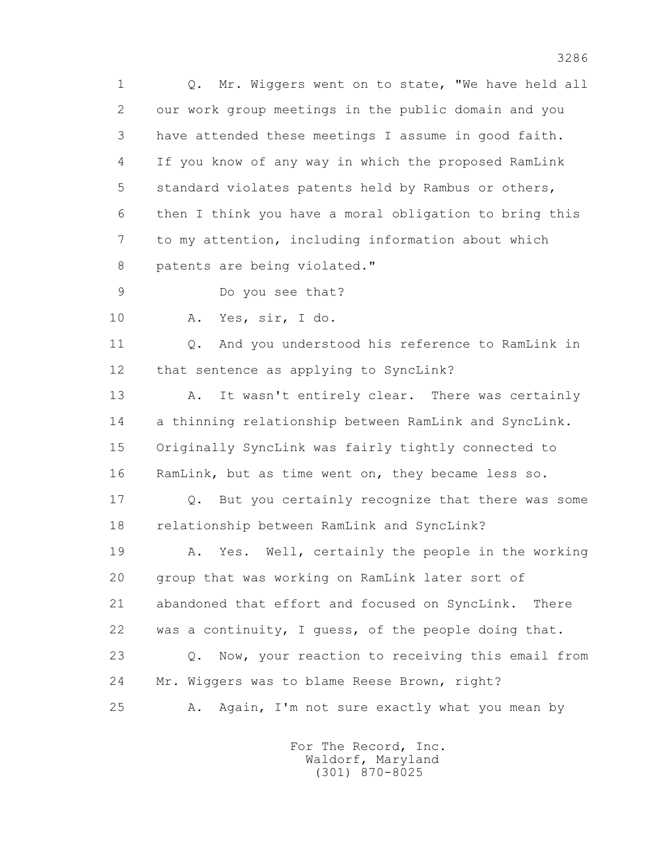1 Q. Mr. Wiggers went on to state, "We have held all 2 our work group meetings in the public domain and you 3 have attended these meetings I assume in good faith. 4 If you know of any way in which the proposed RamLink 5 standard violates patents held by Rambus or others, 6 then I think you have a moral obligation to bring this 7 to my attention, including information about which 8 patents are being violated."

9 Do you see that?

10 A. Yes, sir, I do.

11 0. And you understood his reference to RamLink in 12 that sentence as applying to SyncLink?

13 A. It wasn't entirely clear. There was certainly 14 a thinning relationship between RamLink and SyncLink. 15 Originally SyncLink was fairly tightly connected to 16 RamLink, but as time went on, they became less so.

 17 Q. But you certainly recognize that there was some 18 relationship between RamLink and SyncLink?

 19 A. Yes. Well, certainly the people in the working 20 group that was working on RamLink later sort of 21 abandoned that effort and focused on SyncLink. There 22 was a continuity, I guess, of the people doing that. 23 Q. Now, your reaction to receiving this email from 24 Mr. Wiggers was to blame Reese Brown, right? 25 A. Again, I'm not sure exactly what you mean by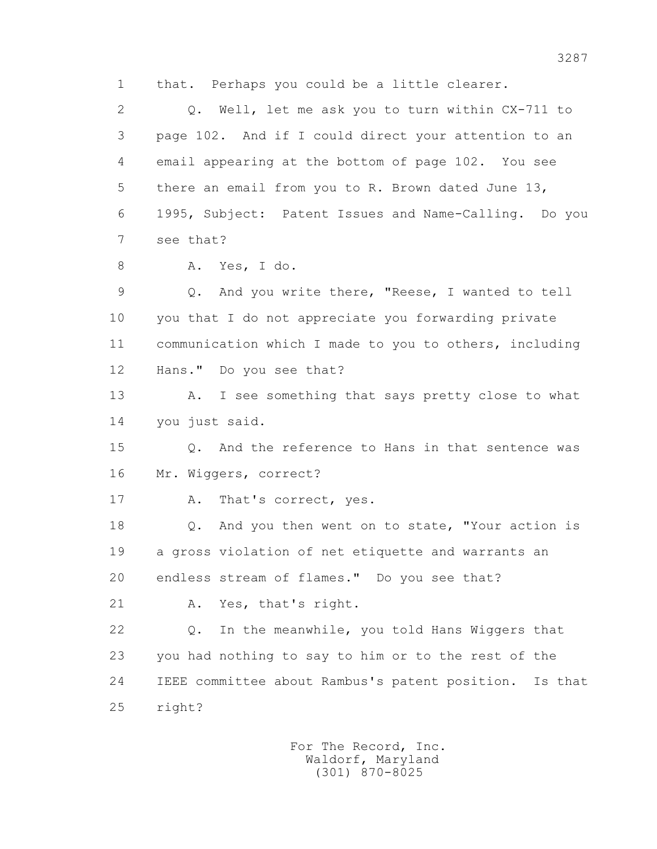1 that. Perhaps you could be a little clearer.

 2 Q. Well, let me ask you to turn within CX-711 to 3 page 102. And if I could direct your attention to an 4 email appearing at the bottom of page 102. You see 5 there an email from you to R. Brown dated June 13, 6 1995, Subject: Patent Issues and Name-Calling. Do you 7 see that?

8 A. Yes, I do.

 9 Q. And you write there, "Reese, I wanted to tell 10 you that I do not appreciate you forwarding private 11 communication which I made to you to others, including 12 Hans." Do you see that?

13 A. I see something that says pretty close to what 14 you just said.

 15 Q. And the reference to Hans in that sentence was 16 Mr. Wiggers, correct?

17 A. That's correct, yes.

 18 Q. And you then went on to state, "Your action is 19 a gross violation of net etiquette and warrants an 20 endless stream of flames." Do you see that?

21 A. Yes, that's right.

 22 Q. In the meanwhile, you told Hans Wiggers that 23 you had nothing to say to him or to the rest of the 24 IEEE committee about Rambus's patent position. Is that 25 right?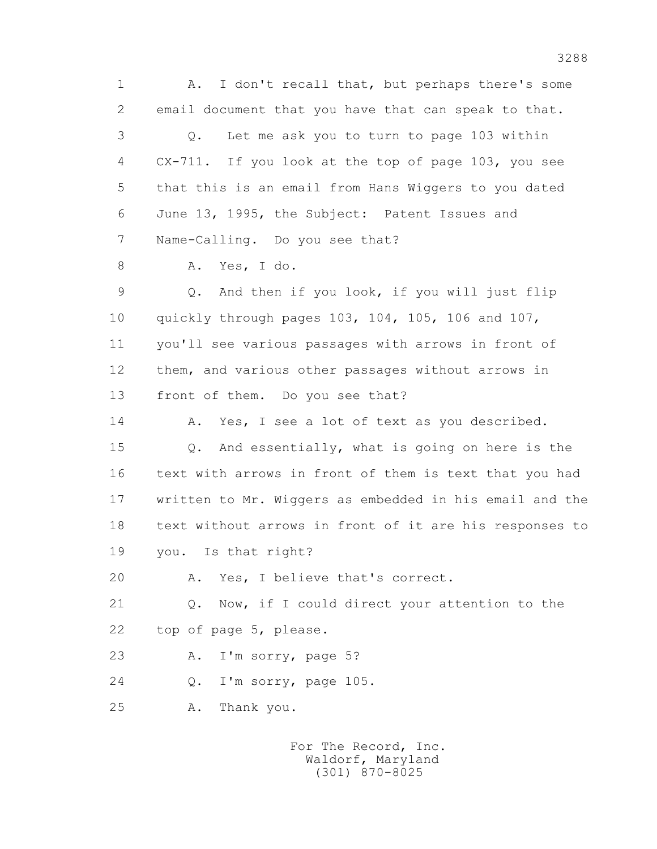1 A. I don't recall that, but perhaps there's some 2 email document that you have that can speak to that. 3 Q. Let me ask you to turn to page 103 within 4 CX-711. If you look at the top of page 103, you see 5 that this is an email from Hans Wiggers to you dated 6 June 13, 1995, the Subject: Patent Issues and 7 Name-Calling. Do you see that? 8 A. Yes, I do. 9 Q. And then if you look, if you will just flip 10 quickly through pages 103, 104, 105, 106 and 107, 11 you'll see various passages with arrows in front of 12 them, and various other passages without arrows in 13 front of them. Do you see that? 14 A. Yes, I see a lot of text as you described. 15 Q. And essentially, what is going on here is the 16 text with arrows in front of them is text that you had 17 written to Mr. Wiggers as embedded in his email and the 18 text without arrows in front of it are his responses to 19 you. Is that right? 20 A. Yes, I believe that's correct. 21 Q. Now, if I could direct your attention to the 22 top of page 5, please. 23 A. I'm sorry, page 5? 24 Q. I'm sorry, page 105. 25 A. Thank you.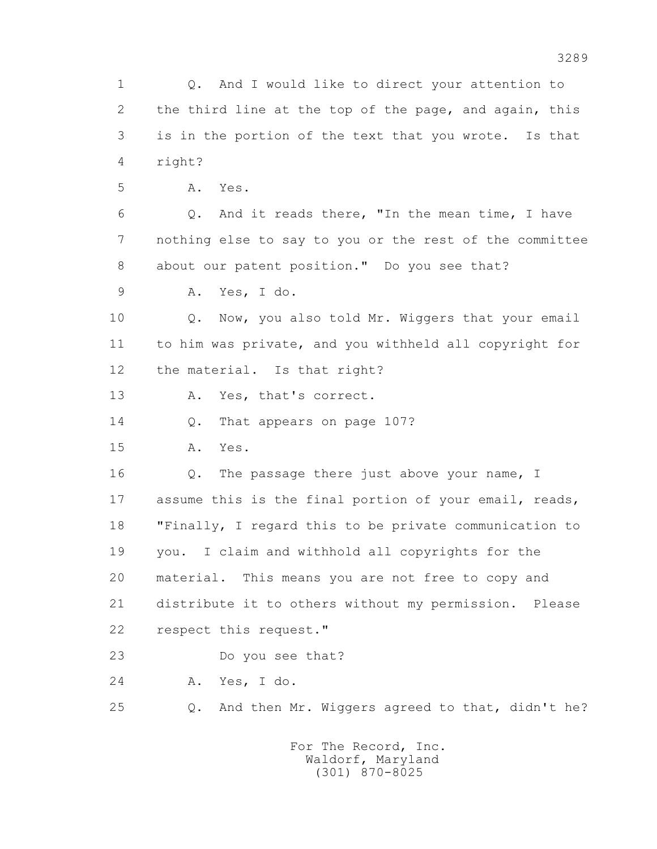1 Q. And I would like to direct your attention to 2 the third line at the top of the page, and again, this 3 is in the portion of the text that you wrote. Is that 4 right? 5 A. Yes. 6 Q. And it reads there, "In the mean time, I have 7 nothing else to say to you or the rest of the committee 8 about our patent position." Do you see that? 9 A. Yes, I do. 10 Q. Now, you also told Mr. Wiggers that your email 11 to him was private, and you withheld all copyright for 12 the material. Is that right? 13 A. Yes, that's correct. 14 Q. That appears on page 107? 15 A. Yes. 16 Q. The passage there just above your name, I 17 assume this is the final portion of your email, reads, 18 "Finally, I regard this to be private communication to 19 you. I claim and withhold all copyrights for the 20 material. This means you are not free to copy and 21 distribute it to others without my permission. Please 22 respect this request." 23 Do you see that? 24 A. Yes, I do. 25 Q. And then Mr. Wiggers agreed to that, didn't he? For The Record, Inc.

 Waldorf, Maryland (301) 870-8025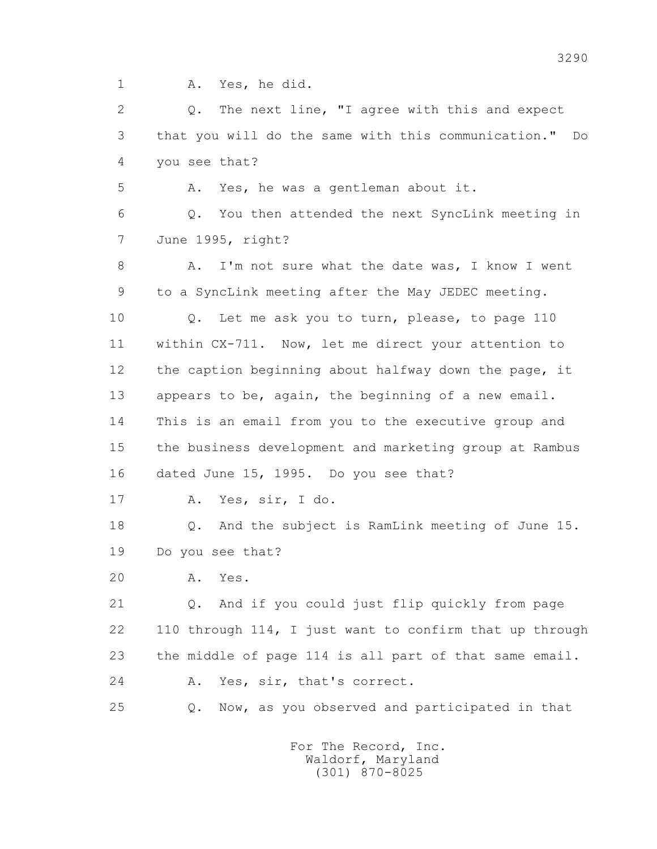1 A. Yes, he did.

 2 Q. The next line, "I agree with this and expect 3 that you will do the same with this communication." Do 4 you see that?

5 A. Yes, he was a gentleman about it.

 6 Q. You then attended the next SyncLink meeting in 7 June 1995, right?

8 A. I'm not sure what the date was, I know I went 9 to a SyncLink meeting after the May JEDEC meeting.

 10 Q. Let me ask you to turn, please, to page 110 11 within CX-711. Now, let me direct your attention to 12 the caption beginning about halfway down the page, it 13 appears to be, again, the beginning of a new email. 14 This is an email from you to the executive group and 15 the business development and marketing group at Rambus 16 dated June 15, 1995. Do you see that?

17 A. Yes, sir, I do.

 18 Q. And the subject is RamLink meeting of June 15. 19 Do you see that?

20 A. Yes.

 21 Q. And if you could just flip quickly from page 22 110 through 114, I just want to confirm that up through 23 the middle of page 114 is all part of that same email. 24 A. Yes, sir, that's correct.

25 Q. Now, as you observed and participated in that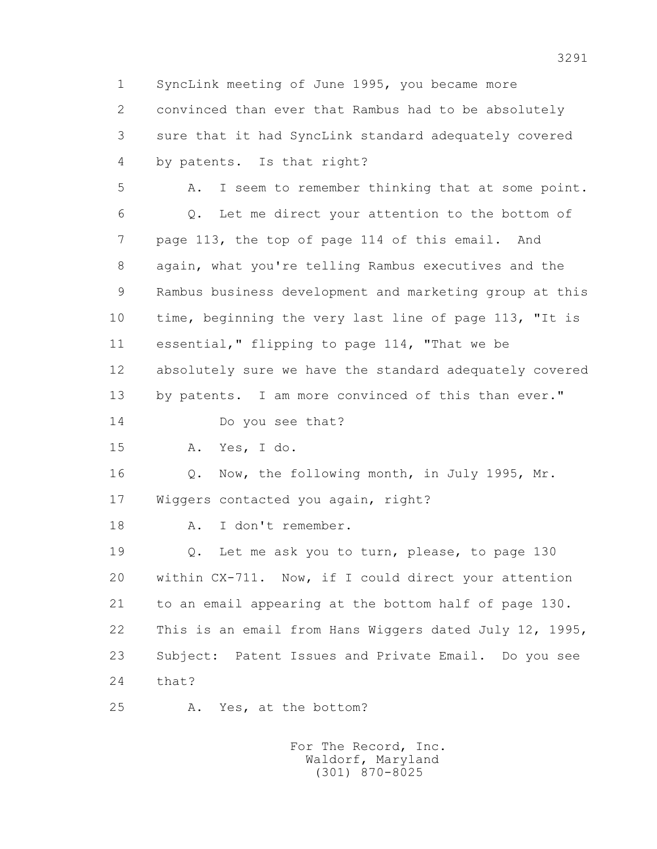1 SyncLink meeting of June 1995, you became more 2 convinced than ever that Rambus had to be absolutely 3 sure that it had SyncLink standard adequately covered 4 by patents. Is that right? 5 A. I seem to remember thinking that at some point. 6 Q. Let me direct your attention to the bottom of 7 page 113, the top of page 114 of this email. And 8 again, what you're telling Rambus executives and the 9 Rambus business development and marketing group at this 10 time, beginning the very last line of page 113, "It is 11 essential," flipping to page 114, "That we be 12 absolutely sure we have the standard adequately covered 13 by patents. I am more convinced of this than ever." 14 Do you see that? 15 A. Yes, I do. 16 Q. Now, the following month, in July 1995, Mr. 17 Wiggers contacted you again, right? 18 A. I don't remember. 19 Q. Let me ask you to turn, please, to page 130 20 within CX-711. Now, if I could direct your attention 21 to an email appearing at the bottom half of page 130. 22 This is an email from Hans Wiggers dated July 12, 1995, 23 Subject: Patent Issues and Private Email. Do you see 24 that? 25 A. Yes, at the bottom?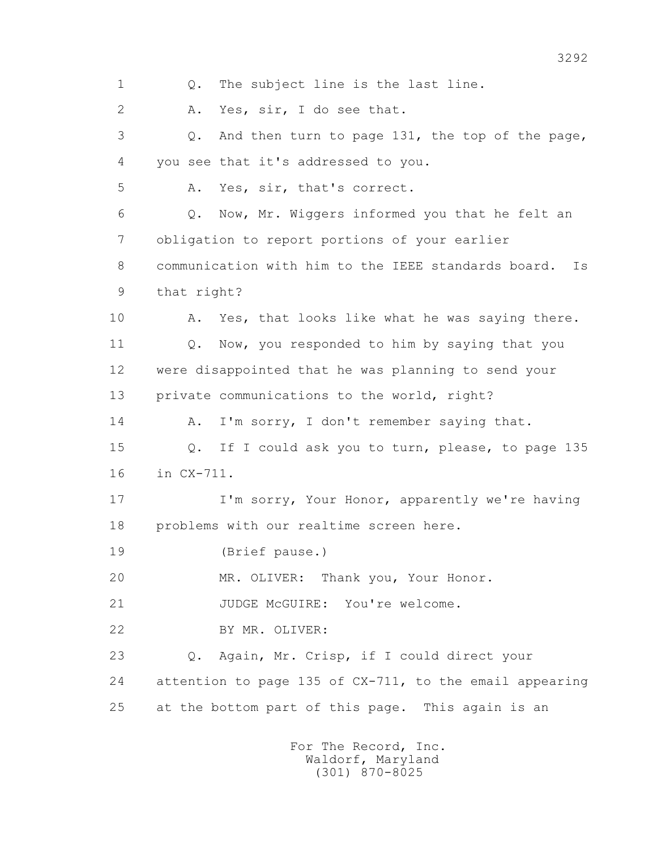1 Q. The subject line is the last line. 2 A. Yes, sir, I do see that. 3 Q. And then turn to page 131, the top of the page, 4 you see that it's addressed to you. 5 A. Yes, sir, that's correct. 6 Q. Now, Mr. Wiggers informed you that he felt an 7 obligation to report portions of your earlier 8 communication with him to the IEEE standards board. Is 9 that right? 10 A. Yes, that looks like what he was saying there. 11 Q. Now, you responded to him by saying that you 12 were disappointed that he was planning to send your 13 private communications to the world, right? 14 A. I'm sorry, I don't remember saying that. 15 Q. If I could ask you to turn, please, to page 135 16 in CX-711. 17 I'm sorry, Your Honor, apparently we're having 18 problems with our realtime screen here. 19 (Brief pause.) 20 MR. OLIVER: Thank you, Your Honor. 21 JUDGE McGUIRE: You're welcome. 22 BY MR. OLIVER: 23 Q. Again, Mr. Crisp, if I could direct your 24 attention to page 135 of CX-711, to the email appearing 25 at the bottom part of this page. This again is an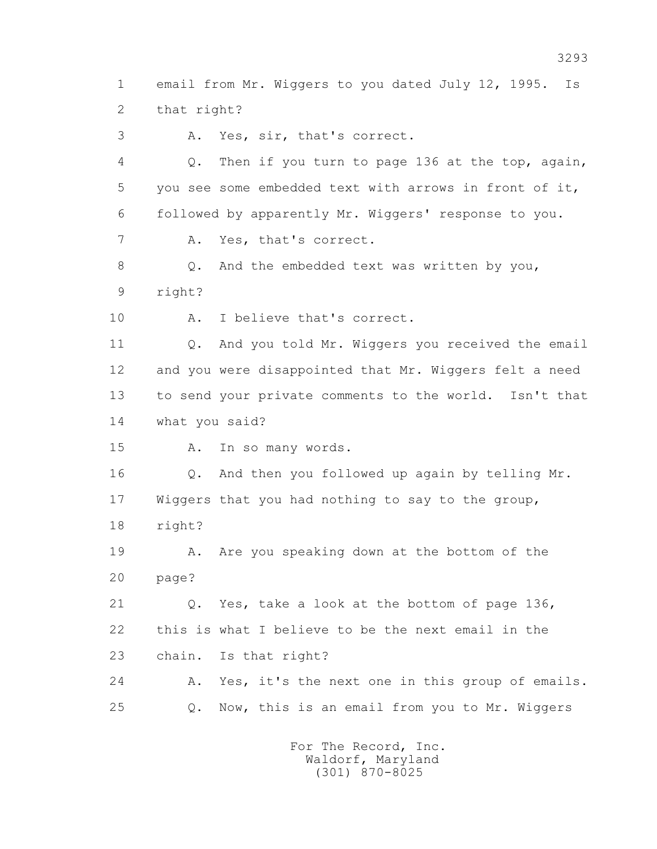1 email from Mr. Wiggers to you dated July 12, 1995. Is 2 that right? 3 A. Yes, sir, that's correct. 4 Q. Then if you turn to page 136 at the top, again,

 5 you see some embedded text with arrows in front of it, 6 followed by apparently Mr. Wiggers' response to you. 7 A. Yes, that's correct.

8 Q. And the embedded text was written by you, 9 right?

10 A. I believe that's correct.

 11 Q. And you told Mr. Wiggers you received the email 12 and you were disappointed that Mr. Wiggers felt a need 13 to send your private comments to the world. Isn't that 14 what you said?

15 A. In so many words.

16 0. And then you followed up again by telling Mr. 17 Wiggers that you had nothing to say to the group, 18 right?

 19 A. Are you speaking down at the bottom of the 20 page?

 21 Q. Yes, take a look at the bottom of page 136, 22 this is what I believe to be the next email in the 23 chain. Is that right?

 24 A. Yes, it's the next one in this group of emails. 25 Q. Now, this is an email from you to Mr. Wiggers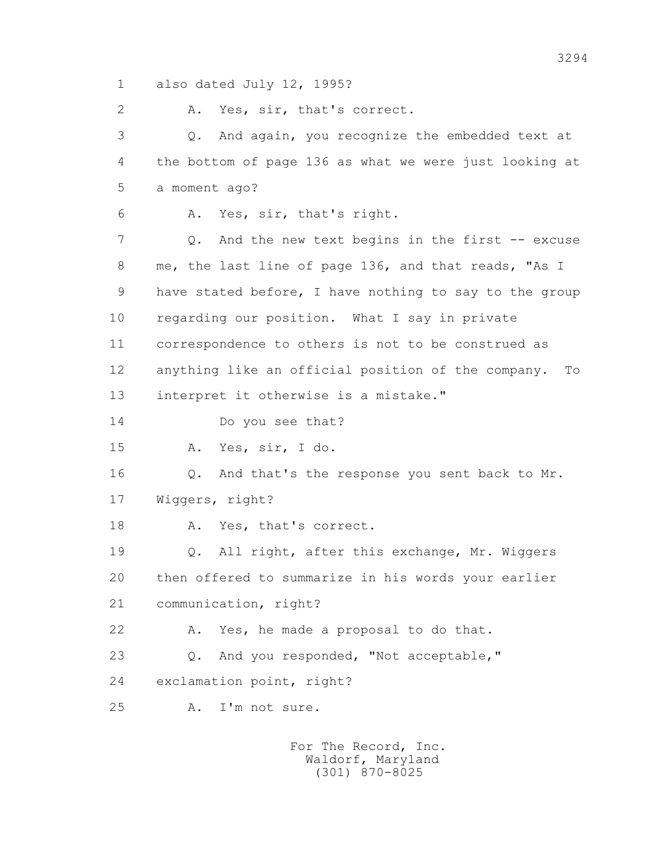1 also dated July 12, 1995?

2 A. Yes, sir, that's correct.

 3 Q. And again, you recognize the embedded text at 4 the bottom of page 136 as what we were just looking at 5 a moment ago? 6 A. Yes, sir, that's right. 7 0. And the new text begins in the first -- excuse 8 me, the last line of page 136, and that reads, "As I 9 have stated before, I have nothing to say to the group

10 regarding our position. What I say in private

11 correspondence to others is not to be construed as

12 anything like an official position of the company. To

13 interpret it otherwise is a mistake."

14 Do you see that?

15 A. Yes, sir, I do.

 16 Q. And that's the response you sent back to Mr. 17 Wiggers, right?

18 A. Yes, that's correct.

 19 Q. All right, after this exchange, Mr. Wiggers 20 then offered to summarize in his words your earlier 21 communication, right?

22 A. Yes, he made a proposal to do that.

23 Q. And you responded, "Not acceptable,"

24 exclamation point, right?

25 A. I'm not sure.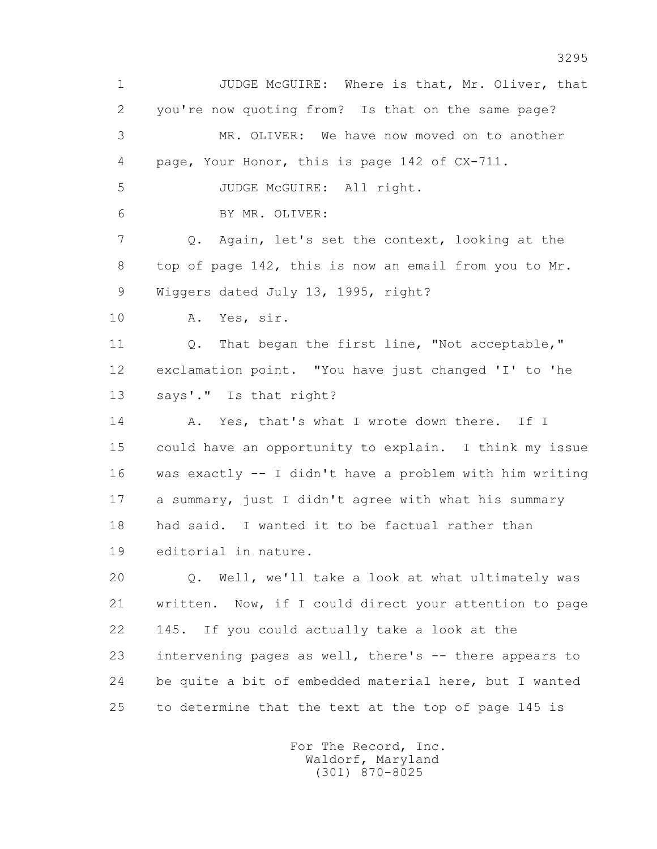1 JUDGE McGUIRE: Where is that, Mr. Oliver, that 2 you're now quoting from? Is that on the same page? 3 MR. OLIVER: We have now moved on to another 4 page, Your Honor, this is page 142 of CX-711. 5 JUDGE McGUIRE: All right. 6 BY MR. OLIVER: 7 Q. Again, let's set the context, looking at the 8 top of page 142, this is now an email from you to Mr. 9 Wiggers dated July 13, 1995, right? 10 A. Yes, sir. 11 Q. That began the first line, "Not acceptable," 12 exclamation point. "You have just changed 'I' to 'he 13 says'." Is that right? 14 A. Yes, that's what I wrote down there. If I 15 could have an opportunity to explain. I think my issue 16 was exactly -- I didn't have a problem with him writing 17 a summary, just I didn't agree with what his summary 18 had said. I wanted it to be factual rather than 19 editorial in nature. 20 Q. Well, we'll take a look at what ultimately was 21 written. Now, if I could direct your attention to page 22 145. If you could actually take a look at the 23 intervening pages as well, there's -- there appears to 24 be quite a bit of embedded material here, but I wanted 25 to determine that the text at the top of page 145 is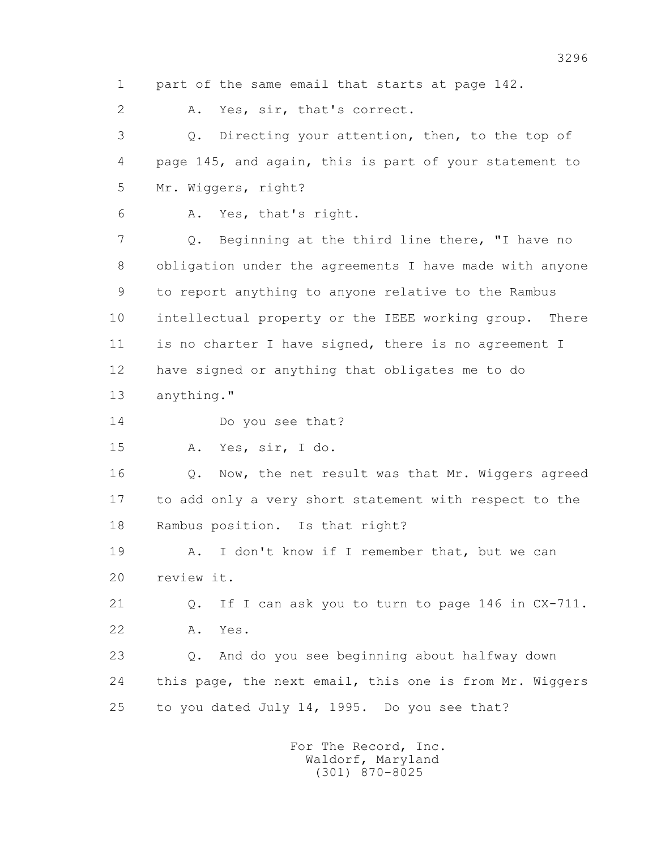1 part of the same email that starts at page 142.

2 A. Yes, sir, that's correct.

 3 Q. Directing your attention, then, to the top of 4 page 145, and again, this is part of your statement to 5 Mr. Wiggers, right?

6 A. Yes, that's right.

 7 Q. Beginning at the third line there, "I have no 8 obligation under the agreements I have made with anyone 9 to report anything to anyone relative to the Rambus 10 intellectual property or the IEEE working group. There 11 is no charter I have signed, there is no agreement I 12 have signed or anything that obligates me to do 13 anything."

14 Do you see that?

15 A. Yes, sir, I do.

 16 Q. Now, the net result was that Mr. Wiggers agreed 17 to add only a very short statement with respect to the 18 Rambus position. Is that right?

 19 A. I don't know if I remember that, but we can 20 review it.

 21 Q. If I can ask you to turn to page 146 in CX-711. 22 A. Yes.

 23 Q. And do you see beginning about halfway down 24 this page, the next email, this one is from Mr. Wiggers 25 to you dated July 14, 1995. Do you see that?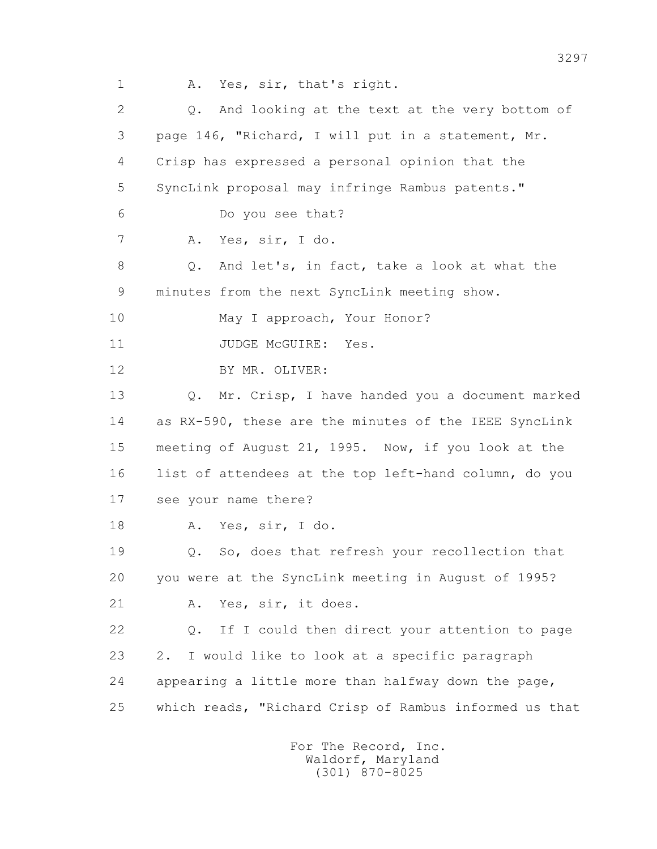1 A. Yes, sir, that's right.

2 0. And looking at the text at the very bottom of 3 page 146, "Richard, I will put in a statement, Mr. 4 Crisp has expressed a personal opinion that the 5 SyncLink proposal may infringe Rambus patents." 6 Do you see that? 7 A. Yes, sir, I do. 8 Q. And let's, in fact, take a look at what the 9 minutes from the next SyncLink meeting show. 10 May I approach, Your Honor? 11 JUDGE McGUIRE: Yes. 12 BY MR. OLIVER: 13 Q. Mr. Crisp, I have handed you a document marked 14 as RX-590, these are the minutes of the IEEE SyncLink 15 meeting of August 21, 1995. Now, if you look at the 16 list of attendees at the top left-hand column, do you 17 see your name there? 18 A. Yes, sir, I do. 19 Q. So, does that refresh your recollection that 20 you were at the SyncLink meeting in August of 1995? 21 A. Yes, sir, it does. 22 Q. If I could then direct your attention to page 23 2. I would like to look at a specific paragraph 24 appearing a little more than halfway down the page, 25 which reads, "Richard Crisp of Rambus informed us that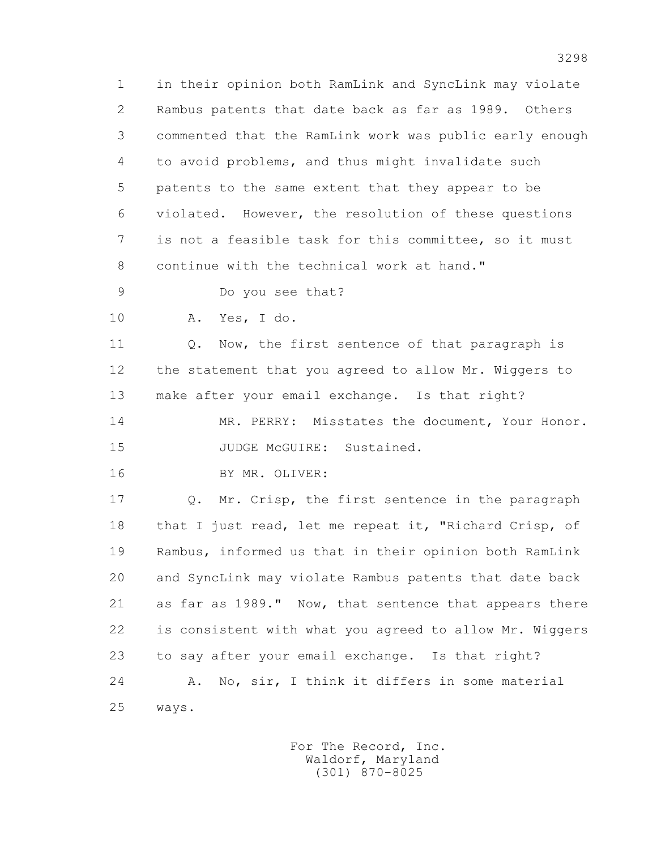1 in their opinion both RamLink and SyncLink may violate 2 Rambus patents that date back as far as 1989. Others 3 commented that the RamLink work was public early enough 4 to avoid problems, and thus might invalidate such 5 patents to the same extent that they appear to be 6 violated. However, the resolution of these questions 7 is not a feasible task for this committee, so it must 8 continue with the technical work at hand."

9 Do you see that?

10 A. Yes, I do.

11 Q. Now, the first sentence of that paragraph is 12 the statement that you agreed to allow Mr. Wiggers to 13 make after your email exchange. Is that right? 14 MR. PERRY: Misstates the document, Your Honor.

15 JUDGE McGUIRE: Sustained.

16 BY MR. OLIVER:

 17 Q. Mr. Crisp, the first sentence in the paragraph 18 that I just read, let me repeat it, "Richard Crisp, of 19 Rambus, informed us that in their opinion both RamLink 20 and SyncLink may violate Rambus patents that date back 21 as far as 1989." Now, that sentence that appears there 22 is consistent with what you agreed to allow Mr. Wiggers 23 to say after your email exchange. Is that right? 24 A. No, sir, I think it differs in some material 25 ways.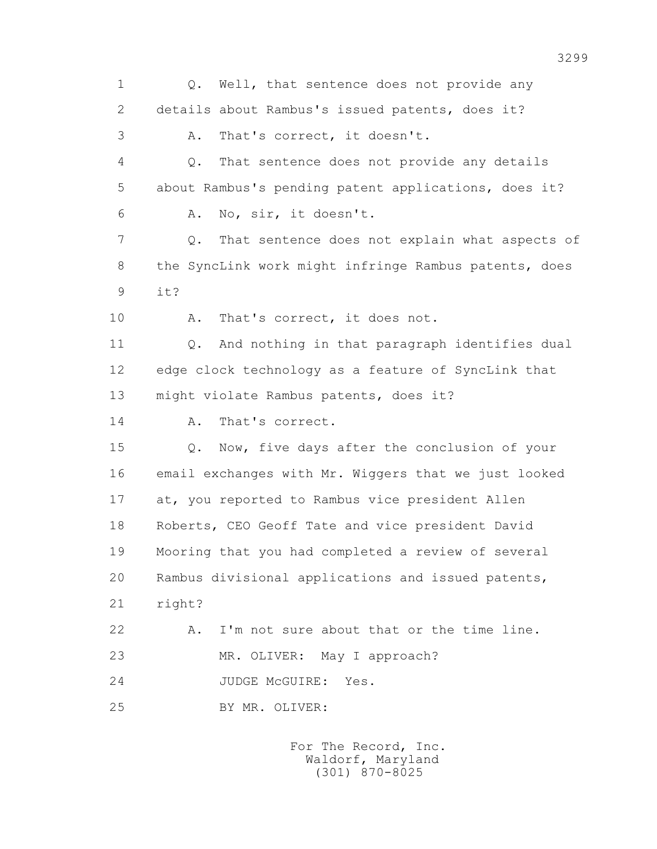1 0. Well, that sentence does not provide any 2 details about Rambus's issued patents, does it? 3 A. That's correct, it doesn't. 4 Q. That sentence does not provide any details 5 about Rambus's pending patent applications, does it? 6 A. No, sir, it doesn't. 7 Q. That sentence does not explain what aspects of 8 the SyncLink work might infringe Rambus patents, does 9 it? 10 A. That's correct, it does not. 11 Q. And nothing in that paragraph identifies dual 12 edge clock technology as a feature of SyncLink that 13 might violate Rambus patents, does it? 14 A. That's correct. 15 Q. Now, five days after the conclusion of your 16 email exchanges with Mr. Wiggers that we just looked 17 at, you reported to Rambus vice president Allen 18 Roberts, CEO Geoff Tate and vice president David 19 Mooring that you had completed a review of several 20 Rambus divisional applications and issued patents, 21 right? 22 A. I'm not sure about that or the time line. 23 MR. OLIVER: May I approach? 24 JUDGE McGUIRE: Yes. 25 BY MR. OLIVER: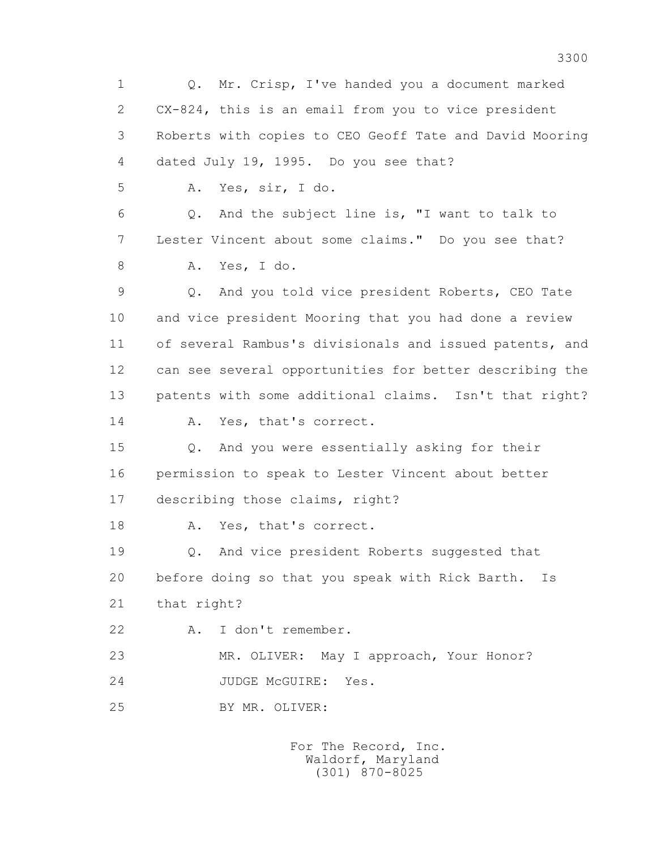1 Q. Mr. Crisp, I've handed you a document marked 2 CX-824, this is an email from you to vice president 3 Roberts with copies to CEO Geoff Tate and David Mooring 4 dated July 19, 1995. Do you see that? 5 A. Yes, sir, I do. 6 Q. And the subject line is, "I want to talk to 7 Lester Vincent about some claims." Do you see that? 8 A. Yes, I do. 9 Q. And you told vice president Roberts, CEO Tate 10 and vice president Mooring that you had done a review 11 of several Rambus's divisionals and issued patents, and 12 can see several opportunities for better describing the 13 patents with some additional claims. Isn't that right? 14 A. Yes, that's correct. 15 Q. And you were essentially asking for their 16 permission to speak to Lester Vincent about better 17 describing those claims, right? 18 A. Yes, that's correct. 19 Q. And vice president Roberts suggested that 20 before doing so that you speak with Rick Barth. Is 21 that right? 22 A. I don't remember. 23 MR. OLIVER: May I approach, Your Honor? 24 JUDGE McGUIRE: Yes. 25 BY MR. OLIVER: For The Record, Inc.

 Waldorf, Maryland (301) 870-8025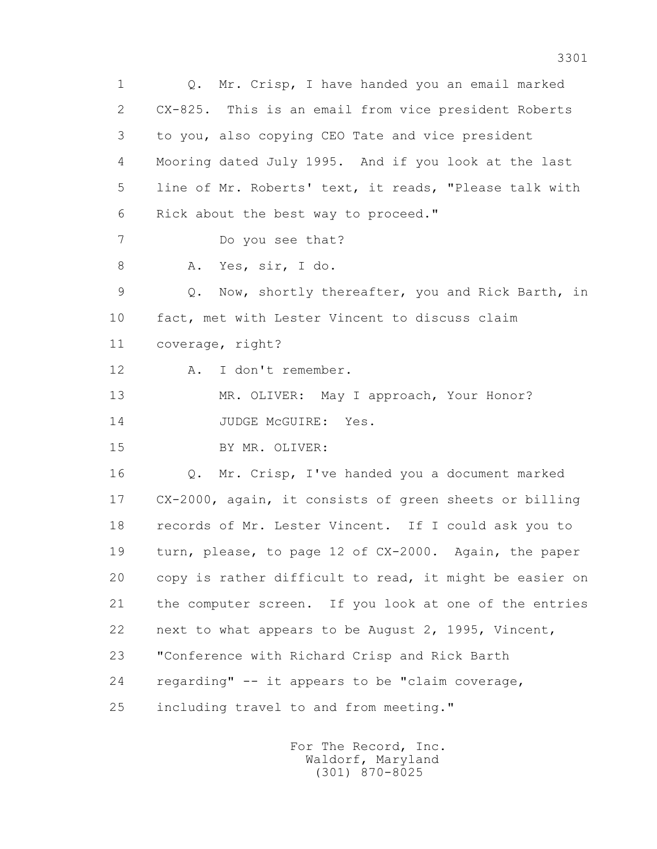1 Q. Mr. Crisp, I have handed you an email marked 2 CX-825. This is an email from vice president Roberts 3 to you, also copying CEO Tate and vice president 4 Mooring dated July 1995. And if you look at the last 5 line of Mr. Roberts' text, it reads, "Please talk with 6 Rick about the best way to proceed." 7 Do you see that? 8 A. Yes, sir, I do. 9 Q. Now, shortly thereafter, you and Rick Barth, in 10 fact, met with Lester Vincent to discuss claim 11 coverage, right? 12 A. I don't remember. 13 MR. OLIVER: May I approach, Your Honor? 14 JUDGE McGUIRE: Yes. 15 BY MR. OLIVER: 16 Q. Mr. Crisp, I've handed you a document marked 17 CX-2000, again, it consists of green sheets or billing 18 records of Mr. Lester Vincent. If I could ask you to 19 turn, please, to page 12 of CX-2000. Again, the paper 20 copy is rather difficult to read, it might be easier on 21 the computer screen. If you look at one of the entries 22 next to what appears to be August 2, 1995, Vincent, 23 "Conference with Richard Crisp and Rick Barth 24 regarding" -- it appears to be "claim coverage, 25 including travel to and from meeting."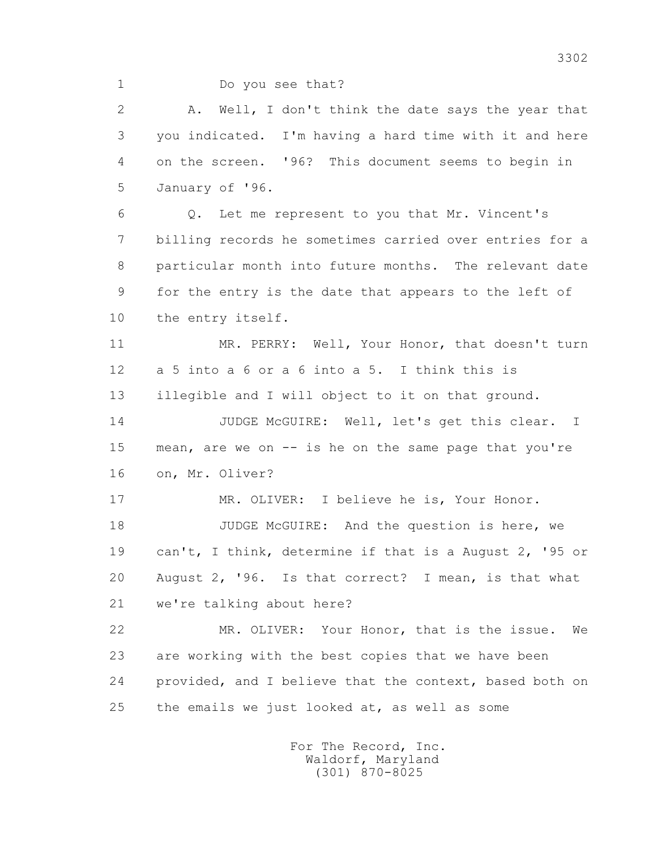1 Do you see that?

 2 A. Well, I don't think the date says the year that 3 you indicated. I'm having a hard time with it and here 4 on the screen. '96? This document seems to begin in 5 January of '96.

 6 Q. Let me represent to you that Mr. Vincent's 7 billing records he sometimes carried over entries for a 8 particular month into future months. The relevant date 9 for the entry is the date that appears to the left of 10 the entry itself.

 11 MR. PERRY: Well, Your Honor, that doesn't turn 12 a 5 into a 6 or a 6 into a 5. I think this is 13 illegible and I will object to it on that ground.

 14 JUDGE McGUIRE: Well, let's get this clear. I 15 mean, are we on -- is he on the same page that you're 16 on, Mr. Oliver?

 17 MR. OLIVER: I believe he is, Your Honor. 18 JUDGE McGUIRE: And the question is here, we 19 can't, I think, determine if that is a August 2, '95 or 20 August 2, '96. Is that correct? I mean, is that what 21 we're talking about here?

 22 MR. OLIVER: Your Honor, that is the issue. We 23 are working with the best copies that we have been 24 provided, and I believe that the context, based both on 25 the emails we just looked at, as well as some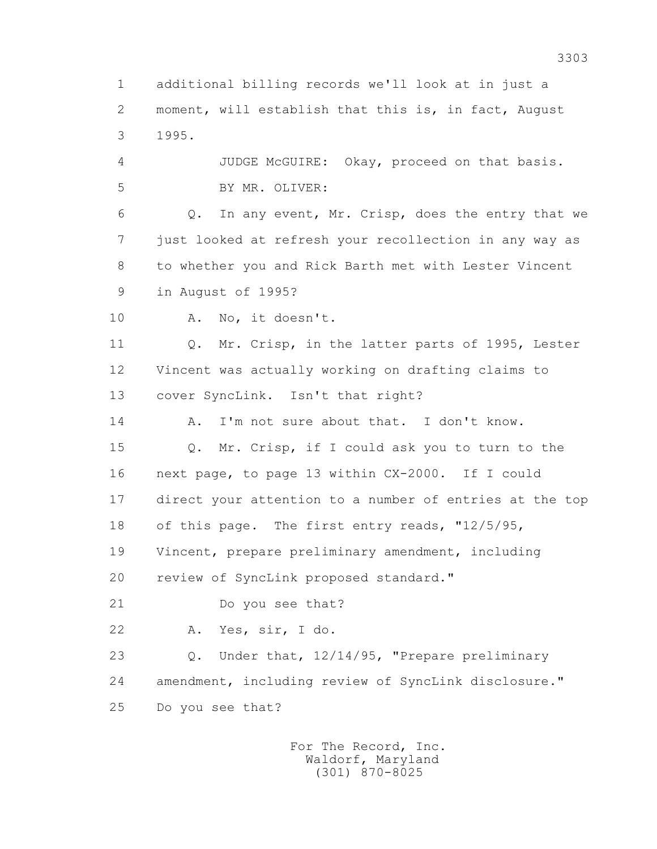1 additional billing records we'll look at in just a 2 moment, will establish that this is, in fact, August 3 1995.

 4 JUDGE McGUIRE: Okay, proceed on that basis. 5 BY MR. OLIVER:

 6 Q. In any event, Mr. Crisp, does the entry that we 7 just looked at refresh your recollection in any way as 8 to whether you and Rick Barth met with Lester Vincent 9 in August of 1995?

10 A. No, it doesn't.

11 0. Mr. Crisp, in the latter parts of 1995, Lester 12 Vincent was actually working on drafting claims to 13 cover SyncLink. Isn't that right?

14 A. I'm not sure about that. I don't know.

 15 Q. Mr. Crisp, if I could ask you to turn to the 16 next page, to page 13 within CX-2000. If I could 17 direct your attention to a number of entries at the top 18 of this page. The first entry reads, "12/5/95, 19 Vincent, prepare preliminary amendment, including 20 review of SyncLink proposed standard."

21 Do you see that?

22 A. Yes, sir, I do.

 23 Q. Under that, 12/14/95, "Prepare preliminary 24 amendment, including review of SyncLink disclosure." 25 Do you see that?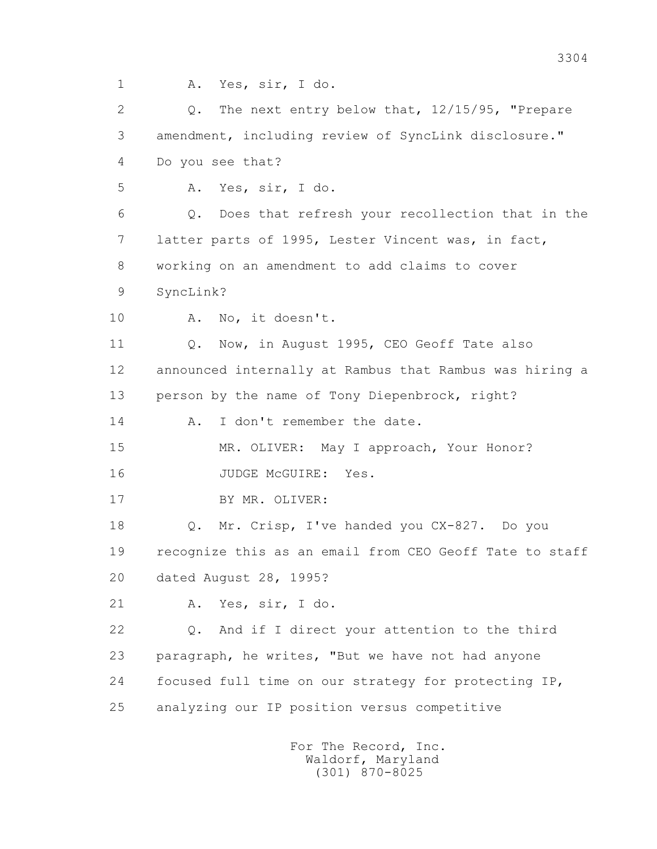1 A. Yes, sir, I do.

 2 Q. The next entry below that, 12/15/95, "Prepare 3 amendment, including review of SyncLink disclosure." 4 Do you see that? 5 A. Yes, sir, I do. 6 Q. Does that refresh your recollection that in the 7 latter parts of 1995, Lester Vincent was, in fact, 8 working on an amendment to add claims to cover 9 SyncLink? 10 A. No, it doesn't. 11 Q. Now, in August 1995, CEO Geoff Tate also 12 announced internally at Rambus that Rambus was hiring a 13 person by the name of Tony Diepenbrock, right? 14 A. I don't remember the date. 15 MR. OLIVER: May I approach, Your Honor? 16 JUDGE McGUIRE: Yes. 17 BY MR. OLIVER: 18 Q. Mr. Crisp, I've handed you CX-827. Do you 19 recognize this as an email from CEO Geoff Tate to staff 20 dated August 28, 1995? 21 A. Yes, sir, I do. 22 Q. And if I direct your attention to the third 23 paragraph, he writes, "But we have not had anyone 24 focused full time on our strategy for protecting IP, 25 analyzing our IP position versus competitive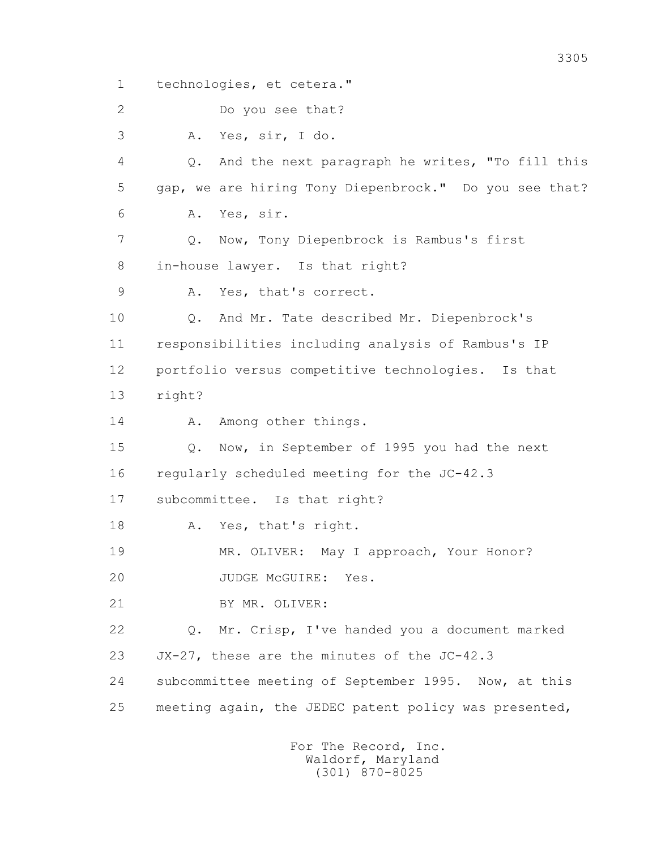1 technologies, et cetera."

2 Do you see that?

3 A. Yes, sir, I do.

 4 Q. And the next paragraph he writes, "To fill this 5 gap, we are hiring Tony Diepenbrock." Do you see that? 6 A. Yes, sir.

 7 Q. Now, Tony Diepenbrock is Rambus's first 8 in-house lawyer. Is that right?

9 A. Yes, that's correct.

 10 Q. And Mr. Tate described Mr. Diepenbrock's 11 responsibilities including analysis of Rambus's IP 12 portfolio versus competitive technologies. Is that 13 right?

14 A. Among other things.

 15 Q. Now, in September of 1995 you had the next 16 regularly scheduled meeting for the JC-42.3

17 subcommittee. Is that right?

18 A. Yes, that's right.

19 MR. OLIVER: May I approach, Your Honor?

20 JUDGE McGUIRE: Yes.

21 BY MR. OLIVER:

 22 Q. Mr. Crisp, I've handed you a document marked 23 JX-27, these are the minutes of the JC-42.3

 24 subcommittee meeting of September 1995. Now, at this 25 meeting again, the JEDEC patent policy was presented,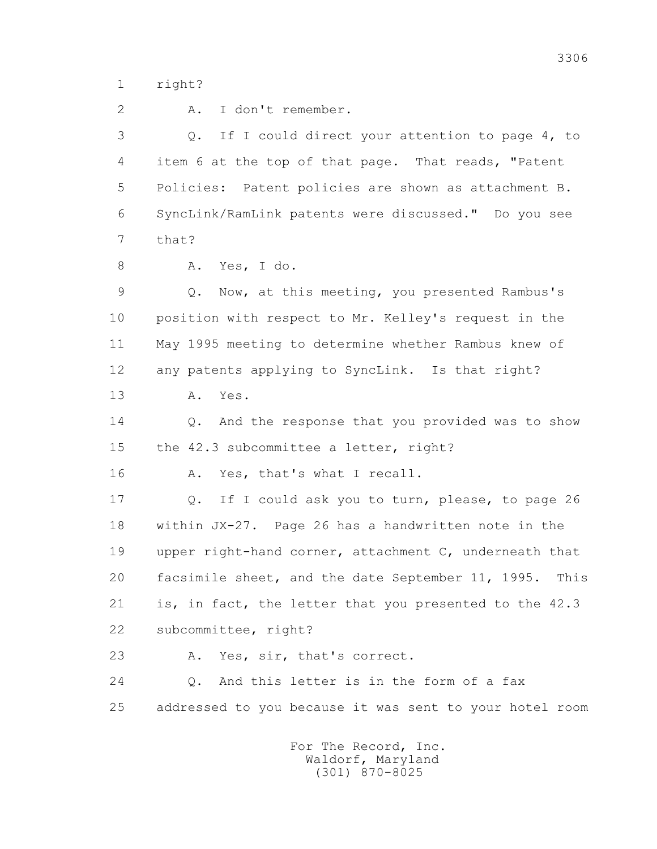1 right?

 2 A. I don't remember. 3 Q. If I could direct your attention to page 4, to 4 item 6 at the top of that page. That reads, "Patent 5 Policies: Patent policies are shown as attachment B. 6 SyncLink/RamLink patents were discussed." Do you see 7 that? 8 A. Yes, I do. 9 Q. Now, at this meeting, you presented Rambus's 10 position with respect to Mr. Kelley's request in the 11 May 1995 meeting to determine whether Rambus knew of 12 any patents applying to SyncLink. Is that right? 13 A. Yes. 14 Q. And the response that you provided was to show 15 the 42.3 subcommittee a letter, right? 16 A. Yes, that's what I recall. 17 Q. If I could ask you to turn, please, to page 26 18 within JX-27. Page 26 has a handwritten note in the 19 upper right-hand corner, attachment C, underneath that 20 facsimile sheet, and the date September 11, 1995. This 21 is, in fact, the letter that you presented to the 42.3 22 subcommittee, right? 23 A. Yes, sir, that's correct. 24 Q. And this letter is in the form of a fax 25 addressed to you because it was sent to your hotel room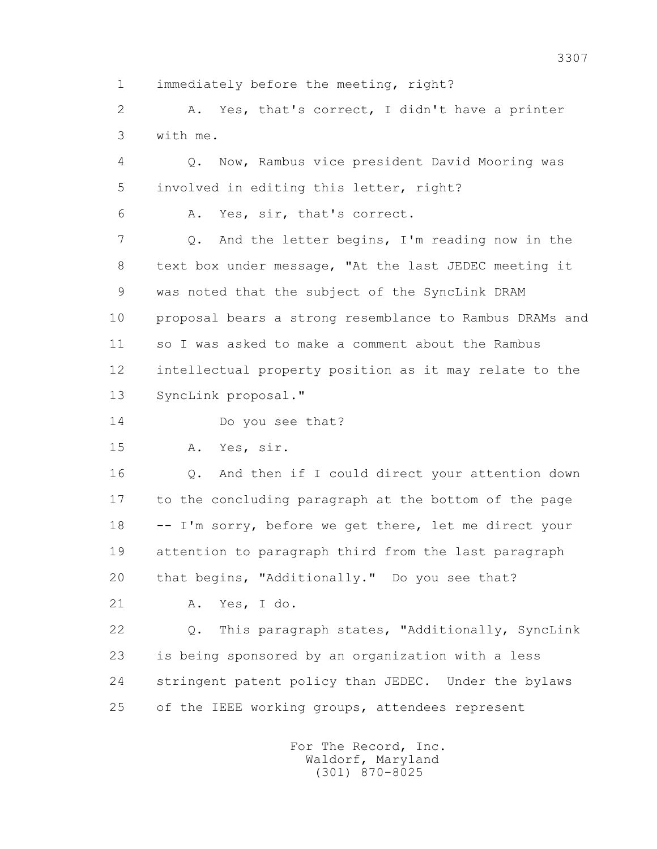1 immediately before the meeting, right?

 2 A. Yes, that's correct, I didn't have a printer 3 with me.

 4 Q. Now, Rambus vice president David Mooring was 5 involved in editing this letter, right?

6 A. Yes, sir, that's correct.

 7 Q. And the letter begins, I'm reading now in the 8 text box under message, "At the last JEDEC meeting it 9 was noted that the subject of the SyncLink DRAM 10 proposal bears a strong resemblance to Rambus DRAMs and 11 so I was asked to make a comment about the Rambus 12 intellectual property position as it may relate to the 13 SyncLink proposal."

14 Do you see that?

15 A. Yes, sir.

 16 Q. And then if I could direct your attention down 17 to the concluding paragraph at the bottom of the page 18 -- I'm sorry, before we get there, let me direct your 19 attention to paragraph third from the last paragraph 20 that begins, "Additionally." Do you see that?

21 A. Yes, I do.

 22 Q. This paragraph states, "Additionally, SyncLink 23 is being sponsored by an organization with a less 24 stringent patent policy than JEDEC. Under the bylaws 25 of the IEEE working groups, attendees represent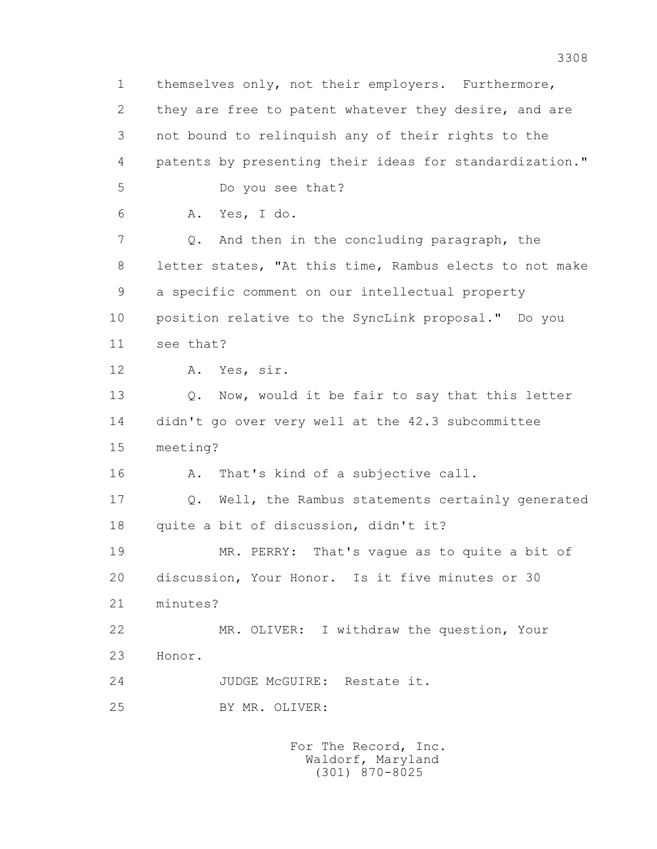1 themselves only, not their employers. Furthermore, 2 they are free to patent whatever they desire, and are 3 not bound to relinquish any of their rights to the 4 patents by presenting their ideas for standardization." 5 Do you see that? 6 A. Yes, I do. 7 Q. And then in the concluding paragraph, the 8 letter states, "At this time, Rambus elects to not make 9 a specific comment on our intellectual property 10 position relative to the SyncLink proposal." Do you 11 see that? 12 A. Yes, sir. 13 Q. Now, would it be fair to say that this letter 14 didn't go over very well at the 42.3 subcommittee 15 meeting? 16 A. That's kind of a subjective call. 17 Q. Well, the Rambus statements certainly generated 18 quite a bit of discussion, didn't it? 19 MR. PERRY: That's vague as to quite a bit of 20 discussion, Your Honor. Is it five minutes or 30 21 minutes? 22 MR. OLIVER: I withdraw the question, Your 23 Honor. 24 JUDGE McGUIRE: Restate it. 25 BY MR. OLIVER: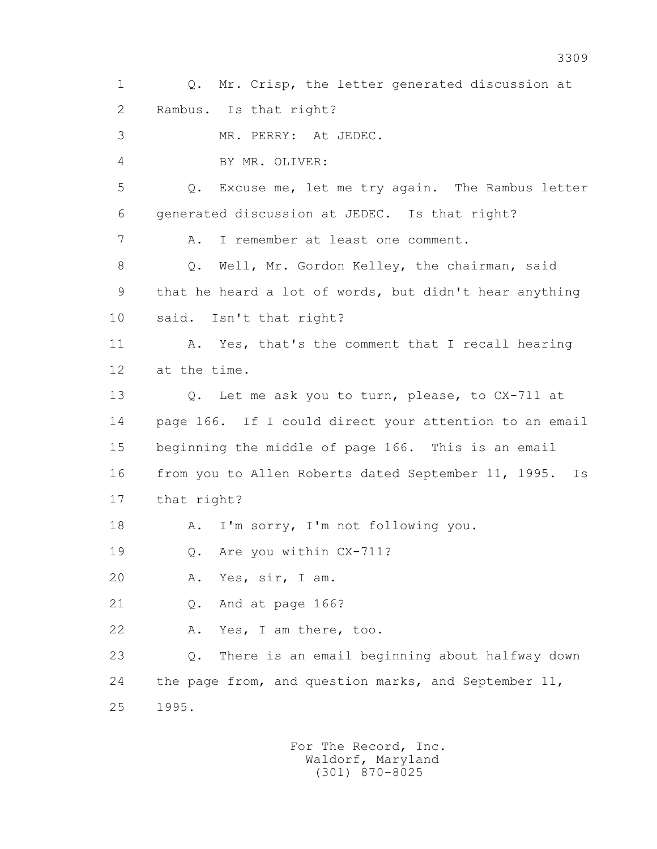1 Q. Mr. Crisp, the letter generated discussion at 2 Rambus. Is that right? 3 MR. PERRY: At JEDEC. 4 BY MR. OLIVER: 5 Q. Excuse me, let me try again. The Rambus letter 6 generated discussion at JEDEC. Is that right? 7 A. I remember at least one comment. 8 Q. Well, Mr. Gordon Kelley, the chairman, said 9 that he heard a lot of words, but didn't hear anything 10 said. Isn't that right? 11 A. Yes, that's the comment that I recall hearing 12 at the time. 13 Q. Let me ask you to turn, please, to CX-711 at 14 page 166. If I could direct your attention to an email 15 beginning the middle of page 166. This is an email 16 from you to Allen Roberts dated September 11, 1995. Is 17 that right? 18 A. I'm sorry, I'm not following you. 19 Q. Are you within CX-711? 20 A. Yes, sir, I am. 21 Q. And at page 166? 22 A. Yes, I am there, too. 23 Q. There is an email beginning about halfway down 24 the page from, and question marks, and September 11, 25 1995.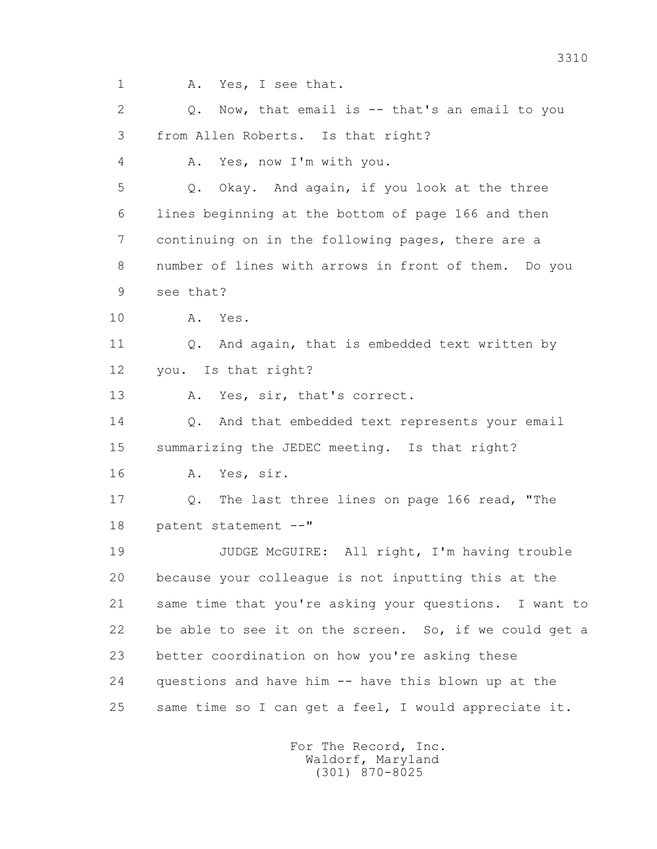1 A. Yes, I see that.

 2 Q. Now, that email is -- that's an email to you 3 from Allen Roberts. Is that right?

4 A. Yes, now I'm with you.

 5 Q. Okay. And again, if you look at the three 6 lines beginning at the bottom of page 166 and then 7 continuing on in the following pages, there are a 8 number of lines with arrows in front of them. Do you 9 see that?

- 
- 10 A. Yes.

 11 Q. And again, that is embedded text written by 12 you. Is that right?

13 A. Yes, sir, that's correct.

14 0. And that embedded text represents your email 15 summarizing the JEDEC meeting. Is that right? 16 A. Yes, sir.

 17 Q. The last three lines on page 166 read, "The 18 patent statement --"

 19 JUDGE McGUIRE: All right, I'm having trouble 20 because your colleague is not inputting this at the 21 same time that you're asking your questions. I want to 22 be able to see it on the screen. So, if we could get a 23 better coordination on how you're asking these 24 questions and have him -- have this blown up at the 25 same time so I can get a feel, I would appreciate it.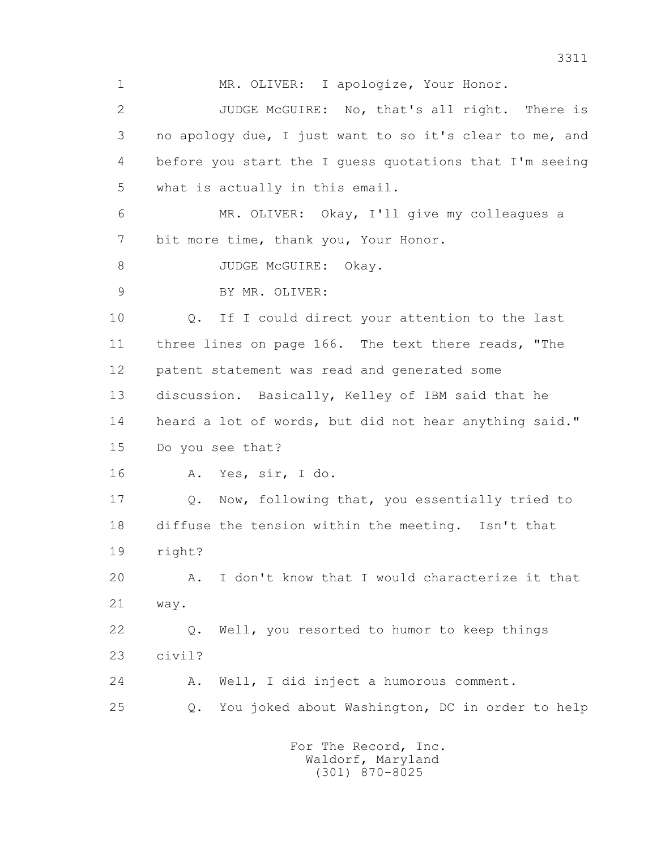1 MR. OLIVER: I apologize, Your Honor. 2 JUDGE McGUIRE: No, that's all right. There is 3 no apology due, I just want to so it's clear to me, and 4 before you start the I guess quotations that I'm seeing 5 what is actually in this email. 6 MR. OLIVER: Okay, I'll give my colleagues a 7 bit more time, thank you, Your Honor. 8 JUDGE McGUIRE: Okay. 9 BY MR. OLIVER: 10 Q. If I could direct your attention to the last 11 three lines on page 166. The text there reads, "The 12 patent statement was read and generated some 13 discussion. Basically, Kelley of IBM said that he 14 heard a lot of words, but did not hear anything said." 15 Do you see that? 16 A. Yes, sir, I do. 17 Q. Now, following that, you essentially tried to 18 diffuse the tension within the meeting. Isn't that 19 right? 20 A. I don't know that I would characterize it that 21 way. 22 Q. Well, you resorted to humor to keep things 23 civil? 24 A. Well, I did inject a humorous comment. 25 Q. You joked about Washington, DC in order to help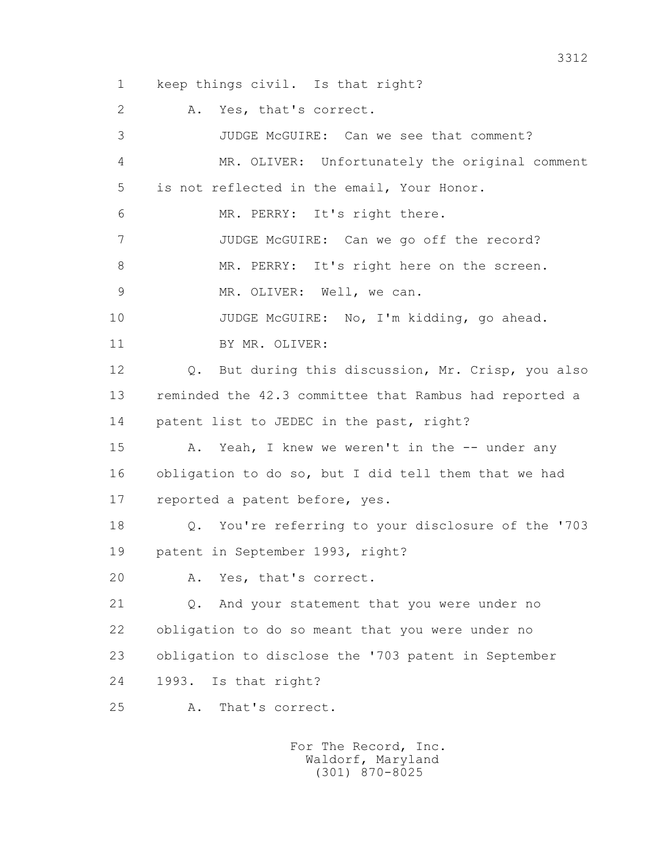1 keep things civil. Is that right? 2 A. Yes, that's correct. 3 JUDGE McGUIRE: Can we see that comment? 4 MR. OLIVER: Unfortunately the original comment 5 is not reflected in the email, Your Honor. 6 MR. PERRY: It's right there. 7 JUDGE McGUIRE: Can we go off the record? 8 MR. PERRY: It's right here on the screen. 9 MR. OLIVER: Well, we can. 10 JUDGE McGUIRE: No, I'm kidding, go ahead. 11 BY MR. OLIVER: 12 Q. But during this discussion, Mr. Crisp, you also 13 reminded the 42.3 committee that Rambus had reported a 14 patent list to JEDEC in the past, right? 15 A. Yeah, I knew we weren't in the -- under any 16 obligation to do so, but I did tell them that we had 17 reported a patent before, yes. 18 Q. You're referring to your disclosure of the '703

19 patent in September 1993, right?

20 A. Yes, that's correct.

 21 Q. And your statement that you were under no 22 obligation to do so meant that you were under no 23 obligation to disclose the '703 patent in September 24 1993. Is that right?

25 A. That's correct.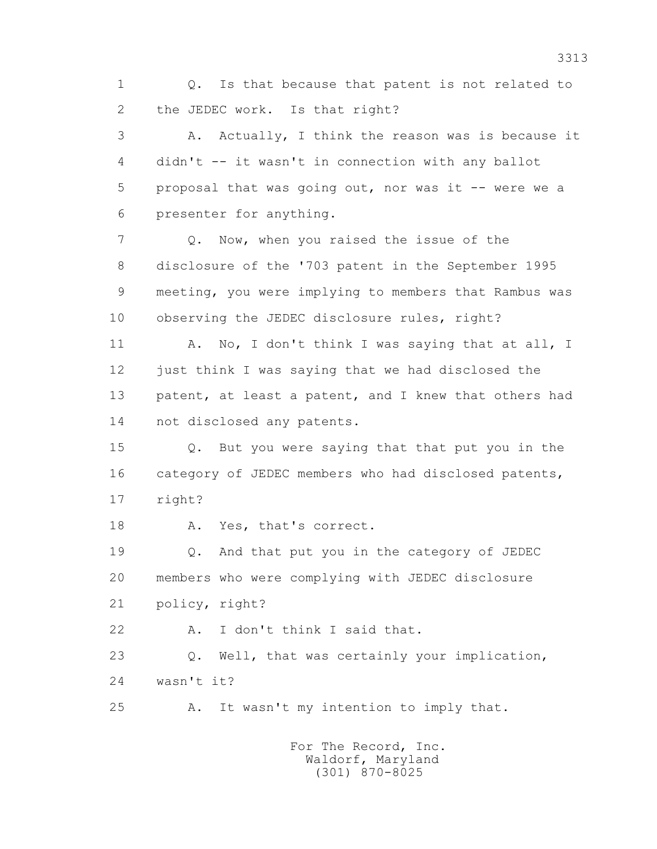1 Q. Is that because that patent is not related to 2 the JEDEC work. Is that right?

 3 A. Actually, I think the reason was is because it 4 didn't -- it wasn't in connection with any ballot 5 proposal that was going out, nor was it -- were we a 6 presenter for anything.

 7 Q. Now, when you raised the issue of the 8 disclosure of the '703 patent in the September 1995 9 meeting, you were implying to members that Rambus was 10 observing the JEDEC disclosure rules, right?

11 A. No, I don't think I was saying that at all, I 12 just think I was saying that we had disclosed the 13 patent, at least a patent, and I knew that others had 14 not disclosed any patents.

 15 Q. But you were saying that that put you in the 16 category of JEDEC members who had disclosed patents, 17 right?

18 A. Yes, that's correct.

 19 Q. And that put you in the category of JEDEC 20 members who were complying with JEDEC disclosure 21 policy, right?

22 A. I don't think I said that.

 23 Q. Well, that was certainly your implication, 24 wasn't it?

25 A. It wasn't my intention to imply that.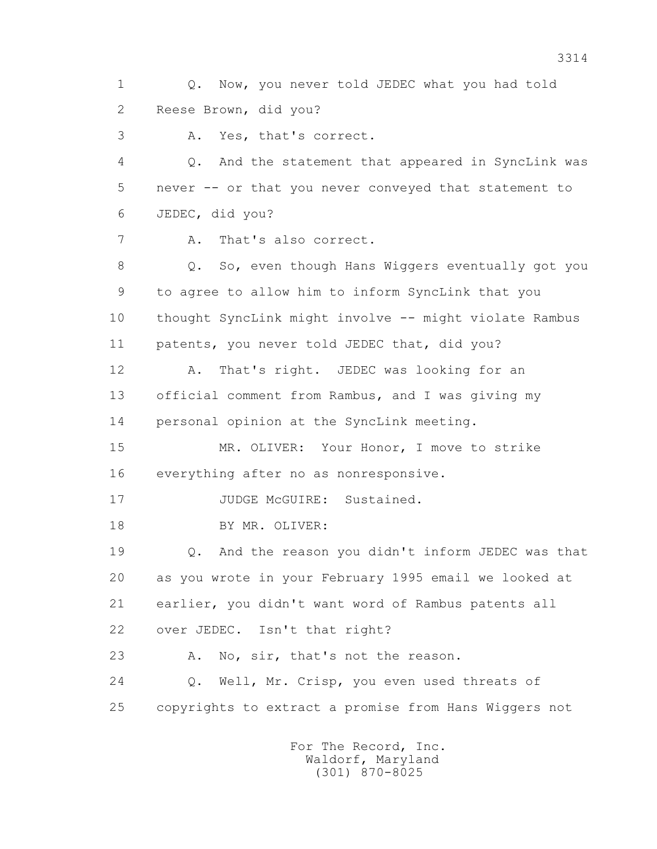1 Q. Now, you never told JEDEC what you had told 2 Reese Brown, did you?

3 A. Yes, that's correct.

 4 Q. And the statement that appeared in SyncLink was 5 never -- or that you never conveyed that statement to 6 JEDEC, did you?

7 A. That's also correct.

8 Q. So, even though Hans Wiggers eventually got you 9 to agree to allow him to inform SyncLink that you 10 thought SyncLink might involve -- might violate Rambus 11 patents, you never told JEDEC that, did you?

 12 A. That's right. JEDEC was looking for an 13 official comment from Rambus, and I was giving my 14 personal opinion at the SyncLink meeting.

 15 MR. OLIVER: Your Honor, I move to strike 16 everything after no as nonresponsive.

17 JUDGE McGUIRE: Sustained.

18 BY MR. OLIVER:

 19 Q. And the reason you didn't inform JEDEC was that 20 as you wrote in your February 1995 email we looked at 21 earlier, you didn't want word of Rambus patents all 22 over JEDEC. Isn't that right?

23 A. No, sir, that's not the reason.

 24 Q. Well, Mr. Crisp, you even used threats of 25 copyrights to extract a promise from Hans Wiggers not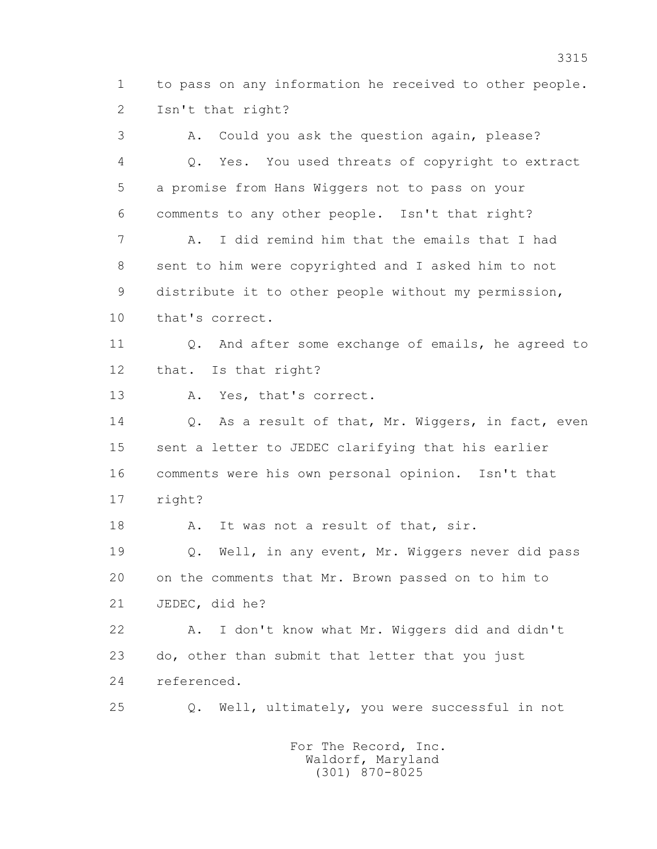1 to pass on any information he received to other people. 2 Isn't that right?

 3 A. Could you ask the question again, please? 4 Q. Yes. You used threats of copyright to extract 5 a promise from Hans Wiggers not to pass on your 6 comments to any other people. Isn't that right? 7 A. I did remind him that the emails that I had 8 sent to him were copyrighted and I asked him to not 9 distribute it to other people without my permission, 10 that's correct. 11 0. And after some exchange of emails, he agreed to 12 that. Is that right? 13 A. Yes, that's correct. 14 Q. As a result of that, Mr. Wiggers, in fact, even 15 sent a letter to JEDEC clarifying that his earlier 16 comments were his own personal opinion. Isn't that 17 right? 18 A. It was not a result of that, sir. 19 Q. Well, in any event, Mr. Wiggers never did pass 20 on the comments that Mr. Brown passed on to him to 21 JEDEC, did he? 22 A. I don't know what Mr. Wiggers did and didn't 23 do, other than submit that letter that you just 24 referenced. 25 Q. Well, ultimately, you were successful in not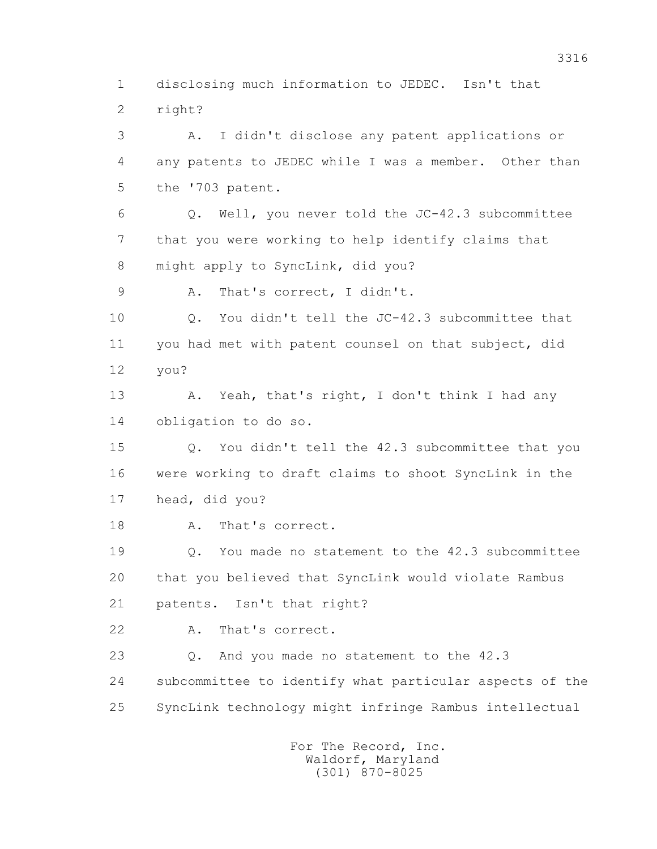1 disclosing much information to JEDEC. Isn't that 2 right?

 3 A. I didn't disclose any patent applications or 4 any patents to JEDEC while I was a member. Other than 5 the '703 patent.

 6 Q. Well, you never told the JC-42.3 subcommittee 7 that you were working to help identify claims that 8 might apply to SyncLink, did you?

9 A. That's correct, I didn't.

10 0. You didn't tell the JC-42.3 subcommittee that 11 you had met with patent counsel on that subject, did 12 you?

13 A. Yeah, that's right, I don't think I had any 14 obligation to do so.

 15 Q. You didn't tell the 42.3 subcommittee that you 16 were working to draft claims to shoot SyncLink in the 17 head, did you?

18 A. That's correct.

 19 Q. You made no statement to the 42.3 subcommittee 20 that you believed that SyncLink would violate Rambus 21 patents. Isn't that right?

22 A. That's correct.

 23 Q. And you made no statement to the 42.3 24 subcommittee to identify what particular aspects of the 25 SyncLink technology might infringe Rambus intellectual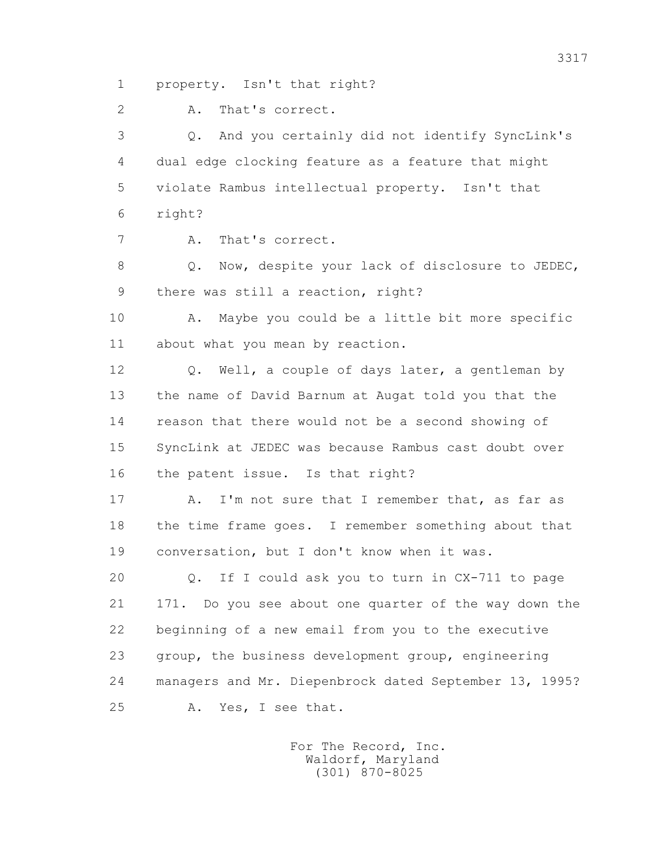1 property. Isn't that right?

2 A. That's correct.

 3 Q. And you certainly did not identify SyncLink's 4 dual edge clocking feature as a feature that might 5 violate Rambus intellectual property. Isn't that 6 right?

7 A. That's correct.

8 Q. Now, despite your lack of disclosure to JEDEC, 9 there was still a reaction, right?

 10 A. Maybe you could be a little bit more specific 11 about what you mean by reaction.

 12 Q. Well, a couple of days later, a gentleman by 13 the name of David Barnum at Augat told you that the 14 reason that there would not be a second showing of 15 SyncLink at JEDEC was because Rambus cast doubt over 16 the patent issue. Is that right?

17 A. I'm not sure that I remember that, as far as 18 the time frame goes. I remember something about that 19 conversation, but I don't know when it was.

 20 Q. If I could ask you to turn in CX-711 to page 21 171. Do you see about one quarter of the way down the 22 beginning of a new email from you to the executive 23 group, the business development group, engineering 24 managers and Mr. Diepenbrock dated September 13, 1995? 25 A. Yes, I see that.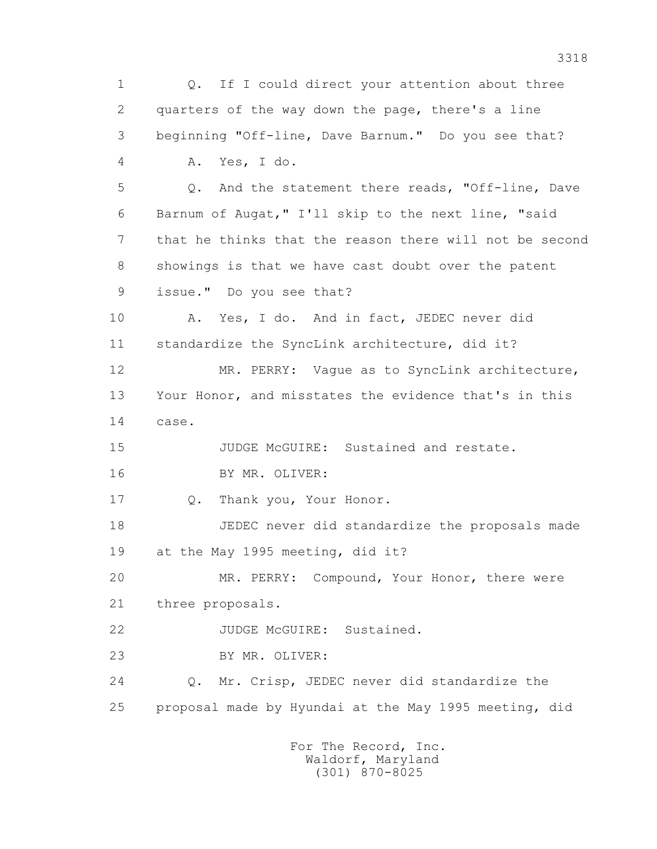1 Q. If I could direct your attention about three 2 quarters of the way down the page, there's a line 3 beginning "Off-line, Dave Barnum." Do you see that? 4 A. Yes, I do. 5 Q. And the statement there reads, "Off-line, Dave 6 Barnum of Augat," I'll skip to the next line, "said 7 that he thinks that the reason there will not be second 8 showings is that we have cast doubt over the patent 9 issue." Do you see that? 10 A. Yes, I do. And in fact, JEDEC never did 11 standardize the SyncLink architecture, did it? 12 MR. PERRY: Vague as to SyncLink architecture, 13 Your Honor, and misstates the evidence that's in this 14 case. 15 JUDGE McGUIRE: Sustained and restate. 16 BY MR. OLIVER: 17 Q. Thank you, Your Honor. 18 JEDEC never did standardize the proposals made 19 at the May 1995 meeting, did it? 20 MR. PERRY: Compound, Your Honor, there were 21 three proposals. 22 JUDGE McGUIRE: Sustained. 23 BY MR. OLIVER: 24 Q. Mr. Crisp, JEDEC never did standardize the 25 proposal made by Hyundai at the May 1995 meeting, did For The Record, Inc.

 Waldorf, Maryland (301) 870-8025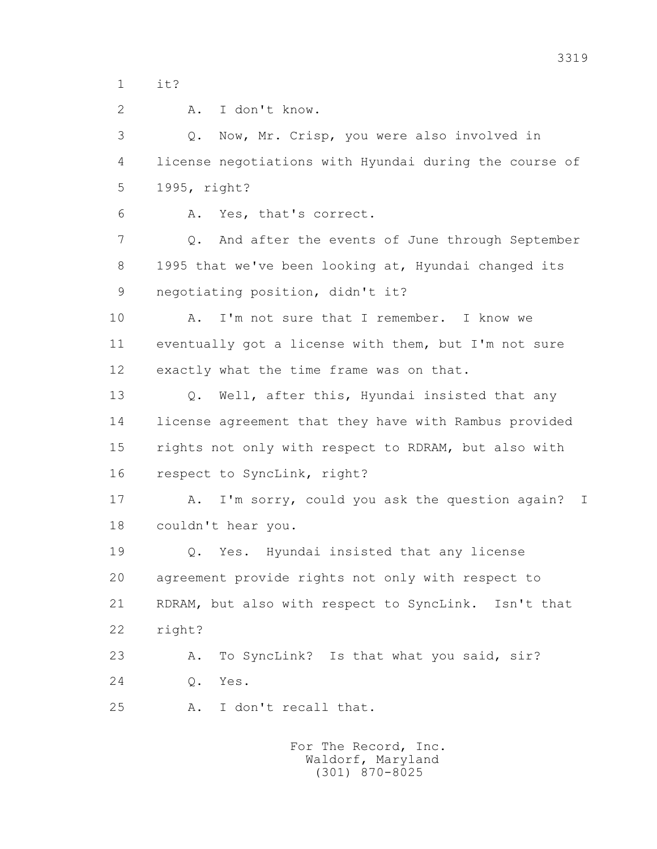1 it?

2 A. I don't know.

 3 Q. Now, Mr. Crisp, you were also involved in 4 license negotiations with Hyundai during the course of 5 1995, right?

6 A. Yes, that's correct.

 7 Q. And after the events of June through September 8 1995 that we've been looking at, Hyundai changed its 9 negotiating position, didn't it?

10 A. I'm not sure that I remember. I know we 11 eventually got a license with them, but I'm not sure 12 exactly what the time frame was on that.

 13 Q. Well, after this, Hyundai insisted that any 14 license agreement that they have with Rambus provided 15 rights not only with respect to RDRAM, but also with 16 respect to SyncLink, right?

 17 A. I'm sorry, could you ask the question again? I 18 couldn't hear you.

 19 Q. Yes. Hyundai insisted that any license 20 agreement provide rights not only with respect to 21 RDRAM, but also with respect to SyncLink. Isn't that 22 right?

23 A. To SyncLink? Is that what you said, sir? 24 Q. Yes.

25 A. I don't recall that.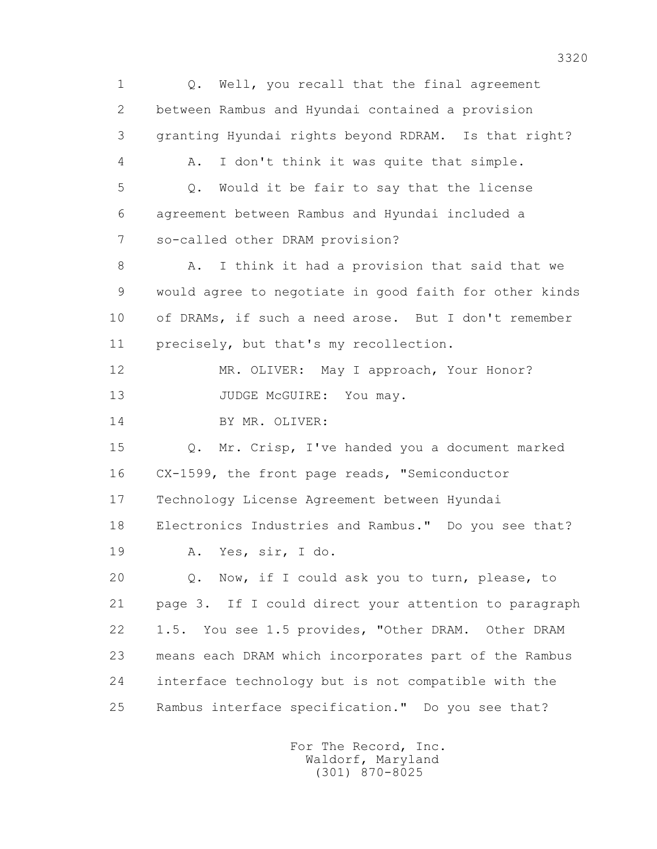1 Q. Well, you recall that the final agreement 2 between Rambus and Hyundai contained a provision 3 granting Hyundai rights beyond RDRAM. Is that right? 4 A. I don't think it was quite that simple. 5 Q. Would it be fair to say that the license 6 agreement between Rambus and Hyundai included a 7 so-called other DRAM provision? 8 A. I think it had a provision that said that we 9 would agree to negotiate in good faith for other kinds 10 of DRAMs, if such a need arose. But I don't remember 11 precisely, but that's my recollection. 12 MR. OLIVER: May I approach, Your Honor? 13 JUDGE McGUIRE: You may. 14 BY MR. OLIVER: 15 Q. Mr. Crisp, I've handed you a document marked 16 CX-1599, the front page reads, "Semiconductor 17 Technology License Agreement between Hyundai 18 Electronics Industries and Rambus." Do you see that? 19 A. Yes, sir, I do. 20 Q. Now, if I could ask you to turn, please, to 21 page 3. If I could direct your attention to paragraph 22 1.5. You see 1.5 provides, "Other DRAM. Other DRAM 23 means each DRAM which incorporates part of the Rambus 24 interface technology but is not compatible with the 25 Rambus interface specification." Do you see that?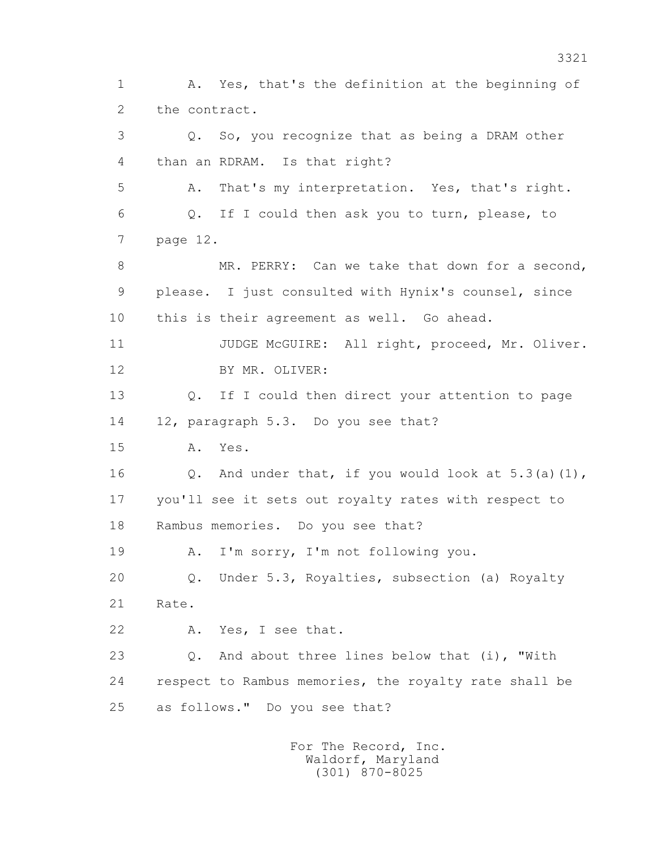1 A. Yes, that's the definition at the beginning of 2 the contract. 3 Q. So, you recognize that as being a DRAM other 4 than an RDRAM. Is that right? 5 A. That's my interpretation. Yes, that's right. 6 Q. If I could then ask you to turn, please, to 7 page 12. 8 MR. PERRY: Can we take that down for a second, 9 please. I just consulted with Hynix's counsel, since 10 this is their agreement as well. Go ahead. 11 JUDGE McGUIRE: All right, proceed, Mr. Oliver. 12 BY MR. OLIVER: 13 Q. If I could then direct your attention to page 14 12, paragraph 5.3. Do you see that? 15 A. Yes. 16 Q. And under that, if you would look at 5.3(a)(1), 17 you'll see it sets out royalty rates with respect to 18 Rambus memories. Do you see that? 19 A. I'm sorry, I'm not following you. 20 Q. Under 5.3, Royalties, subsection (a) Royalty 21 Rate. 22 A. Yes, I see that. 23 Q. And about three lines below that (i), "With 24 respect to Rambus memories, the royalty rate shall be 25 as follows." Do you see that?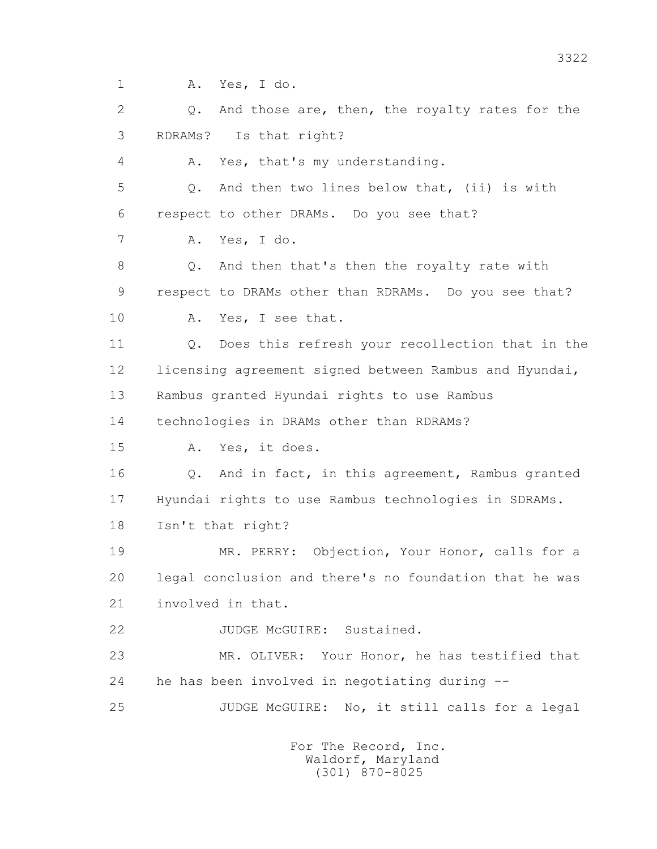1 A. Yes, I do.

 2 Q. And those are, then, the royalty rates for the 3 RDRAMs? Is that right?

4 A. Yes, that's my understanding.

 5 Q. And then two lines below that, (ii) is with 6 respect to other DRAMs. Do you see that?

7 A. Yes, I do.

 8 Q. And then that's then the royalty rate with 9 respect to DRAMs other than RDRAMs. Do you see that?

10 A. Yes, I see that.

 11 Q. Does this refresh your recollection that in the 12 licensing agreement signed between Rambus and Hyundai, 13 Rambus granted Hyundai rights to use Rambus

14 technologies in DRAMs other than RDRAMs?

15 A. Yes, it does.

 16 Q. And in fact, in this agreement, Rambus granted 17 Hyundai rights to use Rambus technologies in SDRAMs.

18 Isn't that right?

 19 MR. PERRY: Objection, Your Honor, calls for a 20 legal conclusion and there's no foundation that he was 21 involved in that.

22 JUDGE McGUIRE: Sustained.

 23 MR. OLIVER: Your Honor, he has testified that 24 he has been involved in negotiating during --

25 JUDGE McGUIRE: No, it still calls for a legal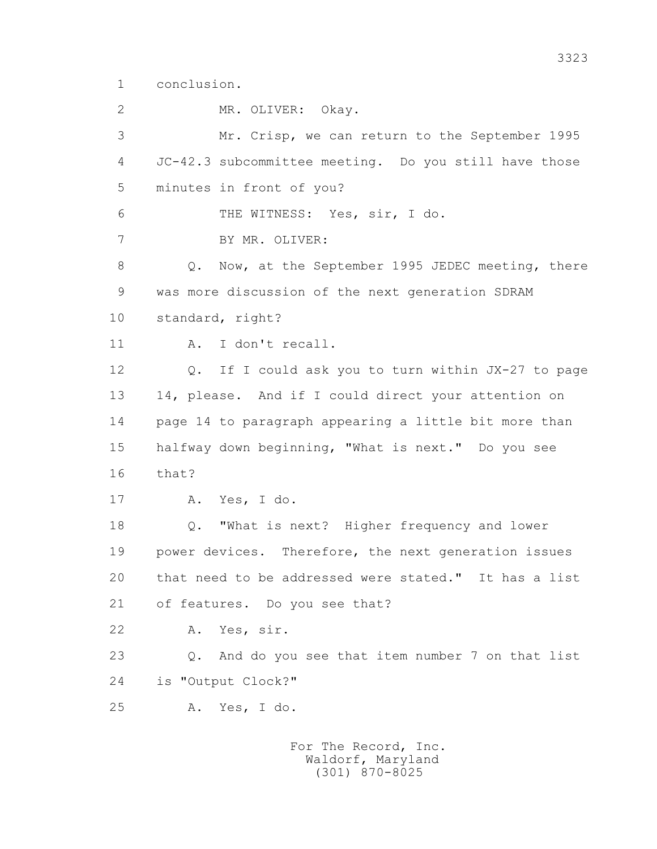1 conclusion.

2 MR. OLIVER: Okay.

 3 Mr. Crisp, we can return to the September 1995 4 JC-42.3 subcommittee meeting. Do you still have those 5 minutes in front of you? 6 THE WITNESS: Yes, sir, I do. 7 BY MR. OLIVER: 8 Q. Now, at the September 1995 JEDEC meeting, there 9 was more discussion of the next generation SDRAM 10 standard, right? 11 A. I don't recall. 12 Q. If I could ask you to turn within JX-27 to page 13 14, please. And if I could direct your attention on 14 page 14 to paragraph appearing a little bit more than 15 halfway down beginning, "What is next." Do you see 16 that? 17 A. Yes, I do. 18 Q. "What is next? Higher frequency and lower 19 power devices. Therefore, the next generation issues 20 that need to be addressed were stated." It has a list 21 of features. Do you see that? 22 A. Yes, sir. 23 Q. And do you see that item number 7 on that list 24 is "Output Clock?" 25 A. Yes, I do.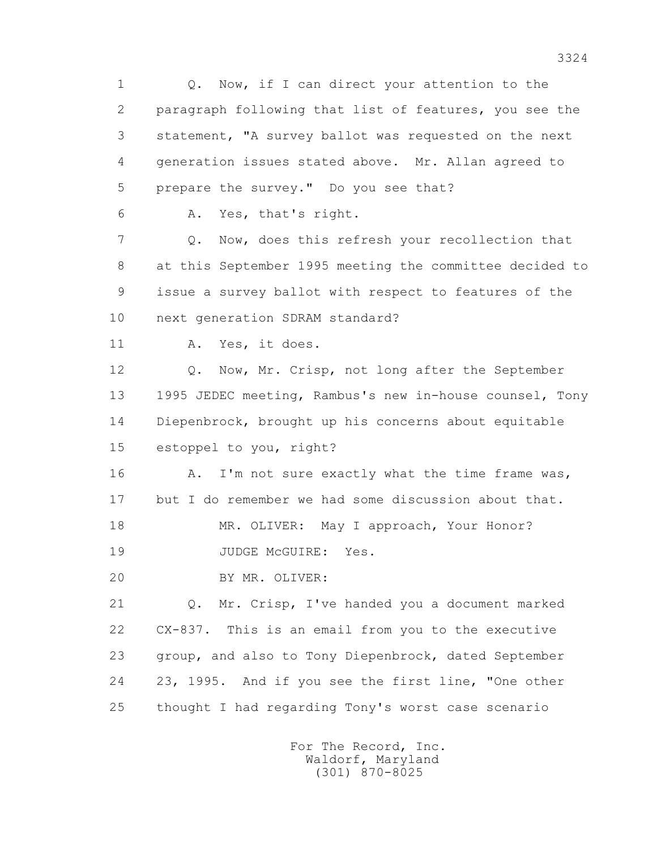1 Q. Now, if I can direct your attention to the 2 paragraph following that list of features, you see the 3 statement, "A survey ballot was requested on the next 4 generation issues stated above. Mr. Allan agreed to 5 prepare the survey." Do you see that? 6 A. Yes, that's right. 7 Q. Now, does this refresh your recollection that 8 at this September 1995 meeting the committee decided to 9 issue a survey ballot with respect to features of the 10 next generation SDRAM standard? 11 A. Yes, it does. 12 Q. Now, Mr. Crisp, not long after the September 13 1995 JEDEC meeting, Rambus's new in-house counsel, Tony 14 Diepenbrock, brought up his concerns about equitable 15 estoppel to you, right? 16 A. I'm not sure exactly what the time frame was, 17 but I do remember we had some discussion about that. 18 MR. OLIVER: May I approach, Your Honor? 19 JUDGE McGUIRE: Yes. 20 BY MR. OLIVER: 21 Q. Mr. Crisp, I've handed you a document marked 22 CX-837. This is an email from you to the executive 23 group, and also to Tony Diepenbrock, dated September 24 23, 1995. And if you see the first line, "One other 25 thought I had regarding Tony's worst case scenario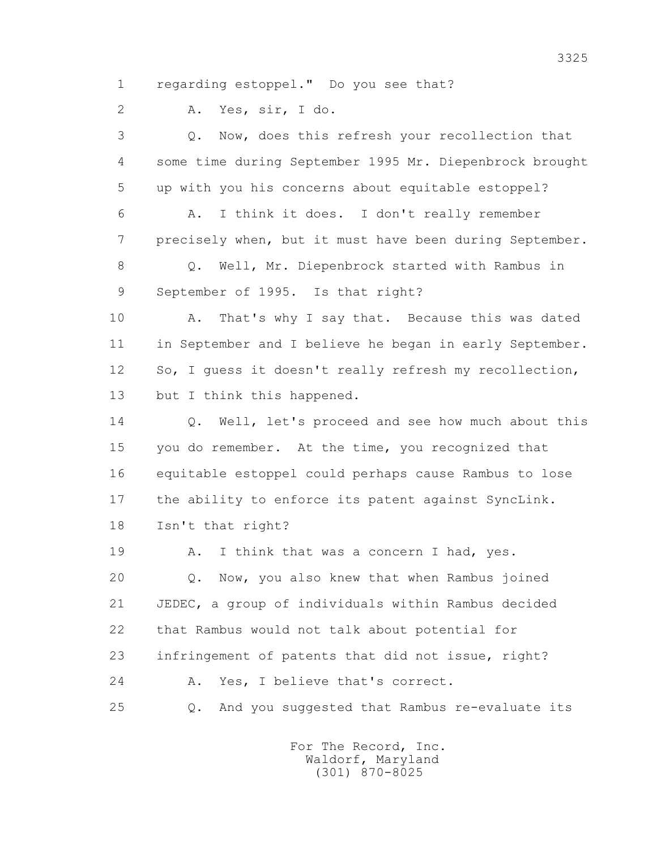1 regarding estoppel." Do you see that?

2 A. Yes, sir, I do.

 3 Q. Now, does this refresh your recollection that 4 some time during September 1995 Mr. Diepenbrock brought 5 up with you his concerns about equitable estoppel? 6 A. I think it does. I don't really remember 7 precisely when, but it must have been during September.

 8 Q. Well, Mr. Diepenbrock started with Rambus in 9 September of 1995. Is that right?

10 A. That's why I say that. Because this was dated 11 in September and I believe he began in early September. 12 So, I guess it doesn't really refresh my recollection, 13 but I think this happened.

14 O. Well, let's proceed and see how much about this 15 you do remember. At the time, you recognized that 16 equitable estoppel could perhaps cause Rambus to lose 17 the ability to enforce its patent against SyncLink. 18 Isn't that right?

19 A. I think that was a concern I had, yes. 20 Q. Now, you also knew that when Rambus joined 21 JEDEC, a group of individuals within Rambus decided 22 that Rambus would not talk about potential for 23 infringement of patents that did not issue, right? 24 A. Yes, I believe that's correct.

25 Q. And you suggested that Rambus re-evaluate its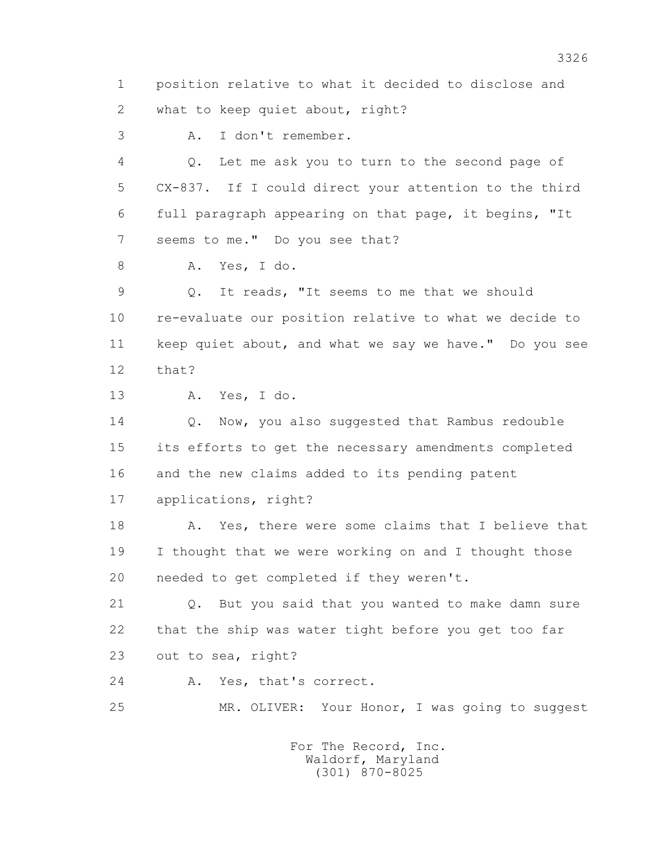1 position relative to what it decided to disclose and 2 what to keep quiet about, right?

3 A. I don't remember.

 4 Q. Let me ask you to turn to the second page of 5 CX-837. If I could direct your attention to the third 6 full paragraph appearing on that page, it begins, "It 7 seems to me." Do you see that?

8 A. Yes, I do.

 9 Q. It reads, "It seems to me that we should 10 re-evaluate our position relative to what we decide to 11 keep quiet about, and what we say we have." Do you see 12 that?

13 A. Yes, I do.

14 O. Now, you also suggested that Rambus redouble 15 its efforts to get the necessary amendments completed 16 and the new claims added to its pending patent 17 applications, right?

 18 A. Yes, there were some claims that I believe that 19 I thought that we were working on and I thought those 20 needed to get completed if they weren't.

 21 Q. But you said that you wanted to make damn sure 22 that the ship was water tight before you get too far 23 out to sea, right?

24 A. Yes, that's correct.

25 MR. OLIVER: Your Honor, I was going to suggest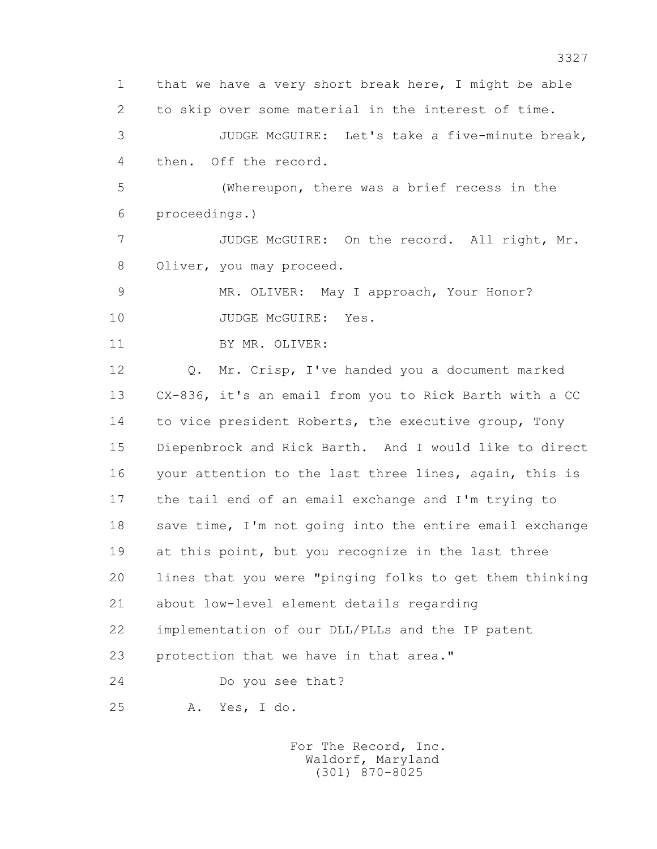1 that we have a very short break here, I might be able 2 to skip over some material in the interest of time. 3 JUDGE McGUIRE: Let's take a five-minute break, 4 then. Off the record. 5 (Whereupon, there was a brief recess in the 6 proceedings.) 7 JUDGE McGUIRE: On the record. All right, Mr. 8 Oliver, you may proceed. 9 MR. OLIVER: May I approach, Your Honor? 10 JUDGE McGUIRE: Yes. 11 BY MR. OLIVER: 12 Q. Mr. Crisp, I've handed you a document marked 13 CX-836, it's an email from you to Rick Barth with a CC 14 to vice president Roberts, the executive group, Tony 15 Diepenbrock and Rick Barth. And I would like to direct 16 your attention to the last three lines, again, this is 17 the tail end of an email exchange and I'm trying to 18 save time, I'm not going into the entire email exchange 19 at this point, but you recognize in the last three 20 lines that you were "pinging folks to get them thinking 21 about low-level element details regarding 22 implementation of our DLL/PLLs and the IP patent 23 protection that we have in that area." 24 Do you see that? 25 A. Yes, I do.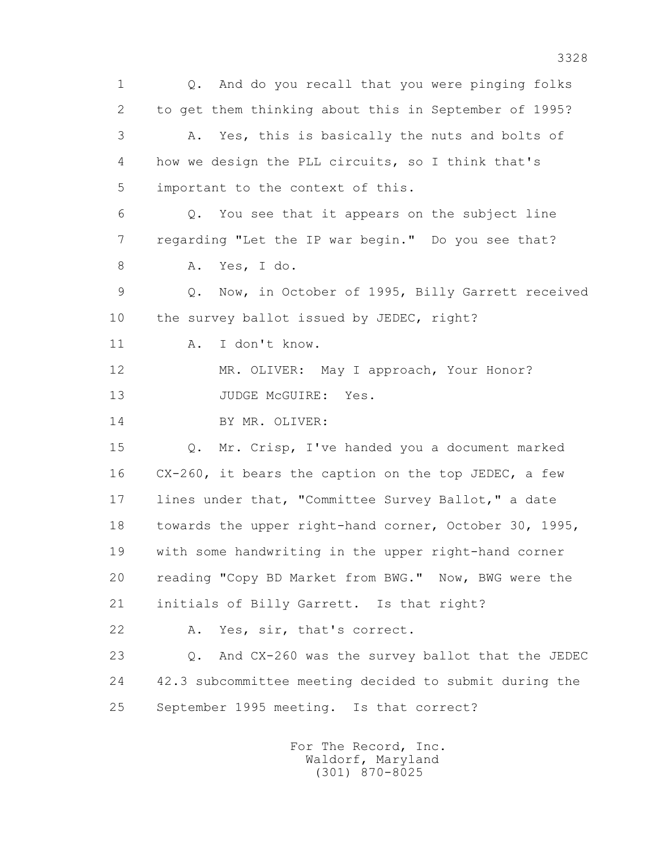1 Q. And do you recall that you were pinging folks 2 to get them thinking about this in September of 1995? 3 A. Yes, this is basically the nuts and bolts of 4 how we design the PLL circuits, so I think that's 5 important to the context of this. 6 Q. You see that it appears on the subject line 7 regarding "Let the IP war begin." Do you see that? 8 A. Yes, I do. 9 Q. Now, in October of 1995, Billy Garrett received 10 the survey ballot issued by JEDEC, right? 11 A. I don't know. 12 MR. OLIVER: May I approach, Your Honor? 13 JUDGE McGUIRE: Yes. 14 BY MR. OLIVER: 15 Q. Mr. Crisp, I've handed you a document marked 16 CX-260, it bears the caption on the top JEDEC, a few 17 lines under that, "Committee Survey Ballot," a date 18 towards the upper right-hand corner, October 30, 1995, 19 with some handwriting in the upper right-hand corner 20 reading "Copy BD Market from BWG." Now, BWG were the 21 initials of Billy Garrett. Is that right? 22 A. Yes, sir, that's correct. 23 Q. And CX-260 was the survey ballot that the JEDEC 24 42.3 subcommittee meeting decided to submit during the 25 September 1995 meeting. Is that correct?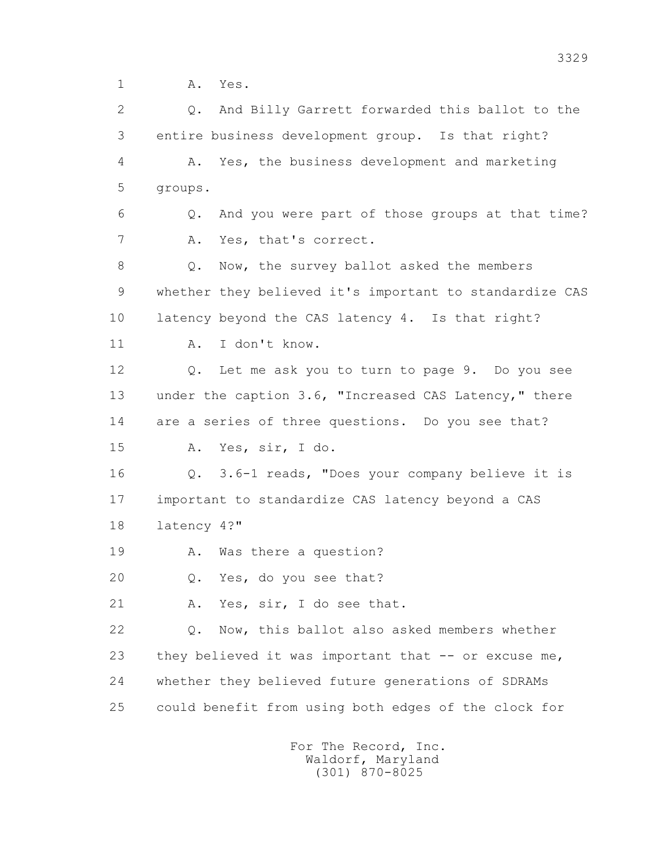1 A. Yes.

 2 Q. And Billy Garrett forwarded this ballot to the 3 entire business development group. Is that right? 4 A. Yes, the business development and marketing 5 groups. 6 Q. And you were part of those groups at that time? 7 A. Yes, that's correct. 8 Q. Now, the survey ballot asked the members 9 whether they believed it's important to standardize CAS 10 latency beyond the CAS latency 4. Is that right? 11 A. I don't know. 12 Q. Let me ask you to turn to page 9. Do you see 13 under the caption 3.6, "Increased CAS Latency," there 14 are a series of three questions. Do you see that? 15 A. Yes, sir, I do. 16 Q. 3.6-1 reads, "Does your company believe it is 17 important to standardize CAS latency beyond a CAS 18 latency 4?" 19 A. Was there a question? 20 Q. Yes, do you see that? 21 A. Yes, sir, I do see that. 22 Q. Now, this ballot also asked members whether 23 they believed it was important that -- or excuse me, 24 whether they believed future generations of SDRAMs 25 could benefit from using both edges of the clock for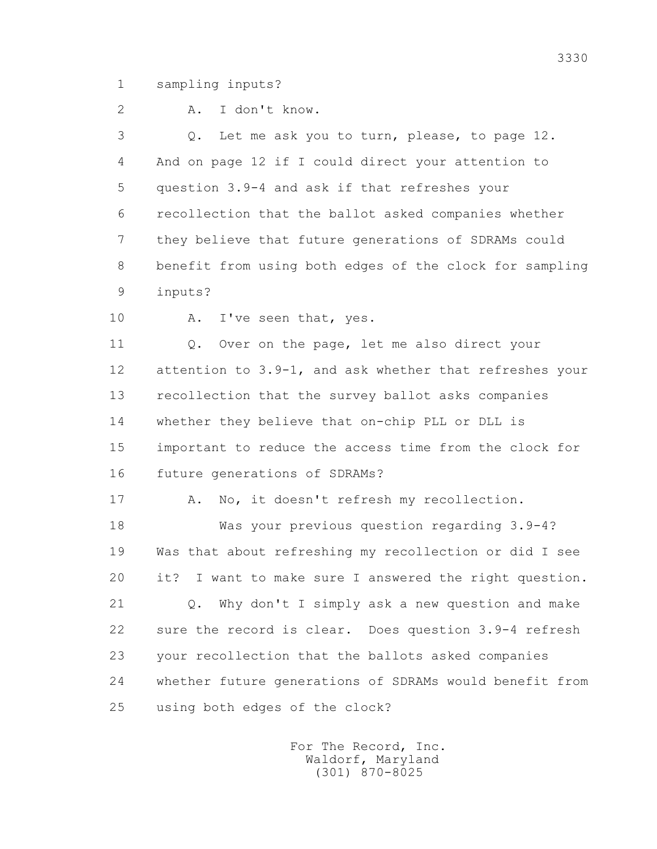1 sampling inputs?

2 A. I don't know.

 3 Q. Let me ask you to turn, please, to page 12. 4 And on page 12 if I could direct your attention to 5 question 3.9-4 and ask if that refreshes your 6 recollection that the ballot asked companies whether 7 they believe that future generations of SDRAMs could 8 benefit from using both edges of the clock for sampling 9 inputs?

10 A. I've seen that, yes.

 11 Q. Over on the page, let me also direct your 12 attention to 3.9-1, and ask whether that refreshes your 13 recollection that the survey ballot asks companies 14 whether they believe that on-chip PLL or DLL is 15 important to reduce the access time from the clock for 16 future generations of SDRAMs?

17 A. No, it doesn't refresh my recollection.

 18 Was your previous question regarding 3.9-4? 19 Was that about refreshing my recollection or did I see 20 it? I want to make sure I answered the right question.

 21 Q. Why don't I simply ask a new question and make 22 sure the record is clear. Does question 3.9-4 refresh 23 your recollection that the ballots asked companies 24 whether future generations of SDRAMs would benefit from 25 using both edges of the clock?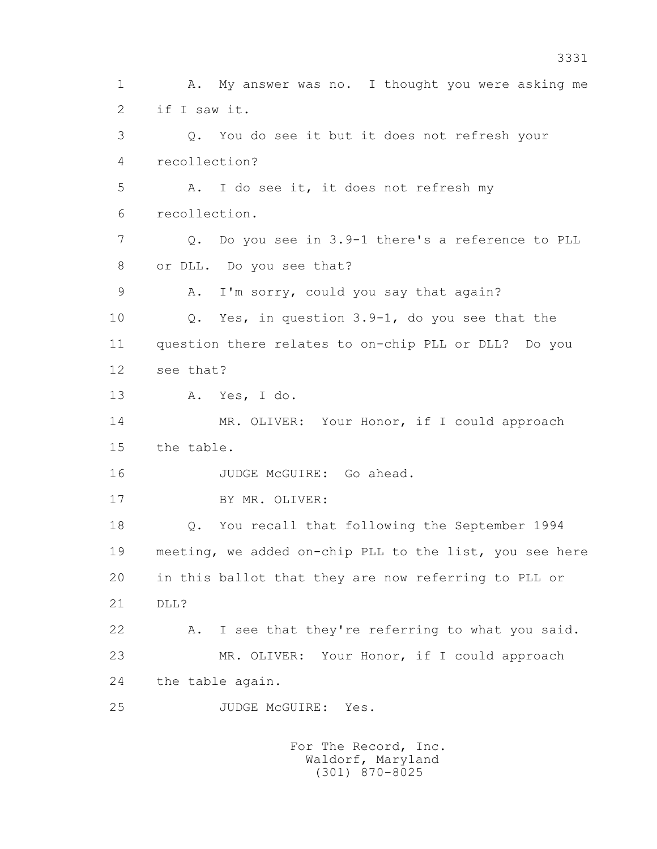1 A. My answer was no. I thought you were asking me 2 if I saw it. 3 Q. You do see it but it does not refresh your 4 recollection? 5 A. I do see it, it does not refresh my 6 recollection. 7 Q. Do you see in 3.9-1 there's a reference to PLL 8 or DLL. Do you see that? 9 A. I'm sorry, could you say that again? 10 Q. Yes, in question 3.9-1, do you see that the 11 question there relates to on-chip PLL or DLL? Do you 12 see that? 13 A. Yes, I do. 14 MR. OLIVER: Your Honor, if I could approach 15 the table. 16 JUDGE McGUIRE: Go ahead. 17 BY MR. OLIVER: 18 Q. You recall that following the September 1994 19 meeting, we added on-chip PLL to the list, you see here 20 in this ballot that they are now referring to PLL or 21 DLL? 22 A. I see that they're referring to what you said. 23 MR. OLIVER: Your Honor, if I could approach 24 the table again. 25 JUDGE McGUIRE: Yes. For The Record, Inc.

 Waldorf, Maryland (301) 870-8025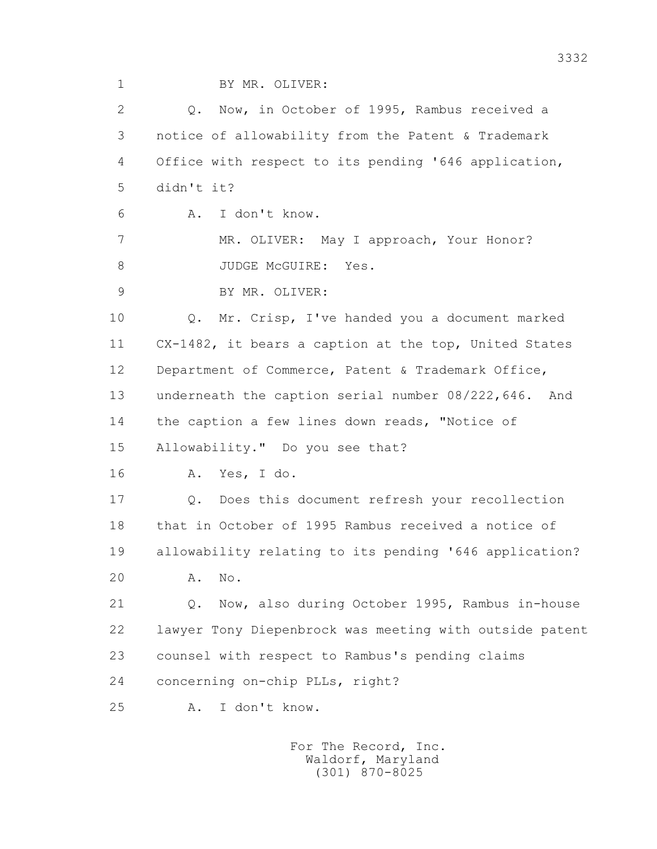1 BY MR. OLIVER:

 2 Q. Now, in October of 1995, Rambus received a 3 notice of allowability from the Patent & Trademark 4 Office with respect to its pending '646 application, 5 didn't it? 6 A. I don't know. 7 MR. OLIVER: May I approach, Your Honor? 8 JUDGE McGUIRE: Yes. 9 BY MR. OLIVER: 10 Q. Mr. Crisp, I've handed you a document marked 11 CX-1482, it bears a caption at the top, United States 12 Department of Commerce, Patent & Trademark Office, 13 underneath the caption serial number 08/222,646. And 14 the caption a few lines down reads, "Notice of 15 Allowability." Do you see that? 16 A. Yes, I do. 17 Q. Does this document refresh your recollection 18 that in October of 1995 Rambus received a notice of 19 allowability relating to its pending '646 application? 20 A. No. 21 Q. Now, also during October 1995, Rambus in-house 22 lawyer Tony Diepenbrock was meeting with outside patent 23 counsel with respect to Rambus's pending claims 24 concerning on-chip PLLs, right? 25 A. I don't know. For The Record, Inc. Waldorf, Maryland

(301) 870-8025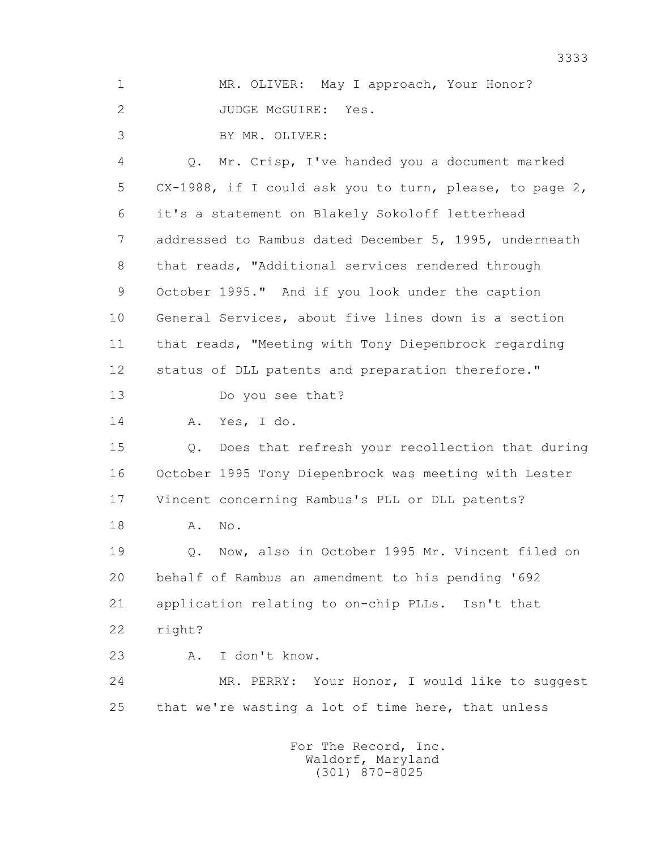1 MR. OLIVER: May I approach, Your Honor? 2 JUDGE McGUIRE: Yes.

3 BY MR. OLIVER:

 4 Q. Mr. Crisp, I've handed you a document marked 5 CX-1988, if I could ask you to turn, please, to page 2, 6 it's a statement on Blakely Sokoloff letterhead 7 addressed to Rambus dated December 5, 1995, underneath 8 that reads, "Additional services rendered through 9 October 1995." And if you look under the caption 10 General Services, about five lines down is a section 11 that reads, "Meeting with Tony Diepenbrock regarding 12 status of DLL patents and preparation therefore." 13 Do you see that? 14 A. Yes, I do. 15 Q. Does that refresh your recollection that during 16 October 1995 Tony Diepenbrock was meeting with Lester 17 Vincent concerning Rambus's PLL or DLL patents? 18 **A.** No. 19 Q. Now, also in October 1995 Mr. Vincent filed on 20 behalf of Rambus an amendment to his pending '692 21 application relating to on-chip PLLs. Isn't that 22 right? 23 A. I don't know. 24 MR. PERRY: Your Honor, I would like to suggest 25 that we're wasting a lot of time here, that unless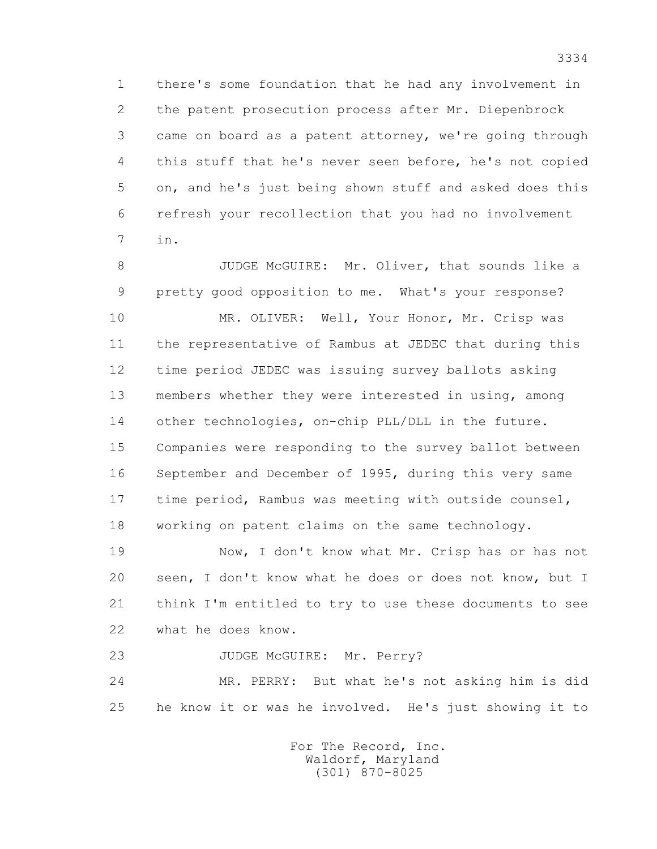1 there's some foundation that he had any involvement in 2 the patent prosecution process after Mr. Diepenbrock 3 came on board as a patent attorney, we're going through 4 this stuff that he's never seen before, he's not copied 5 on, and he's just being shown stuff and asked does this 6 refresh your recollection that you had no involvement 7 in.

 8 JUDGE McGUIRE: Mr. Oliver, that sounds like a 9 pretty good opposition to me. What's your response?

10 MR. OLIVER: Well, Your Honor, Mr. Crisp was 11 the representative of Rambus at JEDEC that during this 12 time period JEDEC was issuing survey ballots asking 13 members whether they were interested in using, among 14 other technologies, on-chip PLL/DLL in the future. 15 Companies were responding to the survey ballot between 16 September and December of 1995, during this very same 17 time period, Rambus was meeting with outside counsel, 18 working on patent claims on the same technology.

 19 Now, I don't know what Mr. Crisp has or has not 20 seen, I don't know what he does or does not know, but I 21 think I'm entitled to try to use these documents to see 22 what he does know.

23 JUDGE McGUIRE: Mr. Perry?

 24 MR. PERRY: But what he's not asking him is did 25 he know it or was he involved. He's just showing it to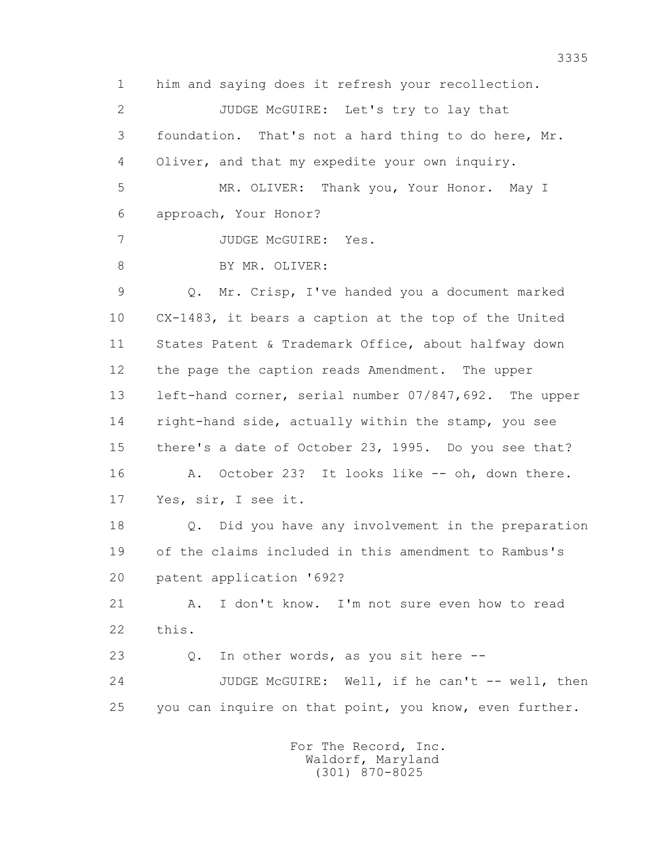1 him and saying does it refresh your recollection. 2 JUDGE McGUIRE: Let's try to lay that 3 foundation. That's not a hard thing to do here, Mr. 4 Oliver, and that my expedite your own inquiry. 5 MR. OLIVER: Thank you, Your Honor. May I 6 approach, Your Honor? 7 JUDGE McGUIRE: Yes. 8 BY MR. OLIVER: 9 Q. Mr. Crisp, I've handed you a document marked 10 CX-1483, it bears a caption at the top of the United 11 States Patent & Trademark Office, about halfway down 12 the page the caption reads Amendment. The upper 13 left-hand corner, serial number 07/847,692. The upper 14 right-hand side, actually within the stamp, you see 15 there's a date of October 23, 1995. Do you see that? 16 A. October 23? It looks like -- oh, down there. 17 Yes, sir, I see it. 18 Q. Did you have any involvement in the preparation 19 of the claims included in this amendment to Rambus's 20 patent application '692? 21 A. I don't know. I'm not sure even how to read 22 this. 23 Q. In other words, as you sit here -- 24 JUDGE McGUIRE: Well, if he can't -- well, then 25 you can inquire on that point, you know, even further.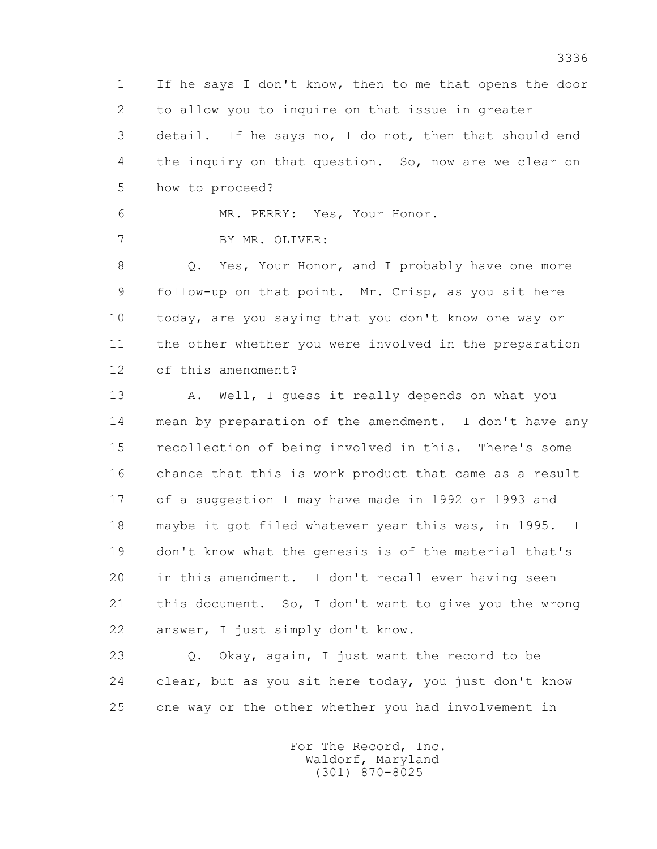1 If he says I don't know, then to me that opens the door 2 to allow you to inquire on that issue in greater 3 detail. If he says no, I do not, then that should end 4 the inquiry on that question. So, now are we clear on 5 how to proceed?

6 MR. PERRY: Yes, Your Honor.

7 BY MR. OLIVER:

8 Q. Yes, Your Honor, and I probably have one more 9 follow-up on that point. Mr. Crisp, as you sit here 10 today, are you saying that you don't know one way or 11 the other whether you were involved in the preparation 12 of this amendment?

13 A. Well, I quess it really depends on what you 14 mean by preparation of the amendment. I don't have any 15 recollection of being involved in this. There's some 16 chance that this is work product that came as a result 17 of a suggestion I may have made in 1992 or 1993 and 18 maybe it got filed whatever year this was, in 1995. I 19 don't know what the genesis is of the material that's 20 in this amendment. I don't recall ever having seen 21 this document. So, I don't want to give you the wrong 22 answer, I just simply don't know.

 23 Q. Okay, again, I just want the record to be 24 clear, but as you sit here today, you just don't know 25 one way or the other whether you had involvement in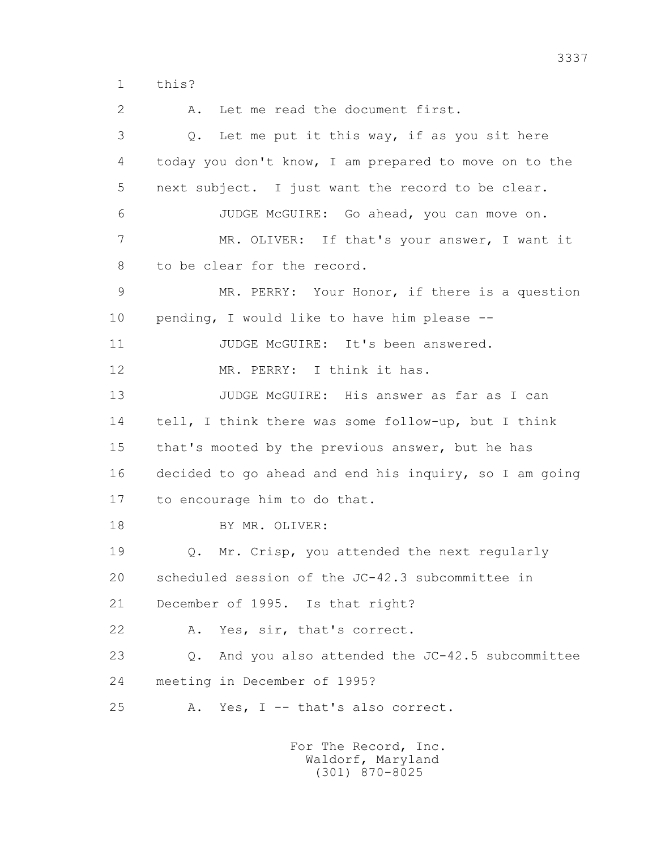1 this?

 2 A. Let me read the document first. 3 Q. Let me put it this way, if as you sit here 4 today you don't know, I am prepared to move on to the 5 next subject. I just want the record to be clear. 6 JUDGE McGUIRE: Go ahead, you can move on. 7 MR. OLIVER: If that's your answer, I want it 8 to be clear for the record. 9 MR. PERRY: Your Honor, if there is a question 10 pending, I would like to have him please -- 11 JUDGE McGUIRE: It's been answered. 12 MR. PERRY: I think it has. 13 JUDGE McGUIRE: His answer as far as I can 14 tell, I think there was some follow-up, but I think 15 that's mooted by the previous answer, but he has 16 decided to go ahead and end his inquiry, so I am going 17 to encourage him to do that. 18 BY MR. OLIVER: 19 Q. Mr. Crisp, you attended the next regularly 20 scheduled session of the JC-42.3 subcommittee in 21 December of 1995. Is that right? 22 A. Yes, sir, that's correct. 23 Q. And you also attended the JC-42.5 subcommittee 24 meeting in December of 1995? 25 A. Yes, I -- that's also correct.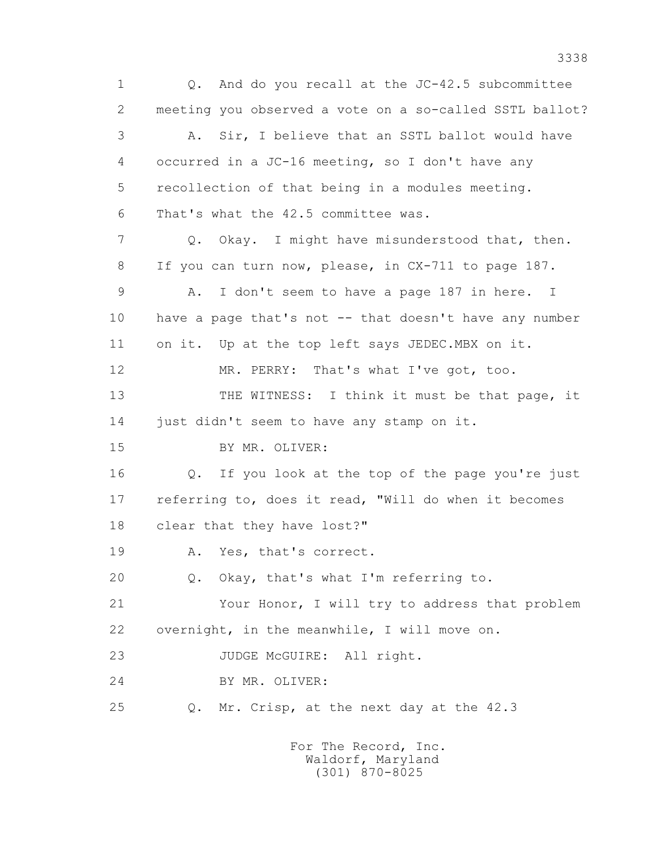1 Q. And do you recall at the JC-42.5 subcommittee 2 meeting you observed a vote on a so-called SSTL ballot? 3 A. Sir, I believe that an SSTL ballot would have 4 occurred in a JC-16 meeting, so I don't have any 5 recollection of that being in a modules meeting. 6 That's what the 42.5 committee was. 7 Q. Okay. I might have misunderstood that, then. 8 If you can turn now, please, in CX-711 to page 187. 9 A. I don't seem to have a page 187 in here. I 10 have a page that's not -- that doesn't have any number 11 on it. Up at the top left says JEDEC.MBX on it. 12 MR. PERRY: That's what I've got, too. 13 THE WITNESS: I think it must be that page, it 14 just didn't seem to have any stamp on it. 15 BY MR. OLIVER: 16 Q. If you look at the top of the page you're just 17 referring to, does it read, "Will do when it becomes 18 clear that they have lost?" 19 A. Yes, that's correct. 20 Q. Okay, that's what I'm referring to. 21 Your Honor, I will try to address that problem 22 overnight, in the meanwhile, I will move on. 23 JUDGE McGUIRE: All right. 24 BY MR. OLIVER: 25 Q. Mr. Crisp, at the next day at the 42.3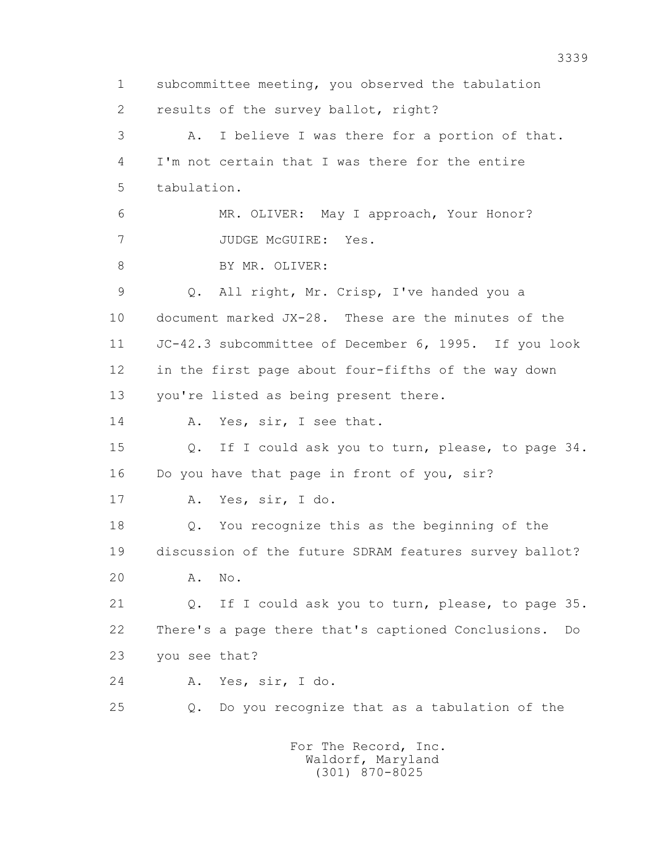1 subcommittee meeting, you observed the tabulation 2 results of the survey ballot, right? 3 A. I believe I was there for a portion of that. 4 I'm not certain that I was there for the entire 5 tabulation. 6 MR. OLIVER: May I approach, Your Honor? 7 JUDGE McGUIRE: Yes. 8 BY MR. OLIVER: 9 Q. All right, Mr. Crisp, I've handed you a 10 document marked JX-28. These are the minutes of the 11 JC-42.3 subcommittee of December 6, 1995. If you look 12 in the first page about four-fifths of the way down 13 you're listed as being present there. 14 A. Yes, sir, I see that. 15 Q. If I could ask you to turn, please, to page 34. 16 Do you have that page in front of you, sir? 17 A. Yes, sir, I do. 18 Q. You recognize this as the beginning of the 19 discussion of the future SDRAM features survey ballot? 20 A. No. 21 Q. If I could ask you to turn, please, to page 35. 22 There's a page there that's captioned Conclusions. Do 23 you see that? 24 A. Yes, sir, I do. 25 Q. Do you recognize that as a tabulation of the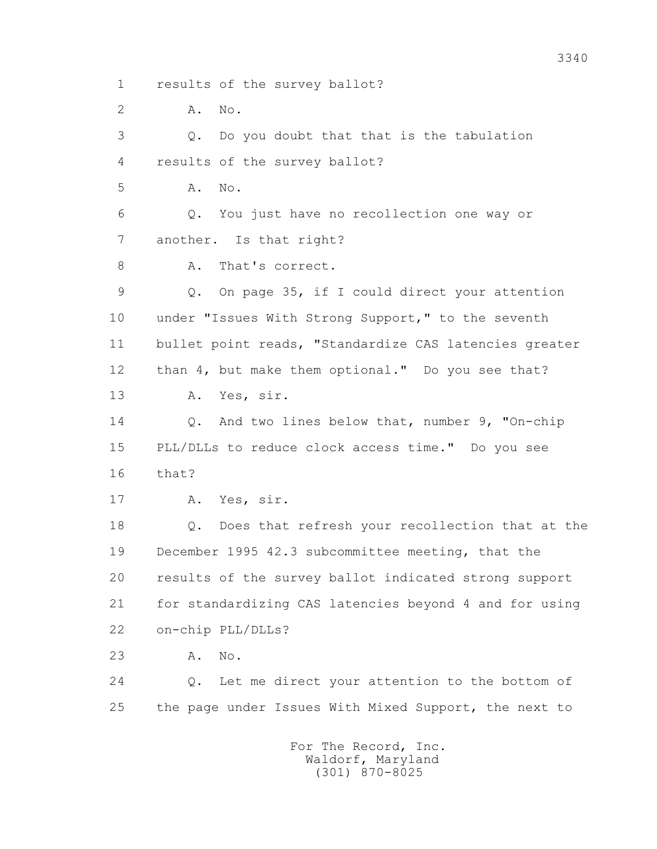1 results of the survey ballot?

2 **A.** No.

 3 Q. Do you doubt that that is the tabulation 4 results of the survey ballot? 5 A. No. 6 Q. You just have no recollection one way or 7 another. Is that right? 8 A. That's correct. 9 Q. On page 35, if I could direct your attention 10 under "Issues With Strong Support," to the seventh 11 bullet point reads, "Standardize CAS latencies greater 12 than 4, but make them optional." Do you see that? 13 A. Yes, sir. 14 Q. And two lines below that, number 9, "On-chip 15 PLL/DLLs to reduce clock access time." Do you see 16 that? 17 A. Yes, sir. 18 Q. Does that refresh your recollection that at the 19 December 1995 42.3 subcommittee meeting, that the 20 results of the survey ballot indicated strong support 21 for standardizing CAS latencies beyond 4 and for using 22 on-chip PLL/DLLs? 23 A. No. 24 Q. Let me direct your attention to the bottom of 25 the page under Issues With Mixed Support, the next to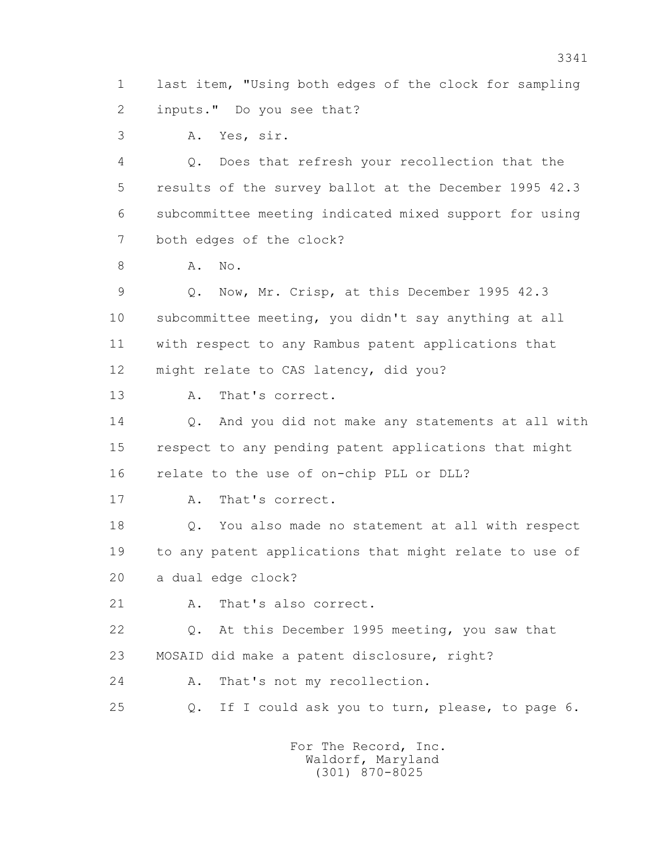1 last item, "Using both edges of the clock for sampling 2 inputs." Do you see that?

3 A. Yes, sir.

 4 Q. Does that refresh your recollection that the 5 results of the survey ballot at the December 1995 42.3 6 subcommittee meeting indicated mixed support for using 7 both edges of the clock?

8 **A.** No.

 9 Q. Now, Mr. Crisp, at this December 1995 42.3 10 subcommittee meeting, you didn't say anything at all 11 with respect to any Rambus patent applications that 12 might relate to CAS latency, did you?

13 A. That's correct.

 14 Q. And you did not make any statements at all with 15 respect to any pending patent applications that might 16 relate to the use of on-chip PLL or DLL?

17 A. That's correct.

 18 Q. You also made no statement at all with respect 19 to any patent applications that might relate to use of 20 a dual edge clock?

21 A. That's also correct.

 22 Q. At this December 1995 meeting, you saw that 23 MOSAID did make a patent disclosure, right?

24 A. That's not my recollection.

25 Q. If I could ask you to turn, please, to page 6.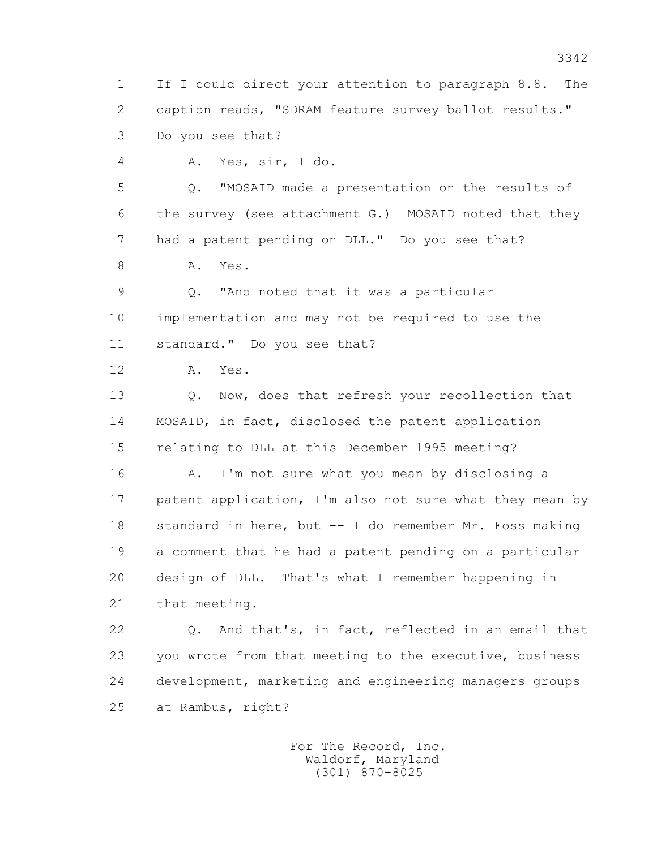1 If I could direct your attention to paragraph 8.8. The 2 caption reads, "SDRAM feature survey ballot results." 3 Do you see that?

4 A. Yes, sir, I do.

 5 Q. "MOSAID made a presentation on the results of 6 the survey (see attachment G.) MOSAID noted that they 7 had a patent pending on DLL." Do you see that?

8 A. Yes.

 9 Q. "And noted that it was a particular 10 implementation and may not be required to use the 11 standard." Do you see that?

12 A. Yes.

 13 Q. Now, does that refresh your recollection that 14 MOSAID, in fact, disclosed the patent application 15 relating to DLL at this December 1995 meeting?

 16 A. I'm not sure what you mean by disclosing a 17 patent application, I'm also not sure what they mean by 18 standard in here, but -- I do remember Mr. Foss making 19 a comment that he had a patent pending on a particular 20 design of DLL. That's what I remember happening in 21 that meeting.

 22 Q. And that's, in fact, reflected in an email that 23 you wrote from that meeting to the executive, business 24 development, marketing and engineering managers groups 25 at Rambus, right?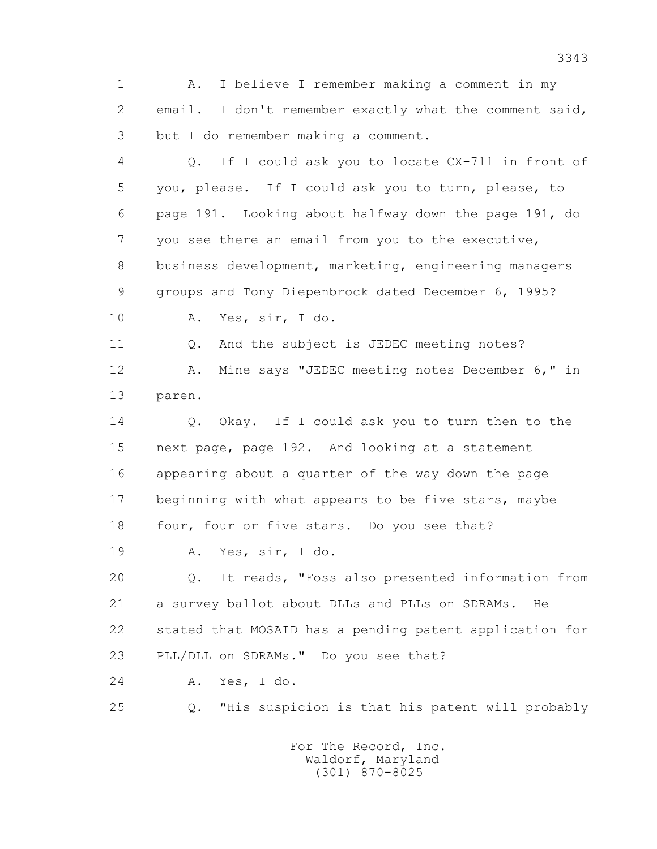1 A. I believe I remember making a comment in my 2 email. I don't remember exactly what the comment said, 3 but I do remember making a comment.

 4 Q. If I could ask you to locate CX-711 in front of 5 you, please. If I could ask you to turn, please, to 6 page 191. Looking about halfway down the page 191, do 7 you see there an email from you to the executive, 8 business development, marketing, engineering managers 9 groups and Tony Diepenbrock dated December 6, 1995? 10 A. Yes, sir, I do. 11 Q. And the subject is JEDEC meeting notes? 12 A. Mine says "JEDEC meeting notes December 6," in 13 paren. 14 O. Okay. If I could ask you to turn then to the 15 next page, page 192. And looking at a statement 16 appearing about a quarter of the way down the page 17 beginning with what appears to be five stars, maybe 18 four, four or five stars. Do you see that? 19 A. Yes, sir, I do. 20 Q. It reads, "Foss also presented information from 21 a survey ballot about DLLs and PLLs on SDRAMs. He 22 stated that MOSAID has a pending patent application for 23 PLL/DLL on SDRAMs." Do you see that?

24 A. Yes, I do.

25 Q. "His suspicion is that his patent will probably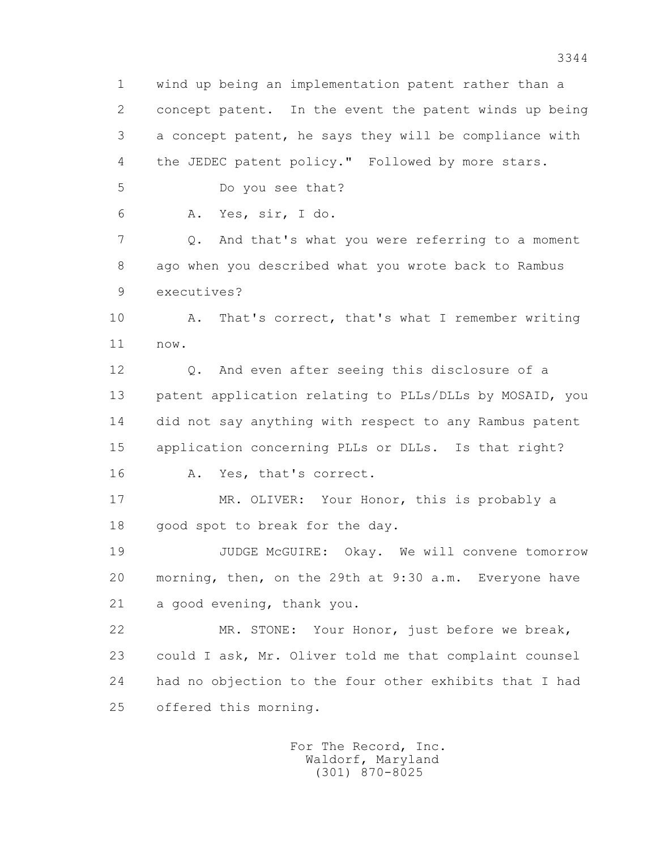1 wind up being an implementation patent rather than a 2 concept patent. In the event the patent winds up being 3 a concept patent, he says they will be compliance with 4 the JEDEC patent policy." Followed by more stars.

5 Do you see that?

6 A. Yes, sir, I do.

 7 Q. And that's what you were referring to a moment 8 ago when you described what you wrote back to Rambus 9 executives?

 10 A. That's correct, that's what I remember writing 11 now.

 12 Q. And even after seeing this disclosure of a 13 patent application relating to PLLs/DLLs by MOSAID, you 14 did not say anything with respect to any Rambus patent 15 application concerning PLLs or DLLs. Is that right? 16 A. Yes, that's correct.

 17 MR. OLIVER: Your Honor, this is probably a 18 good spot to break for the day.

 19 JUDGE McGUIRE: Okay. We will convene tomorrow 20 morning, then, on the 29th at 9:30 a.m. Everyone have 21 a good evening, thank you.

 22 MR. STONE: Your Honor, just before we break, 23 could I ask, Mr. Oliver told me that complaint counsel 24 had no objection to the four other exhibits that I had 25 offered this morning.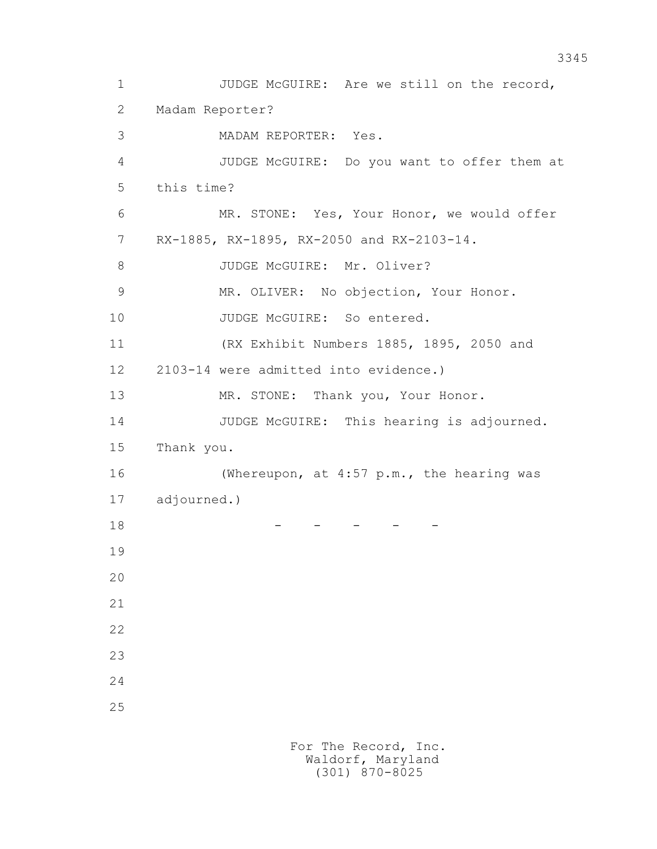1 JUDGE McGUIRE: Are we still on the record, 2 Madam Reporter? 3 MADAM REPORTER: Yes. 4 JUDGE McGUIRE: Do you want to offer them at 5 this time? 6 MR. STONE: Yes, Your Honor, we would offer 7 RX-1885, RX-1895, RX-2050 and RX-2103-14. 8 JUDGE McGUIRE: Mr. Oliver? 9 MR. OLIVER: No objection, Your Honor. 10 JUDGE McGUIRE: So entered. 11 (RX Exhibit Numbers 1885, 1895, 2050 and 12 2103-14 were admitted into evidence.) 13 MR. STONE: Thank you, Your Honor. 14 JUDGE McGUIRE: This hearing is adjourned. 15 Thank you. 16 (Whereupon, at 4:57 p.m., the hearing was 17 adjourned.) 18 - - - - - 19 20 21 22 23 24 25 For The Record, Inc.

 Waldorf, Maryland (301) 870-8025